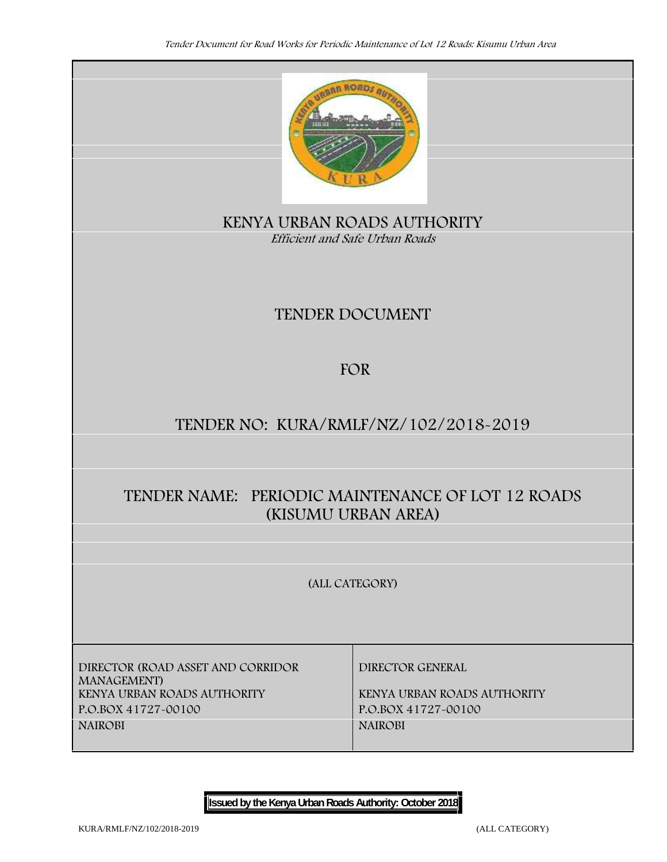

**KENYA URBAN ROADS AUTHORITY** *Efficient and Safe Urban Roads*

# **TENDER DOCUMENT**

# **FOR**

# **TENDER NO: KURA/RMLF/NZ/102/2018-2019**

# **TENDER NAME: PERIODIC MAINTENANCE OF LOT 12 ROADS (KISUMU URBAN AREA)**

**(ALL CATEGORY)**

**DIRECTOR (ROAD ASSET AND CORRIDOR MANAGEMENT) KENYA URBAN ROADS AUTHORITY KENYA URBAN ROADS AUTHORITY P.O.BOX 41727-00100 P.O.BOX 41727-00100 NAIROBI NAIROBI**

**DIRECTOR GENERAL**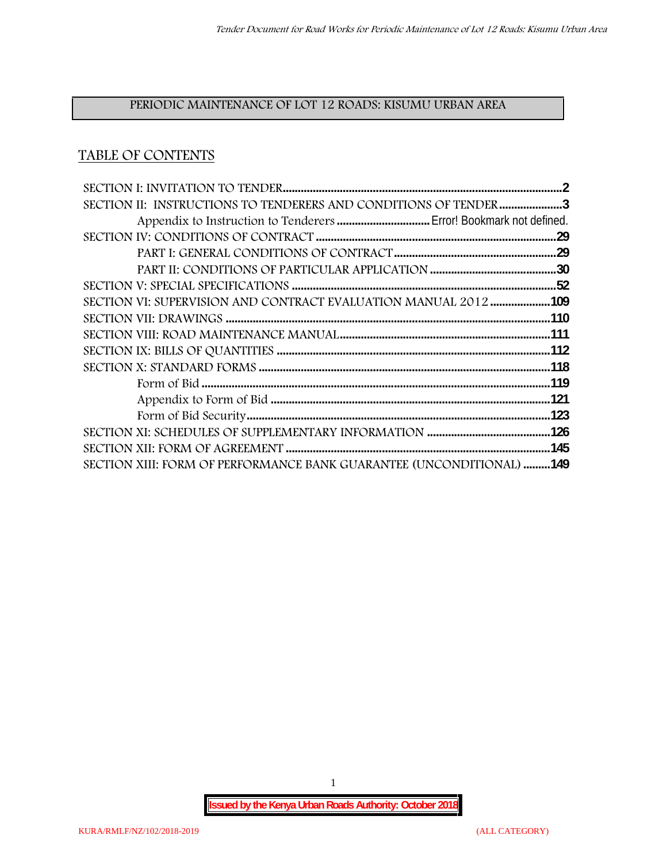## **PERIODIC MAINTENANCE OF LOT 12 ROADS: KISUMU URBAN AREA**

## **TABLE OF CONTENTS**

| SECTION II: INSTRUCTIONS TO TENDERERS AND CONDITIONS OF TENDER 3     |
|----------------------------------------------------------------------|
|                                                                      |
|                                                                      |
|                                                                      |
|                                                                      |
|                                                                      |
| SECTION VI: SUPERVISION AND CONTRACT EVALUATION MANUAL 2012 109      |
|                                                                      |
|                                                                      |
|                                                                      |
|                                                                      |
|                                                                      |
|                                                                      |
|                                                                      |
|                                                                      |
|                                                                      |
| SECTION XIII: FORM OF PERFORMANCE BANK GUARANTEE (UNCONDITIONAL) 149 |

1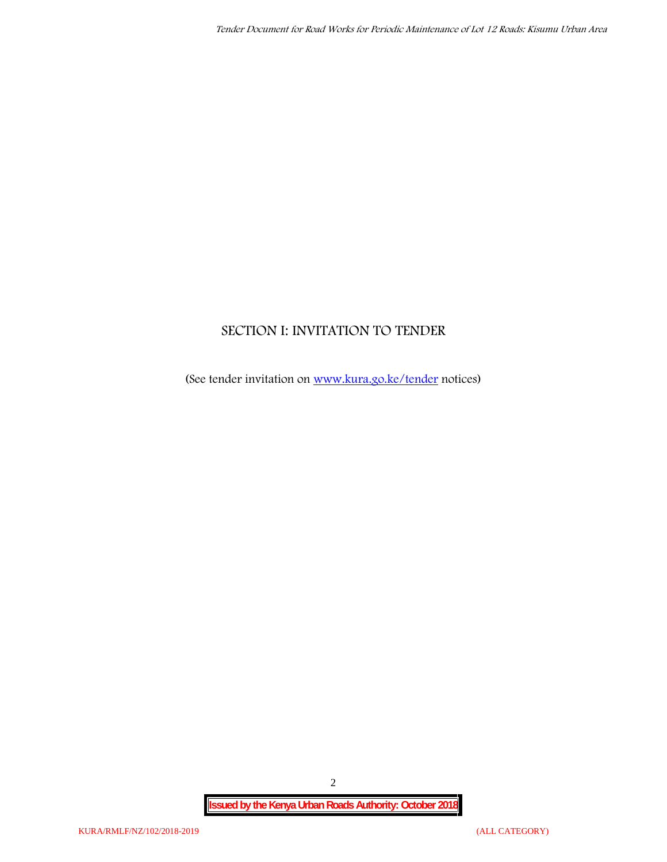# **SECTION I: INVITATION TO TENDER**

(See tender invitation on www.kura.go.ke/tender notices)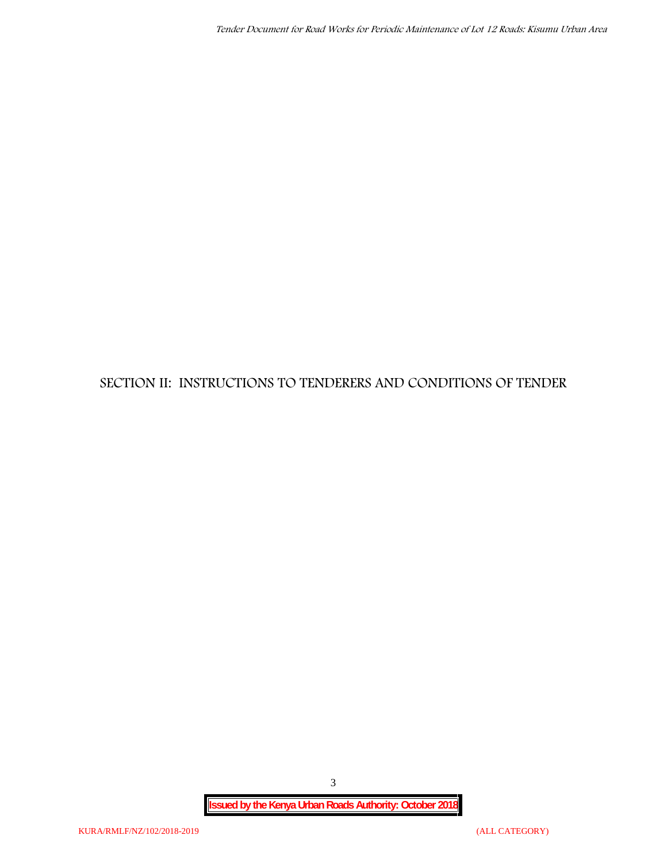## **SECTION II: INSTRUCTIONS TO TENDERERS AND CONDITIONS OF TENDER**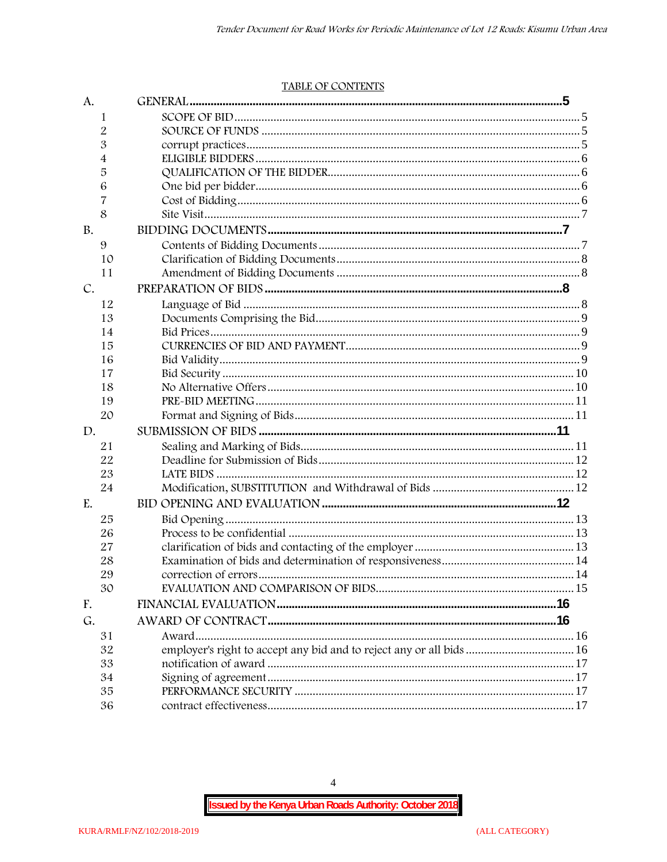#### TABLE OF CONTENTS

| A.        |    |                                                                      |  |
|-----------|----|----------------------------------------------------------------------|--|
|           | 1  |                                                                      |  |
|           | 2  |                                                                      |  |
|           | 3  |                                                                      |  |
|           | 4  |                                                                      |  |
|           | 5  |                                                                      |  |
|           | 6  |                                                                      |  |
|           | 7  |                                                                      |  |
|           | 8  |                                                                      |  |
| <b>B.</b> |    |                                                                      |  |
|           | 9  |                                                                      |  |
|           | 10 |                                                                      |  |
|           | 11 |                                                                      |  |
| C.        |    |                                                                      |  |
|           | 12 |                                                                      |  |
|           | 13 |                                                                      |  |
|           | 14 |                                                                      |  |
|           | 15 |                                                                      |  |
|           | 16 |                                                                      |  |
|           | 17 |                                                                      |  |
|           | 18 |                                                                      |  |
|           | 19 |                                                                      |  |
|           | 20 |                                                                      |  |
| D.        |    |                                                                      |  |
|           | 21 |                                                                      |  |
|           | 22 |                                                                      |  |
|           | 23 |                                                                      |  |
|           | 24 |                                                                      |  |
| E.        |    |                                                                      |  |
|           | 25 |                                                                      |  |
|           | 26 |                                                                      |  |
|           | 27 |                                                                      |  |
|           | 28 |                                                                      |  |
|           | 29 |                                                                      |  |
|           | 30 |                                                                      |  |
| F.        |    |                                                                      |  |
| G.        |    |                                                                      |  |
|           | 31 |                                                                      |  |
|           | 32 | employer's right to accept any bid and to reject any or all bids  16 |  |
|           | 33 |                                                                      |  |
|           | 34 |                                                                      |  |
|           | 35 |                                                                      |  |
|           | 36 |                                                                      |  |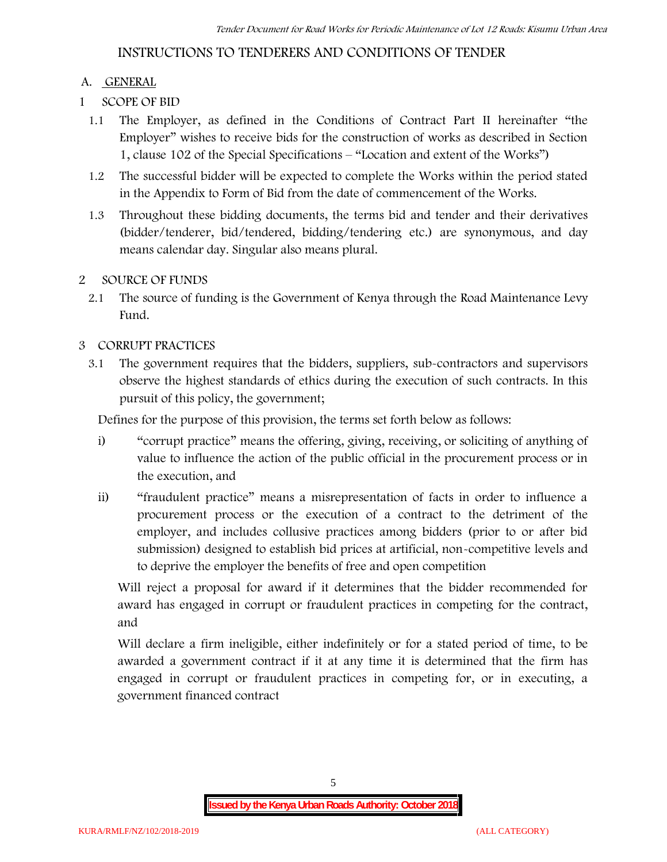## **INSTRUCTIONS TO TENDERERS AND CONDITIONS OF TENDER**

## **A. GENERAL**

- **1 SCOPE OF BID**
	- 1.1 The Employer, as defined in the Conditions of Contract Part II hereinafter "the Employer" wishes to receive bids for the construction of works as described in Section 1, clause 102 of the Special Specifications – "Location and extent of the Works")
	- 1.2 The successful bidder will be expected to complete the Works within the period stated in the Appendix to Form of Bid from the date of commencement of the Works.
	- 1.3 Throughout these bidding documents, the terms bid and tender and their derivatives (bidder/tenderer, bid/tendered, bidding/tendering etc.) are synonymous, and day means calendar day. Singular also means plural.

## **2 SOURCE OF FUNDS**

2.1 The source of funding is the Government of Kenya through the Road Maintenance Levy Fund.

## **3 CORRUPT PRACTICES**

3.1 The government requires that the bidders, suppliers, sub-contractors and supervisors observe the highest standards of ethics during the execution of such contracts. In this pursuit of this policy, the government;

Defines for the purpose of this provision, the terms set forth below as follows:

- i) "corrupt practice" means the offering, giving, receiving, or soliciting of anything of value to influence the action of the public official in the procurement process or in the execution, and
- ii) "fraudulent practice" means a misrepresentation of facts in order to influence a procurement process or the execution of a contract to the detriment of the employer, and includes collusive practices among bidders (prior to or after bid submission) designed to establish bid prices at artificial, non-competitive levels and to deprive the employer the benefits of free and open competition

Will reject a proposal for award if it determines that the bidder recommended for award has engaged in corrupt or fraudulent practices in competing for the contract, and

Will declare a firm ineligible, either indefinitely or for a stated period of time, to be awarded a government contract if it at any time it is determined that the firm has engaged in corrupt or fraudulent practices in competing for, or in executing, a government financed contract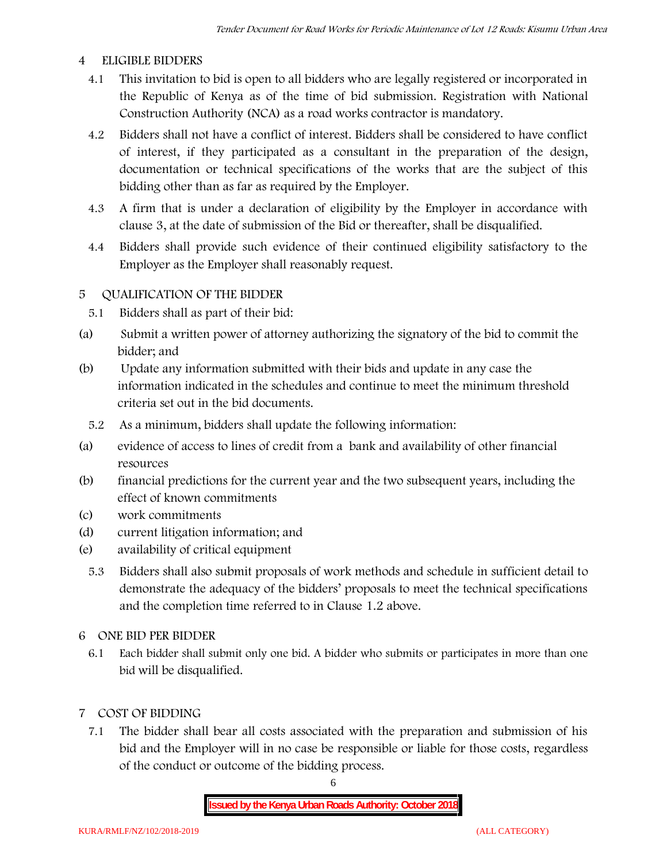### **4 ELIGIBLE BIDDERS**

- 4.1 This invitation to bid is open to all bidders who are legally registered or incorporated in the Republic of Kenya as of the time of bid submission. Registration with National Construction Authority (NCA) as a road works contractor is mandatory.
- 4.2 Bidders shall not have a conflict of interest. Bidders shall be considered to have conflict of interest, if they participated as a consultant in the preparation of the design, documentation or technical specifications of the works that are the subject of this bidding other than as far as required by the Employer.
- 4.3 A firm that is under a declaration of eligibility by the Employer in accordance with clause 3, at the date of submission of the Bid or thereafter, shall be disqualified.
- 4.4 Bidders shall provide such evidence of their continued eligibility satisfactory to the Employer as the Employer shall reasonably request.

## **5 QUALIFICATION OF THE BIDDER**

- 5.1 Bidders shall as part of their bid:
- (a) Submit a written power of attorney authorizing the signatory of the bid to commit the bidder; and
- (b) Update any information submitted with their bids and update in any case the information indicated in the schedules and continue to meet the minimum threshold criteria set out in the bid documents.
	- 5.2 As a minimum, bidders shall update the following information:
- (a) evidence of access to lines of credit from a bank and availability of other financial resources
- (b) financial predictions for the current year and the two subsequent years, including the effect of known commitments
- (c) work commitments
- (d) current litigation information; and
- (e) availability of critical equipment
	- 5.3 Bidders shall also submit proposals of work methods and schedule in sufficient detail to demonstrate the adequacy of the bidders' proposals to meet the technical specifications and the completion time referred to in Clause 1.2 above.
- **6 ONE BID PER BIDDER**
	- 6.1 Each bidder shall submit only one bid. A bidder who submits or participates in more than one bid will be disqualified.
- **7 COST OF BIDDING**
	- 7.1 The bidder shall bear all costs associated with the preparation and submission of his bid and the Employer will in no case be responsible or liable for those costs, regardless of the conduct or outcome of the bidding process.

6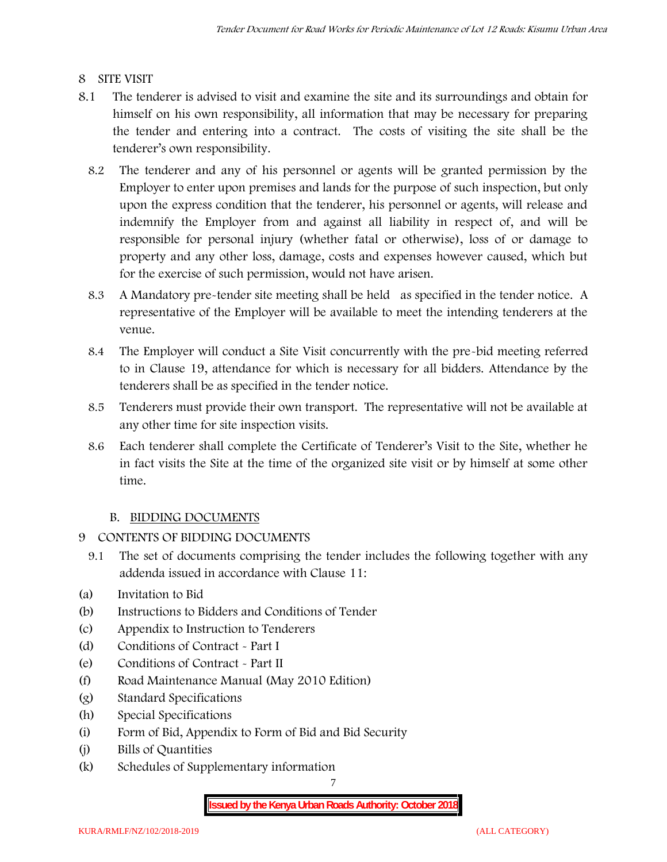## **8 SITE VISIT**

- 8.1 The tenderer is advised to visit and examine the site and its surroundings and obtain for himself on his own responsibility, all information that may be necessary for preparing the tender and entering into a contract. The costs of visiting the site shall be the tenderer's own responsibility.
	- 8.2 The tenderer and any of his personnel or agents will be granted permission by the Employer to enter upon premises and lands for the purpose of such inspection, but only upon the express condition that the tenderer, his personnel or agents, will release and indemnify the Employer from and against all liability in respect of, and will be responsible for personal injury (whether fatal or otherwise), loss of or damage to property and any other loss, damage, costs and expenses however caused, which but for the exercise of such permission, would not have arisen.
	- 8.3 A Mandatory pre-tender site meeting shall be held as specified in the tender notice. A representative of the Employer will be available to meet the intending tenderers at the venue.
	- 8.4 The Employer will conduct a Site Visit concurrently with the pre-bid meeting referred to in Clause 19, attendance for which is necessary for all bidders. Attendance by the tenderers shall be as specified in the tender notice.
	- 8.5 Tenderers must provide their own transport. The representative will not be available at any other time for site inspection visits.
	- 8.6 Each tenderer shall complete the Certificate of Tenderer's Visit to the Site, whether he in fact visits the Site at the time of the organized site visit or by himself at some other time.

## **B. BIDDING DOCUMENTS**

- **9 CONTENTS OF BIDDING DOCUMENTS**
	- 9.1 The set of documents comprising the tender includes the following together with any addenda issued in accordance with Clause 11:
- (a) Invitation to Bid
- (b) Instructions to Bidders and Conditions of Tender
- (c) Appendix to Instruction to Tenderers
- (d) Conditions of Contract Part I
- (e) Conditions of Contract Part II
- (f) Road Maintenance Manual (May 2010 Edition)
- (g) Standard Specifications
- (h) Special Specifications
- (i) Form of Bid, Appendix to Form of Bid and Bid Security
- (j) Bills of Quantities
- (k) Schedules of Supplementary information

7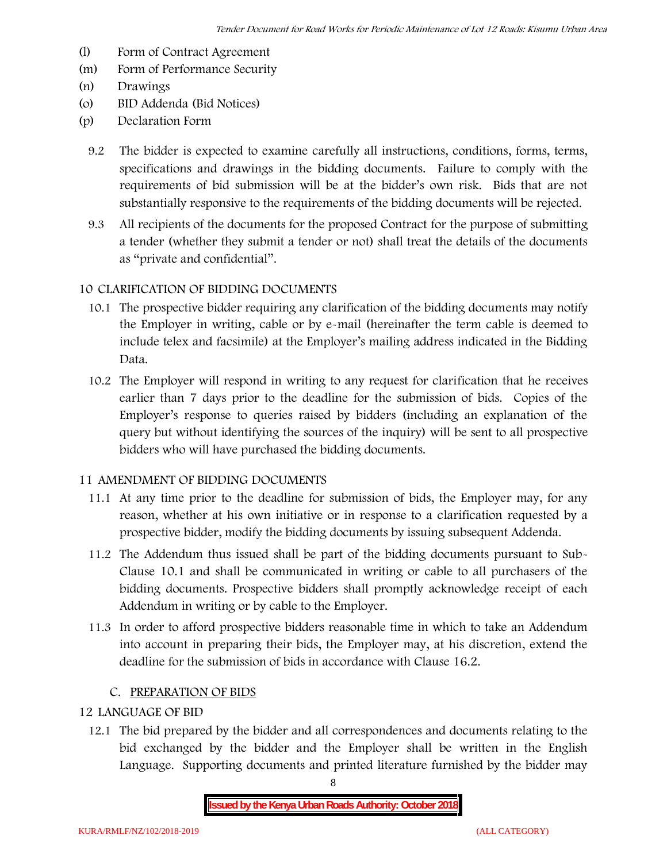- (l) Form of Contract Agreement
- (m) Form of Performance Security
- (n) Drawings
- (o) BID Addenda (Bid Notices)
- (p) Declaration Form
	- 9.2 The bidder is expected to examine carefully all instructions, conditions, forms, terms, specifications and drawings in the bidding documents. Failure to comply with the requirements of bid submission will be at the bidder's own risk. Bids that are not substantially responsive to the requirements of the bidding documents will be rejected.
	- 9.3 All recipients of the documents for the proposed Contract for the purpose of submitting a tender (whether they submit a tender or not) shall treat the details of the documents as "private and confidential".

## **10 CLARIFICATION OF BIDDING DOCUMENTS**

- 10.1 The prospective bidder requiring any clarification of the bidding documents may notify the Employer in writing, cable or by e-mail (hereinafter the term cable is deemed to include telex and facsimile) at the Employer's mailing address indicated in the Bidding Data.
- 10.2 The Employer will respond in writing to any request for clarification that he receives earlier than 7 days prior to the deadline for the submission of bids. Copies of the Employer's response to queries raised by bidders (including an explanation of the query but without identifying the sources of the inquiry) will be sent to all prospective bidders who will have purchased the bidding documents.

### **11 AMENDMENT OF BIDDING DOCUMENTS**

- 11.1 At any time prior to the deadline for submission of bids, the Employer may, for any reason, whether at his own initiative or in response to a clarification requested by a prospective bidder, modify the bidding documents by issuing subsequent Addenda.
- 11.2 The Addendum thus issued shall be part of the bidding documents pursuant to Sub- Clause 10.1 and shall be communicated in writing or cable to all purchasers of the bidding documents. Prospective bidders shall promptly acknowledge receipt of each Addendum in writing or by cable to the Employer.
- 11.3 In order to afford prospective bidders reasonable time in which to take an Addendum into account in preparing their bids, the Employer may, at his discretion, extend the deadline for the submission of bids in accordance with Clause 16.2.

## **C. PREPARATION OF BIDS**

## **12 LANGUAGE OF BID**

12.1 The bid prepared by the bidder and all correspondences and documents relating to the bid exchanged by the bidder and the Employer shall be written in the English Language. Supporting documents and printed literature furnished by the bidder may

8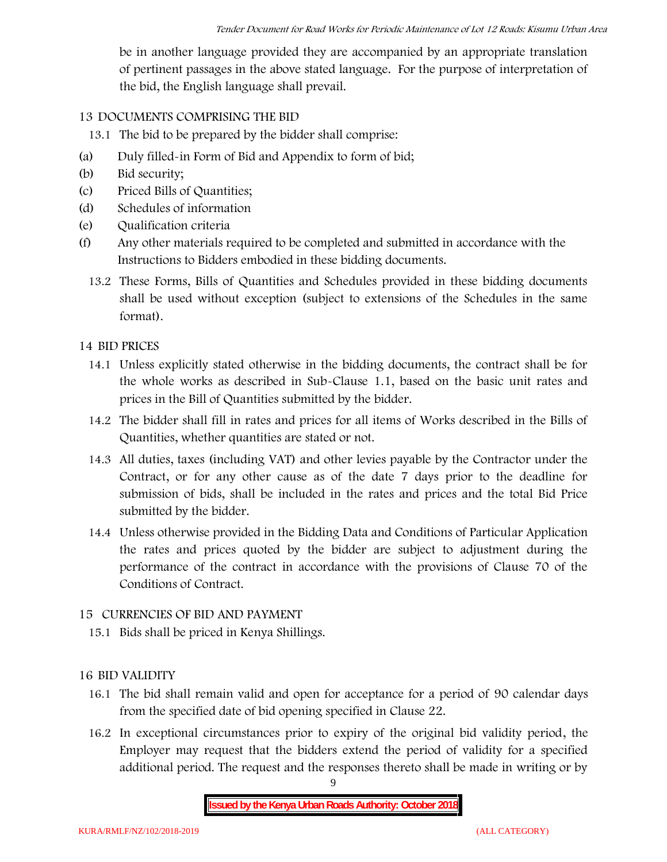be in another language provided they are accompanied by an appropriate translation of pertinent passages in the above stated language. For the purpose of interpretation of the bid, the English language shall prevail.

## **13 DOCUMENTS COMPRISING THE BID**

13.1 The bid to be prepared by the bidder shall comprise:

- (a) Duly filled-in Form of Bid and Appendix to form of bid;
- (b) Bid security;
- (c) Priced Bills of Quantities;
- (d) Schedules of information
- (e) Qualification criteria
- (f) Any other materials required to be completed and submitted in accordance with the Instructions to Bidders embodied in these bidding documents.
	- 13.2 These Forms, Bills of Quantities and Schedules provided in these bidding documents shall be used without exception (subject to extensions of the Schedules in the same format).

## **14 BID PRICES**

- 14.1 Unless explicitly stated otherwise in the bidding documents, the contract shall be for the whole works as described in Sub-Clause 1.1, based on the basic unit rates and prices in the Bill of Quantities submitted by the bidder.
- 14.2 The bidder shall fill in rates and prices for all items of Works described in the Bills of Quantities, whether quantities are stated or not.
- 14.3 All duties, taxes (including VAT) and other levies payable by the Contractor under the Contract, or for any other cause as of the date 7 days prior to the deadline for submission of bids, shall be included in the rates and prices and the total Bid Price submitted by the bidder.
- 14.4 Unless otherwise provided in the Bidding Data and Conditions of Particular Application the rates and prices quoted by the bidder are subject to adjustment during the performance of the contract in accordance with the provisions of Clause 70 of the Conditions of Contract.

### **15 CURRENCIES OF BID AND PAYMENT**

15.1 Bids shall be priced in Kenya Shillings.

## **16 BID VALIDITY**

- 16.1 The bid shall remain valid and open for acceptance for a period of 90 calendar days from the specified date of bid opening specified in Clause 22.
- 16.2 In exceptional circumstances prior to expiry of the original bid validity period, the Employer may request that the bidders extend the period of validity for a specified additional period. The request and the responses thereto shall be made in writing or by

9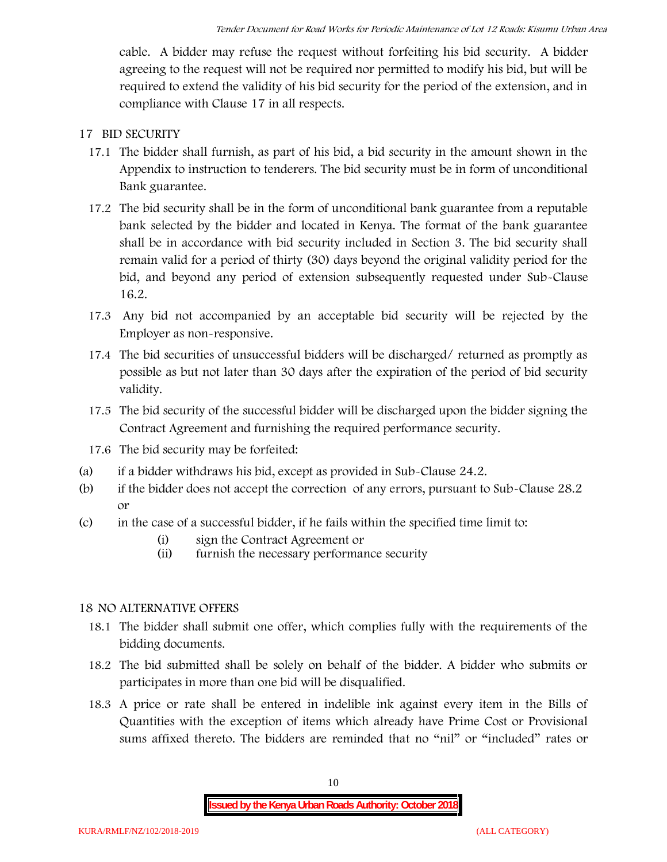cable. A bidder may refuse the request without forfeiting his bid security. A bidder agreeing to the request will not be required nor permitted to modify his bid, but will be required to extend the validity of his bid security for the period of the extension, and in compliance with Clause 17 in all respects.

## **17 BID SECURITY**

- **17.1** The bidder shall furnish, as part of his bid, a bid security in the amount shown in the Appendix to instruction to tenderers. **The bid security must be in form of unconditional Bank guarantee.**
- 17.2 The bid security shall be in the form of unconditional bank guarantee from a reputable bank selected by the bidder and located in Kenya. The format of the bank guarantee shall be in accordance with bid security included in Section 3. The bid security shall remain valid for a period of thirty (30) days beyond the original validity period for the bid, and beyond any period of extension subsequently requested under Sub-Clause 16.2.
- 17.3 Any bid not accompanied by an acceptable bid security will be rejected by the Employer as non-responsive.
- 17.4 The bid securities of unsuccessful bidders will be discharged/ returned as promptly as possible as but not later than 30 days after the expiration of the period of bid security validity.
- 17.5 The bid security of the successful bidder will be discharged upon the bidder signing the Contract Agreement and furnishing the required performance security.
- 17.6 The bid security may be forfeited:
- (a) if a bidder withdraws his bid, except as provided in Sub-Clause 24.2.
- (b) if the bidder does not accept the correction of any errors, pursuant to Sub-Clause 28.2 or
- (c) in the case of a successful bidder, if he fails within the specified time limit to:
	- (i) sign the Contract Agreement or
	- (ii) furnish the necessary performance security

### **18 NO ALTERNATIVE OFFERS**

- 18.1 The bidder shall submit one offer, which complies fully with the requirements of the bidding documents.
- 18.2 The bid submitted shall be solely on behalf of the bidder. A bidder who submits or participates in more than one bid will be disqualified.
- 18.3 A price or rate shall be entered in indelible ink against every item in the Bills of Quantities with the exception of items which already have Prime Cost or Provisional sums affixed thereto. The bidders are reminded that no "nil" or "included" rates or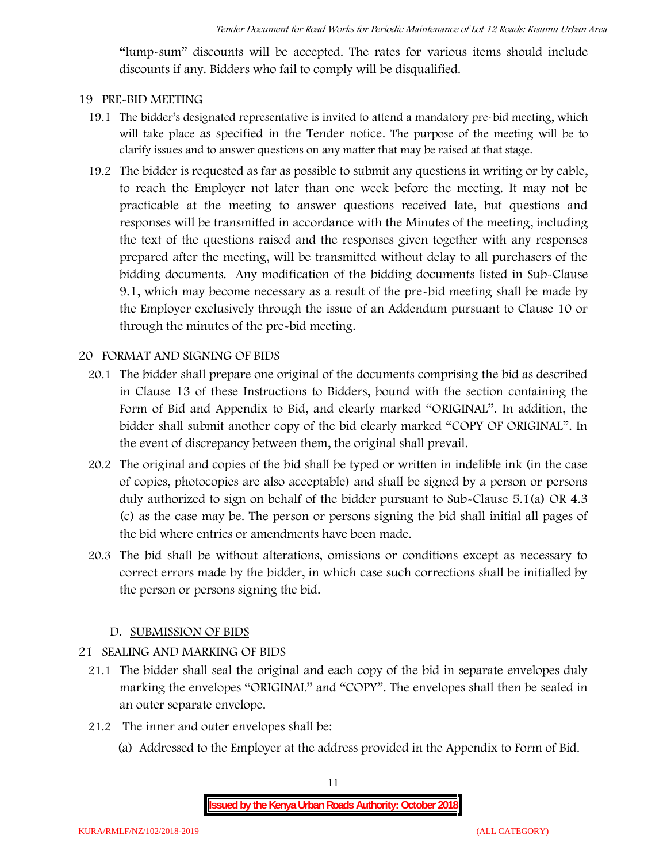"lump-sum" discounts will be accepted. The rates for various items should include discounts if any. Bidders who fail to comply will be disqualified.

#### **19 PRE-BID MEETING**

- 19.1 The bidder's designated representative is invited to attend a mandatory pre-bid meeting, which will take place as specified in the Tender notice. The purpose of the meeting will be to clarify issues and to answer questions on any matter that may be raised at that stage.
- 19.2 The bidder is requested as far as possible to submit any questions in writing or by cable, to reach the Employer not later than one week before the meeting. It may not be practicable at the meeting to answer questions received late, but questions and responses will be transmitted in accordance with the Minutes of the meeting, including the text of the questions raised and the responses given together with any responses prepared after the meeting, will be transmitted without delay to all purchasers of the bidding documents. Any modification of the bidding documents listed in Sub-Clause 9.1, which may become necessary as a result of the pre-bid meeting shall be made by the Employer exclusively through the issue of an Addendum pursuant to Clause 10 or through the minutes of the pre-bid meeting.

### **20 FORMAT AND SIGNING OF BIDS**

- 20.1 The bidder shall prepare one original of the documents comprising the bid as described in Clause 13 of these Instructions to Bidders, bound with the section containing the Form of Bid and Appendix to Bid, and clearly marked "ORIGINAL". In addition, the bidder shall submit another copy of the bid clearly marked "COPY OF ORIGINAL". In the event of discrepancy between them, the original shall prevail.
- 20.2 The original and copies of the bid shall be typed or written in indelible ink (in the case of copies, photocopies are also acceptable) and shall be signed by a person or persons duly authorized to sign on behalf of the bidder pursuant to Sub-Clause 5.1(a) OR 4.3 (c) as the case may be. The person or persons signing the bid shall initial all pages of the bid where entries or amendments have been made.
- 20.3 The bid shall be without alterations, omissions or conditions except as necessary to correct errors made by the bidder, in which case such corrections shall be initialled by the person or persons signing the bid.

### **D. SUBMISSION OF BIDS**

### **21 SEALING AND MARKING OF BIDS**

- 21.1 The bidder shall seal the original and each copy of the bid in separate envelopes duly marking the envelopes "ORIGINAL" and "COPY". The envelopes shall then be sealed in an outer separate envelope.
- 21.2 The inner and outer envelopes shall be:
	- (a) Addressed to the Employer at the address provided in the Appendix to Form of Bid.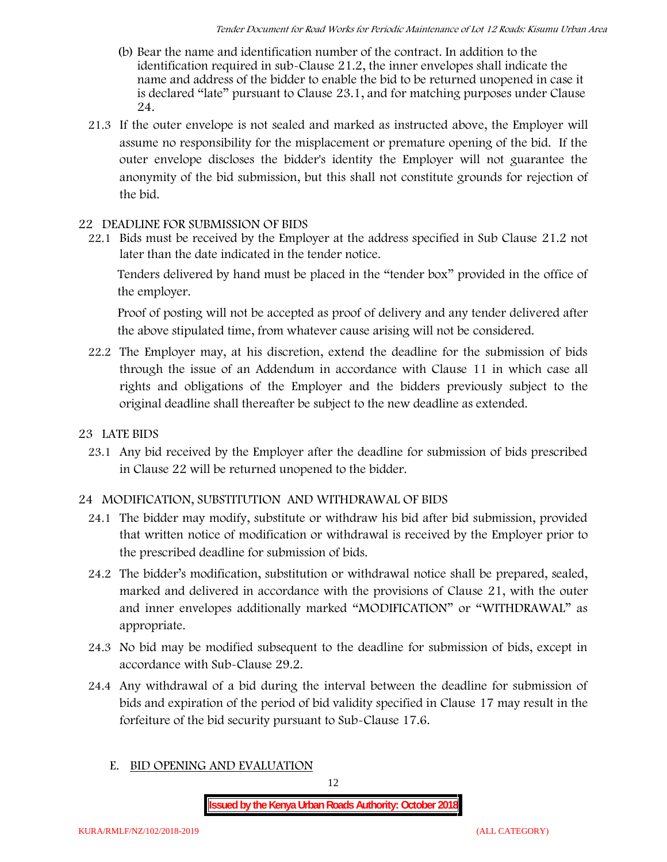- (b) Bear the name and identification number of the contract. In addition to the identification required in sub-Clause 21.2, the inner envelopes shall indicate the name and address of the bidder to enable the bid to be returned unopened in case it is declared "late" pursuant to Clause 23.1, and for matching purposes under Clause 24.
- 21.3 If the outer envelope is not sealed and marked as instructed above, the Employer will assume no responsibility for the misplacement or premature opening of the bid. If the outer envelope discloses the bidder's identity the Employer will not guarantee the anonymity of the bid submission, but this shall not constitute grounds for rejection of the bid.

### **22 DEADLINE FOR SUBMISSION OF BIDS**

22.1 Bids must be received by the Employer at the address specified in Sub Clause 21.2 not later than **the date indicated in the tender notice.**

Tenders delivered by hand must be placed in the "tender box" provided in the office of the employer.

Proof of posting will not be accepted as proof of delivery and any tender delivered after the above stipulated time, from whatever cause arising will not be considered.

- 22.2 The Employer may, at his discretion, extend the deadline for the submission of bids through the issue of an Addendum in accordance with Clause 11 in which case all rights and obligations of the Employer and the bidders previously subject to the original deadline shall thereafter be subject to the new deadline as extended.
- **23 LATE BIDS**
	- 23.1 Any bid received by the Employer after the deadline for submission of bids prescribed in Clause 22 will be returned unopened to the bidder.

### **24 MODIFICATION, SUBSTITUTION AND WITHDRAWAL OF BIDS**

- 24.1 The bidder may modify, substitute or withdraw his bid after bid submission, provided that written notice of modification or withdrawal is received by the Employer prior to the prescribed deadline for submission of bids.
- 24.2 The bidder's modification, substitution or withdrawal notice shall be prepared, sealed, marked and delivered in accordance with the provisions of Clause 21, with the outer and inner envelopes additionally marked "MODIFICATION" or "WITHDRAWAL" as appropriate.
- 24.3 No bid may be modified subsequent to the deadline for submission of bids, except in accordance with Sub-Clause 29.2.
- 24.4 Any withdrawal of a bid during the interval between the deadline for submission of bids and expiration of the period of bid validity specified in Clause 17 may result in the forfeiture of the bid security pursuant to Sub-Clause 17.6.
	- **E. BID OPENING AND EVALUATION**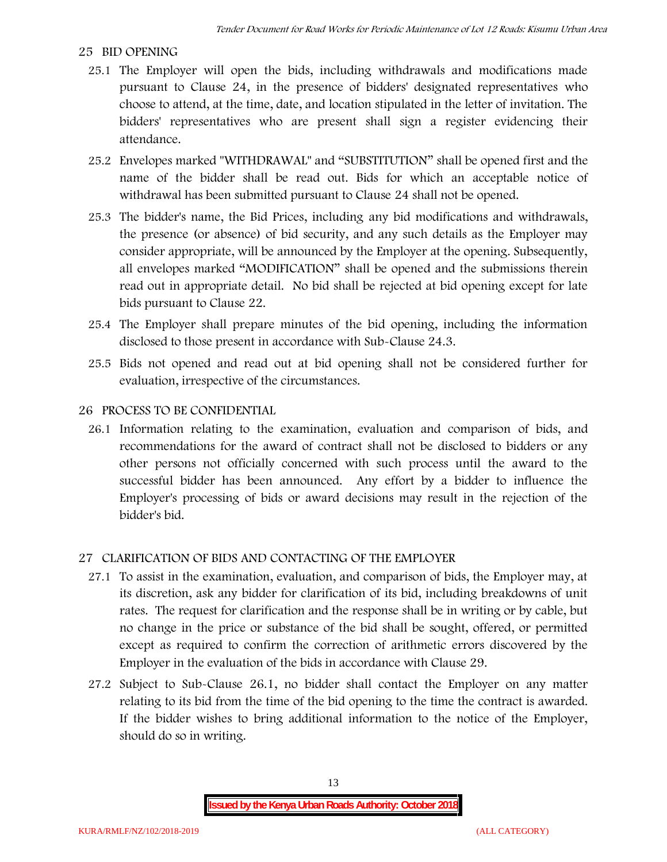#### **25 BID OPENING**

- 25.1 The Employer will open the bids, including withdrawals and modifications made pursuant to Clause 24, in the presence of bidders' designated representatives who choose to attend, at the time, date, and location stipulated in the letter of invitation. The bidders' representatives who are present shall sign a register evidencing their attendance.
- 25.2 Envelopes marked "WITHDRAWAL" and "SUBSTITUTION" shall be opened first and the name of the bidder shall be read out. Bids for which an acceptable notice of withdrawal has been submitted pursuant to Clause 24 shall not be opened.
- 25.3 The bidder's name, the Bid Prices, including any bid modifications and withdrawals, the presence (or absence) of bid security, and any such details as the Employer may consider appropriate, will be announced by the Employer at the opening. Subsequently, all envelopes marked "MODIFICATION" shall be opened and the submissions therein read out in appropriate detail. No bid shall be rejected at bid opening except for late bids pursuant to Clause 22.
- 25.4 The Employer shall prepare minutes of the bid opening, including the information disclosed to those present in accordance with Sub-Clause 24.3.
- 25.5 Bids not opened and read out at bid opening shall not be considered further for evaluation, irrespective of the circumstances.

#### **26 PROCESS TO BE CONFIDENTIAL**

26.1 Information relating to the examination, evaluation and comparison of bids, and recommendations for the award of contract shall not be disclosed to bidders or any other persons not officially concerned with such process until the award to the successful bidder has been announced. Any effort by a bidder to influence the Employer's processing of bids or award decisions may result in the rejection of the bidder's bid.

### **27 CLARIFICATION OF BIDS AND CONTACTING OF THE EMPLOYER**

- 27.1 To assist in the examination, evaluation, and comparison of bids, the Employer may, at its discretion, ask any bidder for clarification of its bid, including breakdowns of unit rates. The request for clarification and the response shall be in writing or by cable, but no change in the price or substance of the bid shall be sought, offered, or permitted except as required to confirm the correction of arithmetic errors discovered by the Employer in the evaluation of the bids in accordance with Clause 29.
- 27.2 Subject to Sub-Clause 26.1, no bidder shall contact the Employer on any matter relating to its bid from the time of the bid opening to the time the contract is awarded. If the bidder wishes to bring additional information to the notice of the Employer, should do so in writing.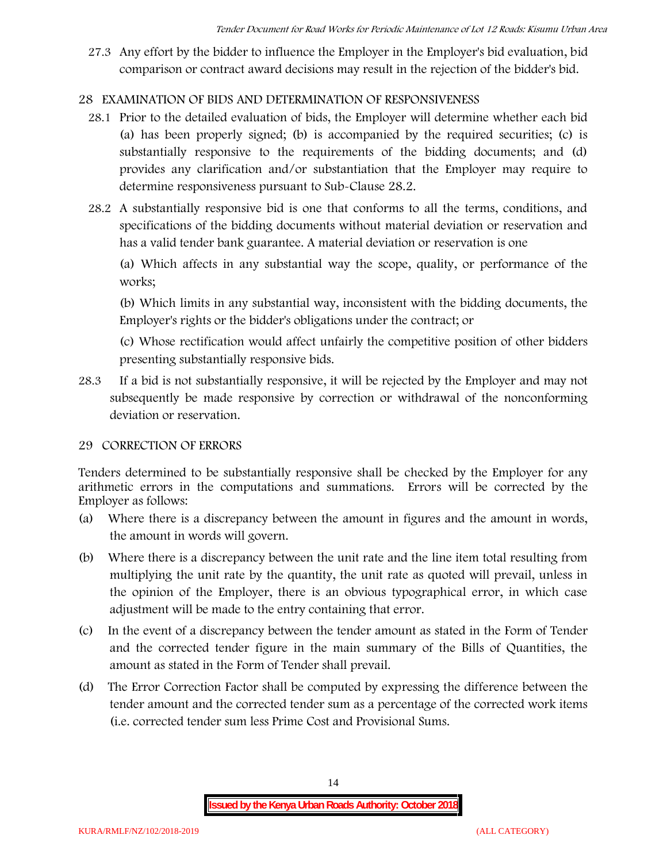27.3 Any effort by the bidder to influence the Employer in the Employer's bid evaluation, bid comparison or contract award decisions may result in the rejection of the bidder's bid.

## **28 EXAMINATION OF BIDS AND DETERMINATION OF RESPONSIVENESS**

- 28.1 Prior to the detailed evaluation of bids, the Employer will determine whether each bid (a) has been properly signed; (b) is accompanied by the required securities; (c) is substantially responsive to the requirements of the bidding documents; and (d) provides any clarification and/or substantiation that the Employer may require to determine responsiveness pursuant to Sub-Clause 28.2.
- 28.2 A substantially responsive bid is one that conforms to all the terms, conditions, and specifications of the bidding documents without material deviation or reservation and has a valid tender bank guarantee. A material deviation or reservation is one

(a) Which affects in any substantial way the scope, quality, or performance of the works;

(b) Which limits in any substantial way, inconsistent with the bidding documents, the Employer's rights or the bidder's obligations under the contract; or

(c) Whose rectification would affect unfairly the competitive position of other bidders presenting substantially responsive bids.

28.3 If a bid is not substantially responsive, it will be rejected by the Employer and may not subsequently be made responsive by correction or withdrawal of the nonconforming deviation or reservation.

## **29 CORRECTION OF ERRORS**

Tenders determined to be substantially responsive shall be checked by the Employer for any arithmetic errors in the computations and summations. Errors will be corrected by the Employer as follows:

- (a) Where there is a discrepancy between the amount in figures and the amount in words, the amount in words will govern.
- (b) Where there is a discrepancy between the unit rate and the line item total resulting from multiplying the unit rate by the quantity, the unit rate as quoted will prevail, unless in the opinion of the Employer, there is an obvious typographical error, in which case adjustment will be made to the entry containing that error.
- (c) In the event of a discrepancy between the tender amount as stated in the Form of Tender and the corrected tender figure in the main summary of the Bills of Quantities, the amount as stated in the Form of Tender shall prevail.
- (d) The Error Correction Factor shall be computed by expressing the difference between the tender amount and the corrected tender sum as a percentage of the corrected work items (i.e. corrected tender sum less Prime Cost and Provisional Sums.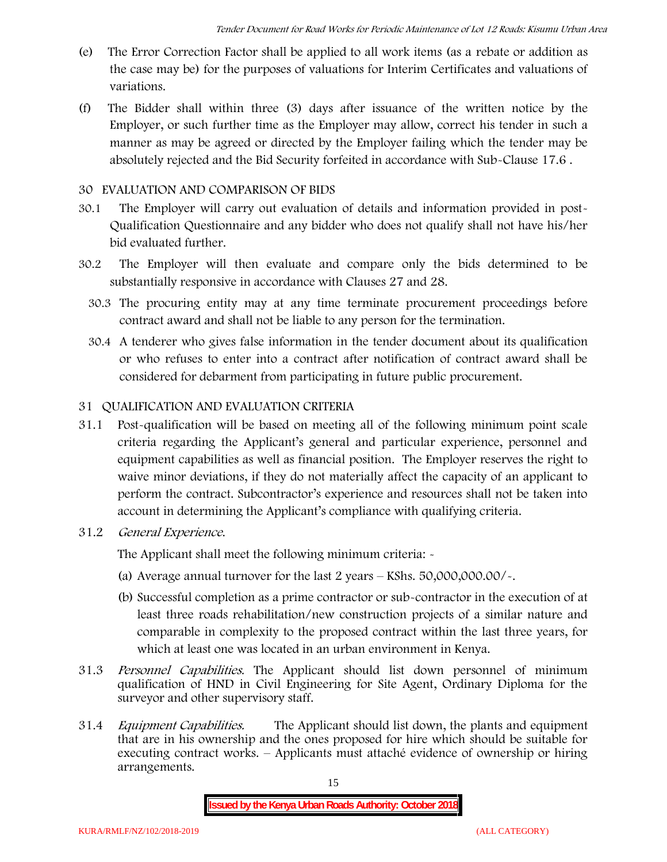- (e) The Error Correction Factor shall be applied to all work items (as a rebate or addition as the case may be) for the purposes of valuations for Interim Certificates and valuations of variations.
- (f) The Bidder shall within three (3) days after issuance of the written notice by the Employer, or such further time as the Employer may allow, correct his tender in such a manner as may be agreed or directed by the Employer failing which the tender may be absolutely rejected and the Bid Security forfeited in accordance with Sub-Clause 17.6 .

### **30 EVALUATION AND COMPARISON OF BIDS**

- 30.1 The Employer will carry out evaluation of details and information provided in post- Qualification Questionnaire and any bidder who does not qualify shall not have his/her bid evaluated further.
- 30.2 The Employer will then evaluate and compare only the bids determined to be substantially responsive in accordance with Clauses 27 and 28.
	- 30.3 The procuring entity may at any time terminate procurement proceedings before contract award and shall not be liable to any person for the termination.
	- 30.4 A tenderer who gives false information in the tender document about its qualification or who refuses to enter into a contract after notification of contract award shall be considered for debarment from participating in future public procurement.

## **31 QUALIFICATION AND EVALUATION CRITERIA**

- 31.1 Post-qualification will be based on meeting all of the following minimum point scale criteria regarding the Applicant's general and particular experience, personnel and equipment capabilities as well as financial position. The Employer reserves the right to waive minor deviations, if they do not materially affect the capacity of an applicant to perform the contract. Subcontractor's experience and resources shall not be taken into account in determining the Applicant's compliance with qualifying criteria.
- **31.2** *General Experience***.**

The Applicant shall meet the following minimum criteria: -

- (a) Average annual turnover for the last 2 years **KShs. 50,000,000.00/-.**
- (b) Successful completion as a prime contractor or sub-contractor in the execution of at least three roads rehabilitation/new construction projects of a similar nature and comparable in complexity to the proposed contract within the last three years, for which at least one was located in an urban environment in Kenya.
- 31.3 *Personnel Capabilities***.** The Applicant should list down personnel of minimum qualification of HND in Civil Engineering for Site Agent, Ordinary Diploma for the surveyor and other supervisory staff.
- 31.4 *Equipment Capabilities.* The Applicant should list down, the plants and equipment that are in his ownership and the ones proposed for hire which should be suitable for executing contract works. – Applicants must attaché evidence of ownership or hiring arrangements.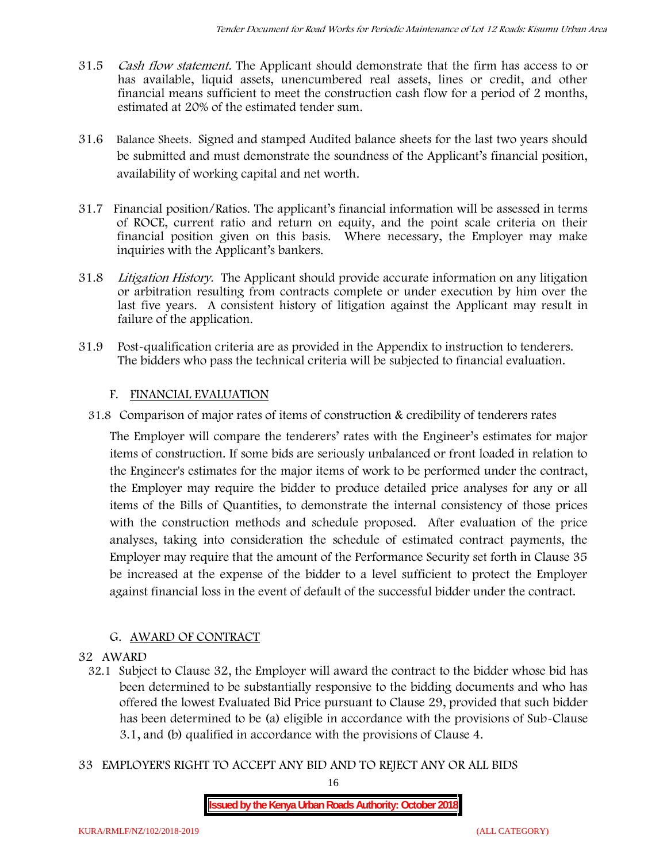- 31.5 *Cash flow statement.* The Applicant should demonstrate that the firm has access to or has available, liquid assets, unencumbered real assets, lines or credit, and other financial means sufficient to meet the construction cash flow for a period of 2 months, estimated at 20% of the estimated tender sum.
- 31.6 **Balance Sheets***.* Signed and stamped Audited balance sheets for the last two years should be submitted and must demonstrate the soundness of the Applicant's financial position, availability of working capital and net worth.
- 31.7 **Financial position/Ratios.** The applicant's financial information will be assessed in terms of ROCE, current ratio and return on equity, and the point scale criteria on their financial position given on this basis. Where necessary, the Employer may make inquiries with the Applicant's bankers.
- 31.8 *Litigation History.* The Applicant should provide accurate information on any litigation or arbitration resulting from contracts complete or under execution by him over the last five years. A consistent history of litigation against the Applicant may result in failure of the application.
- 31.9 Post-qualification criteria are as provided in the Appendix to instruction to tenderers. The bidders who pass the technical criteria will be subjected to financial evaluation.

## **F. FINANCIAL EVALUATION**

31.8 Comparison of major rates of items of construction & credibility of tenderers rates

The Employer will compare the tenderers' rates with the Engineer's estimates for major items of construction. If some bids are seriously unbalanced or front loaded in relation to the Engineer's estimates for the major items of work to be performed under the contract, the Employer may require the bidder to produce detailed price analyses for any or all items of the Bills of Quantities, to demonstrate the internal consistency of those prices with the construction methods and schedule proposed. After evaluation of the price analyses, taking into consideration the schedule of estimated contract payments, the Employer may require that the amount of the Performance Security set forth in Clause 35 be increased at the expense of the bidder to a level sufficient to protect the Employer against financial loss in the event of default of the successful bidder under the contract.

## **G. AWARD OF CONTRACT**

### **32 AWARD**

- 32.1 Subject to Clause 32, the Employer will award the contract to the bidder whose bid has been determined to be substantially responsive to the bidding documents and who has offered the lowest Evaluated Bid Price pursuant to Clause 29, provided that such bidder has been determined to be (a) eligible in accordance with the provisions of Sub-Clause 3.1, and (b) qualified in accordance with the provisions of Clause 4.
- **33 EMPLOYER'S RIGHT TO ACCEPT ANY BID AND TO REJECT ANY OR ALL BIDS**

16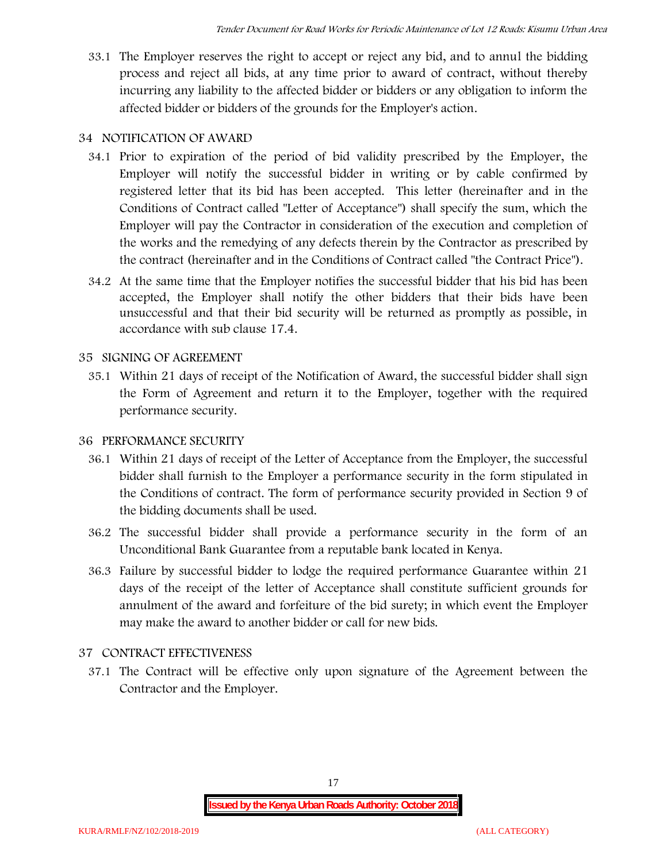33.1 The Employer reserves the right to accept or reject any bid, and to annul the bidding process and reject all bids, at any time prior to award of contract, without thereby incurring any liability to the affected bidder or bidders or any obligation to inform the affected bidder or bidders of the grounds for the Employer's action.

## **34 NOTIFICATION OF AWARD**

- 34.1 Prior to expiration of the period of bid validity prescribed by the Employer, the Employer will notify the successful bidder in writing or by cable confirmed by registered letter that its bid has been accepted. This letter (hereinafter and in the Conditions of Contract called "Letter of Acceptance") shall specify the sum, which the Employer will pay the Contractor in consideration of the execution and completion of the works and the remedying of any defects therein by the Contractor as prescribed by the contract (hereinafter and in the Conditions of Contract called "the Contract Price").
- 34.2 At the same time that the Employer notifies the successful bidder that his bid has been accepted, the Employer shall notify the other bidders that their bids have been unsuccessful and that their bid security will be returned as promptly as possible, in accordance with sub clause 17.4.

## **35 SIGNING OF AGREEMENT**

35.1 Within 21 days of receipt of the Notification of Award, the successful bidder shall sign the Form of Agreement and return it to the Employer, together with the required performance security.

## **36 PERFORMANCE SECURITY**

- 36.1 Within 21 days of receipt of the Letter of Acceptance from the Employer, the successful bidder shall furnish to the Employer a performance security in the form stipulated in the Conditions of contract. The form of performance security provided in Section 9 of the bidding documents shall be used.
- 36.2 The successful bidder shall provide a performance security in the form of an Unconditional Bank Guarantee from a reputable bank located in Kenya.
- 36.3 Failure by successful bidder to lodge the required performance Guarantee within 21 days of the receipt of the letter of Acceptance shall constitute sufficient grounds for annulment of the award and forfeiture of the bid surety; in which event the Employer may make the award to another bidder or call for new bids.

## **37 CONTRACT EFFECTIVENESS**

37.1 The Contract will be effective only upon signature of the Agreement between the Contractor and the Employer.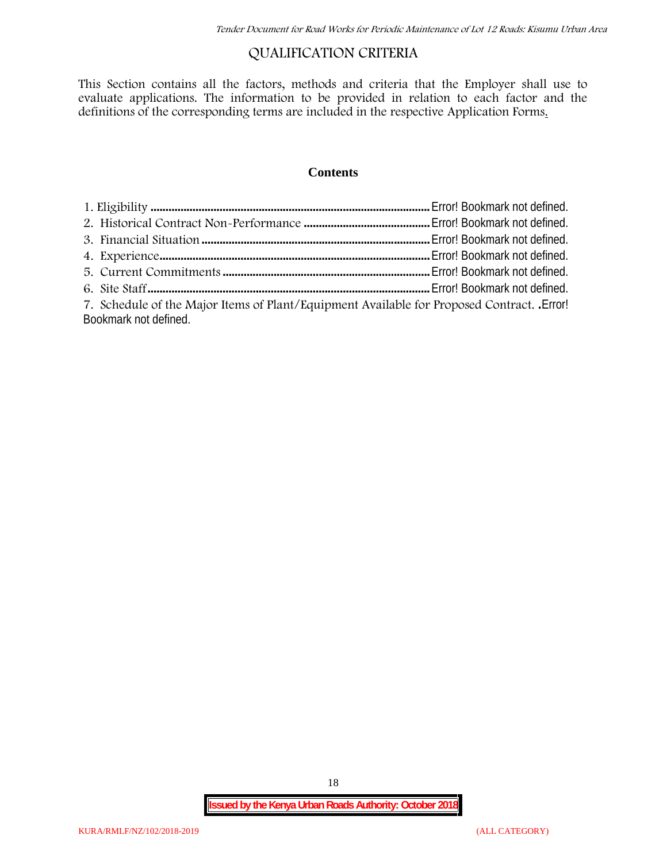## **QUALIFICATION CRITERIA**

This Section contains all the factors, methods and criteria that the Employer shall use to evaluate applications. The information to be provided in relation to each factor and the definitions of the corresponding terms are included in the respective Application Forms.

### **Contents**

| 7. Schedule of the Major Items of Plant/Equipment Available for Proposed Contract. Error! |  |
|-------------------------------------------------------------------------------------------|--|
| Bookmark not defined.                                                                     |  |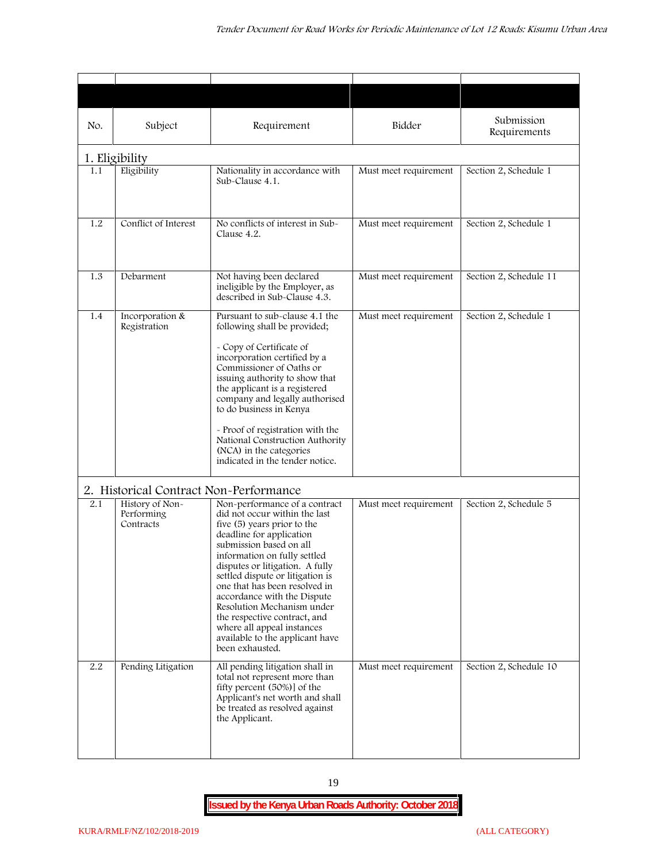| No. | Subject                                                                              | Requirement                                                                                                                                                                                                                                                                                                                                                                                                                                                                   | Bidder                | Submission<br>Requirements |
|-----|--------------------------------------------------------------------------------------|-------------------------------------------------------------------------------------------------------------------------------------------------------------------------------------------------------------------------------------------------------------------------------------------------------------------------------------------------------------------------------------------------------------------------------------------------------------------------------|-----------------------|----------------------------|
|     | 1. Eligibility                                                                       |                                                                                                                                                                                                                                                                                                                                                                                                                                                                               |                       |                            |
| 1.1 | Eligibility                                                                          | Nationality in accordance with<br>Sub-Clause 4.1.                                                                                                                                                                                                                                                                                                                                                                                                                             | Must meet requirement | Section 2, Schedule 1      |
| 1.2 | Conflict of Interest                                                                 | No conflicts of interest in Sub-<br>Clause 4.2.                                                                                                                                                                                                                                                                                                                                                                                                                               | Must meet requirement | Section 2, Schedule 1      |
| 1.3 | Debarment                                                                            | Not having been declared<br>ineligible by the Employer, as<br>described in Sub-Clause 4.3.                                                                                                                                                                                                                                                                                                                                                                                    | Must meet requirement | Section 2, Schedule 11     |
| 1.4 | Incorporation &<br>Registration                                                      | Pursuant to sub-clause 4.1 the<br>following shall be provided;<br>- Copy of Certificate of<br>incorporation certified by a<br>Commissioner of Oaths or<br>issuing authority to show that<br>the applicant is a registered<br>company and legally authorised<br>to do business in Kenya<br>- Proof of registration with the<br>National Construction Authority<br>(NCA) in the categories<br>indicated in the tender notice.                                                   | Must meet requirement | Section 2, Schedule 1      |
| 2.1 | 2. Historical Contract Non-Performance<br>History of Non-<br>Performing<br>Contracts | Non-performance of a contract<br>did not occur within the last<br>five (5) years prior to the<br>deadline for application<br>submission based on all<br>information on fully settled<br>disputes or litigation. A fully<br>settled dispute or litigation is<br>one that has been resolved in<br>accordance with the Dispute<br>Resolution Mechanism under<br>the respective contract, and<br>where all appeal instances<br>available to the applicant have<br>been exhausted. | Must meet requirement | Section 2, Schedule 5      |
| 2.2 | Pending Litigation                                                                   | All pending litigation shall in<br>total not represent more than<br>fifty percent (50%)] of the<br>Applicant's net worth and shall<br>be treated as resolved against<br>the Applicant.                                                                                                                                                                                                                                                                                        | Must meet requirement | Section 2, Schedule 10     |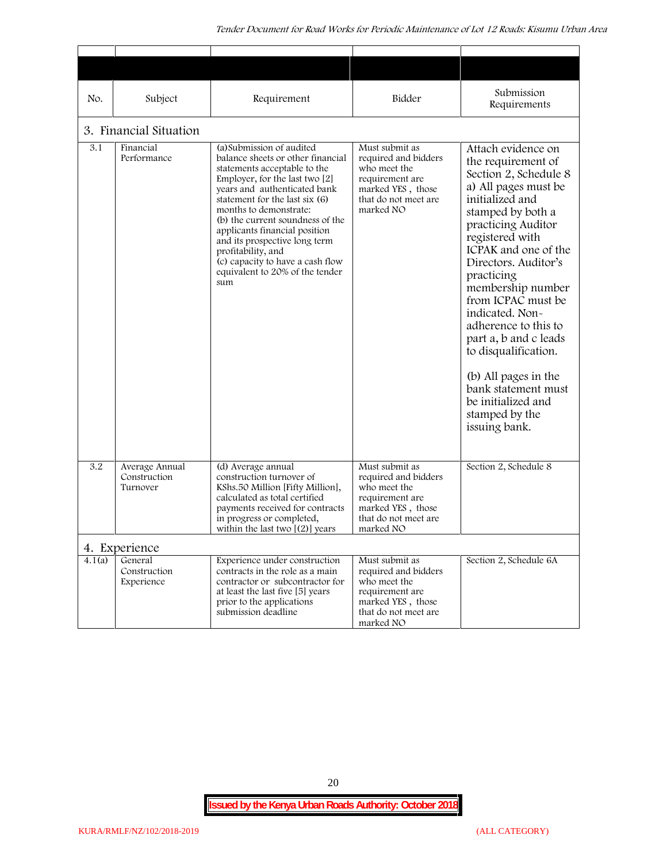| No.    | Subject                                    | Requirement                                                                                                                                                                                                                                                                                                                                                                                                                            | Bidder                                                                                                                              | Submission<br>Requirements                                                                                                                                                                                                                                                                                                                                                                                                                                                              |
|--------|--------------------------------------------|----------------------------------------------------------------------------------------------------------------------------------------------------------------------------------------------------------------------------------------------------------------------------------------------------------------------------------------------------------------------------------------------------------------------------------------|-------------------------------------------------------------------------------------------------------------------------------------|-----------------------------------------------------------------------------------------------------------------------------------------------------------------------------------------------------------------------------------------------------------------------------------------------------------------------------------------------------------------------------------------------------------------------------------------------------------------------------------------|
|        | 3. Financial Situation                     |                                                                                                                                                                                                                                                                                                                                                                                                                                        |                                                                                                                                     |                                                                                                                                                                                                                                                                                                                                                                                                                                                                                         |
| 3.1    | Financial<br>Performance                   | (a) Submission of audited<br>balance sheets or other financial<br>statements acceptable to the<br>Employer, for the last two [2]<br>years and authenticated bank<br>statement for the last six (6)<br>months to demonstrate:<br>(b) the current soundness of the<br>applicants financial position<br>and its prospective long term<br>profitability, and<br>(c) capacity to have a cash flow<br>equivalent to 20% of the tender<br>sum | Must submit as<br>required and bidders<br>who meet the<br>requirement are<br>marked YES, those<br>that do not meet are<br>marked NO | Attach evidence on<br>the requirement of<br>Section 2, Schedule 8<br>a) All pages must be<br>initialized and<br>stamped by both a<br>practicing Auditor<br>registered with<br>ICPAK and one of the<br>Directors. Auditor's<br>practicing<br>membership number<br>from ICPAC must be<br>indicated. Non-<br>adherence to this to<br>part a, b and c leads<br>to disqualification.<br>(b) All pages in the<br>bank statement must<br>be initialized and<br>stamped by the<br>issuing bank. |
| 3.2    | Average Annual<br>Construction<br>Turnover | (d) Average annual<br>construction turnover of<br>KShs.50 Million [Fifty Million],<br>calculated as total certified<br>payments received for contracts<br>in progress or completed,<br>within the last two $[(2)]$ years                                                                                                                                                                                                               | Must submit as<br>required and bidders<br>who meet the<br>requirement are<br>marked YES, those<br>that do not meet are<br>marked NO | Section 2, Schedule 8                                                                                                                                                                                                                                                                                                                                                                                                                                                                   |
|        | 4. Experience                              |                                                                                                                                                                                                                                                                                                                                                                                                                                        |                                                                                                                                     |                                                                                                                                                                                                                                                                                                                                                                                                                                                                                         |
| 4.1(a) | General<br>Construction<br>Experience      | Experience under construction<br>contracts in the role as a main<br>contractor or subcontractor for<br>at least the last five [5] years<br>prior to the applications<br>submission deadline                                                                                                                                                                                                                                            | Must submit as<br>required and bidders<br>who meet the<br>requirement are<br>marked YES, those<br>that do not meet are<br>marked NO | Section 2, Schedule 6A                                                                                                                                                                                                                                                                                                                                                                                                                                                                  |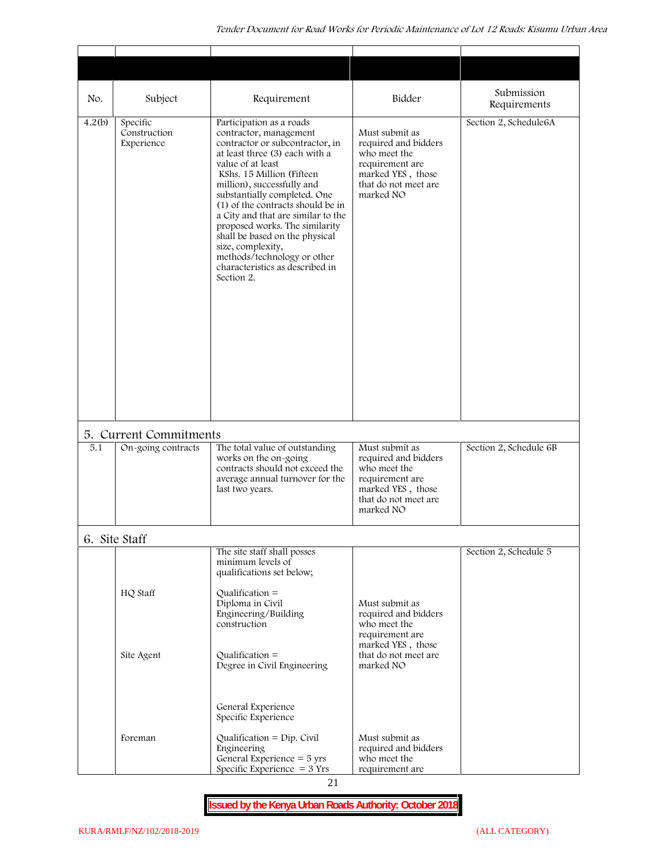| No.              | Subject                                | Requirement                                                                                                                                                                                                                                                                                                                                                                                                                                                                                 | Bidder                                                                                                                              | Submission<br>Requirements |
|------------------|----------------------------------------|---------------------------------------------------------------------------------------------------------------------------------------------------------------------------------------------------------------------------------------------------------------------------------------------------------------------------------------------------------------------------------------------------------------------------------------------------------------------------------------------|-------------------------------------------------------------------------------------------------------------------------------------|----------------------------|
| 4.2(b)           | Specific<br>Construction<br>Experience | Participation as a roads<br>contractor, management<br>contractor or subcontractor, in<br>at least three (3) each with a<br>value of at least<br>KShs. 15 Million (Fifteen<br>million), successfully and<br>substantially completed. One<br>(1) of the contracts should be in<br>a City and that are similar to the<br>proposed works. The similarity<br>shall be based on the physical<br>size, complexity,<br>methods/technology or other<br>characteristics as described in<br>Section 2. | Must submit as<br>required and bidders<br>who meet the<br>requirement are<br>marked YES, those<br>that do not meet are<br>marked NO | Section 2, Schedule6A      |
|                  | 5. Current Commitments                 |                                                                                                                                                                                                                                                                                                                                                                                                                                                                                             |                                                                                                                                     |                            |
| $\overline{5.1}$ | On-going contracts                     | The total value of outstanding<br>works on the on-going<br>contracts should not exceed the<br>average annual turnover for the<br>last two years.                                                                                                                                                                                                                                                                                                                                            | Must submit as<br>required and bidders<br>who meet the<br>requirement are<br>marked YES, those<br>that do not meet are<br>marked NO | Section 2, Schedule 6B     |
|                  | 6. Site Staff                          |                                                                                                                                                                                                                                                                                                                                                                                                                                                                                             |                                                                                                                                     |                            |
|                  | HQ Staff                               | The site staff shall posses<br>minimum levels of<br>qualifications set below;<br>Qualification $=$<br>Diploma in Civil<br>Engineering/Building<br>construction                                                                                                                                                                                                                                                                                                                              | Must submit as<br>required and bidders<br>who meet the                                                                              | Section 2, Schedule 5      |
|                  | Site Agent                             | Qualification $=$<br>Degree in Civil Engineering                                                                                                                                                                                                                                                                                                                                                                                                                                            | requirement are<br>marked YES, those<br>that do not meet are<br>marked NO                                                           |                            |
|                  | Foreman                                | General Experience<br>Specific Experience<br>Qualification = $Dip$ . Civil<br>Engineering<br>General Experience $=$ 5 yrs                                                                                                                                                                                                                                                                                                                                                                   | Must submit as<br>required and bidders<br>who meet the                                                                              |                            |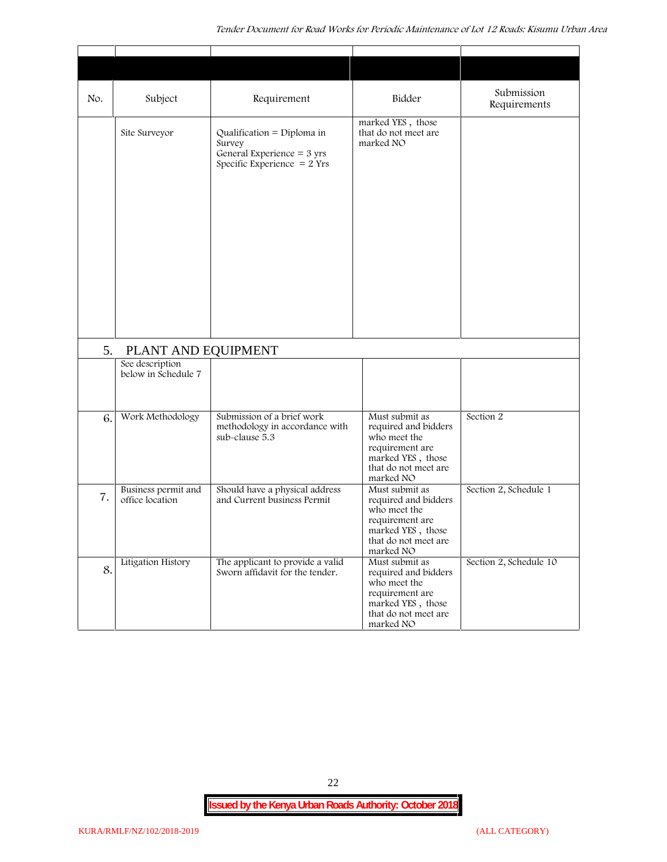| No. | Subject                                | Requirement                                                                                                   | Bidder                                                                                                                              | Submission<br>Requirements |
|-----|----------------------------------------|---------------------------------------------------------------------------------------------------------------|-------------------------------------------------------------------------------------------------------------------------------------|----------------------------|
|     | Site Surveyor                          | Qualification = Diploma in<br>Survey<br>General Experience = $3 \text{ yrs}$<br>Specific Experience $= 2$ Yrs | marked YES, those<br>that do not meet are<br>marked NO                                                                              |                            |
| 5.  | PLANT AND EQUIPMENT                    |                                                                                                               |                                                                                                                                     |                            |
|     | See description<br>below in Schedule 7 |                                                                                                               |                                                                                                                                     |                            |
| 6.  | Work Methodology                       | Submission of a brief work<br>methodology in accordance with<br>sub-clause 5.3                                | Must submit as<br>required and bidders<br>who meet the<br>requirement are<br>marked YES, those<br>that do not meet are<br>marked NO | Section 2                  |
| 7.  | Business permit and<br>office location | Should have a physical address<br>and Current business Permit                                                 | Must submit as<br>required and bidders<br>who meet the<br>requirement are<br>marked YES, those<br>that do not meet are<br>marked NO | Section 2, Schedule 1      |
| 8.  | Litigation History                     | The applicant to provide a valid<br>Sworn affidavit for the tender.                                           | Must submit as<br>required and bidders<br>who meet the<br>requirement are<br>marked YES, those<br>that do not meet are<br>marked NO | Section 2, Schedule 10     |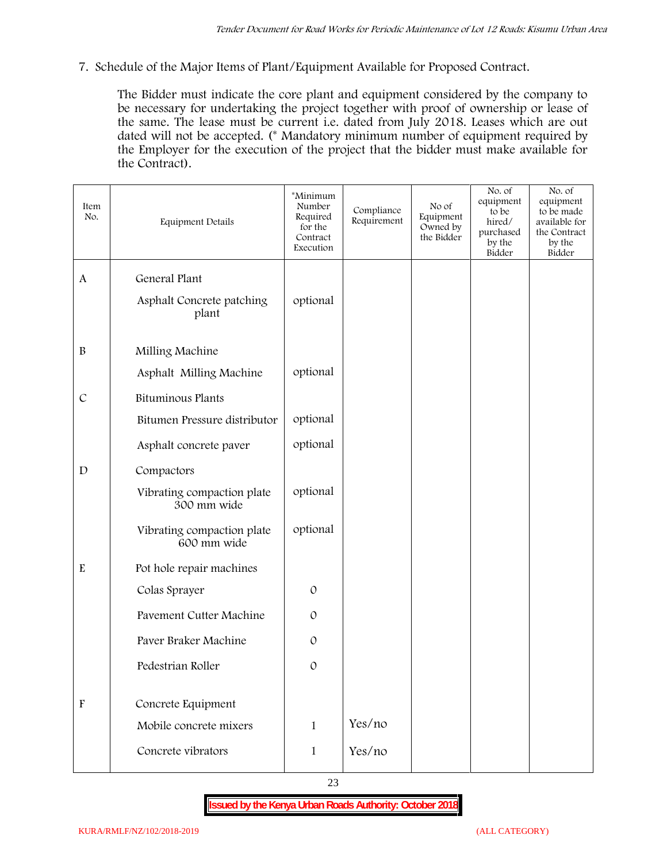**7. Schedule of the Major Items of Plant/Equipment Available for Proposed Contract.**

The Bidder must indicate the core plant and equipment considered by the company to be necessary for undertaking the project together with proof of ownership or lease of the same. The lease must be current i.e. dated from July 2018. Leases which are out dated will not be accepted. (\* Mandatory minimum number of equipment required by the Employer for the execution of the project that the bidder must make available for the Contract).

| Item<br>No.               | Equipment Details                         | *Minimum<br>Number<br>Required<br>for the<br>Contract<br>Execution | Compliance<br>Requirement | No of<br>Equipment<br>Owned by<br>the Bidder | No. of<br>equipment<br>to be<br>hired/<br>purchased<br>by the<br>Bidder | No. of<br>equipment<br>to be made<br>available for<br>the Contract<br>by the<br>Bidder |
|---------------------------|-------------------------------------------|--------------------------------------------------------------------|---------------------------|----------------------------------------------|-------------------------------------------------------------------------|----------------------------------------------------------------------------------------|
| A                         | General Plant                             |                                                                    |                           |                                              |                                                                         |                                                                                        |
|                           | Asphalt Concrete patching<br>plant        | optional                                                           |                           |                                              |                                                                         |                                                                                        |
| $\, {\bf B}$              | Milling Machine                           |                                                                    |                           |                                              |                                                                         |                                                                                        |
|                           | Asphalt Milling Machine                   | optional                                                           |                           |                                              |                                                                         |                                                                                        |
| $\mathcal{C}$             | Bituminous Plants                         |                                                                    |                           |                                              |                                                                         |                                                                                        |
|                           | Bitumen Pressure distributor              | optional                                                           |                           |                                              |                                                                         |                                                                                        |
|                           | Asphalt concrete paver                    | optional                                                           |                           |                                              |                                                                         |                                                                                        |
| $\mathbf D$               | Compactors                                |                                                                    |                           |                                              |                                                                         |                                                                                        |
|                           | Vibrating compaction plate<br>300 mm wide | optional                                                           |                           |                                              |                                                                         |                                                                                        |
|                           | Vibrating compaction plate<br>600 mm wide | optional                                                           |                           |                                              |                                                                         |                                                                                        |
| ${\bf E}$                 | Pot hole repair machines                  |                                                                    |                           |                                              |                                                                         |                                                                                        |
|                           | Colas Sprayer                             | $\mathcal{O}$                                                      |                           |                                              |                                                                         |                                                                                        |
|                           | Pavement Cutter Machine                   | $\mathcal{O}$                                                      |                           |                                              |                                                                         |                                                                                        |
|                           | Paver Braker Machine                      | $\mathcal{O}$                                                      |                           |                                              |                                                                         |                                                                                        |
|                           | Pedestrian Roller                         | $\mathcal{O}$                                                      |                           |                                              |                                                                         |                                                                                        |
| $\boldsymbol{\mathrm{F}}$ | Concrete Equipment                        |                                                                    |                           |                                              |                                                                         |                                                                                        |
|                           | Mobile concrete mixers                    | $\mathbf{1}$                                                       | Yes/no                    |                                              |                                                                         |                                                                                        |
|                           |                                           |                                                                    |                           |                                              |                                                                         |                                                                                        |
|                           | Concrete vibrators                        | $\mathbf{1}$                                                       | Yes/no                    |                                              |                                                                         |                                                                                        |

23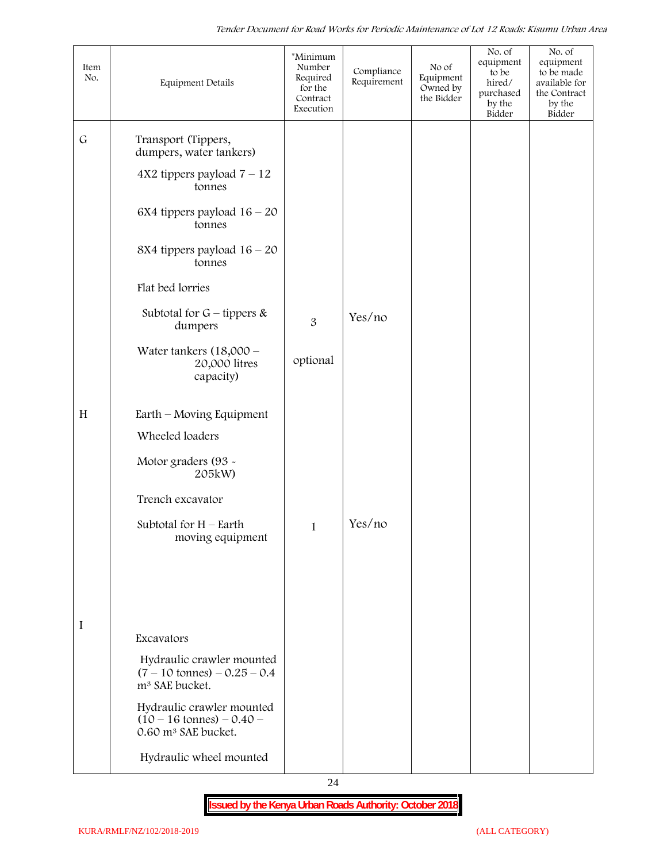| Item<br>No. | Equipment Details                                                                                 | *Minimum<br>Number<br>Required<br>for the<br>Contract<br>Execution | Compliance<br>Requirement | No of<br>Equipment<br>Owned by<br>the Bidder | No. of<br>equipment<br>to be<br>hired/<br>purchased<br>by the<br>Bidder | No. of<br>equipment<br>to be made<br>available for<br>the Contract<br>by the<br>Bidder |
|-------------|---------------------------------------------------------------------------------------------------|--------------------------------------------------------------------|---------------------------|----------------------------------------------|-------------------------------------------------------------------------|----------------------------------------------------------------------------------------|
| $\mathsf G$ | Transport (Tippers,<br>dumpers, water tankers)                                                    |                                                                    |                           |                                              |                                                                         |                                                                                        |
|             | $4X2$ tippers payload $7 - 12$<br>tonnes                                                          |                                                                    |                           |                                              |                                                                         |                                                                                        |
|             | 6X4 tippers payload $16 - 20$<br>tonnes                                                           |                                                                    |                           |                                              |                                                                         |                                                                                        |
|             | 8X4 tippers payload $16 - 20$<br>tonnes                                                           |                                                                    |                           |                                              |                                                                         |                                                                                        |
|             | Flat bed lorries                                                                                  |                                                                    |                           |                                              |                                                                         |                                                                                        |
|             | Subtotal for $G$ – tippers &<br>dumpers                                                           | 3                                                                  | Yes/no                    |                                              |                                                                         |                                                                                        |
|             | Water tankers $(18,000 -$<br>20,000 litres<br>capacity)                                           | optional                                                           |                           |                                              |                                                                         |                                                                                        |
| H           | Earth – Moving Equipment                                                                          |                                                                    |                           |                                              |                                                                         |                                                                                        |
|             | Wheeled loaders                                                                                   |                                                                    |                           |                                              |                                                                         |                                                                                        |
|             | Motor graders (93 -<br>205kW)                                                                     |                                                                    |                           |                                              |                                                                         |                                                                                        |
|             | Trench excavator                                                                                  |                                                                    |                           |                                              |                                                                         |                                                                                        |
|             | Subtotal for $H$ – Earth<br>moving equipment                                                      | $\mathbf{1}$                                                       | Yes/no                    |                                              |                                                                         |                                                                                        |
|             |                                                                                                   |                                                                    |                           |                                              |                                                                         |                                                                                        |
|             |                                                                                                   |                                                                    |                           |                                              |                                                                         |                                                                                        |
| I           | Excavators                                                                                        |                                                                    |                           |                                              |                                                                         |                                                                                        |
|             | Hydraulic crawler mounted<br>$(7 - 10 \text{ tonnes}) - 0.25 - 0.4$<br>m <sup>3</sup> SAE bucket. |                                                                    |                           |                                              |                                                                         |                                                                                        |
|             | Hydraulic crawler mounted<br>$(10 - 16 \text{ tonnes}) - 0.40$<br>0.60 m <sup>3</sup> SAE bucket. |                                                                    |                           |                                              |                                                                         |                                                                                        |
|             | Hydraulic wheel mounted                                                                           |                                                                    |                           |                                              |                                                                         |                                                                                        |

24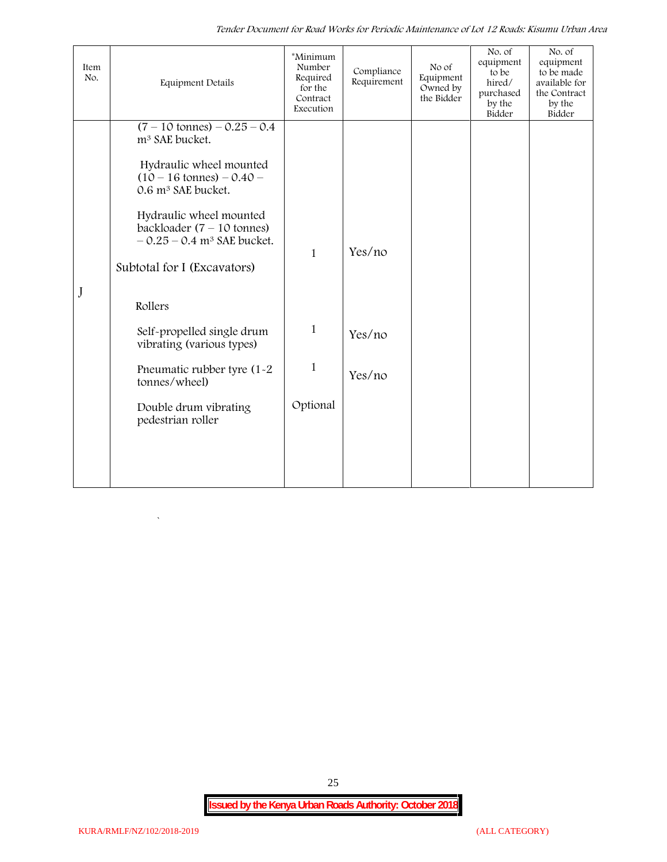*Tender Document for Road Works for Periodic Maintenance of Lot 12 Roads: Kisumu Urban Area*

| Item<br>No. | <b>Equipment Details</b>                                                                                                                                                                                                                                                                                                                                                             | *Minimum<br>Number<br>Required<br>for the<br>Contract<br>Execution | Compliance<br>Requirement | No of<br>Equipment<br>Owned by<br>the Bidder | No. of<br>equipment<br>to be<br>hired/<br>purchased<br>by the<br>Bidder | No. of<br>equipment<br>to be made<br>available for<br>the Contract<br>by the<br>Bidder |
|-------------|--------------------------------------------------------------------------------------------------------------------------------------------------------------------------------------------------------------------------------------------------------------------------------------------------------------------------------------------------------------------------------------|--------------------------------------------------------------------|---------------------------|----------------------------------------------|-------------------------------------------------------------------------|----------------------------------------------------------------------------------------|
| J           | $(7 - 10 \text{ tonnes}) - 0.25 - 0.4$<br>m <sup>3</sup> SAE bucket.<br>Hydraulic wheel mounted<br>$(10 - 16 \text{ tonnes}) - 0.40 -$<br>0.6 m <sup>3</sup> SAE bucket.<br>Hydraulic wheel mounted<br>backloader $(7 - 10$ tonnes)<br>$-0.25 - 0.4$ m <sup>3</sup> SAE bucket.<br>Subtotal for I (Excavators)<br>Rollers<br>Self-propelled single drum<br>vibrating (various types) | $\mathbf{1}$<br>$\mathbf{1}$                                       | Yes/no<br>Yes/no          |                                              |                                                                         |                                                                                        |
|             | Pneumatic rubber tyre (1-2)<br>tonnes/wheel)<br>Double drum vibrating<br>pedestrian roller                                                                                                                                                                                                                                                                                           | 1<br>Optional                                                      | Yes/no                    |                                              |                                                                         |                                                                                        |

25

 $\ddot{\phantom{0}}$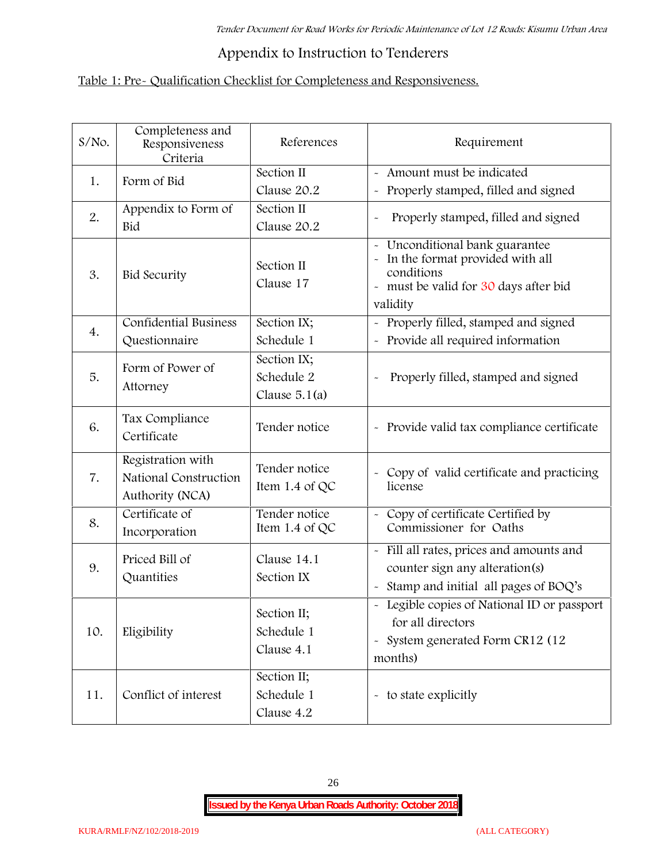# **Appendix to Instruction to Tenderers**

## **Table 1: Pre- Qualification Checklist for Completeness and Responsiveness.**

| $S/NO$ . | Completeness and<br>Responsiveness<br>Criteria                | References                                   | Requirement                                                                                                                        |
|----------|---------------------------------------------------------------|----------------------------------------------|------------------------------------------------------------------------------------------------------------------------------------|
| 1.       | Form of Bid                                                   | Section II<br>Clause 20.2                    | - Amount must be indicated<br>Properly stamped, filled and signed<br>$\tilde{\phantom{a}}$                                         |
| 2.       | Appendix to Form of<br>Bid                                    | Section II<br>Clause 20.2                    | Properly stamped, filled and signed                                                                                                |
| 3.       | <b>Bid Security</b>                                           | Section II<br>Clause 17                      | Unconditional bank guarantee<br>In the format provided with all<br>conditions<br>- must be valid for 30 days after bid<br>validity |
| 4.       | <b>Confidential Business</b><br>Questionnaire                 | Section IX;<br>Schedule 1                    | Properly filled, stamped and signed<br>Provide all required information                                                            |
| 5.       | Form of Power of<br>Attorney                                  | Section IX;<br>Schedule 2<br>Clause $5.1(a)$ | Properly filled, stamped and signed<br>$\tilde{}$                                                                                  |
| 6.       | Tax Compliance<br>Certificate                                 | Tender notice                                | - Provide valid tax compliance certificate                                                                                         |
| 7.       | Registration with<br>National Construction<br>Authority (NCA) | Tender notice<br>Item 1.4 of QC              | - Copy of valid certificate and practicing<br>license                                                                              |
| 8.       | Certificate of<br>Incorporation                               | Tender notice<br>Item 1.4 of $QC$            | Copy of certificate Certified by<br>$\widetilde{\phantom{m}}$<br>Commissioner for Oaths                                            |
| 9.       | Priced Bill of<br>Quantities                                  | Clause 14.1<br>Section IX                    | - Fill all rates, prices and amounts and<br>counter sign any alteration(s)<br>Stamp and initial all pages of BOQ's                 |
| 10.      | Eligibility                                                   | Section II;<br>Schedule 1<br>Clause 4.1      | - Legible copies of National ID or passport<br>for all directors<br>- System generated Form CR12 (12<br>months)                    |
| 11.      | Conflict of interest                                          | Section II;<br>Schedule 1<br>Clause 4.2      | - to state explicitly                                                                                                              |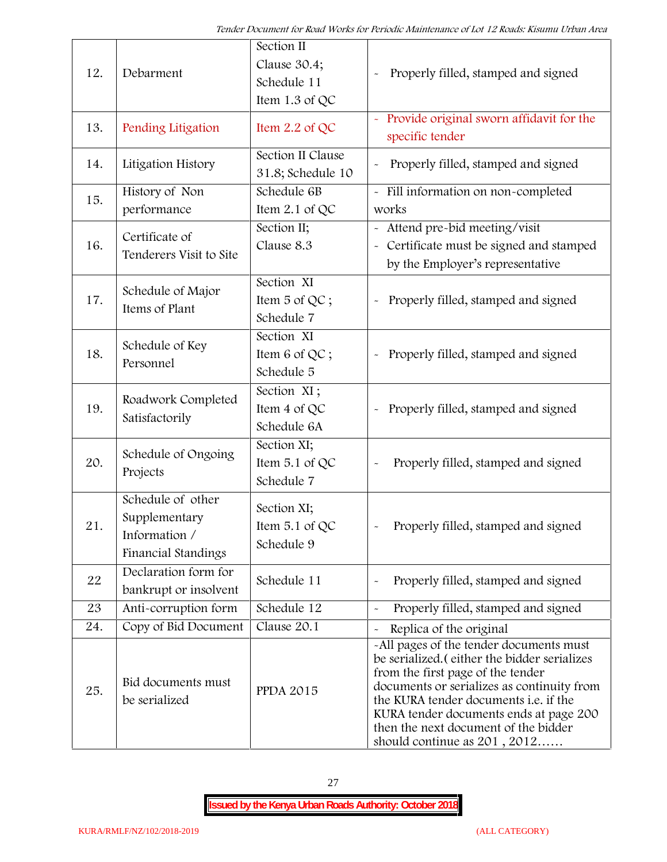| 12. | Debarment                                                                  | Section II<br>Clause 30.4;<br>Schedule 11<br>Item $1.3$ of QC | Properly filled, stamped and signed                                                                                                                                                                                                                                                                                                     |
|-----|----------------------------------------------------------------------------|---------------------------------------------------------------|-----------------------------------------------------------------------------------------------------------------------------------------------------------------------------------------------------------------------------------------------------------------------------------------------------------------------------------------|
| 13. | Pending Litigation                                                         | Item 2.2 of QC                                                | Provide original sworn affidavit for the<br>specific tender                                                                                                                                                                                                                                                                             |
| 14. | Litigation History                                                         | Section II Clause<br>31.8; Schedule 10                        | Properly filled, stamped and signed                                                                                                                                                                                                                                                                                                     |
| 15. | History of Non<br>performance                                              | Schedule 6B<br>Item 2.1 of QC                                 | - Fill information on non-completed<br>works                                                                                                                                                                                                                                                                                            |
| 16. | Certificate of<br>Tenderers Visit to Site                                  | Section II;<br>Clause 8.3                                     | Attend pre-bid meeting/visit<br>Certificate must be signed and stamped<br>$\widetilde{\phantom{m}}$<br>by the Employer's representative                                                                                                                                                                                                 |
| 17. | Schedule of Major<br>Items of Plant                                        | Section XI<br>Item 5 of QC;<br>Schedule 7                     | Properly filled, stamped and signed                                                                                                                                                                                                                                                                                                     |
| 18. | Schedule of Key<br>Personnel                                               | Section XI<br>Item 6 of QC;<br>Schedule 5                     | Properly filled, stamped and signed                                                                                                                                                                                                                                                                                                     |
| 19. | Roadwork Completed<br>Satisfactorily                                       | Section XI;<br>Item 4 of QC<br>Schedule 6A                    | Properly filled, stamped and signed<br>$\widetilde{\phantom{m}}$                                                                                                                                                                                                                                                                        |
| 20. | Schedule of Ongoing<br>Projects                                            | Section XI;<br>Item 5.1 of QC<br>Schedule 7                   | Properly filled, stamped and signed                                                                                                                                                                                                                                                                                                     |
| 21  | Schedule of other<br>Supplementary<br>Information /<br>Financial Standings | Section XI;<br>Item 5.1 of QC<br>Schedule 9                   | Properly filled, stamped and signed                                                                                                                                                                                                                                                                                                     |
| 22  | Declaration form for<br>bankrupt or insolvent                              | Schedule 11                                                   | Properly filled, stamped and signed                                                                                                                                                                                                                                                                                                     |
| 23  | Anti-corruption form                                                       | Schedule 12                                                   | Properly filled, stamped and signed                                                                                                                                                                                                                                                                                                     |
| 24. | Copy of Bid Document                                                       | Clause 20.1                                                   | Replica of the original                                                                                                                                                                                                                                                                                                                 |
| 25. | Bid documents must<br>be serialized                                        | <b>PPDA 2015</b>                                              | -All pages of the tender documents must<br>be serialized. (either the bidder serializes<br>from the first page of the tender<br>documents or serializes as continuity from<br>the KURA tender documents i.e. if the<br>KURA tender documents ends at page 200<br>then the next document of the bidder<br>should continue as $201, 2012$ |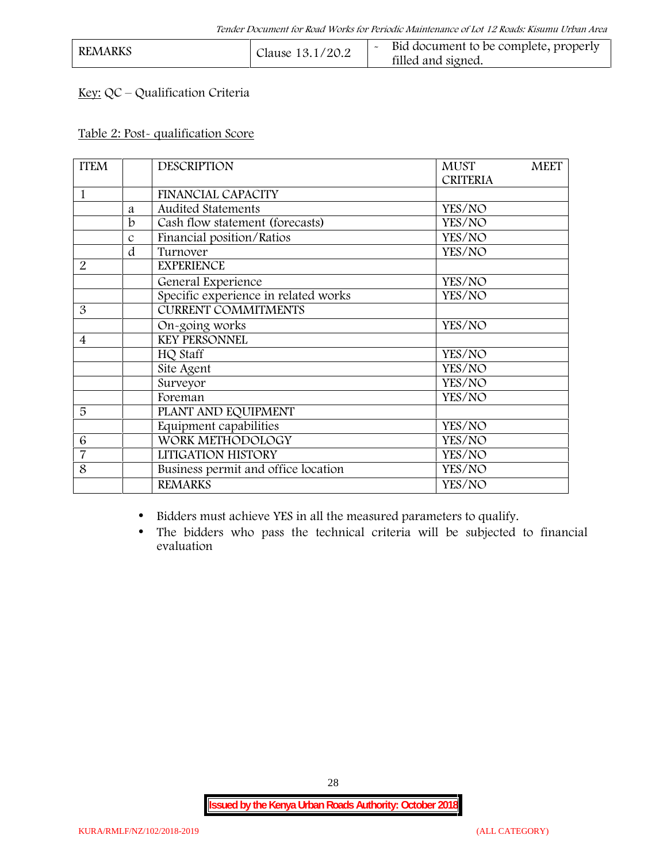| <b>REMARKS</b> | Clause 13.1/20.2 | Bid document to be complete, properly<br>filled and signed. |  |
|----------------|------------------|-------------------------------------------------------------|--|
|                |                  |                                                             |  |

## **Key:** QC – Qualification Criteria

#### **Table 2: Post- qualification Score**

| <b>ITEM</b>    |               | <b>DESCRIPTION</b>                   | <b>MEET</b><br><b>MUST</b> |
|----------------|---------------|--------------------------------------|----------------------------|
|                |               |                                      | <b>CRITERIA</b>            |
| 1              |               | <b>FINANCIAL CAPACITY</b>            |                            |
|                | a             | <b>Audited Statements</b>            | YES/NO                     |
|                | b             | Cash flow statement (forecasts)      | YES/NO                     |
|                | $\mathcal{C}$ | Financial position/Ratios            | YES/NO                     |
|                | d             | Turnover                             | YES/NO                     |
| $\overline{2}$ |               | <b>EXPERIENCE</b>                    |                            |
|                |               | General Experience                   | YES/NO                     |
|                |               | Specific experience in related works | YES/NO                     |
| 3              |               | <b>CURRENT COMMITMENTS</b>           |                            |
|                |               | On-going works                       | YES/NO                     |
| $\overline{4}$ |               | <b>KEY PERSONNEL</b>                 |                            |
|                |               | HQ Staff                             | YES/NO                     |
|                |               | Site Agent                           | YES/NO                     |
|                |               | Surveyor                             | YES/NO                     |
|                |               | Foreman                              | YES/NO                     |
| 5              |               | PLANT AND EQUIPMENT                  |                            |
|                |               | Equipment capabilities               | YES/NO                     |
| 6              |               | WORK METHODOLOGY                     | YES/NO                     |
| $\overline{7}$ |               | LITIGATION HISTORY                   | YES/NO                     |
| 8              |               | Business permit and office location  | YES/NO                     |
|                |               | <b>REMARKS</b>                       | YES/NO                     |

Bidders must achieve YES in all the measured parameters to qualify.

 The bidders who pass the technical criteria will be subjected to financial evaluation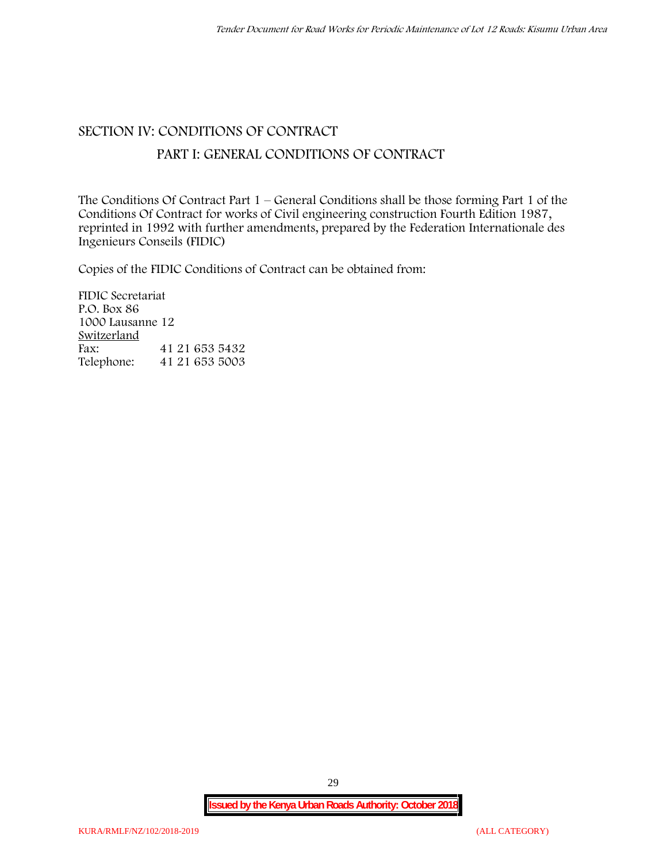## **SECTION IV: CONDITIONS OF CONTRACT**

## **PART I: GENERAL CONDITIONS OF CONTRACT**

The Conditions Of Contract Part 1 – General Conditions shall be those forming Part 1 of the Conditions Of Contract for works of Civil engineering construction Fourth Edition 1987, reprinted in 1992 with further amendments, prepared by the Federation Internationale des Ingenieurs Conseils (FIDIC)

Copies of the FIDIC Conditions of Contract can be obtained from:

FIDIC Secretariat P.O. Box 86 1000 Lausanne 12 **Switzerland** Fax: 41 21 653 5432 Telephone: 41 21 653 5003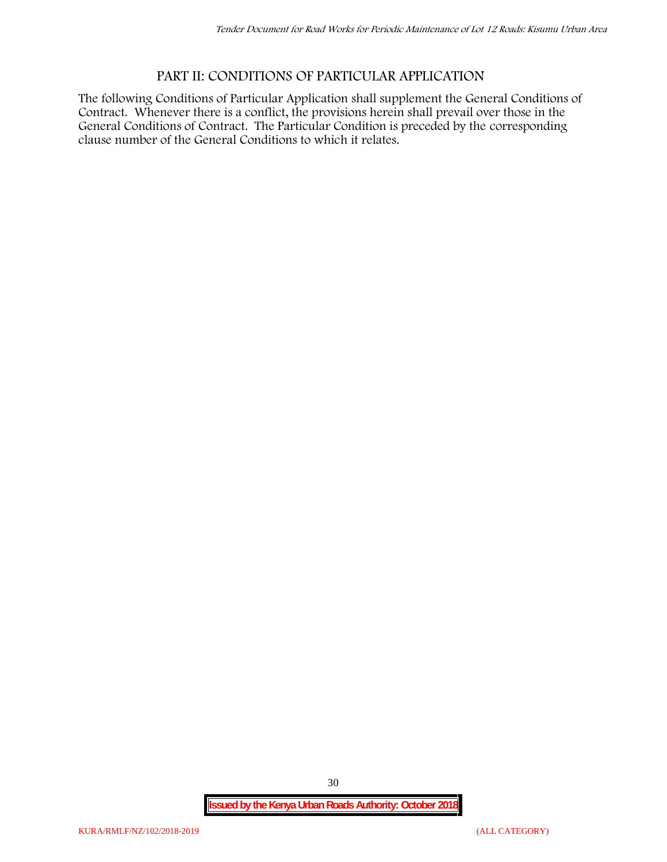## **PART II: CONDITIONS OF PARTICULAR APPLICATION**

The following Conditions of Particular Application shall supplement the General Conditions of Contract. Whenever there is a conflict, the provisions herein shall prevail over those in the General Conditions of Contract. The Particular Condition is preceded by the corresponding clause number of the General Conditions to which it relates.

**Issued by the Kenya Urban Roads Authority: October 2018**

30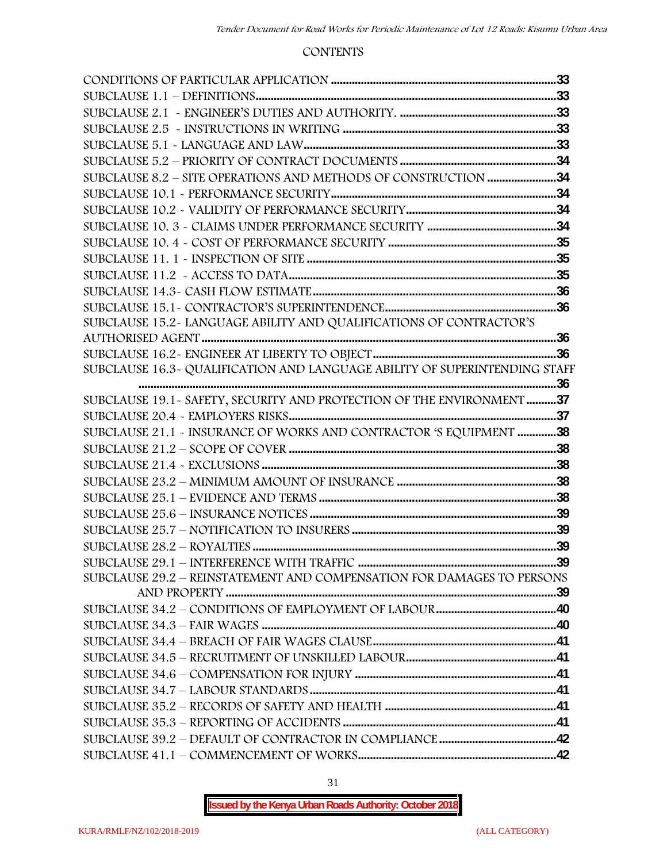#### **CONTENTS**

| SUBCLAUSE 15.2-LANGUAGE ABILITY AND QUALIFICATIONS OF CONTRACTOR'S         |  |
|----------------------------------------------------------------------------|--|
|                                                                            |  |
|                                                                            |  |
| SUBCLAUSE 16.3~ QUALIFICATION AND LANGUAGE ABILITY OF SUPERINTENDING STAFF |  |
|                                                                            |  |
| SUBCLAUSE 19.1 - SAFETY, SECURITY AND PROTECTION OF THE ENVIRONMENT 37     |  |
|                                                                            |  |
| SUBCLAUSE 21.1 - INSURANCE OF WORKS AND CONTRACTOR 'S EQUIPMENT 38         |  |
|                                                                            |  |
|                                                                            |  |
|                                                                            |  |
|                                                                            |  |
|                                                                            |  |
|                                                                            |  |
|                                                                            |  |
|                                                                            |  |
| SUBCLAUSE 29.2 - REINSTATEMENT AND COMPENSATION FOR DAMAGES TO PERSONS     |  |
|                                                                            |  |
|                                                                            |  |
|                                                                            |  |
|                                                                            |  |
|                                                                            |  |
|                                                                            |  |
|                                                                            |  |
|                                                                            |  |
|                                                                            |  |
|                                                                            |  |
|                                                                            |  |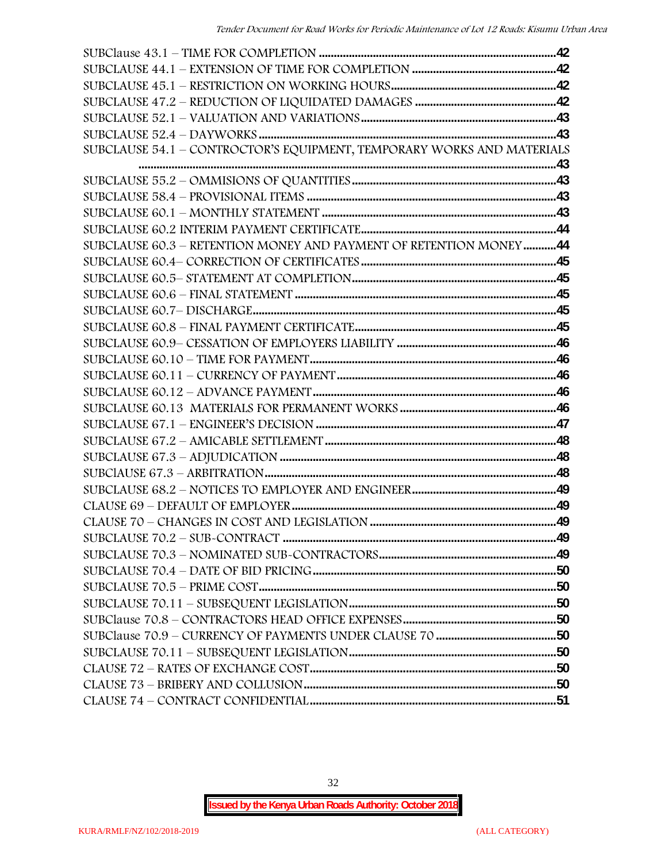| SUBCLAUSE 54.1 - CONTROCTOR'S EQUIPMENT, TEMPORARY WORKS AND MATERIALS<br>SUBCLAUSE 60.3 - RETENTION MONEY AND PAYMENT OF RETENTION MONEY44 |  |
|---------------------------------------------------------------------------------------------------------------------------------------------|--|
|                                                                                                                                             |  |
|                                                                                                                                             |  |
|                                                                                                                                             |  |
|                                                                                                                                             |  |
|                                                                                                                                             |  |
|                                                                                                                                             |  |
|                                                                                                                                             |  |
|                                                                                                                                             |  |
|                                                                                                                                             |  |
|                                                                                                                                             |  |
|                                                                                                                                             |  |
|                                                                                                                                             |  |
|                                                                                                                                             |  |
|                                                                                                                                             |  |
|                                                                                                                                             |  |
|                                                                                                                                             |  |
|                                                                                                                                             |  |
|                                                                                                                                             |  |
|                                                                                                                                             |  |
|                                                                                                                                             |  |
|                                                                                                                                             |  |
|                                                                                                                                             |  |
|                                                                                                                                             |  |
|                                                                                                                                             |  |
|                                                                                                                                             |  |
|                                                                                                                                             |  |
|                                                                                                                                             |  |
|                                                                                                                                             |  |
|                                                                                                                                             |  |
|                                                                                                                                             |  |
|                                                                                                                                             |  |
|                                                                                                                                             |  |
|                                                                                                                                             |  |
|                                                                                                                                             |  |
|                                                                                                                                             |  |
|                                                                                                                                             |  |
|                                                                                                                                             |  |
|                                                                                                                                             |  |
|                                                                                                                                             |  |
|                                                                                                                                             |  |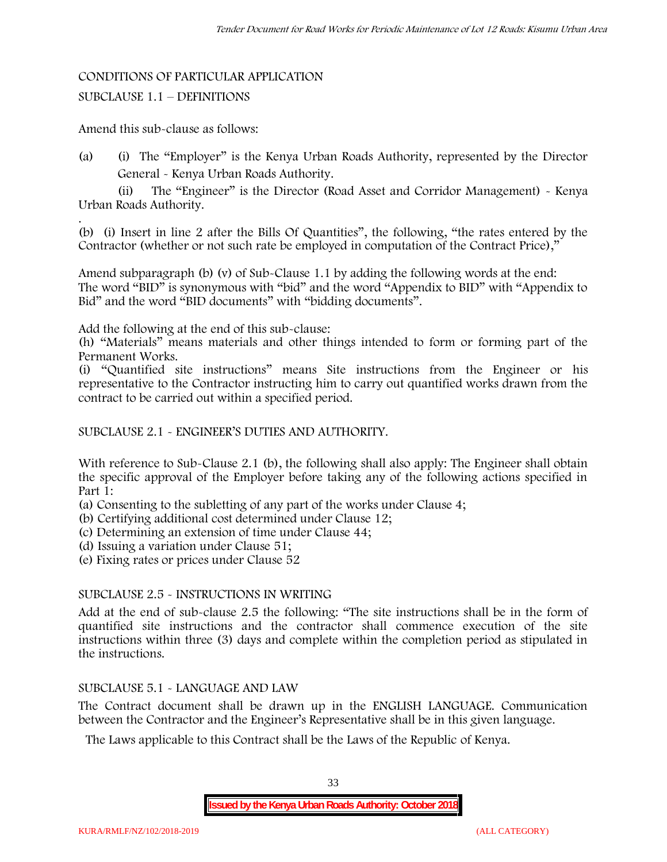#### CONDITIONS OF PARTICULAR APPLICATION

### SUBCLAUSE 1.1 – DEFINITIONS

Amend this sub-clause as follows:

(a) (i) The "Employer" is the Kenya Urban Roads Authority, represented by the Director General - Kenya Urban Roads Authority.

(ii) The "Engineer" is the Director (Road Asset and Corridor Management) - Kenya Urban Roads Authority.

.(b) (i) Insert in line 2 after the Bills Of Quantities", the following, "the rates entered by the Contractor (whether or not such rate be employed in computation of the Contract Price),"

Amend subparagraph (b) (v) of Sub-Clause 1.1 by adding the following words at the end: The word "BID" is synonymous with "bid" and the word "Appendix to BID" with "Appendix to Bid" and the word "BID documents" with "bidding documents".

Add the following at the end of this sub-clause:

(h) "Materials" means materials and other things intended to form or forming part of the Permanent Works.

(i) "Quantified site instructions" means Site instructions from the Engineer or his representative to the Contractor instructing him to carry out quantified works drawn from the contract to be carried out within a specified period.

SUBCLAUSE 2.1 - ENGINEER'S DUTIES AND AUTHORITY.

With reference to Sub-Clause 2.1 (b), the following shall also apply: The Engineer shall obtain the specific approval of the Employer before taking any of the following actions specified in Part 1:

(a) Consenting to the subletting of any part of the works under Clause 4;

- (b) Certifying additional cost determined under Clause 12;
- (c) Determining an extension of time under Clause 44;

(d) Issuing a variation under Clause 51;

(e) Fixing rates or prices under Clause 52

#### SUBCLAUSE 2.5 - INSTRUCTIONS IN WRITING

Add at the end of sub-clause 2.5 the following: "The site instructions shall be in the form of quantified site instructions and the contractor shall commence execution of the site instructions within three (3) days and complete within the completion period as stipulated in the instructions.

### SUBCLAUSE 5.1 - LANGUAGE AND LAW

The Contract document shall be drawn up in the ENGLISH LANGUAGE. Communication between the Contractor and the Engineer's Representative shall be in this given language.

The Laws applicable to this Contract shall be the Laws of the Republic of Kenya.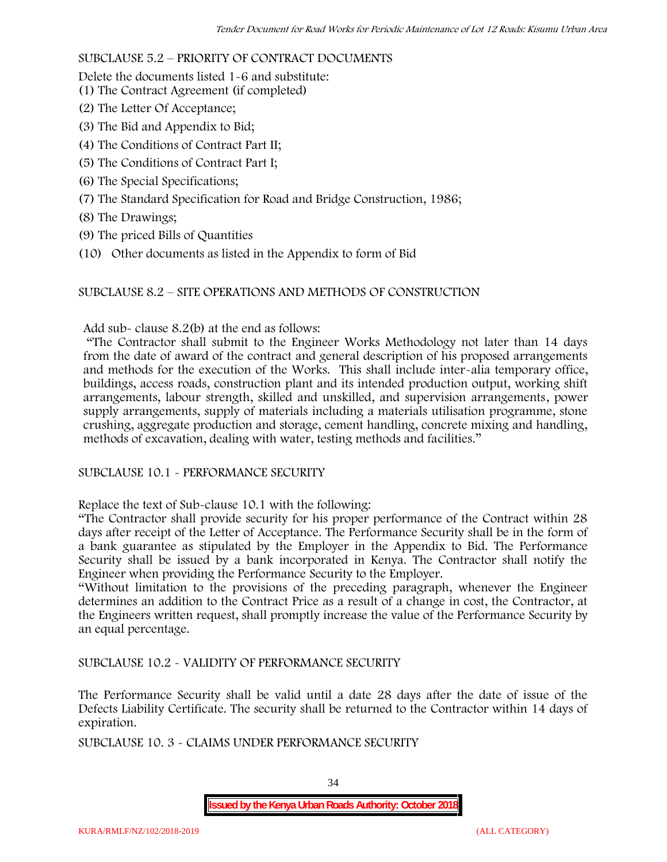### SUBCLAUSE 5.2 – PRIORITY OF CONTRACT DOCUMENTS

Delete the documents listed 1-6 and substitute:

- (1) The Contract Agreement (if completed)
- (2) The Letter Of Acceptance;
- (3) The Bid and Appendix to Bid;
- (4) The Conditions of Contract Part II;
- (5) The Conditions of Contract Part I;
- (6) The Special Specifications;
- (7) The Standard Specification for Road and Bridge Construction, 1986;
- (8) The Drawings;
- (9) The priced Bills of Quantities
- (10) Other documents as listed in the Appendix to form of Bid

### SUBCLAUSE 8.2 – SITE OPERATIONS AND METHODS OF CONSTRUCTION

Add sub- clause 8.2(b) at the end as follows:

"The Contractor shall submit to the Engineer Works Methodology not later than 14 days from the date of award of the contract and general description of his proposed arrangements and methods for the execution of the Works. This shall include inter-alia temporary office, buildings, access roads, construction plant and its intended production output, working shift arrangements, labour strength, skilled and unskilled, and supervision arrangements, power supply arrangements, supply of materials including a materials utilisation programme, stone crushing, aggregate production and storage, cement handling, concrete mixing and handling, methods of excavation, dealing with water, testing methods and facilities."

### SUBCLAUSE 10.1 - PERFORMANCE SECURITY

Replace the text of Sub-clause 10.1 with the following:

"The Contractor shall provide security for his proper performance of the Contract within 28 days after receipt of the Letter of Acceptance. The Performance Security shall be in the form of a bank guarantee as stipulated by the Employer in the Appendix to Bid. The Performance Security shall be issued by a bank incorporated in Kenya. The Contractor shall notify the Engineer when providing the Performance Security to the Employer.

"Without limitation to the provisions of the preceding paragraph, whenever the Engineer determines an addition to the Contract Price as a result of a change in cost, the Contractor, at the Engineers written request, shall promptly increase the value of the Performance Security by an equal percentage.

SUBCLAUSE 10.2 - VALIDITY OF PERFORMANCE SECURITY

The Performance Security shall be valid until a date 28 days after the date of issue of the Defects Liability Certificate. The security shall be returned to the Contractor within 14 days of expiration.

SUBCLAUSE 10. 3 - CLAIMS UNDER PERFORMANCE SECURITY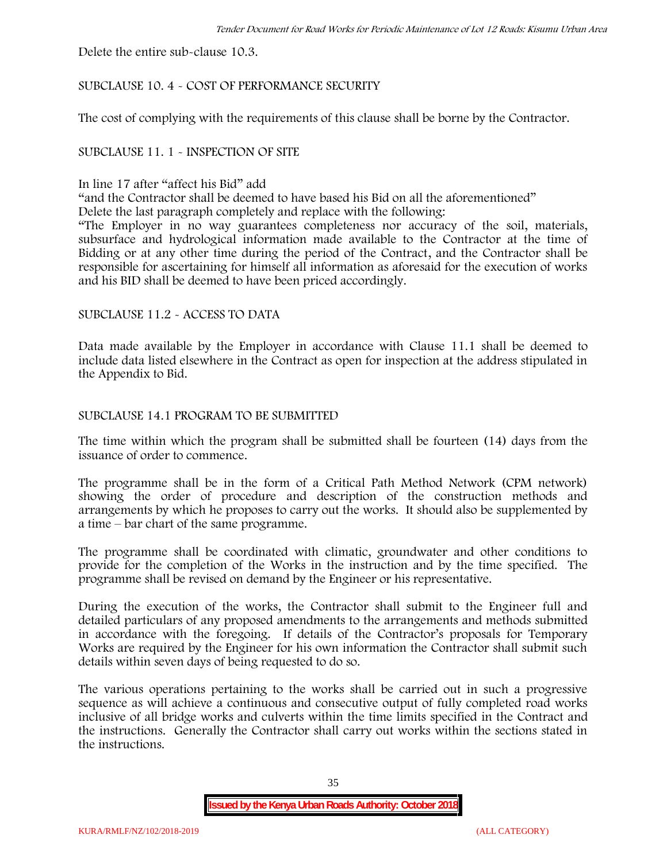Delete the entire sub-clause 10.3.

### SUBCLAUSE 10. 4 - COST OF PERFORMANCE SECURITY

The cost of complying with the requirements of this clause shall be borne by the Contractor.

#### SUBCLAUSE 11. 1 - INSPECTION OF SITE

#### In line 17 after "affect his Bid" add

"and the Contractor shall be deemed to have based his Bid on all the aforementioned"

Delete the last paragraph completely and replace with the following:

"The Employer in no way guarantees completeness nor accuracy of the soil, materials, subsurface and hydrological information made available to the Contractor at the time of Bidding or at any other time during the period of the Contract, and the Contractor shall be responsible for ascertaining for himself all information as aforesaid for the execution of works and his BID shall be deemed to have been priced accordingly.

#### SUBCLAUSE 11.2 - ACCESS TO DATA

Data made available by the Employer in accordance with Clause 11.1 shall be deemed to include data listed elsewhere in the Contract as open for inspection at the address stipulated in the Appendix to Bid.

#### SUBCLAUSE 14.1 PROGRAM TO BE SUBMITTED

The time within which the program shall be submitted shall be fourteen (14) days from the issuance of order to commence**.**

The programme shall be in the form of a Critical Path Method Network (CPM network) showing the order of procedure and description of the construction methods and arrangements by which he proposes to carry out the works. It should also be supplemented by a time – bar chart of the same programme.

The programme shall be coordinated with climatic, groundwater and other conditions to provide for the completion of the Works in the instruction and by the time specified. The programme shall be revised on demand by the Engineer or his representative.

During the execution of the works, the Contractor shall submit to the Engineer full and detailed particulars of any proposed amendments to the arrangements and methods submitted in accordance with the foregoing. If details of the Contractor's proposals for Temporary Works are required by the Engineer for his own information the Contractor shall submit such details within seven days of being requested to do so.

The various operations pertaining to the works shall be carried out in such a progressive sequence as will achieve a continuous and consecutive output of fully completed road works inclusive of all bridge works and culverts within the time limits specified in the Contract and the instructions. Generally the Contractor shall carry out works within the sections stated in the instructions.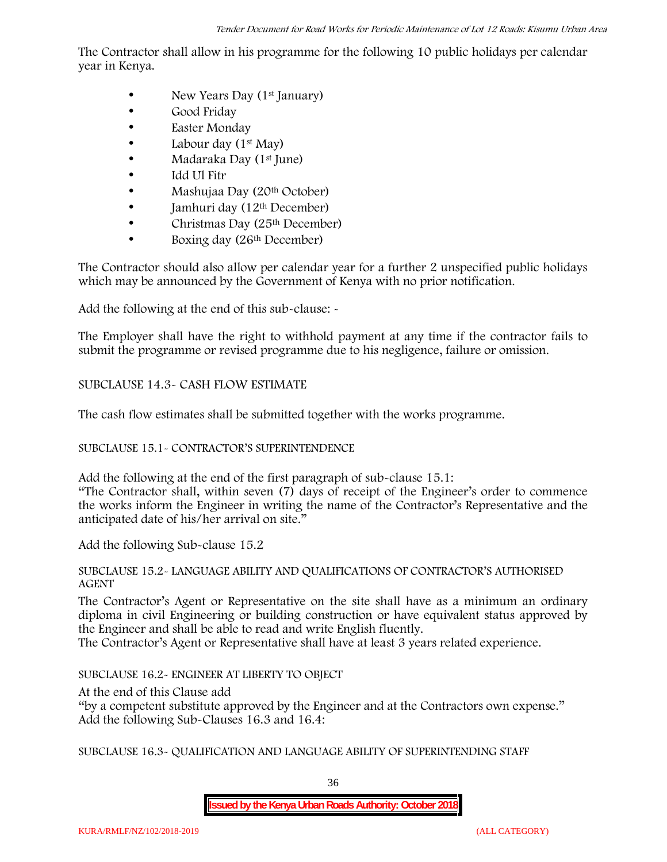The Contractor shall allow in his programme for the following 10 public holidays per calendar year in Kenya.

- New Years Day  $(1<sup>st</sup>$  January)
- Good Friday
- Easter Monday
- Labour day  $(1<sup>st</sup> May)$
- Madaraka Day (1<sup>st</sup> June)
- Idd Ul Fitr
- Mashujaa Day (20<sup>th</sup> October)
- Jamhuri day (12<sup>th</sup> December)
- $\bullet$  Christmas Day (25<sup>th</sup> December)
- Boxing day (26<sup>th</sup> December)

The Contractor should also allow per calendar year for a further 2 unspecified public holidays which may be announced by the Government of Kenya with no prior notification.

Add the following at the end of this sub-clause: -

The Employer shall have the right to withhold payment at any time if the contractor fails to submit the programme or revised programme due to his negligence, failure or omission.

# SUBCLAUSE 14.3- CASH FLOW ESTIMATE

The cash flow estimates shall be submitted together with the works programme.

# SUBCLAUSE 15.1- CONTRACTOR'S SUPERINTENDENCE

Add the following at the end of the first paragraph of sub-clause 15.1: "The Contractor shall, within seven (7) days of receipt of the Engineer's order to commence the works inform the Engineer in writing the name of the Contractor's Representative and the anticipated date of his/her arrival on site."

Add the following Sub-clause 15.2

# SUBCLAUSE 15.2- LANGUAGE ABILITY AND QUALIFICATIONS OF CONTRACTOR'S AUTHORISED AGENT

The Contractor's Agent or Representative on the site shall have as a minimum an ordinary diploma in civil Engineering or building construction or have equivalent status approved by the Engineer and shall be able to read and write English fluently.

The Contractor's Agent or Representative shall have at least 3 years related experience.

SUBCLAUSE 16.2- ENGINEER AT LIBERTY TO OBJECT

At the end of this Clause add

"by a competent substitute approved by the Engineer and at the Contractors own expense." Add the following Sub-Clauses 16.3 and 16.4:

SUBCLAUSE 16.3- QUALIFICATION AND LANGUAGE ABILITY OF SUPERINTENDING STAFF

36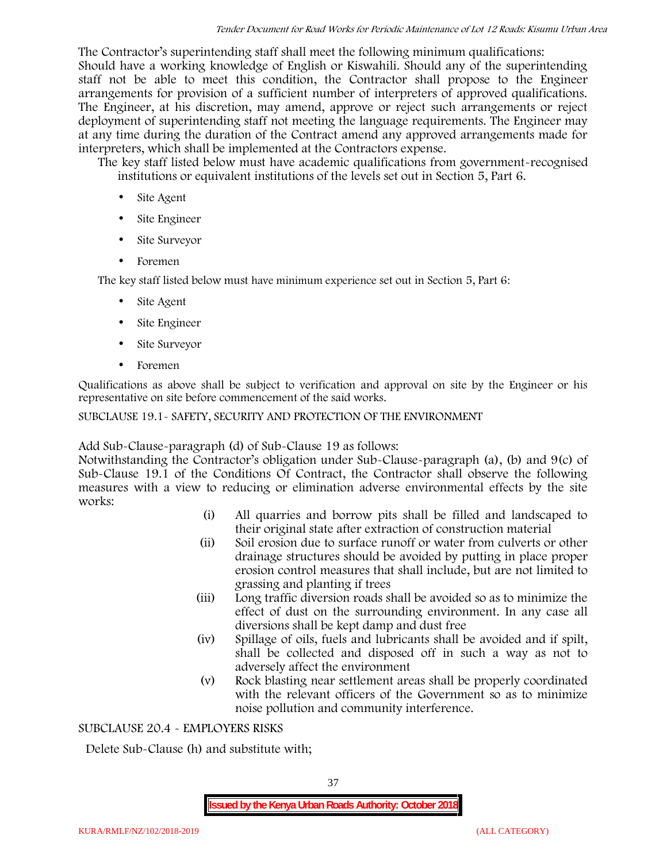The Contractor's superintending staff shall meet the following minimum qualifications: Should have a working knowledge of English or Kiswahili. Should any of the superintending staff not be able to meet this condition, the Contractor shall propose to the Engineer arrangements for provision of a sufficient number of interpreters of approved qualifications. The Engineer, at his discretion, may amend, approve or reject such arrangements or reject deployment of superintending staff not meeting the language requirements. The Engineer may at any time during the duration of the Contract amend any approved arrangements made for interpreters, which shall be implemented at the Contractors expense.

The key staff listed below must have academic qualifications from government-recognised institutions or equivalent institutions of the levels set out in Section 5, Part 6.

- Site Agent
- Site Engineer
- Site Surveyor
- Foremen

The key staff listed below must have minimum experience set out in Section 5, Part 6:

- Site Agent
- Site Engineer
- Site Surveyor
- Foremen

Qualifications as above shall be subject to verification and approval on site by the Engineer or his representative on site before commencement of the said works.

# SUBCLAUSE 19.1- SAFETY, SECURITY AND PROTECTION OF THE ENVIRONMENT

Add Sub-Clause-paragraph (d) of Sub-Clause 19 as follows:

Notwithstanding the Contractor's obligation under Sub-Clause-paragraph (a), (b) and 9(c) of Sub-Clause 19.1 of the Conditions Of Contract, the Contractor shall observe the following measures with a view to reducing or elimination adverse environmental effects by the site works:

- (i) All quarries and borrow pits shall be filled and landscaped to their original state after extraction of construction material
- (ii) Soil erosion due to surface runoff or water from culverts or other drainage structures should be avoided by putting in place proper erosion control measures that shall include, but are not limited to grassing and planting if trees
- (iii) Long traffic diversion roads shall be avoided so as to minimize the effect of dust on the surrounding environment. In any case all diversions shall be kept damp and dust free
- (iv) Spillage of oils, fuels and lubricants shall be avoided and if spilt, shall be collected and disposed off in such a way as not to adversely affect the environment
- (v) Rock blasting near settlement areas shall be properly coordinated with the relevant officers of the Government so as to minimize noise pollution and community interference.

# SUBCLAUSE 20.4 - EMPLOYERS RISKS

Delete Sub-Clause (h) and substitute with;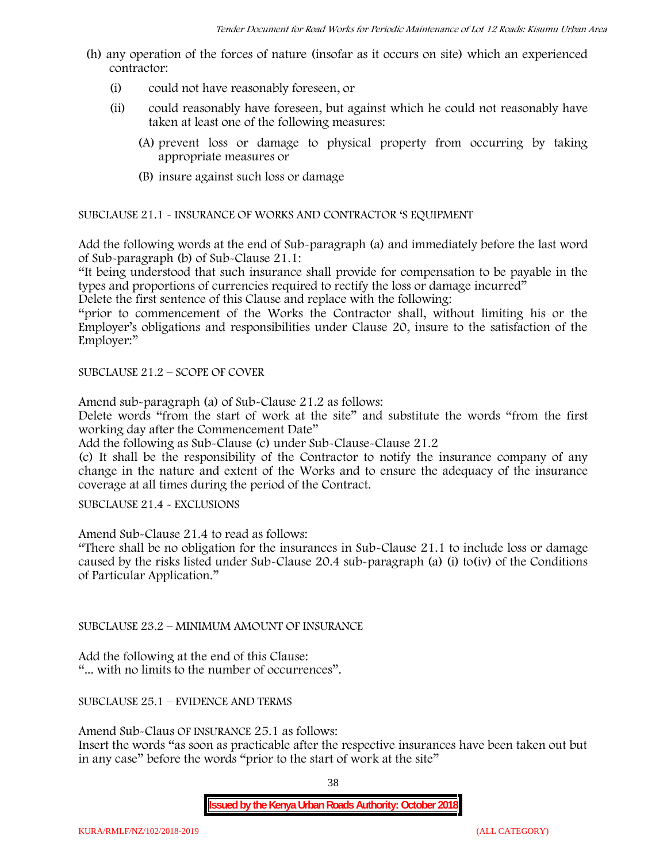- (h) any operation of the forces of nature (insofar as it occurs on site) which an experienced contractor:
	- (i) could not have reasonably foreseen, or
	- (ii) could reasonably have foreseen, but against which he could not reasonably have taken at least one of the following measures:
		- (A) prevent loss or damage to physical property from occurring by taking appropriate measures or
		- (B) insure against such loss or damage

SUBCLAUSE 21.1 - INSURANCE OF WORKS AND CONTRACTOR 'S EQUIPMENT

Add the following words at the end of Sub-paragraph (a) and immediately before the last word of Sub-paragraph (b) of Sub-Clause 21.1:

"It being understood that such insurance shall provide for compensation to be payable in the types and proportions of currencies required to rectify the loss or damage incurred"

Delete the first sentence of this Clause and replace with the following:

"prior to commencement of the Works the Contractor shall, without limiting his or the Employer's obligations and responsibilities under Clause 20, insure to the satisfaction of the Employer:"

SUBCLAUSE 21.2 – SCOPE OF COVER

Amend sub-paragraph (a) of Sub-Clause 21.2 as follows:

Delete words "from the start of work at the site" and substitute the words "from the first working day after the Commencement Date"

Add the following as Sub-Clause (c) under Sub-Clause-Clause 21.2

(c) It shall be the responsibility of the Contractor to notify the insurance company of any change in the nature and extent of the Works and to ensure the adequacy of the insurance coverage at all times during the period of the Contract.

SUBCLAUSE 21.4 - EXCLUSIONS

Amend Sub-Clause 21.4 to read as follows:

"There shall be no obligation for the insurances in Sub-Clause 21.1 to include loss or damage caused by the risks listed under Sub-Clause 20.4 sub-paragraph (a) (i) to(iv) of the Conditions of Particular Application."

SUBCLAUSE 23.2 – MINIMUM AMOUNT OF INSURANCE

Add the following at the end of this Clause: "... with no limits to the number of occurrences".

SUBCLAUSE 25.1 – EVIDENCE AND TERMS

Amend Sub-Claus OF INSURANCE 25.1 as follows:

Insert the words "as soon as practicable after the respective insurances have been taken out but in any case" before the words "prior to the start of work at the site"

38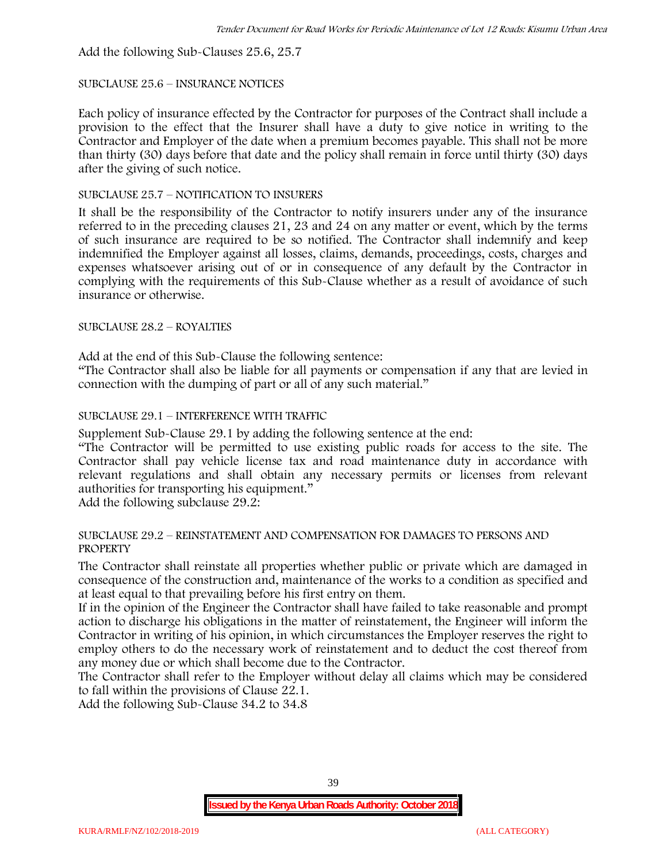Add the following Sub-Clauses 25.6, 25.7

### SUBCLAUSE 25.6 – INSURANCE NOTICES

Each policy of insurance effected by the Contractor for purposes of the Contract shall include a provision to the effect that the Insurer shall have a duty to give notice in writing to the Contractor and Employer of the date when a premium becomes payable. This shall not be more than thirty (30) days before that date and the policy shall remain in force until thirty (30) days after the giving of such notice.

# SUBCLAUSE 25.7 – NOTIFICATION TO INSURERS

It shall be the responsibility of the Contractor to notify insurers under any of the insurance referred to in the preceding clauses 21, 23 and 24 on any matter or event, which by the terms of such insurance are required to be so notified. The Contractor shall indemnify and keep indemnified the Employer against all losses, claims, demands, proceedings, costs, charges and expenses whatsoever arising out of or in consequence of any default by the Contractor in complying with the requirements of this Sub-Clause whether as a result of avoidance of such insurance or otherwise.

# SUBCLAUSE 28.2 – ROYALTIES

Add at the end of this Sub-Clause the following sentence:

"The Contractor shall also be liable for all payments or compensation if any that are levied in connection with the dumping of part or all of any such material."

# SUBCLAUSE 29.1 – INTERFERENCE WITH TRAFFIC

Supplement Sub-Clause 29.1 by adding the following sentence at the end:

"The Contractor will be permitted to use existing public roads for access to the site. The Contractor shall pay vehicle license tax and road maintenance duty in accordance with relevant regulations and shall obtain any necessary permits or licenses from relevant authorities for transporting his equipment."

Add the following subclause 29.2:

#### SUBCLAUSE 29.2 – REINSTATEMENT AND COMPENSATION FOR DAMAGES TO PERSONS AND PROPERTY

The Contractor shall reinstate all properties whether public or private which are damaged in consequence of the construction and, maintenance of the works to a condition as specified and at least equal to that prevailing before his first entry on them.

If in the opinion of the Engineer the Contractor shall have failed to take reasonable and prompt action to discharge his obligations in the matter of reinstatement, the Engineer will inform the Contractor in writing of his opinion, in which circumstances the Employer reserves the right to employ others to do the necessary work of reinstatement and to deduct the cost thereof from any money due or which shall become due to the Contractor.

The Contractor shall refer to the Employer without delay all claims which may be considered to fall within the provisions of Clause 22.1.

Add the following Sub-Clause 34.2 to 34.8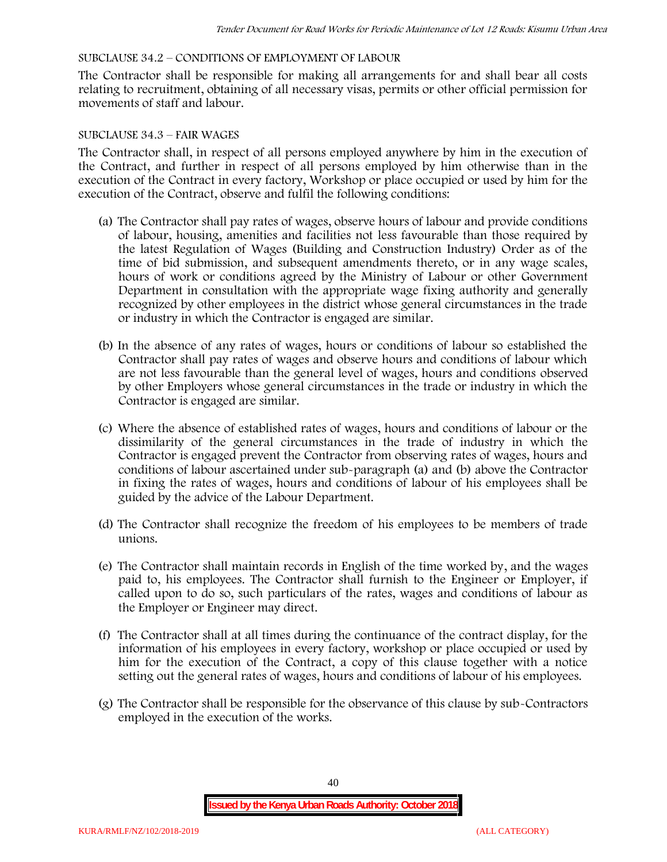### SUBCLAUSE 34.2 – CONDITIONS OF EMPLOYMENT OF LABOUR

The Contractor shall be responsible for making all arrangements for and shall bear all costs relating to recruitment, obtaining of all necessary visas, permits or other official permission for movements of staff and labour.

### SUBCLAUSE 34.3 – FAIR WAGES

The Contractor shall, in respect of all persons employed anywhere by him in the execution of the Contract, and further in respect of all persons employed by him otherwise than in the execution of the Contract in every factory, Workshop or place occupied or used by him for the execution of the Contract, observe and fulfil the following conditions:

- (a) The Contractor shall pay rates of wages, observe hours of labour and provide conditions of labour, housing, amenities and facilities not less favourable than those required by the latest Regulation of Wages (Building and Construction Industry) Order as of the time of bid submission, and subsequent amendments thereto, or in any wage scales, hours of work or conditions agreed by the Ministry of Labour or other Government Department in consultation with the appropriate wage fixing authority and generally recognized by other employees in the district whose general circumstances in the trade or industry in which the Contractor is engaged are similar.
- (b) In the absence of any rates of wages, hours or conditions of labour so established the Contractor shall pay rates of wages and observe hours and conditions of labour which are not less favourable than the general level of wages, hours and conditions observed by other Employers whose general circumstances in the trade or industry in which the Contractor is engaged are similar.
- (c) Where the absence of established rates of wages, hours and conditions of labour or the dissimilarity of the general circumstances in the trade of industry in which the Contractor is engaged prevent the Contractor from observing rates of wages, hours and conditions of labour ascertained under sub-paragraph (a) and (b) above the Contractor in fixing the rates of wages, hours and conditions of labour of his employees shall be guided by the advice of the Labour Department.
- (d) The Contractor shall recognize the freedom of his employees to be members of trade unions.
- (e) The Contractor shall maintain records in English of the time worked by, and the wages paid to, his employees. The Contractor shall furnish to the Engineer or Employer, if called upon to do so, such particulars of the rates, wages and conditions of labour as the Employer or Engineer may direct.
- (f) The Contractor shall at all times during the continuance of the contract display, for the information of his employees in every factory, workshop or place occupied or used by him for the execution of the Contract, a copy of this clause together with a notice setting out the general rates of wages, hours and conditions of labour of his employees.
- (g) The Contractor shall be responsible for the observance of this clause by sub-Contractors employed in the execution of the works.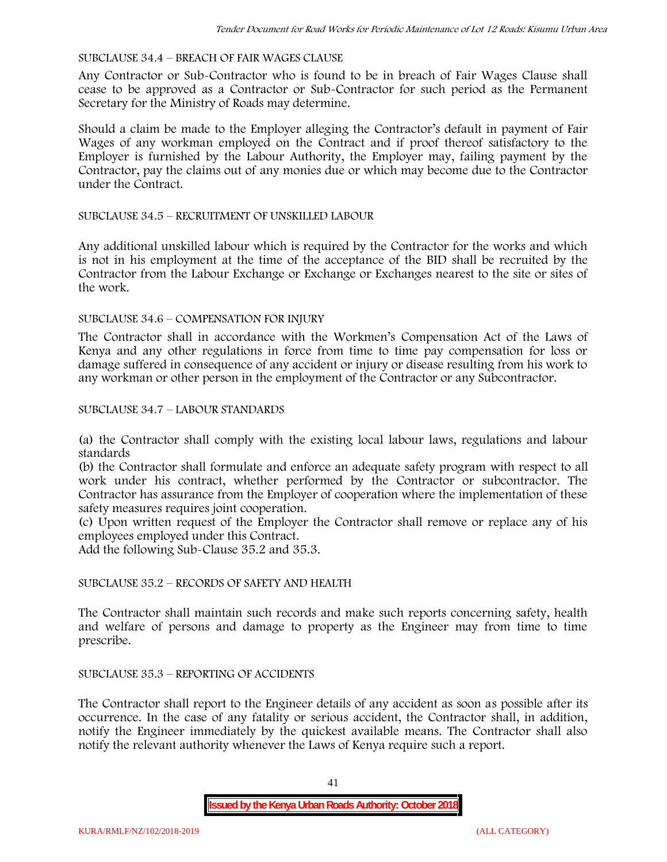### SUBCLAUSE 34.4 – BREACH OF FAIR WAGES CLAUSE

Any Contractor or Sub-Contractor who is found to be in breach of Fair Wages Clause shall cease to be approved as a Contractor or Sub-Contractor for such period as the Permanent Secretary for the Ministry of Roads may determine.

Should a claim be made to the Employer alleging the Contractor's default in payment of Fair Wages of any workman employed on the Contract and if proof thereof satisfactory to the Employer is furnished by the Labour Authority, the Employer may, failing payment by the Contractor, pay the claims out of any monies due or which may become due to the Contractor under the Contract.

### SUBCLAUSE 34.5 – RECRUITMENT OF UNSKILLED LABOUR

Any additional unskilled labour which is required by the Contractor for the works and which is not in his employment at the time of the acceptance of the BID shall be recruited by the Contractor from the Labour Exchange or Exchange or Exchanges nearest to the site or sites of the work.

### SUBCLAUSE 34.6 – COMPENSATION FOR INJURY

The Contractor shall in accordance with the Workmen's Compensation Act of the Laws of Kenya and any other regulations in force from time to time pay compensation for loss or damage suffered in consequence of any accident or injury or disease resulting from his work to any workman or other person in the employment of the Contractor or any Subcontractor.

### SUBCLAUSE 34.7 – LABOUR STANDARDS

(a) the Contractor shall comply with the existing local labour laws, regulations and labour standards

(b) the Contractor shall formulate and enforce an adequate safety program with respect to all work under his contract, whether performed by the Contractor or subcontractor. The Contractor has assurance from the Employer of cooperation where the implementation of these safety measures requires joint cooperation.

(c) Upon written request of the Employer the Contractor shall remove or replace any of his employees employed under this Contract.

Add the following Sub-Clause 35.2 and 35.3.

# SUBCLAUSE 35.2 – RECORDS OF SAFETY AND HEALTH

The Contractor shall maintain such records and make such reports concerning safety, health and welfare of persons and damage to property as the Engineer may from time to time prescribe.

#### SUBCLAUSE 35.3 – REPORTING OF ACCIDENTS

The Contractor shall report to the Engineer details of any accident as soon as possible after its occurrence. In the case of any fatality or serious accident, the Contractor shall, in addition, notify the Engineer immediately by the quickest available means. The Contractor shall also notify the relevant authority whenever the Laws of Kenya require such a report.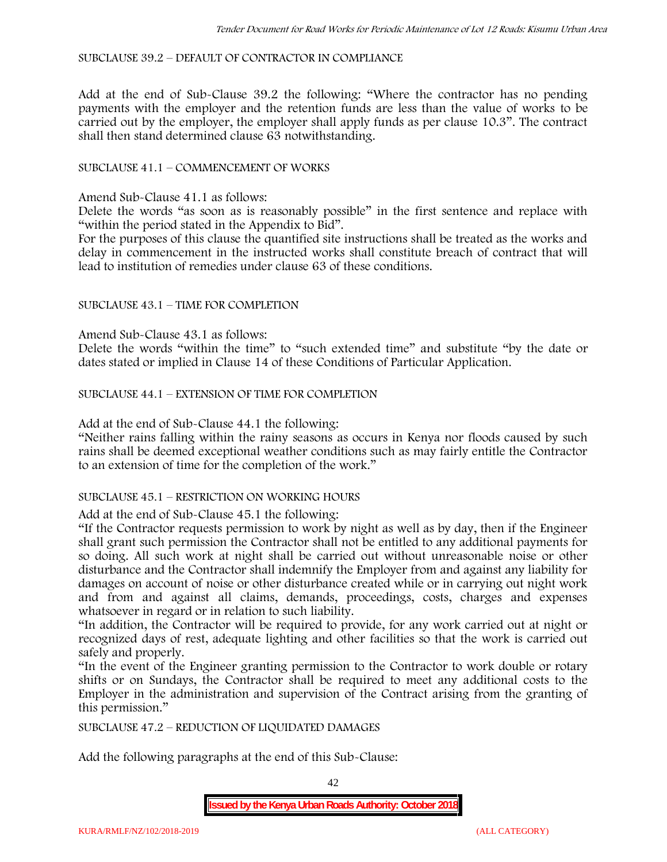SUBCLAUSE 39.2 – DEFAULT OF CONTRACTOR IN COMPLIANCE

Add at the end of Sub-Clause 39.2 the following: "Where the contractor has no pending payments with the employer and the retention funds are less than the value of works to be carried out by the employer, the employer shall apply funds as per clause 10.3". The contract shall then stand determined clause 63 notwithstanding.

# SUBCLAUSE 41.1 – COMMENCEMENT OF WORKS

Amend Sub-Clause 41.1 as follows:

Delete the words "as soon as is reasonably possible" in the first sentence and replace with "within the period stated in the Appendix to Bid".

For the purposes of this clause the quantified site instructions shall be treated as the works and delay in commencement in the instructed works shall constitute breach of contract that will lead to institution of remedies under clause 63 of these conditions.

# SUBCLAUSE 43.1 – TIME FOR COMPLETION

Amend Sub-Clause 43.1 as follows:

Delete the words "within the time" to "such extended time" and substitute "by the date or dates stated or implied in Clause 14 of these Conditions of Particular Application.

SUBCLAUSE 44.1 – EXTENSION OF TIME FOR COMPLETION

Add at the end of Sub-Clause 44.1 the following:

"Neither rains falling within the rainy seasons as occurs in Kenya nor floods caused by such rains shall be deemed exceptional weather conditions such as may fairly entitle the Contractor to an extension of time for the completion of the work."

### SUBCLAUSE 45.1 – RESTRICTION ON WORKING HOURS

Add at the end of Sub-Clause 45.1 the following:

"If the Contractor requests permission to work by night as well as by day, then if the Engineer shall grant such permission the Contractor shall not be entitled to any additional payments for so doing. All such work at night shall be carried out without unreasonable noise or other disturbance and the Contractor shall indemnify the Employer from and against any liability for damages on account of noise or other disturbance created while or in carrying out night work and from and against all claims, demands, proceedings, costs, charges and expenses whatsoever in regard or in relation to such liability.

"In addition, the Contractor will be required to provide, for any work carried out at night or recognized days of rest, adequate lighting and other facilities so that the work is carried out safely and properly.

"In the event of the Engineer granting permission to the Contractor to work double or rotary shifts or on Sundays, the Contractor shall be required to meet any additional costs to the Employer in the administration and supervision of the Contract arising from the granting of this permission."

SUBCLAUSE 47.2 – REDUCTION OF LIQUIDATED DAMAGES

Add the following paragraphs at the end of this Sub-Clause:

42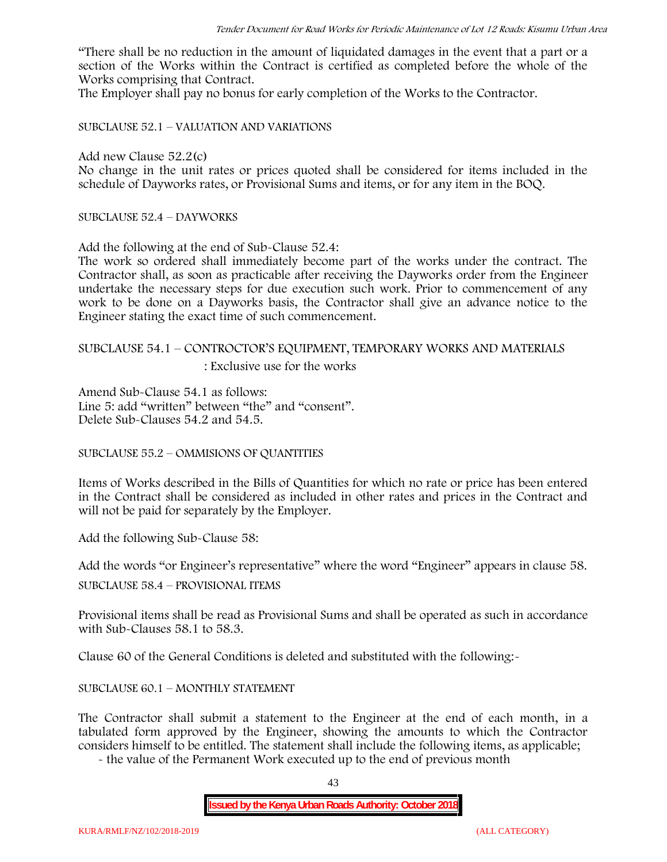"There shall be no reduction in the amount of liquidated damages in the event that a part or a section of the Works within the Contract is certified as completed before the whole of the Works comprising that Contract.

The Employer shall pay no bonus for early completion of the Works to the Contractor.

SUBCLAUSE 52.1 – VALUATION AND VARIATIONS

Add new Clause 52.2(c)

No change in the unit rates or prices quoted shall be considered for items included in the schedule of Dayworks rates, or Provisional Sums and items, or for any item in the BOQ.

SUBCLAUSE 52.4 – DAYWORKS

Add the following at the end of Sub-Clause 52.4:

The work so ordered shall immediately become part of the works under the contract. The Contractor shall, as soon as practicable after receiving the Dayworks order from the Engineer undertake the necessary steps for due execution such work. Prior to commencement of any work to be done on a Dayworks basis, the Contractor shall give an advance notice to the Engineer stating the exact time of such commencement.

# SUBCLAUSE 54.1 – CONTROCTOR'S EQUIPMENT, TEMPORARY WORKS AND MATERIALS

: Exclusive use for the works

Amend Sub-Clause 54.1 as follows: Line 5: add "written" between "the" and "consent". Delete Sub-Clauses 54.2 and 54.5.

SUBCLAUSE 55.2 – OMMISIONS OF QUANTITIES

Items of Works described in the Bills of Quantities for which no rate or price has been entered in the Contract shall be considered as included in other rates and prices in the Contract and will not be paid for separately by the Employer.

Add the following Sub-Clause 58:

Add the words "or Engineer's representative" where the word "Engineer" appears in clause 58.

SUBCLAUSE 58.4 – PROVISIONAL ITEMS

Provisional items shall be read as Provisional Sums and shall be operated as such in accordance with Sub-Clauses 58.1 to 58.3.

Clause 60 of the General Conditions is deleted and substituted with the following:-

# SUBCLAUSE 60.1 – MONTHLY STATEMENT

The Contractor shall submit a statement to the Engineer at the end of each month, in a tabulated form approved by the Engineer, showing the amounts to which the Contractor considers himself to be entitled. The statement shall include the following items, as applicable;

- the value of the Permanent Work executed up to the end of previous month

43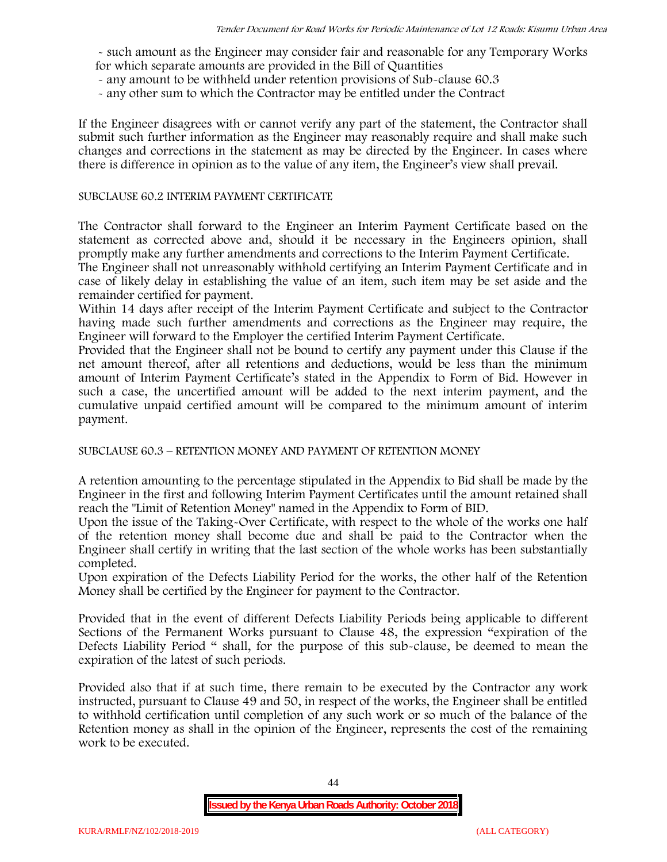- such amount as the Engineer may consider fair and reasonable for any Temporary Works for which separate amounts are provided in the Bill of Quantities

- any amount to be withheld under retention provisions of Sub-clause 60.3
- any other sum to which the Contractor may be entitled under the Contract

If the Engineer disagrees with or cannot verify any part of the statement, the Contractor shall submit such further information as the Engineer may reasonably require and shall make such changes and corrections in the statement as may be directed by the Engineer. In cases where there is difference in opinion as to the value of any item, the Engineer's view shall prevail.

### SUBCLAUSE 60.2 INTERIM PAYMENT CERTIFICATE

The Contractor shall forward to the Engineer an Interim Payment Certificate based on the statement as corrected above and, should it be necessary in the Engineers opinion, shall promptly make any further amendments and corrections to the Interim Payment Certificate.

The Engineer shall not unreasonably withhold certifying an Interim Payment Certificate and in case of likely delay in establishing the value of an item, such item may be set aside and the remainder certified for payment.

Within 14 days after receipt of the Interim Payment Certificate and subject to the Contractor having made such further amendments and corrections as the Engineer may require, the Engineer will forward to the Employer the certified Interim Payment Certificate.

Provided that the Engineer shall not be bound to certify any payment under this Clause if the net amount thereof, after all retentions and deductions, would be less than the minimum amount of Interim Payment Certificate's stated in the Appendix to Form of Bid. However in such a case, the uncertified amount will be added to the next interim payment, and the cumulative unpaid certified amount will be compared to the minimum amount of interim payment.

SUBCLAUSE 60.3 – RETENTION MONEY AND PAYMENT OF RETENTION MONEY

A retention amounting to the percentage stipulated in the Appendix to Bid shall be made by the Engineer in the first and following Interim Payment Certificates until the amount retained shall reach the "Limit of Retention Money" named in the Appendix to Form of BID.

Upon the issue of the Taking-Over Certificate, with respect to the whole of the works one half of the retention money shall become due and shall be paid to the Contractor when the Engineer shall certify in writing that the last section of the whole works has been substantially completed.

Upon expiration of the Defects Liability Period for the works, the other half of the Retention Money shall be certified by the Engineer for payment to the Contractor.

Provided that in the event of different Defects Liability Periods being applicable to different Sections of the Permanent Works pursuant to Clause 48, the expression "expiration of the Defects Liability Period " shall, for the purpose of this sub-clause, be deemed to mean the expiration of the latest of such periods.

Provided also that if at such time, there remain to be executed by the Contractor any work instructed, pursuant to Clause 49 and 50, in respect of the works, the Engineer shall be entitled to withhold certification until completion of any such work or so much of the balance of the Retention money as shall in the opinion of the Engineer, represents the cost of the remaining work to be executed.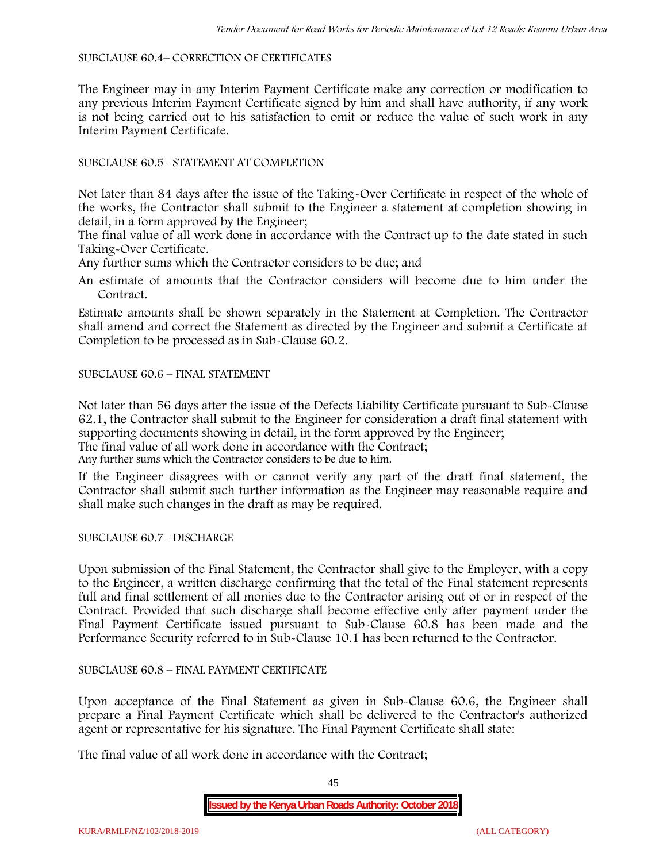### SUBCLAUSE 60.4– CORRECTION OF CERTIFICATES

The Engineer may in any Interim Payment Certificate make any correction or modification to any previous Interim Payment Certificate signed by him and shall have authority, if any work is not being carried out to his satisfaction to omit or reduce the value of such work in any Interim Payment Certificate.

# SUBCLAUSE 60.5– STATEMENT AT COMPLETION

Not later than 84 days after the issue of the Taking-Over Certificate in respect of the whole of the works, the Contractor shall submit to the Engineer a statement at completion showing in detail, in a form approved by the Engineer;

The final value of all work done in accordance with the Contract up to the date stated in such Taking-Over Certificate.

Any further sums which the Contractor considers to be due; and

An estimate of amounts that the Contractor considers will become due to him under the Contract.

Estimate amounts shall be shown separately in the Statement at Completion. The Contractor shall amend and correct the Statement as directed by the Engineer and submit a Certificate at Completion to be processed as in Sub-Clause 60.2.

# SUBCLAUSE 60.6 – FINAL STATEMENT

Not later than 56 days after the issue of the Defects Liability Certificate pursuant to Sub-Clause 62.1, the Contractor shall submit to the Engineer for consideration a draft final statement with supporting documents showing in detail, in the form approved by the Engineer; The final value of all work done in accordance with the Contract;

Any further sums which the Contractor considers to be due to him.

If the Engineer disagrees with or cannot verify any part of the draft final statement, the Contractor shall submit such further information as the Engineer may reasonable require and shall make such changes in the draft as may be required.

SUBCLAUSE 60.7– DISCHARGE

Upon submission of the Final Statement, the Contractor shall give to the Employer, with a copy to the Engineer, a written discharge confirming that the total of the Final statement represents full and final settlement of all monies due to the Contractor arising out of or in respect of the Contract. Provided that such discharge shall become effective only after payment under the Final Payment Certificate issued pursuant to Sub-Clause 60.8 has been made and the Performance Security referred to in Sub-Clause 10.1 has been returned to the Contractor.

# SUBCLAUSE 60.8 – FINAL PAYMENT CERTIFICATE

Upon acceptance of the Final Statement as given in Sub-Clause 60.6, the Engineer shall prepare a Final Payment Certificate which shall be delivered to the Contractor's authorized agent or representative for his signature. The Final Payment Certificate shall state:

The final value of all work done in accordance with the Contract;

45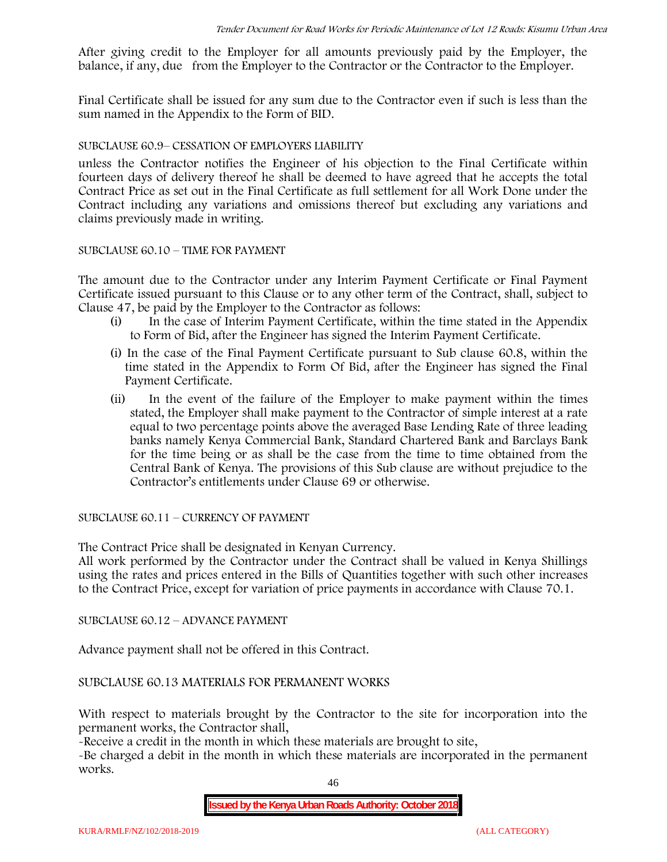After giving credit to the Employer for all amounts previously paid by the Employer, the balance, if any, due from the Employer to the Contractor or the Contractor to the Employer.

Final Certificate shall be issued for any sum due to the Contractor even if such is less than the sum named in the Appendix to the Form of BID.

# SUBCLAUSE 60.9– CESSATION OF EMPLOYERS LIABILITY

unless the Contractor notifies the Engineer of his objection to the Final Certificate within fourteen days of delivery thereof he shall be deemed to have agreed that he accepts the total Contract Price as set out in the Final Certificate as full settlement for all Work Done under the Contract including any variations and omissions thereof but excluding any variations and claims previously made in writing.

### SUBCLAUSE 60.10 – TIME FOR PAYMENT

The amount due to the Contractor under any Interim Payment Certificate or Final Payment Certificate issued pursuant to this Clause or to any other term of the Contract, shall, subject to Clause 47, be paid by the Employer to the Contractor as follows:

- (i) In the case of Interim Payment Certificate, within the time stated in the Appendix to Form of Bid, after the Engineer has signed the Interim Payment Certificate.
- (i) In the case of the Final Payment Certificate pursuant to Sub clause 60.8, within the time stated in the Appendix to Form Of Bid, after the Engineer has signed the Final Payment Certificate.
- (ii) In the event of the failure of the Employer to make payment within the times stated, the Employer shall make payment to the Contractor of simple interest at a rate equal to two percentage points above the averaged Base Lending Rate of three leading banks namely Kenya Commercial Bank, Standard Chartered Bank and Barclays Bank for the time being or as shall be the case from the time to time obtained from the Central Bank of Kenya. The provisions of this Sub clause are without prejudice to the Contractor's entitlements under Clause 69 or otherwise.

SUBCLAUSE 60.11 – CURRENCY OF PAYMENT

The Contract Price shall be designated in Kenyan Currency.

All work performed by the Contractor under the Contract shall be valued in Kenya Shillings using the rates and prices entered in the Bills of Quantities together with such other increases to the Contract Price, except for variation of price payments in accordance with Clause 70.1.

SUBCLAUSE 60.12 – ADVANCE PAYMENT

Advance payment shall not be offered in this Contract.

SUBCLAUSE 60.13 MATERIALS FOR PERMANENT WORKS

With respect to materials brought by the Contractor to the site for incorporation into the permanent works, the Contractor shall,

-Receive a credit in the month in which these materials are brought to site,

-Be charged a debit in the month in which these materials are incorporated in the permanent works.

46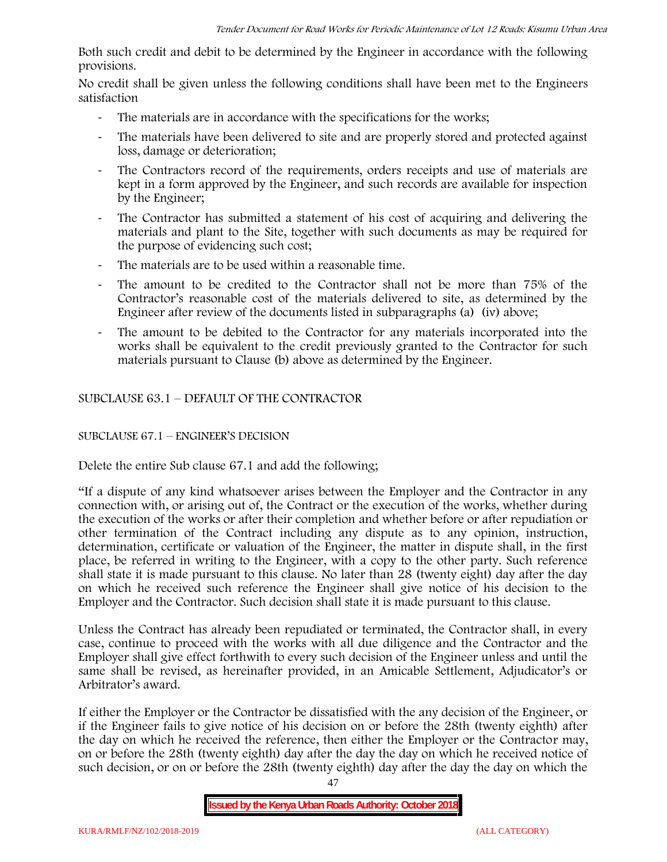Both such credit and debit to be determined by the Engineer in accordance with the following provisions.

No credit shall be given unless the following conditions shall have been met to the Engineers satisfaction

- The materials are in accordance with the specifications for the works;
- The materials have been delivered to site and are properly stored and protected against loss, damage or deterioration;
- The Contractors record of the requirements, orders receipts and use of materials are kept in a form approved by the Engineer, and such records are available for inspection by the Engineer;
- The Contractor has submitted a statement of his cost of acquiring and delivering the materials and plant to the Site, together with such documents as may be required for the purpose of evidencing such cost;
- The materials are to be used within a reasonable time.
- The amount to be credited to the Contractor shall not be more than 75% of the Contractor's reasonable cost of the materials delivered to site, as determined by the Engineer after review of the documents listed in subparagraphs (a) (iv) above;
- The amount to be debited to the Contractor for any materials incorporated into the works shall be equivalent to the credit previously granted to the Contractor for such materials pursuant to Clause (b) above as determined by the Engineer.

SUBCLAUSE 63.1 – DEFAULT OF THE CONTRACTOR

# SUBCLAUSE 67.1 – ENGINEER'S DECISION

Delete the entire Sub clause 67.1 and add the following;

"If a dispute of any kind whatsoever arises between the Employer and the Contractor in any connection with, or arising out of, the Contract or the execution of the works, whether during the execution of the works or after their completion and whether before or after repudiation or other termination of the Contract including any dispute as to any opinion, instruction, determination, certificate or valuation of the Engineer, the matter in dispute shall, in the first place, be referred in writing to the Engineer, with a copy to the other party. Such reference shall state it is made pursuant to this clause. No later than 28 (twenty eight) day after the day on which he received such reference the Engineer shall give notice of his decision to the Employer and the Contractor. Such decision shall state it is made pursuant to this clause.

Unless the Contract has already been repudiated or terminated, the Contractor shall, in every case, continue to proceed with the works with all due diligence and the Contractor and the Employer shall give effect forthwith to every such decision of the Engineer unless and until the same shall be revised, as hereinafter provided, in an Amicable Settlement, Adjudicator's or Arbitrator's award.

If either the Employer or the Contractor be dissatisfied with the any decision of the Engineer, or if the Engineer fails to give notice of his decision on or before the 28th (twenty eighth) after the day on which he received the reference, then either the Employer or the Contractor may, on or before the 28th (twenty eighth) day after the day the day on which he received notice of such decision, or on or before the 28th (twenty eighth) day after the day the day on which the

**Issued by the Kenya Urban Roads Authority: October 2018**

47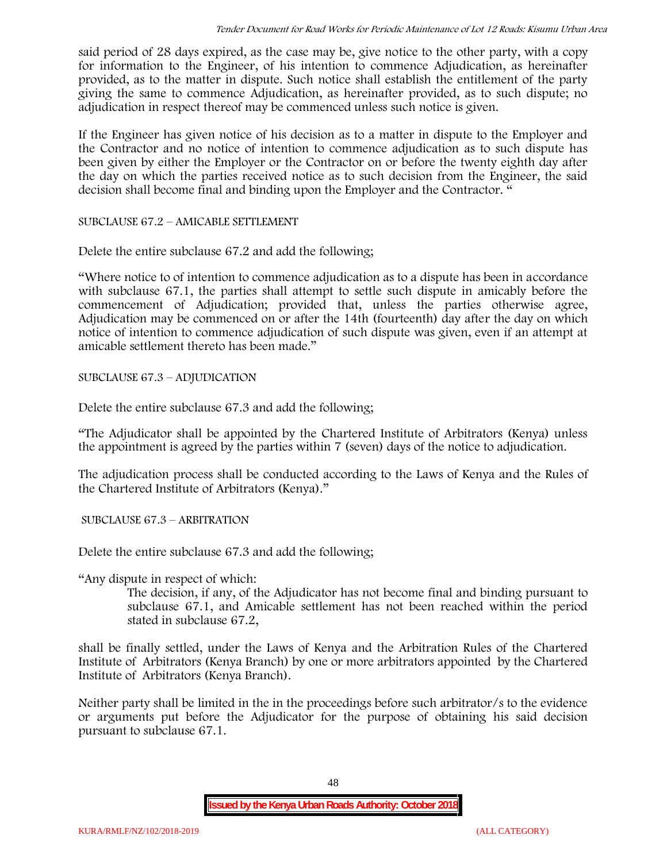said period of 28 days expired, as the case may be, give notice to the other party, with a copy for information to the Engineer, of his intention to commence Adjudication, as hereinafter provided, as to the matter in dispute. Such notice shall establish the entitlement of the party giving the same to commence Adjudication, as hereinafter provided, as to such dispute; no adjudication in respect thereof may be commenced unless such notice is given.

If the Engineer has given notice of his decision as to a matter in dispute to the Employer and the Contractor and no notice of intention to commence adjudication as to such dispute has been given by either the Employer or the Contractor on or before the twenty eighth day after the day on which the parties received notice as to such decision from the Engineer, the said decision shall become final and binding upon the Employer and the Contractor. "

SUBCLAUSE 67.2 – AMICABLE SETTLEMENT

Delete the entire subclause 67.2 and add the following;

"Where notice to of intention to commence adjudication as to a dispute has been in accordance with subclause 67.1, the parties shall attempt to settle such dispute in amicably before the commencement of Adjudication; provided that, unless the parties otherwise agree, Adjudication may be commenced on or after the 14th (fourteenth) day after the day on which notice of intention to commence adjudication of such dispute was given, even if an attempt at amicable settlement thereto has been made."

SUBCLAUSE 67.3 – ADJUDICATION

Delete the entire subclause 67.3 and add the following;

"The Adjudicator shall be appointed by the Chartered Institute of Arbitrators (Kenya) unless the appointment is agreed by the parties within 7 (seven) days of the notice to adjudication.

The adjudication process shall be conducted according to the Laws of Kenya and the Rules of the Chartered Institute of Arbitrators (Kenya)."

SUBCLAUSE 67.3 – ARBITRATION

Delete the entire subclause 67.3 and add the following;

"Any dispute in respect of which:

The decision, if any, of the Adjudicator has not become final and binding pursuant to subclause 67.1, and Amicable settlement has not been reached within the period stated in subclause 67.2,

shall be finally settled, under the Laws of Kenya and the Arbitration Rules of the Chartered Institute of Arbitrators (Kenya Branch) by one or more arbitrators appointed by the Chartered Institute of Arbitrators (Kenya Branch).

Neither party shall be limited in the in the proceedings before such arbitrator/s to the evidence or arguments put before the Adjudicator for the purpose of obtaining his said decision pursuant to subclause 67.1.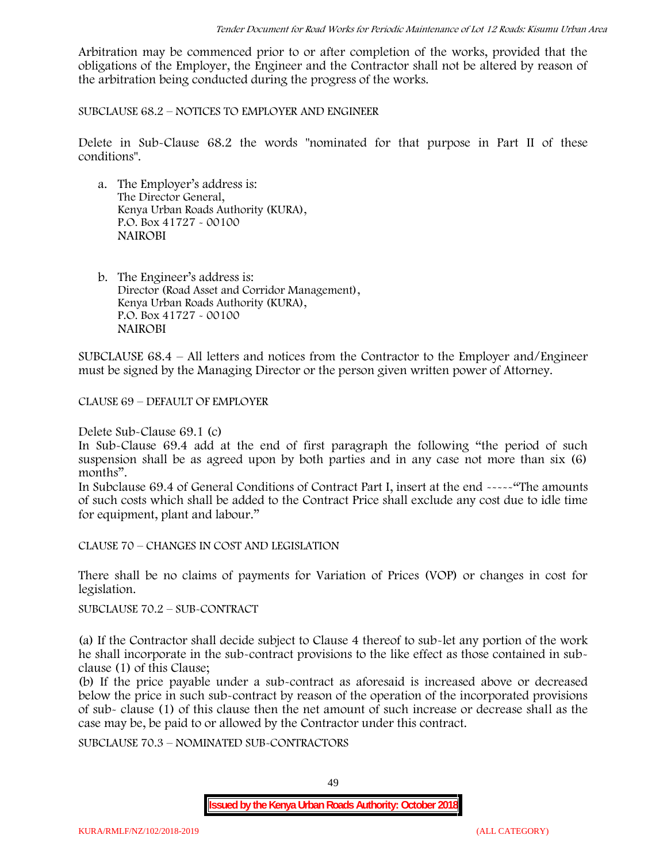Arbitration may be commenced prior to or after completion of the works, provided that the obligations of the Employer, the Engineer and the Contractor shall not be altered by reason of the arbitration being conducted during the progress of the works.

SUBCLAUSE 68.2 – NOTICES TO EMPLOYER AND ENGINEER

Delete in Sub-Clause 68.2 the words "nominated for that purpose in Part II of these conditions".

- a. The Employer's address is: The Director General, Kenya Urban Roads Authority (KURA), P.O. Box 41727 - 00100 **NAIROBI**
- b. The Engineer's address is: Director (Road Asset and Corridor Management), Kenya Urban Roads Authority (KURA), P.O. Box 41727 - 00100 **NAIROBI**

SUBCLAUSE 68.4 – All letters and notices from the Contractor to the Employer and/Engineer must be signed by the Managing Director or the person given written power of Attorney.

CLAUSE 69 – DEFAULT OF EMPLOYER

Delete Sub-Clause 69.1 (c)

In Sub-Clause 69.4 add at the end of first paragraph the following "the period of such suspension shall be as agreed upon by both parties and in any case not more than six (6) months".

In Subclause 69.4 of General Conditions of Contract Part I, insert at the end -----"The amounts of such costs which shall be added to the Contract Price shall exclude any cost due to idle time for equipment, plant and labour."

CLAUSE 70 – CHANGES IN COST AND LEGISLATION

There shall be no claims of payments for Variation of Prices (VOP) or changes in cost for legislation.

SUBCLAUSE 70.2 – SUB-CONTRACT

(a) If the Contractor shall decide subject to Clause 4 thereof to sub-let any portion of the work he shall incorporate in the sub-contract provisions to the like effect as those contained in sub clause (1) of this Clause;

(b) If the price payable under a sub-contract as aforesaid is increased above or decreased below the price in such sub-contract by reason of the operation of the incorporated provisions of sub- clause (1) of this clause then the net amount of such increase or decrease shall as the case may be, be paid to or allowed by the Contractor under this contract.

SUBCLAUSE 70.3 – NOMINATED SUB-CONTRACTORS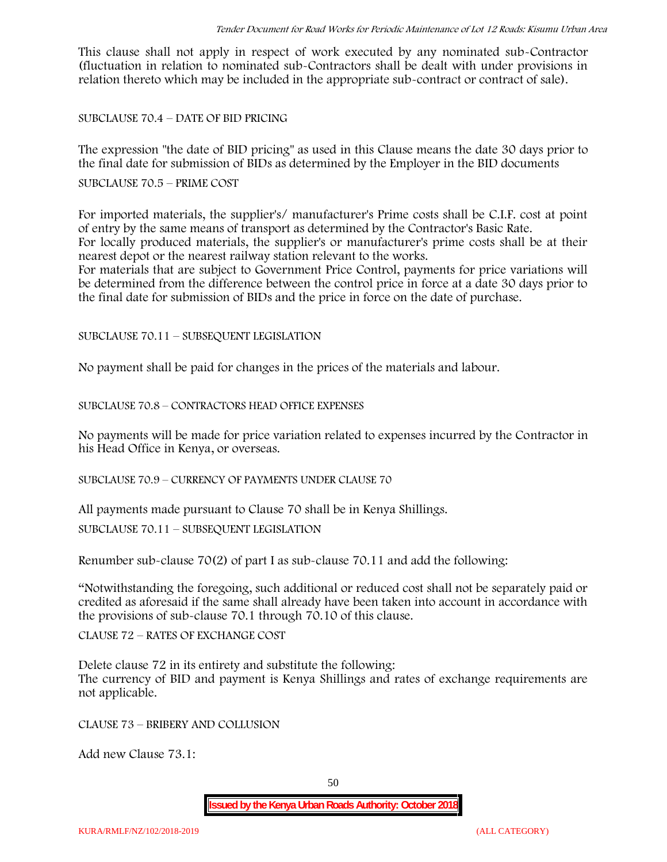This clause shall not apply in respect of work executed by any nominated sub-Contractor (fluctuation in relation to nominated sub-Contractors shall be dealt with under provisions in relation thereto which may be included in the appropriate sub-contract or contract of sale).

SUBCLAUSE 70.4 – DATE OF BID PRICING

The expression "the date of BID pricing" as used in this Clause means the date 30 days prior to the final date for submission of BIDs as determined by the Employer in the BID documents

SUBCLAUSE 70.5 – PRIME COST

For imported materials, the supplier's/ manufacturer's Prime costs shall be C.I.F. cost at point of entry by the same means of transport as determined by the Contractor's Basic Rate. For locally produced materials, the supplier's or manufacturer's prime costs shall be at their nearest depot or the nearest railway station relevant to the works.

For materials that are subject to Government Price Control, payments for price variations will be determined from the difference between the control price in force at a date 30 days prior to the final date for submission of BIDs and the price in force on the date of purchase.

SUBCLAUSE 70.11 – SUBSEQUENT LEGISLATION

No payment shall be paid for changes in the prices of the materials and labour.

SUBCLAUSE 70.8 – CONTRACTORS HEAD OFFICE EXPENSES

No payments will be made for price variation related to expenses incurred by the Contractor in his Head Office in Kenya, or overseas.

SUBCLAUSE 70.9 – CURRENCY OF PAYMENTS UNDER CLAUSE 70

All payments made pursuant to Clause 70 shall be in Kenya Shillings.

SUBCLAUSE 70.11 – SUBSEQUENT LEGISLATION

Renumber sub-clause 70(2) of part I as sub-clause 70.11 and add the following:

"Notwithstanding the foregoing, such additional or reduced cost shall not be separately paid or credited as aforesaid if the same shall already have been taken into account in accordance with the provisions of sub-clause 70.1 through 70.10 of this clause.

CLAUSE 72 – RATES OF EXCHANGE COST

Delete clause 72 in its entirety and substitute the following: The currency of BID and payment is Kenya Shillings and rates of exchange requirements are not applicable.

CLAUSE 73 – BRIBERY AND COLLUSION

Add new Clause 73.1: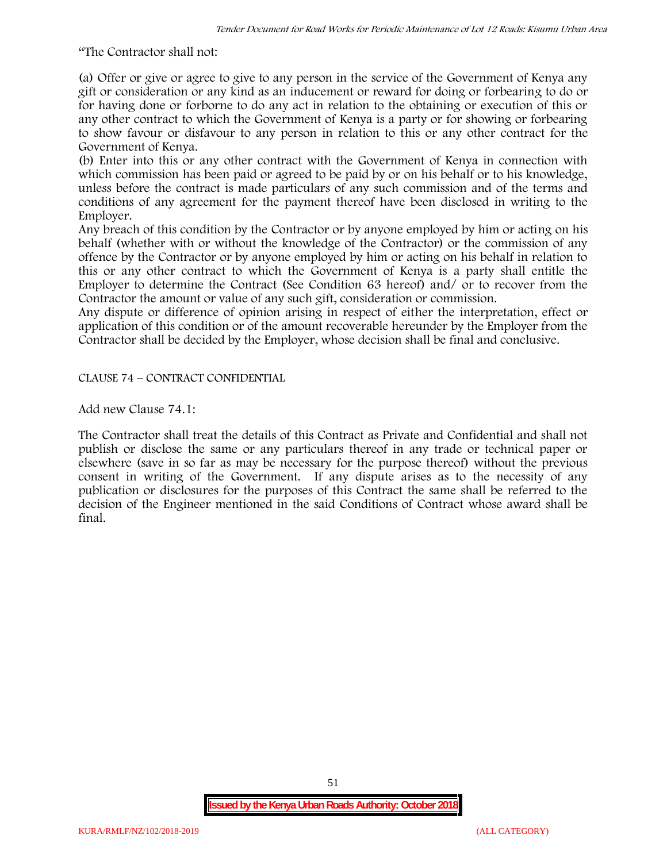"The Contractor shall not:

(a) Offer or give or agree to give to any person in the service of the Government of Kenya any gift or consideration or any kind as an inducement or reward for doing or forbearing to do or for having done or forborne to do any act in relation to the obtaining or execution of this or any other contract to which the Government of Kenya is a party or for showing or forbearing to show favour or disfavour to any person in relation to this or any other contract for the Government of Kenya.

(b) Enter into this or any other contract with the Government of Kenya in connection with which commission has been paid or agreed to be paid by or on his behalf or to his knowledge, unless before the contract is made particulars of any such commission and of the terms and conditions of any agreement for the payment thereof have been disclosed in writing to the Employer.

Any breach of this condition by the Contractor or by anyone employed by him or acting on his behalf (whether with or without the knowledge of the Contractor) or the commission of any offence by the Contractor or by anyone employed by him or acting on his behalf in relation to this or any other contract to which the Government of Kenya is a party shall entitle the Employer to determine the Contract (See Condition 63 hereof) and/ or to recover from the Contractor the amount or value of any such gift, consideration or commission.

Any dispute or difference of opinion arising in respect of either the interpretation, effect or application of this condition or of the amount recoverable hereunder by the Employer from the Contractor shall be decided by the Employer, whose decision shall be final and conclusive.

CLAUSE 74 – CONTRACT CONFIDENTIAL

Add new Clause 74.1:

The Contractor shall treat the details of this Contract as Private and Confidential and shall not publish or disclose the same or any particulars thereof in any trade or technical paper or elsewhere (save in so far as may be necessary for the purpose thereof) without the previous consent in writing of the Government. If any dispute arises as to the necessity of any publication or disclosures for the purposes of this Contract the same shall be referred to the decision of the Engineer mentioned in the said Conditions of Contract whose award shall be final.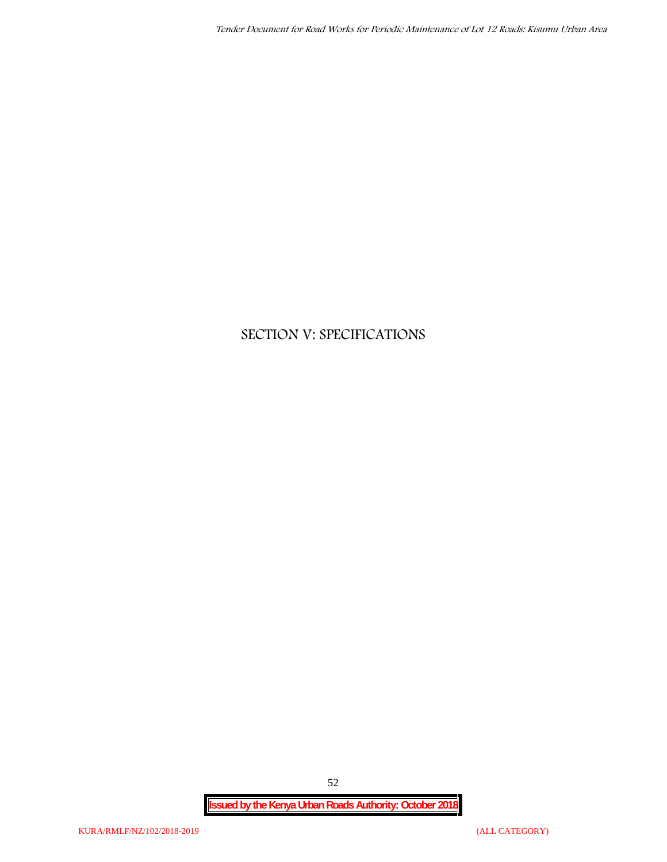# **SECTION V: SPECIFICATIONS**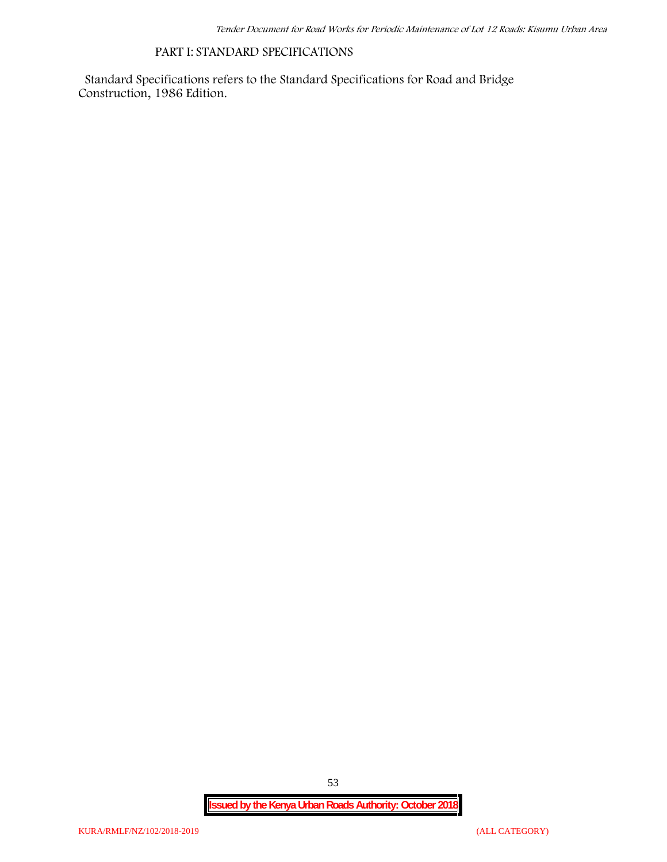**PART I: STANDARD SPECIFICATIONS**

Standard Specifications refers to the Standard Specifications for Road and Bridge Construction, 1986 Edition.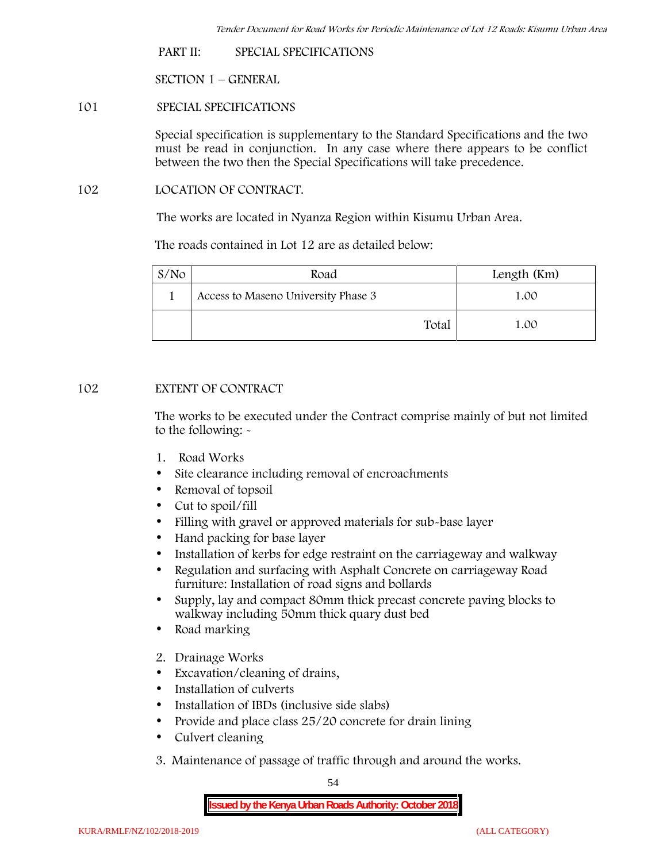**PART II: SPECIAL SPECIFICATIONS**

**SECTION 1 – GENERAL**

### **101 SPECIAL SPECIFICATIONS**

Special specification is supplementary to the Standard Specifications and the two must be read in conjunction. In any case where there appears to be conflict between the two then the Special Specifications will take precedence.

### **102 LOCATION OF CONTRACT.**

The works are located in Nyanza Region within Kisumu Urban Area.

The roads contained in Lot 12 are as detailed below:

| $S/N$ o | Road                                | Length (Km) |
|---------|-------------------------------------|-------------|
|         | Access to Maseno University Phase 3 | 1.00        |
|         | Total                               | 1.00        |

# **102 EXTENT OF CONTRACT**

The works to be executed under the Contract comprise mainly of but not limited to the following: -

- **1. Road Works**
- Site clearance including removal of encroachments
- Removal of topsoil
- Cut to spoil/fill
- Filling with gravel or approved materials for sub-base layer
- Hand packing for base layer
- Installation of kerbs for edge restraint on the carriageway and walkway
- Regulation and surfacing with Asphalt Concrete on carriageway Road furniture: Installation of road signs and bollards
- Supply, lay and compact 80mm thick precast concrete paving blocks to walkway including 50mm thick quary dust bed
- Road marking
- **2. Drainage Works**
- Excavation/cleaning of drains,
- Installation of culverts
- Installation of IBDs (inclusive side slabs)
- Provide and place class 25/20 concrete for drain lining
- Culvert cleaning
- **3. Maintenance of passage of traffic through and around the works.**

54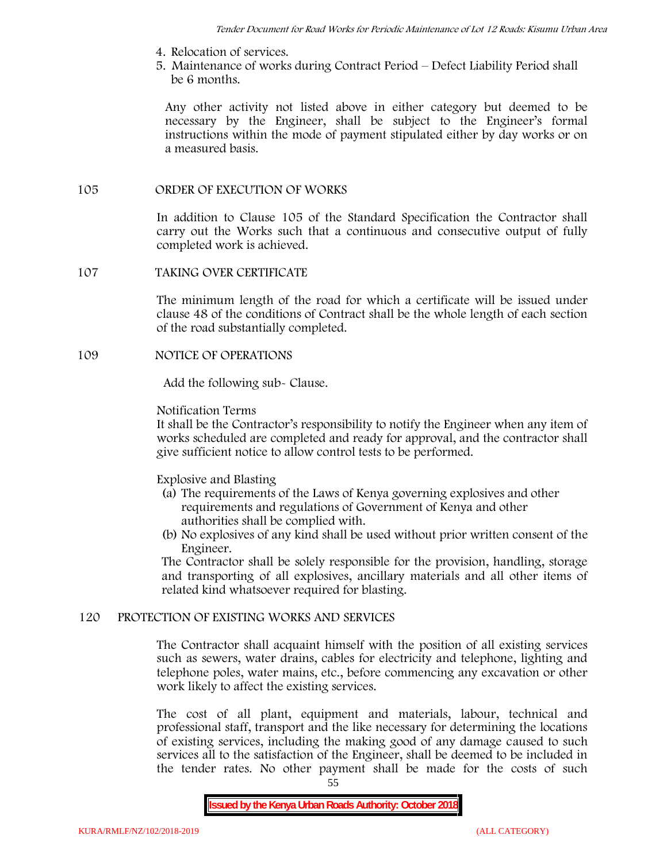- **4. Relocation of services.**
- **5. Maintenance of works during Contract Period – Defect Liability Period shall be 6 months.**

Any other activity not listed above in either category but deemed to be necessary by the Engineer, shall be subject to the Engineer's formal instructions within the mode of payment stipulated either by day works or on a measured basis.

### **105 ORDER OF EXECUTION OF WORKS**

In addition to Clause 105 of the Standard Specification the Contractor shall carry out the Works such that a continuous and consecutive output of fully completed work is achieved.

**107 TAKING OVER CERTIFICATE**

The minimum length of the road for which a certificate will be issued under clause 48 of the conditions of Contract shall be the whole length of each section of the road substantially completed.

### **109 NOTICE OF OPERATIONS**

Add the following sub- Clause.

Notification Terms

It shall be the Contractor's responsibility to notify the Engineer when any item of works scheduled are completed and ready for approval, and the contractor shall give sufficient notice to allow control tests to be performed.

Explosive and Blasting

- (a) The requirements of the Laws of Kenya governing explosives and other requirements and regulations of Government of Kenya and other authorities shall be complied with.
- (b) No explosives of any kind shall be used without prior written consent of the Engineer.

The Contractor shall be solely responsible for the provision, handling, storage and transporting of all explosives, ancillary materials and all other items of related kind whatsoever required for blasting.

# **120 PROTECTION OF EXISTING WORKS AND SERVICES**

The Contractor shall acquaint himself with the position of all existing services such as sewers, water drains, cables for electricity and telephone, lighting and telephone poles, water mains, etc., before commencing any excavation or other work likely to affect the existing services.

The cost of all plant, equipment and materials, labour, technical and professional staff, transport and the like necessary for determining the locations of existing services, including the making good of any damage caused to such services all to the satisfaction of the Engineer, shall be deemed to be included in the tender rates. No other payment shall be made for the costs of such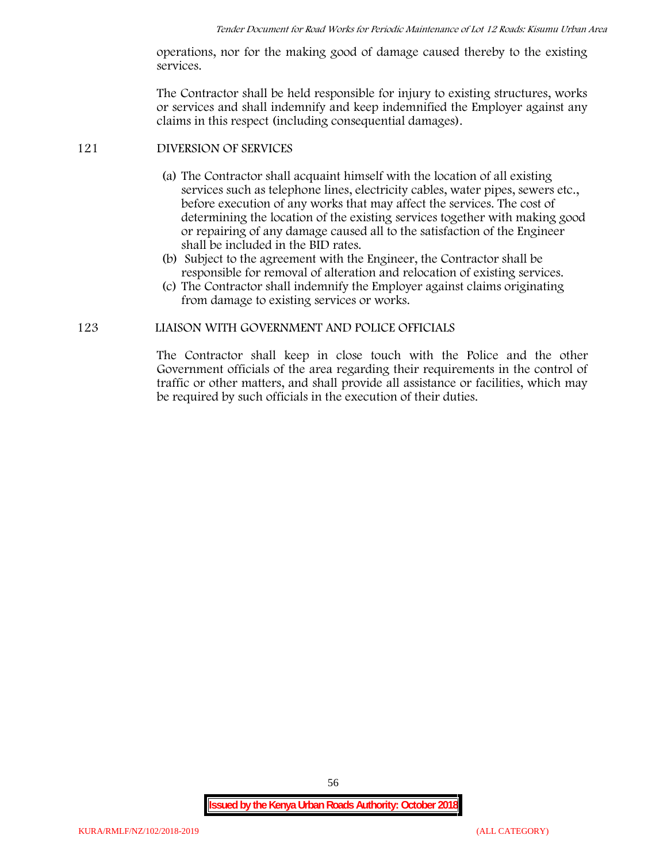operations, nor for the making good of damage caused thereby to the existing services.

The Contractor shall be held responsible for injury to existing structures, works or services and shall indemnify and keep indemnified the Employer against any claims in this respect (including consequential damages).

### **121 DIVERSION OF SERVICES**

- (a) The Contractor shall acquaint himself with the location of all existing services such as telephone lines, electricity cables, water pipes, sewers etc., before execution of any works that may affect the services. The cost of determining the location of the existing services together with making good or repairing of any damage caused all to the satisfaction of the Engineer shall be included in the BID rates.
- (b) Subject to the agreement with the Engineer, the Contractor shall be responsible for removal of alteration and relocation of existing services.
- (c) The Contractor shall indemnify the Employer against claims originating from damage to existing services or works.

# **123 LIAISON WITH GOVERNMENT AND POLICE OFFICIALS**

The Contractor shall keep in close touch with the Police and the other Government officials of the area regarding their requirements in the control of traffic or other matters, and shall provide all assistance or facilities, which may be required by such officials in the execution of their duties.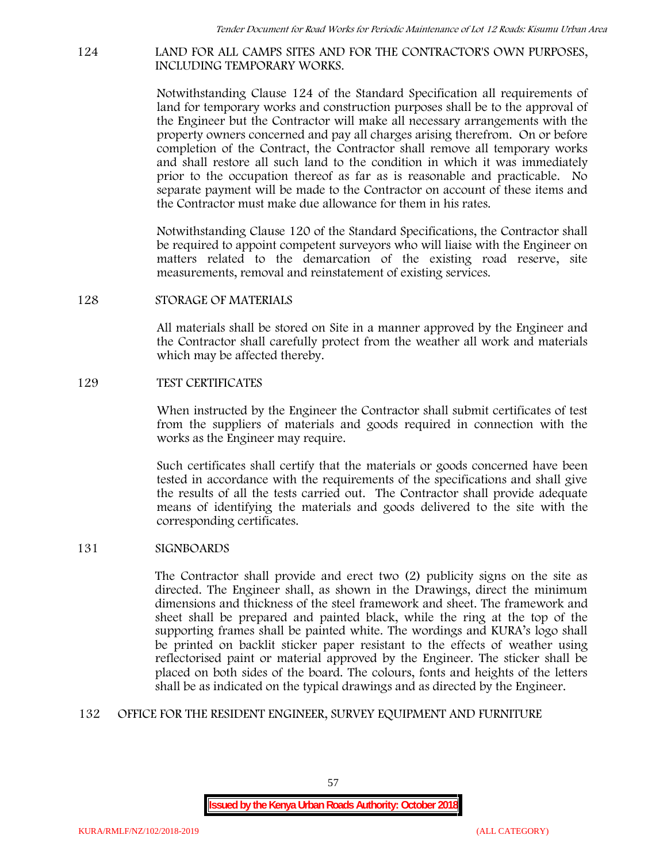### **124 LAND FOR ALL CAMPS SITES AND FOR THE CONTRACTOR'S OWN PURPOSES, INCLUDING TEMPORARY WORKS.**

Notwithstanding Clause 124 of the Standard Specification all requirements of land for temporary works and construction purposes shall be to the approval of the Engineer but the Contractor will make all necessary arrangements with the property owners concerned and pay all charges arising therefrom. On or before completion of the Contract, the Contractor shall remove all temporary works and shall restore all such land to the condition in which it was immediately prior to the occupation thereof as far as is reasonable and practicable. No separate payment will be made to the Contractor on account of these items and the Contractor must make due allowance for them in his rates.

Notwithstanding Clause 120 of the Standard Specifications, the Contractor shall be required to appoint competent surveyors who will liaise with the Engineer on matters related to the demarcation of the existing road reserve, site measurements, removal and reinstatement of existing services.

### **128 STORAGE OF MATERIALS**

All materials shall be stored on Site in a manner approved by the Engineer and the Contractor shall carefully protect from the weather all work and materials which may be affected thereby.

### **129 TEST CERTIFICATES**

When instructed by the Engineer the Contractor shall submit certificates of test from the suppliers of materials and goods required in connection with the works as the Engineer may require.

Such certificates shall certify that the materials or goods concerned have been tested in accordance with the requirements of the specifications and shall give the results of all the tests carried out. The Contractor shall provide adequate means of identifying the materials and goods delivered to the site with the corresponding certificates.

# **131 SIGNBOARDS**

The Contractor shall provide and erect two (2) publicity signs on the site as directed. The Engineer shall, as shown in the Drawings, direct the minimum dimensions and thickness of the steel framework and sheet. The framework and sheet shall be prepared and painted black, while the ring at the top of the supporting frames shall be painted white. The wordings and KURA's logo shall be printed on backlit sticker paper resistant to the effects of weather using reflectorised paint or material approved by the Engineer. The sticker shall be placed on both sides of the board. The colours, fonts and heights of the letters shall be as indicated on the typical drawings and as directed by the Engineer.

#### **132 OFFICE FOR THE RESIDENT ENGINEER, SURVEY EQUIPMENT AND FURNITURE**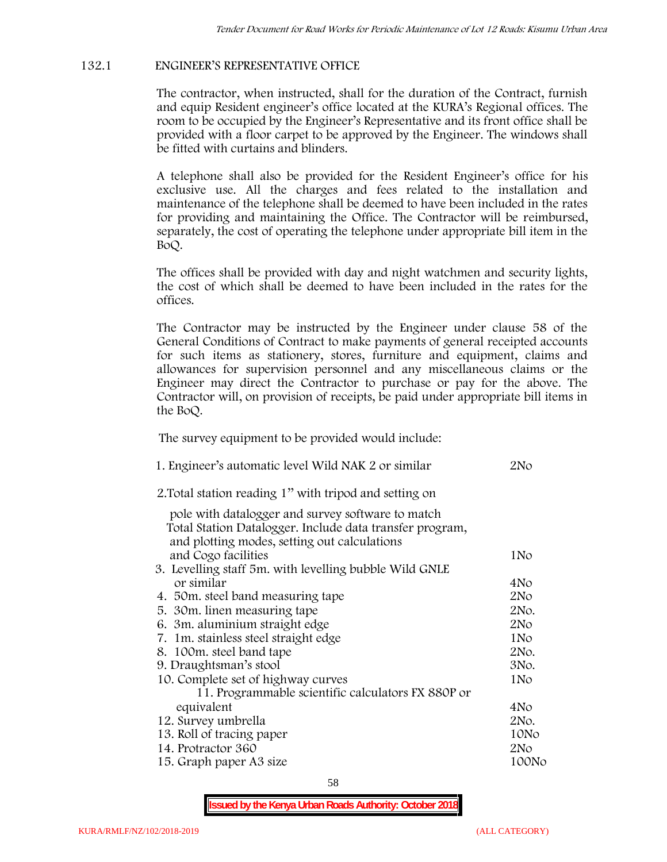# **132.1 ENGINEER'S REPRESENTATIVE OFFICE**

The contractor, when instructed, shall for the duration of the Contract, furnish and equip Resident engineer's office located at the KURA's Regional offices. The room to be occupied by the Engineer's Representative and its front office shall be provided with a floor carpet to be approved by the Engineer. The windows shall be fitted with curtains and blinders.

A telephone shall also be provided for the Resident Engineer's office for his exclusive use. All the charges and fees related to the installation and maintenance of the telephone shall be deemed to have been included in the rates for providing and maintaining the Office. The Contractor will be reimbursed, separately, the cost of operating the telephone under appropriate bill item in the BoQ.

The offices shall be provided with day and night watchmen and security lights, the cost of which shall be deemed to have been included in the rates for the offices.

The Contractor may be instructed by the Engineer under clause 58 of the General Conditions of Contract to make payments of general receipted accounts for such items as stationery, stores, furniture and equipment, claims and allowances for supervision personnel and any miscellaneous claims or the Engineer may direct the Contractor to purchase or pay for the above. The Contractor will, on provision of receipts, be paid under appropriate bill items in the BoQ.

**The survey equipment to be provided would include:**

| 1. Engineer's automatic level Wild NAK 2 or similar                                                      | 2N <sub>O</sub> |
|----------------------------------------------------------------------------------------------------------|-----------------|
| 2. Total station reading 1" with tripod and setting on                                                   |                 |
| pole with datalogger and survey software to match                                                        |                 |
| Total Station Datalogger. Include data transfer program,<br>and plotting modes, setting out calculations |                 |
| and Cogo facilities                                                                                      | 1No             |
| 3. Levelling staff 5m. with levelling bubble Wild GNLE                                                   |                 |
| or similar                                                                                               | 4No             |
| 4. 50 m. steel band measuring tape                                                                       | 2N <sub>o</sub> |
| 5. 30 m. linen measuring tape                                                                            | 2No.            |
| 6. 3m. aluminium straight edge                                                                           | 2N <sub>O</sub> |
| 7. 1m. stainless steel straight edge                                                                     | 1No             |
| 8. 100m. steel band tape                                                                                 | 2No.            |
| 9. Draughtsman's stool                                                                                   | 3No.            |
| 10. Complete set of highway curves                                                                       | 1No             |
| 11. Programmable scientific calculators FX 880P or                                                       |                 |
| equivalent                                                                                               | 4No             |
| 12. Survey umbrella                                                                                      | 2No.            |
| 13. Roll of tracing paper                                                                                | 10No            |
| 14. Protractor 360                                                                                       | 2No             |
| 15. Graph paper A3 size                                                                                  | 100No           |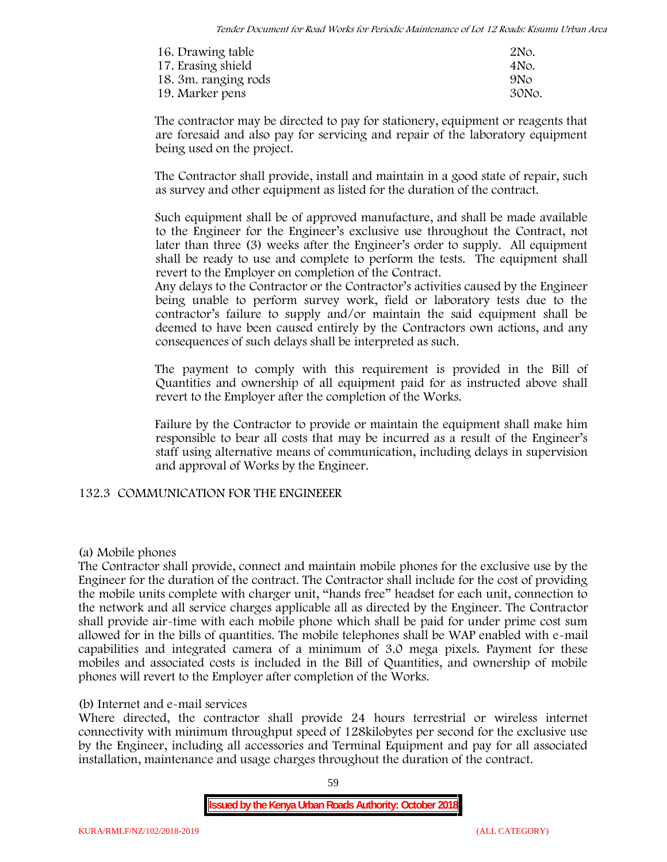| 16. Drawing table    | 2No.            |
|----------------------|-----------------|
| 17. Erasing shield   | 4No.            |
| 18. 3m. ranging rods | 9N <sub>O</sub> |
| 19. Marker pens      | 30No.           |

The contractor may be directed to pay for stationery, equipment or reagents that are foresaid and also pay for servicing and repair of the laboratory equipment being used on the project.

The Contractor shall provide, install and maintain in a good state of repair, such as survey and other equipment as listed for the duration of the contract.

Such equipment shall be of approved manufacture, and shall be made available to the Engineer for the Engineer's exclusive use throughout the Contract, not later than three (3) weeks after the Engineer's order to supply. All equipment shall be ready to use and complete to perform the tests. The equipment shall revert to the Employer on completion of the Contract.

Any delays to the Contractor or the Contractor's activities caused by the Engineer being unable to perform survey work, field or laboratory tests due to the contractor's failure to supply and/or maintain the said equipment shall be deemed to have been caused entirely by the Contractors own actions, and any consequences of such delays shall be interpreted as such.

The payment to comply with this requirement is provided in the Bill of Quantities and ownership of all equipment paid for as instructed above shall revert to the Employer after the completion of the Works.

Failure by the Contractor to provide or maintain the equipment shall make him responsible to bear all costs that may be incurred as a result of the Engineer's staff using alternative means of communication, including delays in supervision and approval of Works by the Engineer.

# **132.3 COMMUNICATION FOR THE ENGINEEER**

# **(a) Mobile phones**

The Contractor shall provide, connect and maintain mobile phones for the exclusive use by the Engineer for the duration of the contract. The Contractor shall include for the cost of providing the mobile units complete with charger unit, "hands free" headset for each unit, connection to the network and all service charges applicable all as directed by the Engineer. The Contractor shall provide air-time with each mobile phone which shall be paid for under prime cost sum allowed for in the bills of quantities. The mobile telephones shall be WAP enabled with e-mail capabilities and integrated camera of a minimum of 3.0 mega pixels. Payment for these mobiles and associated costs is included in the Bill of Quantities, and ownership of mobile phones will revert to the Employer after completion of the Works.

# **(b) Internet and e-mail services**

Where directed, the contractor shall provide 24 hours terrestrial or wireless internet connectivity with minimum throughput speed of 128kilobytes per second for the exclusive use by the Engineer, including all accessories and Terminal Equipment and pay for all associated installation, maintenance and usage charges throughout the duration of the contract.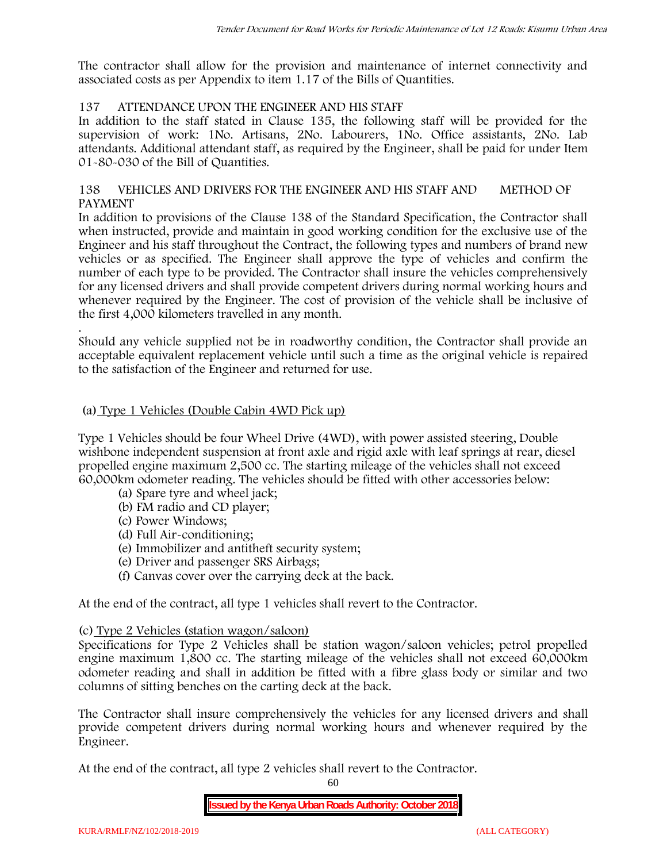The contractor shall allow for the provision and maintenance of internet connectivity and associated costs as per Appendix to item 1.17 of the Bills of Quantities.

# **137 ATTENDANCE UPON THE ENGINEER AND HIS STAFF**

In addition to the staff stated in Clause 135, the following staff will be provided for the supervision of work: 1No. Artisans, 2No. Labourers, 1No. Office assistants, 2No. Lab attendants. Additional attendant staff, as required by the Engineer, shall be paid for under Item 01-80-030 of the Bill of Quantities.

# **138 VEHICLES AND DRIVERS FOR THE ENGINEER AND HIS STAFF AND METHOD OF PAYMENT**

In addition to provisions of the Clause 138 of the Standard Specification, the Contractor shall when instructed, provide and maintain in good working condition for the exclusive use of the Engineer and his staff throughout the Contract, the following types and numbers of brand new vehicles or as specified. The Engineer shall approve the type of vehicles and confirm the number of each type to be provided. The Contractor shall insure the vehicles comprehensively for any licensed drivers and shall provide competent drivers during normal working hours and whenever required by the Engineer. The cost of provision of the vehicle shall be inclusive of the first 4,000 kilometers travelled in any month.

.Should any vehicle supplied not be in roadworthy condition, the Contractor shall provide an acceptable equivalent replacement vehicle until such a time as the original vehicle is repaired to the satisfaction of the Engineer and returned for use.

# **(a) Type 1 Vehicles (Double Cabin 4WD Pick up)**

Type 1 Vehicles should be four Wheel Drive (4WD), with power assisted steering, Double wishbone independent suspension at front axle and rigid axle with leaf springs at rear, diesel propelled engine maximum 2,500 cc. The starting mileage of the vehicles shall not exceed 60,000km odometer reading. The vehicles should be fitted with other accessories below:

- (a) Spare tyre and wheel jack;
- (b) FM radio and CD player;
- (c) Power Windows;
- (d) Full Air-conditioning;
- (e) Immobilizer and antitheft security system;
- (e) Driver and passenger SRS Airbags;
- (f) Canvas cover over the carrying deck at the back.

At the end of the contract, all type 1 vehicles shall revert to the Contractor.

# **(c) Type 2 Vehicles (station wagon/saloon)**

Specifications for Type 2 Vehicles shall be station wagon/saloon vehicles; petrol propelled engine maximum 1,800 cc. The starting mileage of the vehicles shall not exceed 60,000km odometer reading and shall in addition be fitted with a fibre glass body or similar and two columns of sitting benches on the carting deck at the back.

The Contractor shall insure comprehensively the vehicles for any licensed drivers and shall provide competent drivers during normal working hours and whenever required by the Engineer.

At the end of the contract, all type 2 vehicles shall revert to the Contractor.

60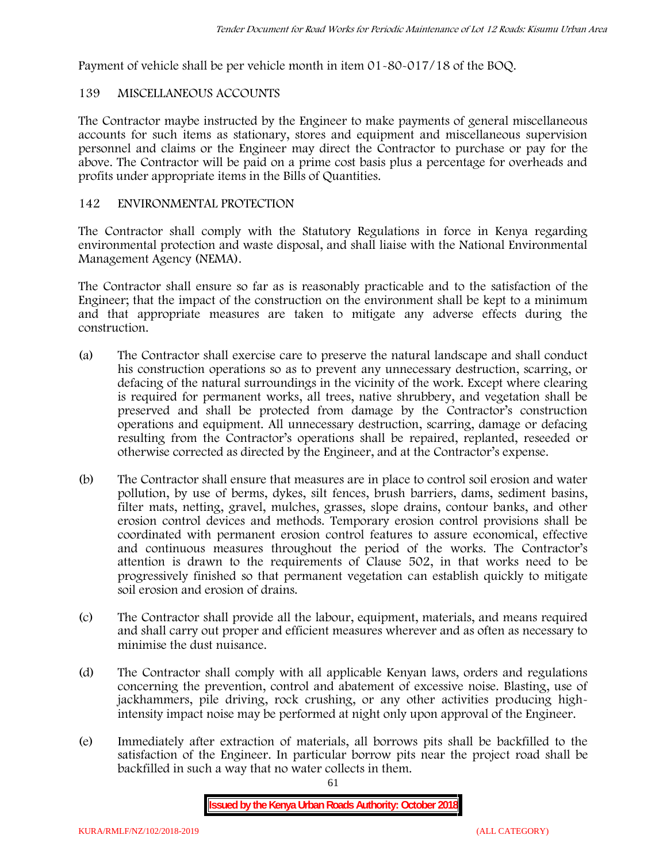Payment of vehicle shall be per vehicle month in item 01-80-017/18 of the BOQ.

# **139 MISCELLANEOUS ACCOUNTS**

The Contractor maybe instructed by the Engineer to make payments of general miscellaneous accounts for such items as stationary, stores and equipment and miscellaneous supervision personnel and claims or the Engineer may direct the Contractor to purchase or pay for the above. The Contractor will be paid on a prime cost basis plus a percentage for overheads and profits under appropriate items in the Bills of Quantities.

# **142 ENVIRONMENTAL PROTECTION**

The Contractor shall comply with the Statutory Regulations in force in Kenya regarding environmental protection and waste disposal, and shall liaise with the National Environmental Management Agency (NEMA).

The Contractor shall ensure so far as is reasonably practicable and to the satisfaction of the Engineer; that the impact of the construction on the environment shall be kept to a minimum and that appropriate measures are taken to mitigate any adverse effects during the construction.

- (a) The Contractor shall exercise care to preserve the natural landscape and shall conduct his construction operations so as to prevent any unnecessary destruction, scarring, or defacing of the natural surroundings in the vicinity of the work. Except where clearing is required for permanent works, all trees, native shrubbery, and vegetation shall be preserved and shall be protected from damage by the Contractor's construction operations and equipment. All unnecessary destruction, scarring, damage or defacing resulting from the Contractor's operations shall be repaired, replanted, reseeded or otherwise corrected as directed by the Engineer, and at the Contractor's expense.
- (b) The Contractor shall ensure that measures are in place to control soil erosion and water pollution, by use of berms, dykes, silt fences, brush barriers, dams, sediment basins, filter mats, netting, gravel, mulches, grasses, slope drains, contour banks, and other erosion control devices and methods. Temporary erosion control provisions shall be coordinated with permanent erosion control features to assure economical, effective and continuous measures throughout the period of the works. The Contractor's attention is drawn to the requirements of Clause 502, in that works need to be progressively finished so that permanent vegetation can establish quickly to mitigate soil erosion and erosion of drains.
- (c) The Contractor shall provide all the labour, equipment, materials, and means required and shall carry out proper and efficient measures wherever and as often as necessary to minimise the dust nuisance.
- (d) The Contractor shall comply with all applicable Kenyan laws, orders and regulations concerning the prevention, control and abatement of excessive noise. Blasting, use of jackhammers, pile driving, rock crushing, or any other activities producing highintensity impact noise may be performed at night only upon approval of the Engineer.
- (e) Immediately after extraction of materials, all borrows pits shall be backfilled to the satisfaction of the Engineer. In particular borrow pits near the project road shall be backfilled in such a way that no water collects in them.

61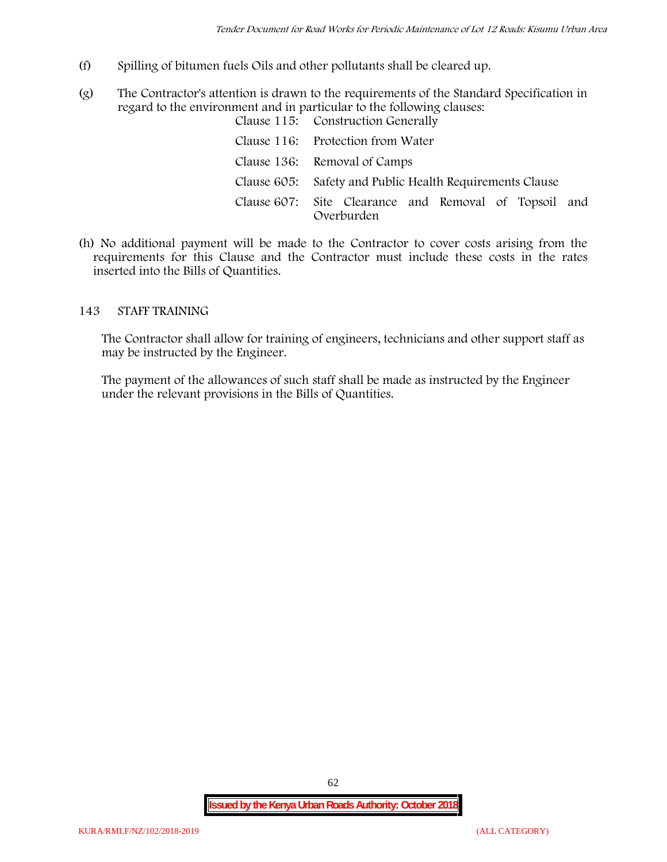- (f) Spilling of bitumen fuels Oils and other pollutants shall be cleared up.
- (g) The Contractor's attention is drawn to the requirements of the Standard Specification in regard to the environment and in particular to the following clauses: Clause 115: Construction Generally

| Clause 110. Construction denerally                                  |
|---------------------------------------------------------------------|
| Clause 116: Protection from Water                                   |
| Clause 136: Removal of Camps                                        |
| Clause 605: Safety and Public Health Requirements Clause            |
| Clause 607: Site Clearance and Removal of Topsoil and<br>Overburden |

(h) No additional payment will be made to the Contractor to cover costs arising from the requirements for this Clause and the Contractor must include these costs in the rates inserted into the Bills of Quantities.

### **143 STAFF TRAINING**

The Contractor shall allow for training of engineers, technicians and other support staff as may be instructed by the Engineer.

The payment of the allowances of such staff shall be made as instructed by the Engineer under the relevant provisions in the Bills of Quantities.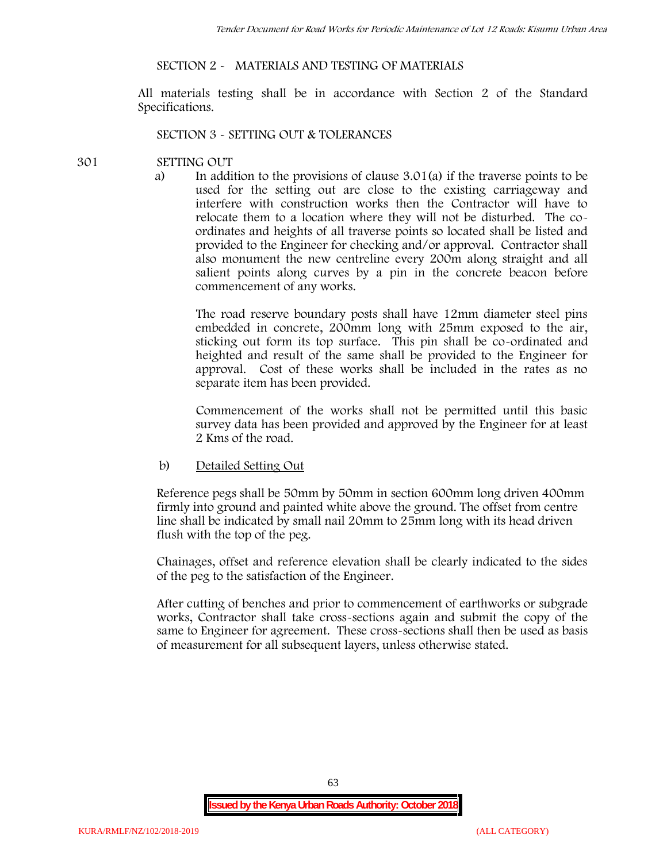# **SECTION 2 - MATERIALS AND TESTING OF MATERIALS**

All materials testing shall be in accordance with Section 2 of the Standard Specifications.

### **SECTION 3 - SETTING OUT & TOLERANCES**

### **301 SETTING OUT**

a) In addition to the provisions of clause 3.01(a) if the traverse points to be used for the setting out are close to the existing carriageway and interfere with construction works then the Contractor will have to relocate them to a location where they will not be disturbed. The co ordinates and heights of all traverse points so located shall be listed and provided to the Engineer for checking and/or approval. Contractor shall also monument the new centreline every 200m along straight and all salient points along curves by a pin in the concrete beacon before commencement of any works.

The road reserve boundary posts shall have 12mm diameter steel pins embedded in concrete, 200mm long with 25mm exposed to the air, sticking out form its top surface. This pin shall be co-ordinated and heighted and result of the same shall be provided to the Engineer for approval. Cost of these works shall be included in the rates as no separate item has been provided.

Commencement of the works shall not be permitted until this basic survey data has been provided and approved by the Engineer for at least 2 Kms of the road.

b) Detailed Setting Out

Reference pegs shall be 50mm by 50mm in section 600mm long driven 400mm firmly into ground and painted white above the ground. The offset from centre line shall be indicated by small nail 20mm to 25mm long with its head driven flush with the top of the peg.

Chainages, offset and reference elevation shall be clearly indicated to the sides of the peg to the satisfaction of the Engineer.

After cutting of benches and prior to commencement of earthworks or subgrade works, Contractor shall take cross-sections again and submit the copy of the same to Engineer for agreement. These cross-sections shall then be used as basis of measurement for all subsequent layers, unless otherwise stated.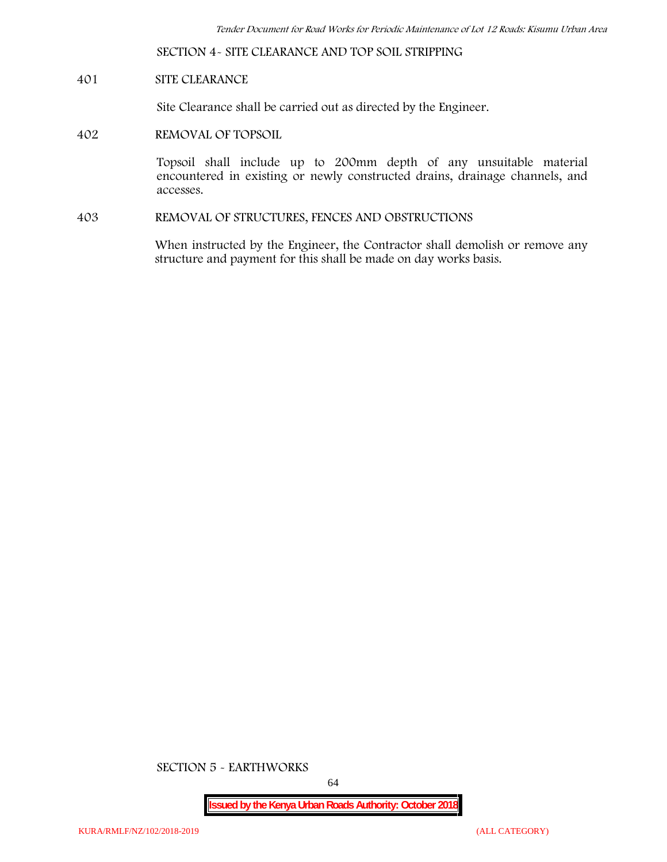**SECTION 4- SITE CLEARANCE AND TOP SOIL STRIPPING**

# **401 SITE CLEARANCE**

Site Clearance shall be carried out as directed by the Engineer.

**402 REMOVAL OF TOPSOIL**

Topsoil shall include up to 200mm depth of any unsuitable material encountered in existing or newly constructed drains, drainage channels, and accesses.

**403 REMOVAL OF STRUCTURES, FENCES AND OBSTRUCTIONS**

When instructed by the Engineer, the Contractor shall demolish or remove any structure and payment for this shall be made on day works basis.

**SECTION 5 - EARTHWORKS**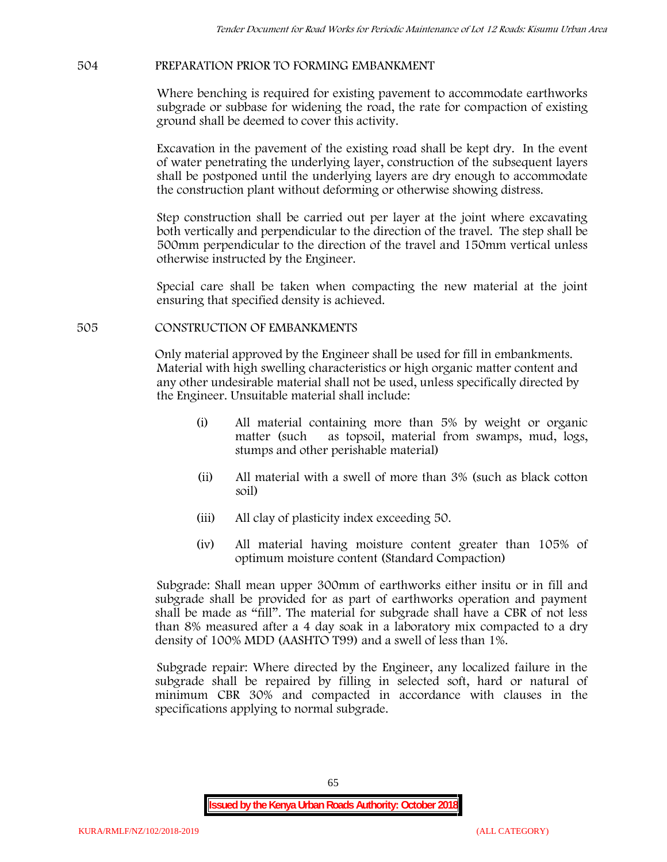# **504 PREPARATION PRIOR TO FORMING EMBANKMENT**

Where benching is required for existing pavement to accommodate earthworks subgrade or subbase for widening the road, the rate for compaction of existing ground shall be deemed to cover this activity.

Excavation in the pavement of the existing road shall be kept dry. In the event of water penetrating the underlying layer, construction of the subsequent layers shall be postponed until the underlying layers are dry enough to accommodate the construction plant without deforming or otherwise showing distress.

Step construction shall be carried out per layer at the joint where excavating both vertically and perpendicular to the direction of the travel. The step shall be 500mm perpendicular to the direction of the travel and 150mm vertical unless otherwise instructed by the Engineer.

Special care shall be taken when compacting the new material at the joint ensuring that specified density is achieved.

# **505 CONSTRUCTION OF EMBANKMENTS**

Only material approved by the Engineer shall be used for fill in embankments. Material with high swelling characteristics or high organic matter content and any other undesirable material shall not be used, unless specifically directed by the Engineer. Unsuitable material shall include:

- (i) All material containing more than 5% by weight or organic matter (such as topsoil, material from swamps, mud, logs, stumps and other perishable material)
- (ii) All material with a swell of more than 3% (such as black cotton soil)
- (iii) All clay of plasticity index exceeding 50.
- (iv) All material having moisture content greater than 105% of optimum moisture content (Standard Compaction)

Subgrade: Shall mean upper 300mm of earthworks either insitu or in fill and subgrade shall be provided for as part of earthworks operation and payment shall be made as "fill". The material for subgrade shall have a CBR of not less than 8% measured after a 4 day soak in a laboratory mix compacted to a dry density of 100% MDD (AASHTO T99) and a swell of less than 1%.

Subgrade repair: Where directed by the Engineer, any localized failure in the subgrade shall be repaired by filling in selected soft, hard or natural of minimum CBR 30% and compacted in accordance with clauses in the specifications applying to normal subgrade.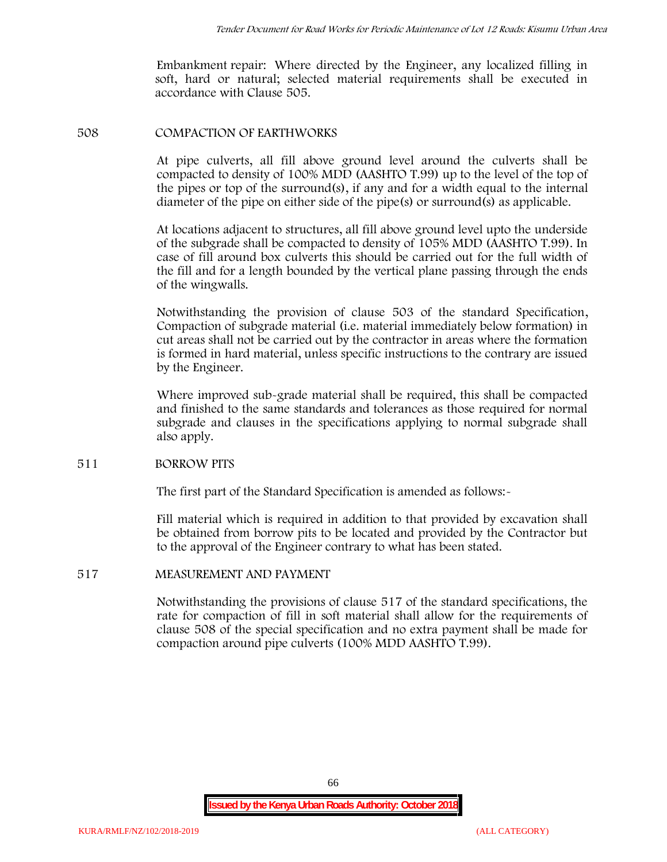Embankment repair: Where directed by the Engineer, any localized filling in soft, hard or natural; selected material requirements shall be executed in accordance with Clause 505.

### **508 COMPACTION OF EARTHWORKS**

At pipe culverts, all fill above ground level around the culverts shall be compacted to density of 100% MDD (AASHTO T.99) up to the level of the top of the pipes or top of the surround(s), if any and for a width equal to the internal diameter of the pipe on either side of the pipe(s) or surround(s) as applicable.

At locations adjacent to structures, all fill above ground level upto the underside of the subgrade shall be compacted to density of 105% MDD (AASHTO T.99). In case of fill around box culverts this should be carried out for the full width of the fill and for a length bounded by the vertical plane passing through the ends of the wingwalls.

Notwithstanding the provision of clause 503 of the standard Specification, Compaction of subgrade material (i.e. material immediately below formation) in cut areas shall not be carried out by the contractor in areas where the formation is formed in hard material, unless specific instructions to the contrary are issued by the Engineer.

Where improved sub-grade material shall be required, this shall be compacted and finished to the same standards and tolerances as those required for normal subgrade and clauses in the specifications applying to normal subgrade shall also apply.

# **511 BORROW PITS**

The first part of the Standard Specification is amended as follows:

Fill material which is required in addition to that provided by excavation shall be obtained from borrow pits to be located and provided by the Contractor but to the approval of the Engineer contrary to what has been stated.

#### **517 MEASUREMENT AND PAYMENT**

Notwithstanding the provisions of clause 517 of the standard specifications, the rate for compaction of fill in soft material shall allow for the requirements of clause 508 of the special specification and no extra payment shall be made for compaction around pipe culverts (100% MDD AASHTO T.99).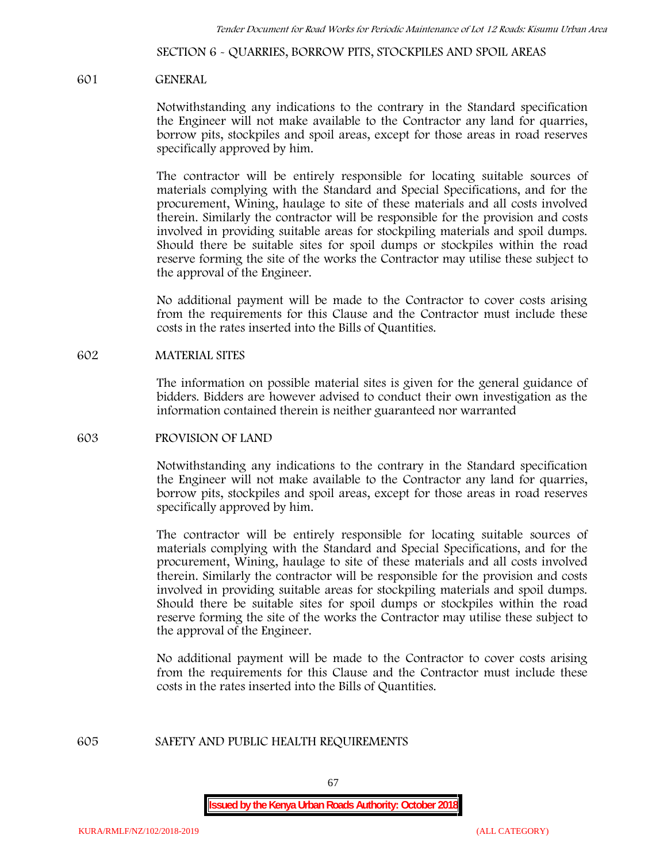**SECTION 6 - QUARRIES, BORROW PITS, STOCKPILES AND SPOIL AREAS**

#### **601 GENERAL**

Notwithstanding any indications to the contrary in the Standard specification the Engineer will not make available to the Contractor any land for quarries, borrow pits, stockpiles and spoil areas, except for those areas in road reserves specifically approved by him.

The contractor will be entirely responsible for locating suitable sources of materials complying with the Standard and Special Specifications, and for the procurement, Wining, haulage to site of these materials and all costs involved therein. Similarly the contractor will be responsible for the provision and costs involved in providing suitable areas for stockpiling materials and spoil dumps. Should there be suitable sites for spoil dumps or stockpiles within the road reserve forming the site of the works the Contractor may utilise these subject to the approval of the Engineer.

No additional payment will be made to the Contractor to cover costs arising from the requirements for this Clause and the Contractor must include these costs in the rates inserted into the Bills of Quantities.

### **602 MATERIAL SITES**

The information on possible material sites is given for the general guidance of bidders. Bidders are however advised to conduct their own investigation as the information contained therein is neither guaranteed nor warranted

#### **603 PROVISION OF LAND**

Notwithstanding any indications to the contrary in the Standard specification the Engineer will not make available to the Contractor any land for quarries, borrow pits, stockpiles and spoil areas, except for those areas in road reserves specifically approved by him.

The contractor will be entirely responsible for locating suitable sources of materials complying with the Standard and Special Specifications, and for the procurement, Wining, haulage to site of these materials and all costs involved therein. Similarly the contractor will be responsible for the provision and costs involved in providing suitable areas for stockpiling materials and spoil dumps. Should there be suitable sites for spoil dumps or stockpiles within the road reserve forming the site of the works the Contractor may utilise these subject to the approval of the Engineer.

No additional payment will be made to the Contractor to cover costs arising from the requirements for this Clause and the Contractor must include these costs in the rates inserted into the Bills of Quantities.

#### **605 SAFETY AND PUBLIC HEALTH REQUIREMENTS**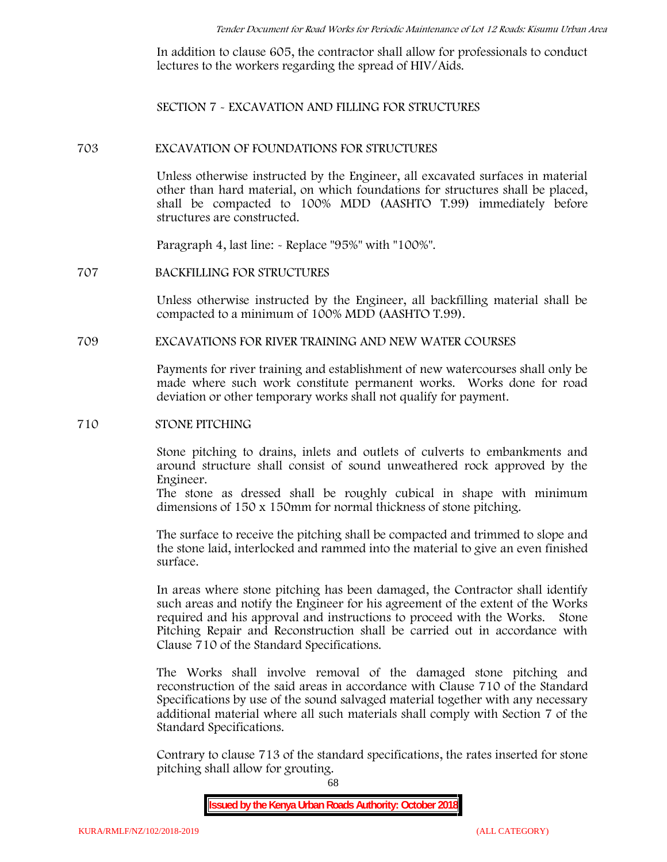In addition to clause 605, the contractor shall allow for professionals to conduct lectures to the workers regarding the spread of HIV/Aids.

**SECTION 7 - EXCAVATION AND FILLING FOR STRUCTURES**

### **703 EXCAVATION OF FOUNDATIONS FOR STRUCTURES**

Unless otherwise instructed by the Engineer, all excavated surfaces in material other than hard material, on which foundations for structures shall be placed, shall be compacted to 100% MDD (AASHTO T.99) immediately before structures are constructed.

Paragraph 4, last line: - Replace "95%" with "100%".

### **707 BACKFILLING FOR STRUCTURES**

Unless otherwise instructed by the Engineer, all backfilling material shall be compacted to a minimum of 100% MDD (AASHTO T.99).

# **709 EXCAVATIONS FOR RIVER TRAINING AND NEW WATER COURSES**

Payments for river training and establishment of new watercourses shall only be made where such work constitute permanent works. Works done for road deviation or other temporary works shall not qualify for payment.

### **710 STONE PITCHING**

Stone pitching to drains, inlets and outlets of culverts to embankments and around structure shall consist of sound unweathered rock approved by the Engineer.

The stone as dressed shall be roughly cubical in shape with minimum dimensions of 150 x 150mm for normal thickness of stone pitching.

The surface to receive the pitching shall be compacted and trimmed to slope and the stone laid, interlocked and rammed into the material to give an even finished surface.

In areas where stone pitching has been damaged, the Contractor shall identify such areas and notify the Engineer for his agreement of the extent of the Works required and his approval and instructions to proceed with the Works. Stone Pitching Repair and Reconstruction shall be carried out in accordance with Clause 710 of the Standard Specifications.

The Works shall involve removal of the damaged stone pitching and reconstruction of the said areas in accordance with Clause 710 of the Standard Specifications by use of the sound salvaged material together with any necessary additional material where all such materials shall comply with Section 7 of the Standard Specifications.

Contrary to clause 713 of the standard specifications, the rates inserted for stone pitching shall allow for grouting.

68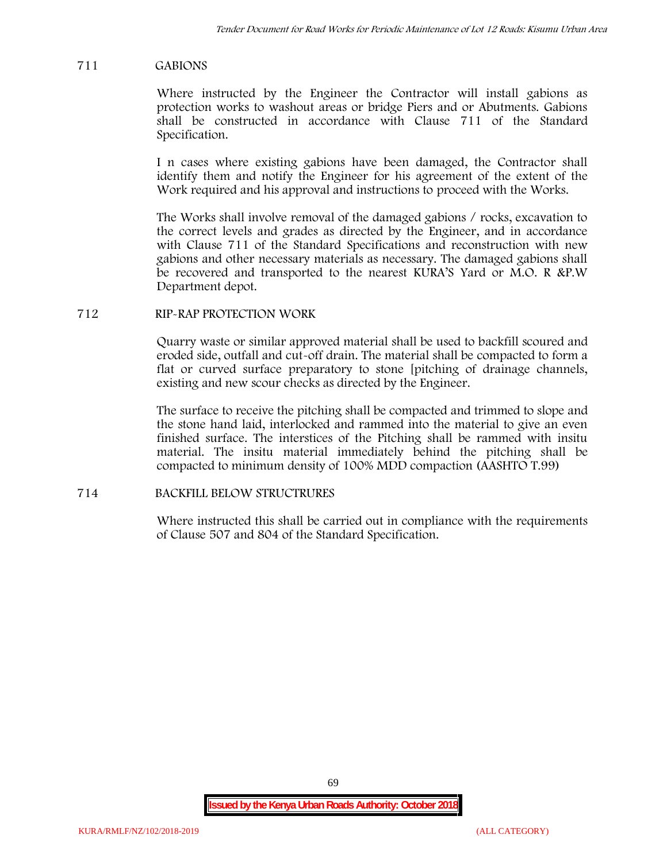# **711 GABIONS**

Where instructed by the Engineer the Contractor will install gabions as protection works to washout areas or bridge Piers and or Abutments. Gabions shall be constructed in accordance with Clause 711 of the Standard Specification.

I n cases where existing gabions have been damaged, the Contractor shall identify them and notify the Engineer for his agreement of the extent of the Work required and his approval and instructions to proceed with the Works.

The Works shall involve removal of the damaged gabions / rocks, excavation to the correct levels and grades as directed by the Engineer, and in accordance with Clause 711 of the Standard Specifications and reconstruction with new gabions and other necessary materials as necessary. The damaged gabions shall be recovered and transported to the nearest KURA'S Yard or M.O. R &P.W Department depot.

# **712 RIP-RAP PROTECTION WORK**

Quarry waste or similar approved material shall be used to backfill scoured and eroded side, outfall and cut-off drain. The material shall be compacted to form a flat or curved surface preparatory to stone [pitching of drainage channels, existing and new scour checks as directed by the Engineer.

The surface to receive the pitching shall be compacted and trimmed to slope and the stone hand laid, interlocked and rammed into the material to give an even finished surface. The interstices of the Pitching shall be rammed with insitu material. The insitu material immediately behind the pitching shall be compacted to minimum density of 100% MDD compaction (AASHTO T.99)

# **714 BACKFILL BELOW STRUCTRURES**

Where instructed this shall be carried out in compliance with the requirements of Clause 507 and 804 of the Standard Specification.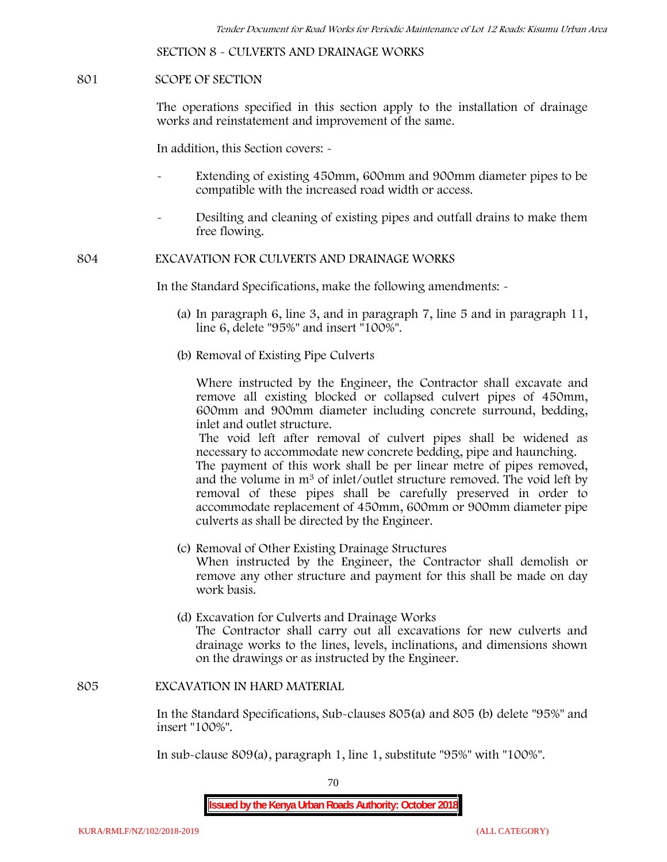**SECTION 8 - CULVERTS AND DRAINAGE WORKS**

### **801 SCOPE OF SECTION**

The operations specified in this section apply to the installation of drainage works and reinstatement and improvement of the same.

In addition, this Section covers: -

- Extending of existing 450mm, 600mm and 900mm diameter pipes to be compatible with the increased road width or access.
- Desilting and cleaning of existing pipes and outfall drains to make them free flowing.

**804 EXCAVATION FOR CULVERTS AND DRAINAGE WORKS**

In the Standard Specifications, make the following amendments: -

- (a) In paragraph 6, line 3, and in paragraph 7, line 5 and in paragraph 11, line 6, delete "95%" and insert "100%".
- (b) Removal of Existing Pipe Culverts

Where instructed by the Engineer, the Contractor shall excavate and remove all existing blocked or collapsed culvert pipes of 450mm, 600mm and 900mm diameter including concrete surround, bedding, inlet and outlet structure.

The void left after removal of culvert pipes shall be widened as necessary to accommodate new concrete bedding, pipe and haunching. The payment of this work shall be per linear metre of pipes removed,

and the volume in m<sup>3</sup> of inlet/outlet structure removed. The void left by removal of these pipes shall be carefully preserved in order to accommodate replacement of 450mm, 600mm or 900mm diameter pipe culverts as shall be directed by the Engineer.

- (c) Removal of Other Existing Drainage Structures When instructed by the Engineer, the Contractor shall demolish or remove any other structure and payment for this shall be made on day work basis.
- (d) Excavation for Culverts and Drainage Works The Contractor shall carry out all excavations for new culverts and drainage works to the lines, levels, inclinations, and dimensions shown on the drawings or as instructed by the Engineer.

#### **805 EXCAVATION IN HARD MATERIAL**

In the Standard Specifications, Sub-clauses 805(a) and 805 (b) delete "95%" and insert "100%".

In sub-clause 809(a), paragraph 1, line 1, substitute "95%" with "100%".

70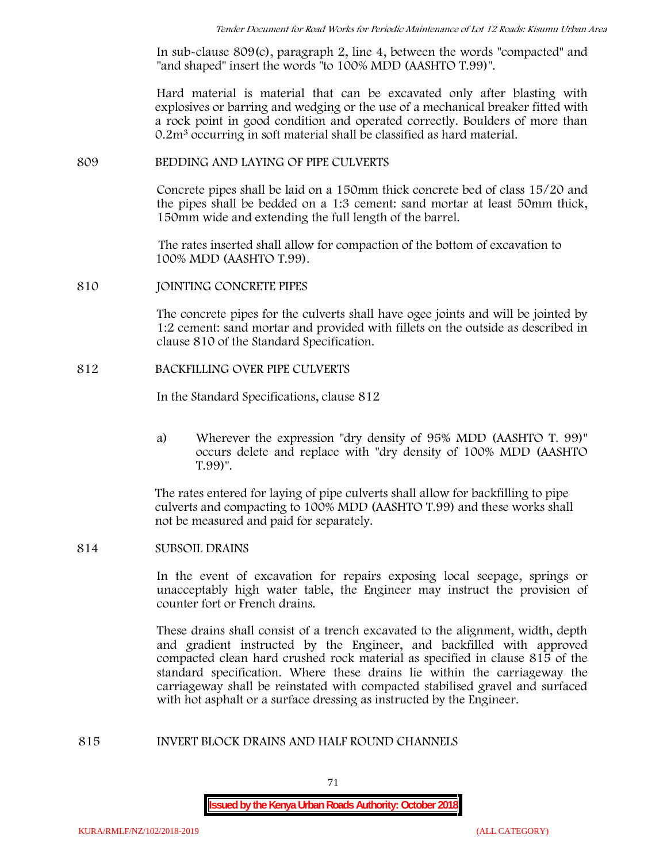In sub-clause 809(c), paragraph 2, line 4, between the words "compacted" and "and shaped" insert the words "to 100% MDD (AASHTO T.99)".

Hard material is material that can be excavated only after blasting with explosives or barring and wedging or the use of a mechanical breaker fitted with a rock point in good condition and operated correctly. Boulders of more than 0.2m<sup>3</sup> occurring in soft material shall be classified as hard material.

### **809 BEDDING AND LAYING OF PIPE CULVERTS**

Concrete pipes shall be laid on a 150mm thick concrete bed of class 15/20 and the pipes shall be bedded on a 1:3 cement: sand mortar at least 50mm thick, 150mm wide and extending the full length of the barrel.

The rates inserted shall allow for compaction of the bottom of excavation to 100% MDD (AASHTO T.99).

### **810 JOINTING CONCRETE PIPES**

The concrete pipes for the culverts shall have ogee joints and will be jointed by 1:2 cement: sand mortar and provided with fillets on the outside as described in clause 810 of the Standard Specification.

### **812 BACKFILLING OVER PIPE CULVERTS**

In the Standard Specifications, clause 812

a) Wherever the expression "dry density of 95% MDD (AASHTO T. 99)" occurs delete and replace with "dry density of 100% MDD (AASHTO T.99)".

The rates entered for laying of pipe culverts shall allow for backfilling to pipe culverts and compacting to 100% MDD (AASHTO T.99) and these works shall not be measured and paid for separately.

# **814 SUBSOIL DRAINS**

In the event of excavation for repairs exposing local seepage, springs or unacceptably high water table, the Engineer may instruct the provision of counter fort or French drains.

These drains shall consist of a trench excavated to the alignment, width, depth and gradient instructed by the Engineer, and backfilled with approved compacted clean hard crushed rock material as specified in clause 815 of the standard specification. Where these drains lie within the carriageway the carriageway shall be reinstated with compacted stabilised gravel and surfaced with hot asphalt or a surface dressing as instructed by the Engineer.

### **815 INVERT BLOCK DRAINS AND HALF ROUND CHANNELS**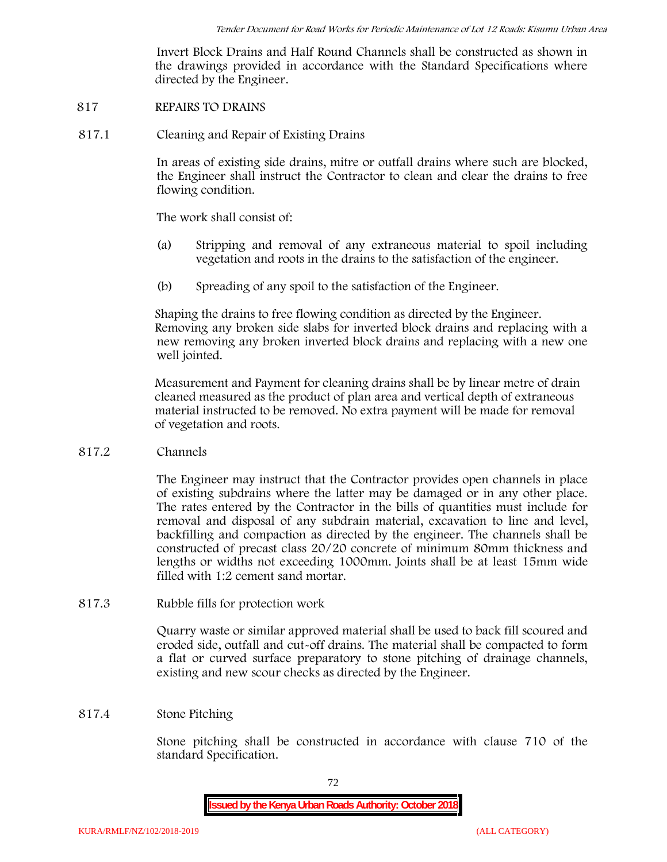Invert Block Drains and Half Round Channels shall be constructed as shown in the drawings provided in accordance with the Standard Specifications where directed by the Engineer.

- **817 REPAIRS TO DRAINS**
- **817.1 Cleaning and Repair of Existing Drains**

In areas of existing side drains, mitre or outfall drains where such are blocked, the Engineer shall instruct the Contractor to clean and clear the drains to free flowing condition.

The work shall consist of:

- (a) Stripping and removal of any extraneous material to spoil including vegetation and roots in the drains to the satisfaction of the engineer.
- (b) Spreading of any spoil to the satisfaction of the Engineer.

Shaping the drains to free flowing condition as directed by the Engineer. Removing any broken side slabs for inverted block drains and replacing with a new removing any broken inverted block drains and replacing with a new one well jointed.

Measurement and Payment for cleaning drains shall be by linear metre of drain cleaned measured as the product of plan area and vertical depth of extraneous material instructed to be removed. No extra payment will be made for removal of vegetation and roots.

**817.2 Channels**

The Engineer may instruct that the Contractor provides open channels in place of existing subdrains where the latter may be damaged or in any other place. The rates entered by the Contractor in the bills of quantities must include for removal and disposal of any subdrain material, excavation to line and level, backfilling and compaction as directed by the engineer. The channels shall be constructed of precast class 20/20 concrete of minimum 80mm thickness and lengths or widths not exceeding 1000mm. Joints shall be at least 15mm wide filled with 1:2 cement sand mortar.

**817.3 Rubble fills for protection work**

Quarry waste or similar approved material shall be used to back fill scoured and eroded side, outfall and cut-off drains. The material shall be compacted to form a flat or curved surface preparatory to stone pitching of drainage channels, existing and new scour checks as directed by the Engineer.

## **817.4 Stone Pitching**

Stone pitching shall be constructed in accordance with clause 710 of the standard Specification.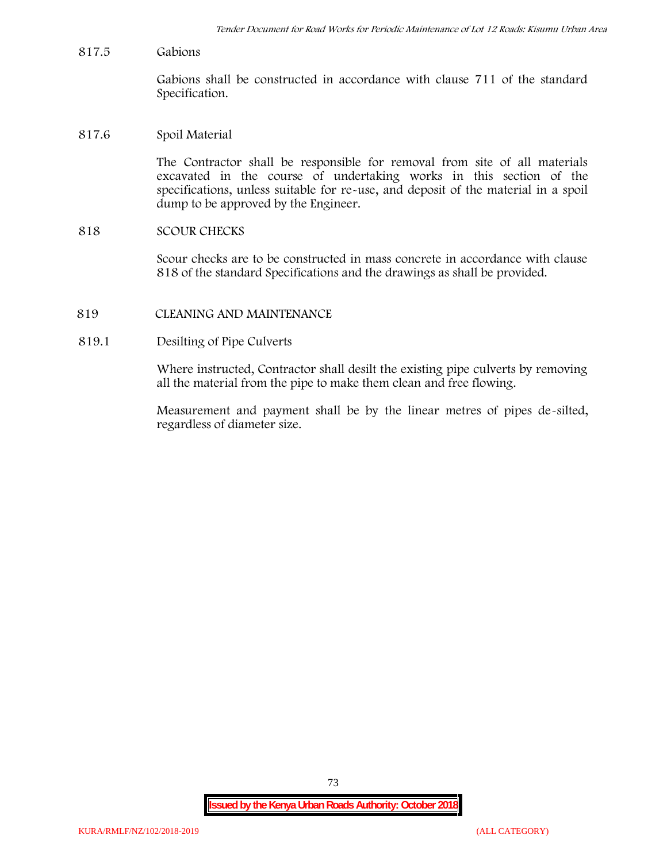**817.5 Gabions**

Gabions shall be constructed in accordance with clause 711 of the standard Specification.

#### **817.6 Spoil Material**

The Contractor shall be responsible for removal from site of all materials excavated in the course of undertaking works in this section of the specifications, unless suitable for re-use, and deposit of the material in a spoil dump to be approved by the Engineer.

### **818 SCOUR CHECKS**

Scour checks are to be constructed in mass concrete in accordance with clause 818 of the standard Specifications and the drawings as shall be provided.

**819 CLEANING AND MAINTENANCE**

## **819.1 Desilting of Pipe Culverts**

Where instructed, Contractor shall desilt the existing pipe culverts by removing all the material from the pipe to make them clean and free flowing.

Measurement and payment shall be by the linear metres of pipes de-silted, regardless of diameter size.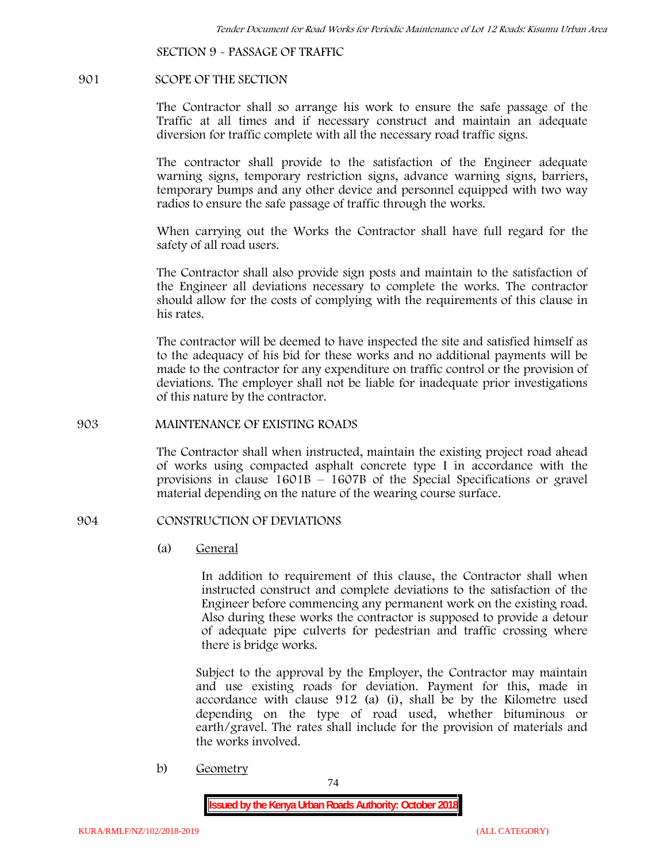**SECTION 9 - PASSAGE OF TRAFFIC**

#### **901 SCOPE OF THE SECTION**

The Contractor shall so arrange his work to ensure the safe passage of the Traffic at all times and if necessary construct and maintain an adequate diversion for traffic complete with all the necessary road traffic signs.

The contractor shall provide to the satisfaction of the Engineer adequate warning signs, temporary restriction signs, advance warning signs, barriers, temporary bumps and any other device and personnel equipped with two way radios to ensure the safe passage of traffic through the works.

When carrying out the Works the Contractor shall have full regard for the safety of all road users.

The Contractor shall also provide sign posts and maintain to the satisfaction of the Engineer all deviations necessary to complete the works. The contractor should allow for the costs of complying with the requirements of this clause in his rates.

The contractor will be deemed to have inspected the site and satisfied himself as to the adequacy of his bid for these works and no additional payments will be made to the contractor for any expenditure on traffic control or the provision of deviations. The employer shall not be liable for inadequate prior investigations of this nature by the contractor.

### **903 MAINTENANCE OF EXISTING ROADS**

The Contractor shall when instructed, maintain the existing project road ahead of works using compacted asphalt concrete type I in accordance with the provisions in clause 1601B – 1607B of the Special Specifications or gravel material depending on the nature of the wearing course surface.

### **904 CONSTRUCTION OF DEVIATIONS**

(a) **General**

In addition to requirement of this clause, the Contractor shall when instructed construct and complete deviations to the satisfaction of the Engineer before commencing any permanent work on the existing road. Also during these works the contractor is supposed to provide a detour of adequate pipe culverts for pedestrian and traffic crossing where there is bridge works.

Subject to the approval by the Employer, the Contractor may maintain and use existing roads for deviation. Payment for this, made in accordance with clause 912 (a) (i), shall be by the Kilometre used depending on the type of road used, whether bituminous or earth/gravel. The rates shall include for the provision of materials and the works involved.

b) **Geometry**

74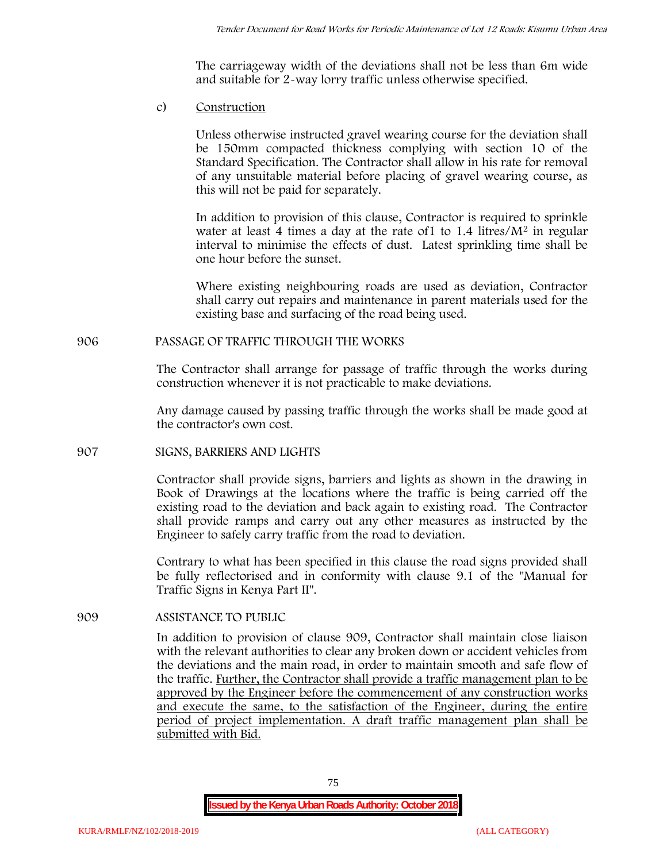The carriageway width of the deviations shall not be less than 6m wide and suitable for 2-way lorry traffic unless otherwise specified.

c) **Construction**

Unless otherwise instructed gravel wearing course for the deviation shall be 150mm compacted thickness complying with section 10 of the Standard Specification. The Contractor shall allow in his rate for removal of any unsuitable material before placing of gravel wearing course, as this will not be paid for separately.

In addition to provision of this clause, Contractor is required to sprinkle water at least 4 times a day at the rate of  $1$  to  $1.4$  litres/ $M<sup>2</sup>$  in regular interval to minimise the effects of dust. Latest sprinkling time shall be one hour before the sunset.

Where existing neighbouring roads are used as deviation, Contractor shall carry out repairs and maintenance in parent materials used for the existing base and surfacing of the road being used.

# **906 PASSAGE OF TRAFFIC THROUGH THE WORKS**

The Contractor shall arrange for passage of traffic through the works during construction whenever it is not practicable to make deviations.

Any damage caused by passing traffic through the works shall be made good at the contractor's own cost.

## **907 SIGNS, BARRIERS AND LIGHTS**

Contractor shall provide signs, barriers and lights as shown in the drawing in Book of Drawings at the locations where the traffic is being carried off the existing road to the deviation and back again to existing road. The Contractor shall provide ramps and carry out any other measures as instructed by the Engineer to safely carry traffic from the road to deviation.

Contrary to what has been specified in this clause the road signs provided shall be fully reflectorised and in conformity with clause 9.1 of the "Manual for Traffic Signs in Kenya Part II".

# **909 ASSISTANCE TO PUBLIC**

In addition to provision of clause 909, Contractor shall maintain close liaison with the relevant authorities to clear any broken down or accident vehicles from the deviations and the main road, in order to maintain smooth and safe flow of the traffic. Further, the Contractor shall provide a traffic management plan to be approved by the Engineer before the commencement of any construction works and execute the same, to the satisfaction of the Engineer, during the entire period of project implementation. A draft traffic management plan shall be submitted with Bid.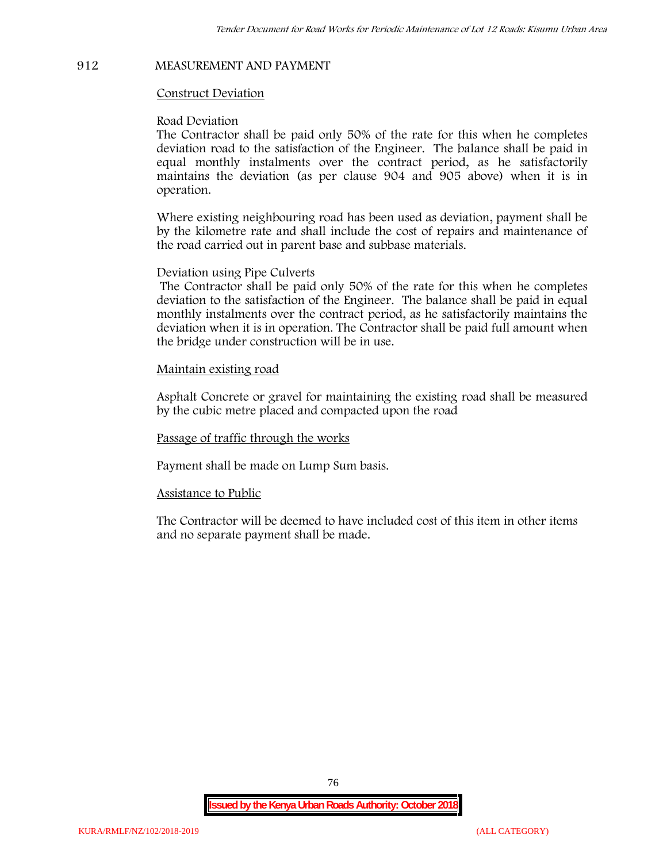# **912 MEASUREMENT AND PAYMENT**

### **Construct Deviation**

#### **Road Deviation**

The Contractor shall be paid only 50% of the rate for this when he completes deviation road to the satisfaction of the Engineer. The balance shall be paid in equal monthly instalments over the contract period, as he satisfactorily maintains the deviation (as per clause 904 and 905 above) when it is in operation.

Where existing neighbouring road has been used as deviation, payment shall be by the kilometre rate and shall include the cost of repairs and maintenance of the road carried out in parent base and subbase materials.

### **Deviation using Pipe Culverts**

The Contractor shall be paid only 50% of the rate for this when he completes deviation to the satisfaction of the Engineer. The balance shall be paid in equal monthly instalments over the contract period, as he satisfactorily maintains the deviation when it is in operation. The Contractor shall be paid full amount when the bridge under construction will be in use.

### **Maintain existing road**

Asphalt Concrete or gravel for maintaining the existing road shall be measured by the cubic metre placed and compacted upon the road

#### **Passage of traffic through the works**

Payment shall be made on Lump Sum basis.

#### **Assistance to Public**

The Contractor will be deemed to have included cost of this item in other items and no separate payment shall be made.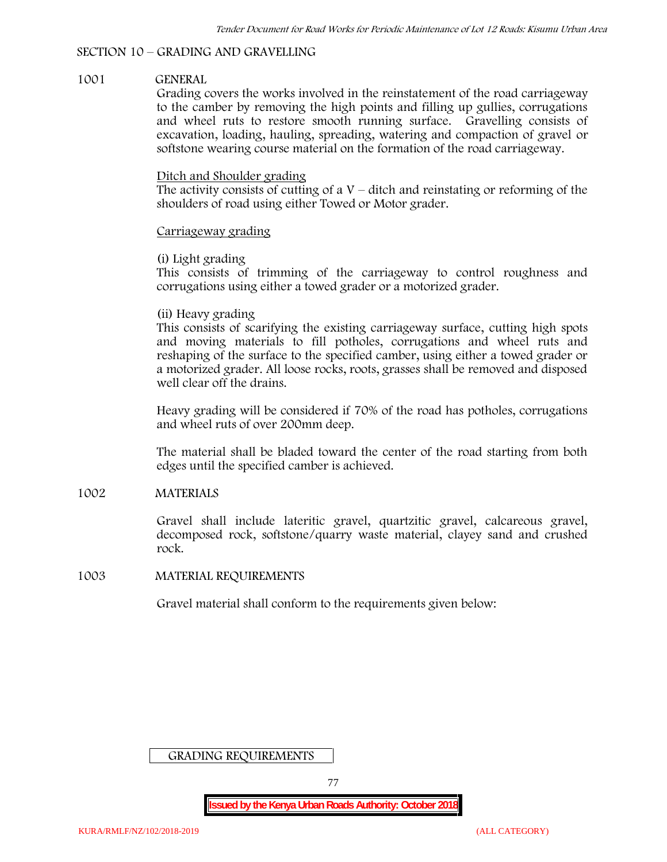### **SECTION 10 – GRADING AND GRAVELLING**

### **1001 GENERAL**

Grading covers the works involved in the reinstatement of the road carriageway to the camber by removing the high points and filling up gullies, corrugations and wheel ruts to restore smooth running surface. Gravelling consists of excavation, loading, hauling, spreading, watering and compaction of gravel or softstone wearing course material on the formation of the road carriageway.

### Ditch and Shoulder grading

The activity consists of cutting of a  $V$  – ditch and reinstating or reforming of the shoulders of road using either Towed or Motor grader.

### Carriageway grading

### **(i) Light grading**

This consists of trimming of the carriageway to control roughness and corrugations using either a towed grader or a motorized grader.

### **(ii) Heavy grading**

This consists of scarifying the existing carriageway surface, cutting high spots and moving materials to fill potholes, corrugations and wheel ruts and reshaping of the surface to the specified camber, using either a towed grader or a motorized grader. All loose rocks, roots, grasses shall be removed and disposed well clear off the drains.

Heavy grading will be considered if 70% of the road has potholes, corrugations and wheel ruts of over 200mm deep.

The material shall be bladed toward the center of the road starting from both edges until the specified camber is achieved.

## **1002 MATERIALS**

Gravel shall include lateritic gravel, quartzitic gravel, calcareous gravel, decomposed rock, softstone/quarry waste material, clayey sand and crushed rock.

#### **1003 MATERIAL REQUIREMENTS**

Gravel material shall conform to the requirements given below:

GRADING REQUIREMENTS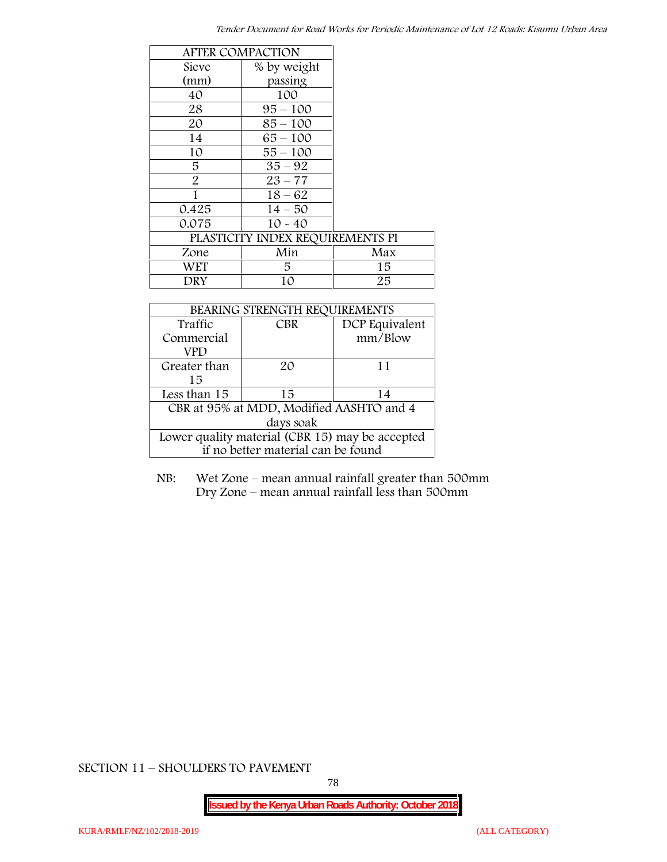| <b>AFTER COMPACTION</b> |                                  |     |
|-------------------------|----------------------------------|-----|
| Sieve                   | % by weight                      |     |
| (mm)                    | passing                          |     |
| 40                      | 100                              |     |
| 28                      | $95 - 100$                       |     |
| 20                      | $85 - 100$                       |     |
| 14                      | $65 - 100$                       |     |
| 10                      | $55 - 100$                       |     |
| 5                       | $35 - 92$                        |     |
| 2                       | $23 - 77$                        |     |
| 1                       | $18 - 62$                        |     |
| 0.425                   | $14 - 50$                        |     |
| 0.075                   | $10 - 40$                        |     |
|                         | PLASTICITY INDEX REQUIREMENTS PI |     |
| Zone                    | Min                              | Max |
| <b>WET</b>              | 5                                | 15  |
| DRY                     | 10                               | 25  |

| BEARING STRENGTH REQUIREMENTS                   |            |                |  |  |
|-------------------------------------------------|------------|----------------|--|--|
| Traffic                                         | <b>CBR</b> | DCP Equivalent |  |  |
| Commercial                                      |            | mm/Blow        |  |  |
| VPD                                             |            |                |  |  |
| Greater than                                    | $2\Omega$  | 11             |  |  |
| 15                                              |            |                |  |  |
| Less than 15                                    | 15         | 14             |  |  |
| CBR at 95% at MDD, Modified AASHTO and 4        |            |                |  |  |
| days soak                                       |            |                |  |  |
| Lower quality material (CBR 15) may be accepted |            |                |  |  |
| if no better material can be found              |            |                |  |  |

NB: Wet Zone – mean annual rainfall greater than 500mm Dry Zone – mean annual rainfall less than 500mm

**SECTION 11 – SHOULDERS TO PAVEMENT**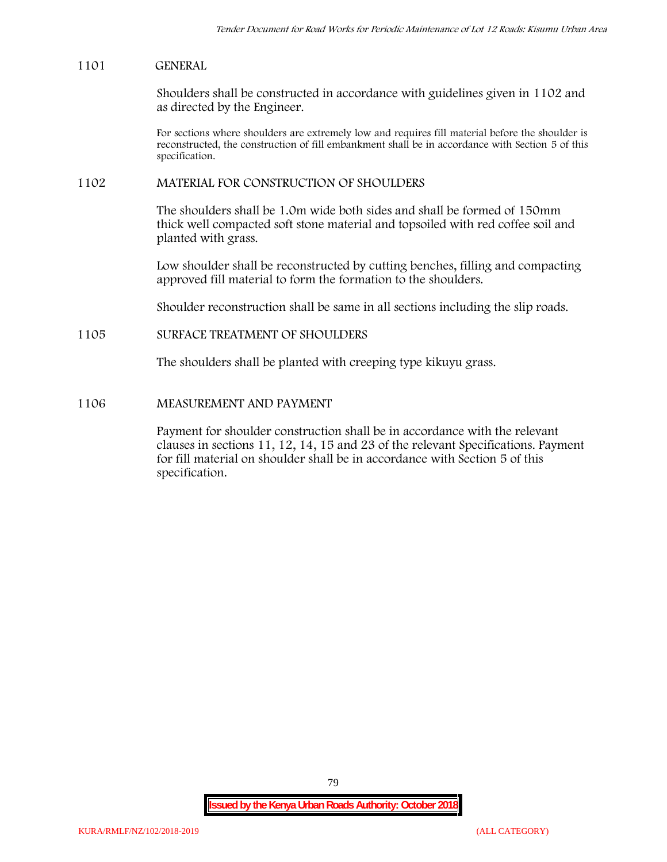## **1101 GENERAL**

Shoulders shall be constructed in accordance with guidelines given in 1102 and as directed by the Engineer.

For sections where shoulders are extremely low and requires fill material before the shoulder is reconstructed, the construction of fill embankment shall be in accordance with Section 5 of this specification.

## **1102 MATERIAL FOR CONSTRUCTION OF SHOULDERS**

The shoulders shall be 1.0m wide both sides and shall be formed of 150mm thick well compacted soft stone material and topsoiled with red coffee soil and planted with grass.

Low shoulder shall be reconstructed by cutting benches, filling and compacting approved fill material to form the formation to the shoulders.

Shoulder reconstruction shall be same in all sections including the slip roads.

## **1105 SURFACE TREATMENT OF SHOULDERS**

The shoulders shall be planted with creeping type kikuyu grass.

### **1106 MEASUREMENT AND PAYMENT**

Payment for shoulder construction shall be in accordance with the relevant clauses in sections 11, 12, 14, 15 and 23 of the relevant Specifications. Payment for fill material on shoulder shall be in accordance with Section 5 of this specification.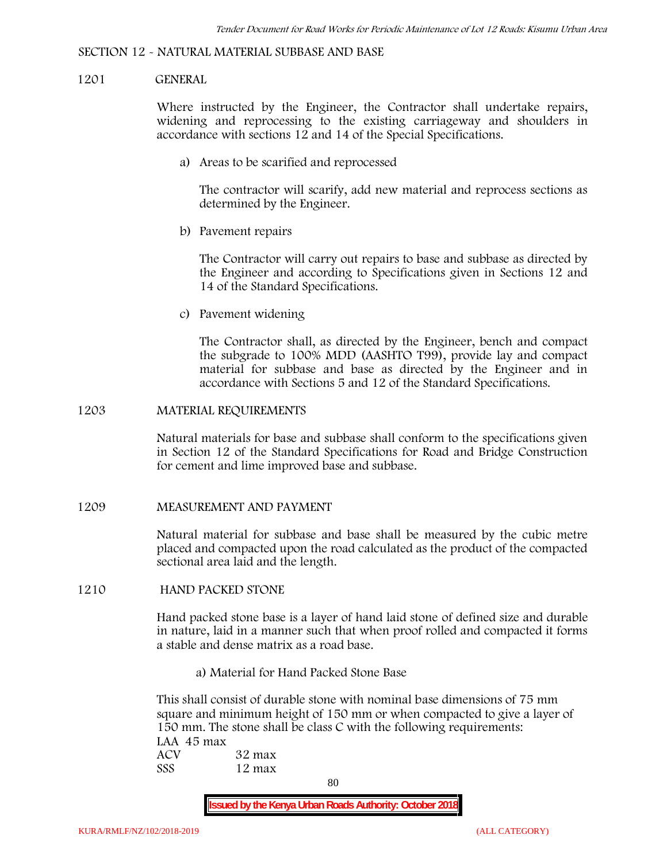#### **SECTION 12 - NATURAL MATERIAL SUBBASE AND BASE**

#### **1201 GENERAL**

Where instructed by the Engineer, the Contractor shall undertake repairs, widening and reprocessing to the existing carriageway and shoulders in accordance with sections 12 and 14 of the Special Specifications.

**a) Areas to be scarified and reprocessed**

The contractor will scarify, add new material and reprocess sections as determined by the Engineer.

**b) Pavement repairs**

The Contractor will carry out repairs to base and subbase as directed by the Engineer and according to Specifications given in Sections 12 and 14 of the Standard Specifications.

**c) Pavement widening**

The Contractor shall, as directed by the Engineer, bench and compact the subgrade to 100% MDD (AASHTO T99), provide lay and compact material for subbase and base as directed by the Engineer and in accordance with Sections 5 and 12 of the Standard Specifications.

#### **1203 MATERIAL REQUIREMENTS**

Natural materials for base and subbase shall conform to the specifications given in Section 12 of the Standard Specifications for Road and Bridge Construction for cement and lime improved base and subbase.

**1209 MEASUREMENT AND PAYMENT**

Natural material for subbase and base shall be measured by the cubic metre placed and compacted upon the road calculated as the product of the compacted sectional area laid and the length.

**1210 HAND PACKED STONE**

Hand packed stone base is a layer of hand laid stone of defined size and durable in nature, laid in a manner such that when proof rolled and compacted it forms a stable and dense matrix as a road base.

**a) Material for Hand Packed Stone Base**

This shall consist of durable stone with nominal base dimensions of 75 mm square and minimum height of 150 mm or when compacted to give a layer of 150 mm. The stone shall be class C with the following requirements: **LAA 45 max ACV 32 max SSS 12 max**

80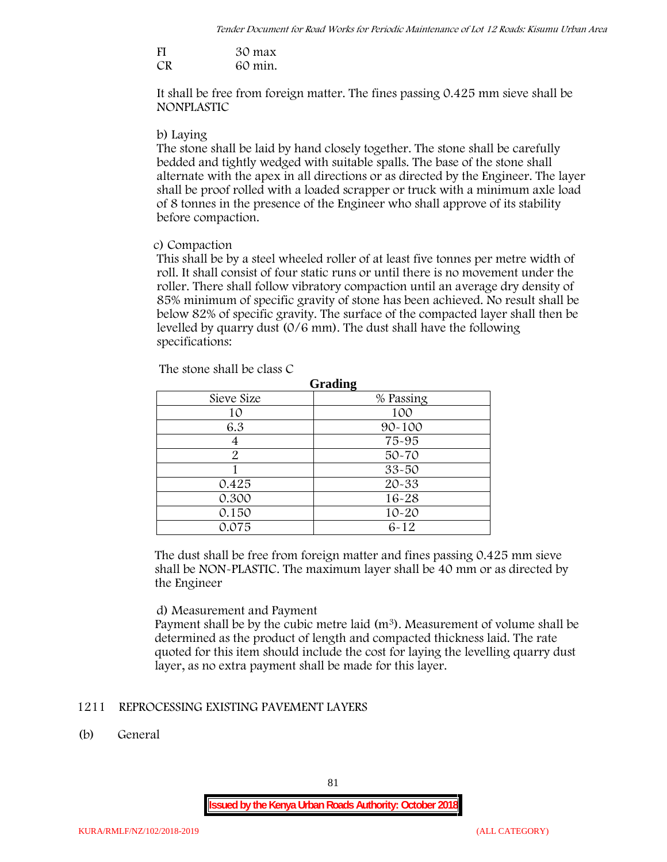| FI | 30 max  |
|----|---------|
| CR | 60 min. |

It shall be free from foreign matter. The fines passing 0.425 mm sieve shall be **NONPLASTIC**

## **b) Laying**

The stone shall be laid by hand closely together. The stone shall be carefully bedded and tightly wedged with suitable spalls. The base of the stone shall alternate with the apex in all directions or as directed by the Engineer. The layer shall be proof rolled with a loaded scrapper or truck with a minimum axle load of 8 tonnes in the presence of the Engineer who shall approve of its stability before compaction.

## **c) Compaction**

This shall be by a steel wheeled roller of at least five tonnes per metre width of roll. It shall consist of four static runs or until there is no movement under the roller. There shall follow vibratory compaction until an average dry density of 85% minimum of specific gravity of stone has been achieved. No result shall be below 82% of specific gravity. The surface of the compacted layer shall then be levelled by quarry dust (0/6 mm). The dust shall have the following specifications:

| Grading    |            |  |  |  |
|------------|------------|--|--|--|
| Sieve Size | % Passing  |  |  |  |
| 10         | 100        |  |  |  |
| 6.3        | $90 - 100$ |  |  |  |
|            | 75-95      |  |  |  |
| 2          | $50 - 70$  |  |  |  |
|            | $33 - 50$  |  |  |  |
| 0.425      | 20-33      |  |  |  |
| 0.300      | 16-28      |  |  |  |
| 0.150      | $10 - 20$  |  |  |  |
| 0.075      | $6 - 12$   |  |  |  |

The stone shall be class C

The dust shall be free from foreign matter and fines passing 0.425 mm sieve shall be **NON-PLASTIC**. The maximum layer shall be 40 mm or as directed by the Engineer

## **d) Measurement and Payment**

Payment shall be by the cubic metre laid  $(m<sup>3</sup>)$ . Measurement of volume shall be determined as the product of length and compacted thickness laid. The rate quoted for this item should include the cost for laying the levelling quarry dust layer, as no extra payment shall be made for this layer.

# **1211 REPROCESSING EXISTING PAVEMENT LAYERS**

**(b) General**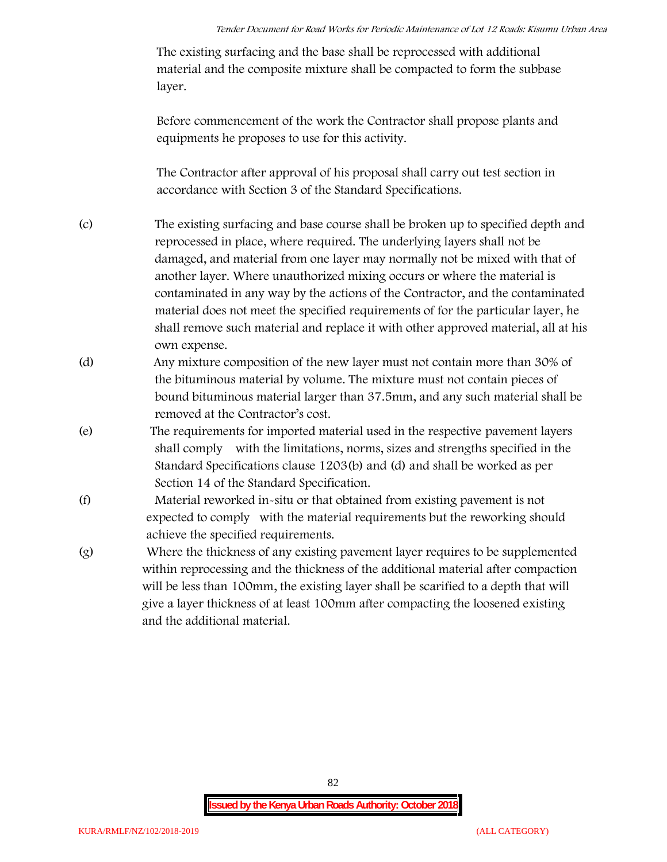The existing surfacing and the base shall be reprocessed with additional material and the composite mixture shall be compacted to form the subbase layer.

Before commencement of the work the Contractor shall propose plants and equipments he proposes to use for this activity.

The Contractor after approval of his proposal shall carry out test section in accordance with Section 3 of the Standard Specifications.

- (c) The existing surfacing and base course shall be broken up to specified depth and reprocessed in place, where required. The underlying layers shall not be damaged, and material from one layer may normally not be mixed with that of another layer. Where unauthorized mixing occurs or where the material is contaminated in any way by the actions of the Contractor, and the contaminated material does not meet the specified requirements of for the particular layer, he shall remove such material and replace it with other approved material, all at his own expense.
- (d) Any mixture composition of the new layer must not contain more than 30% of the bituminous material by volume. The mixture must not contain pieces of bound bituminous material larger than 37.5mm, and any such material shall be removed at the Contractor's cost.
- (e) The requirements for imported material used in the respective pavement layers shall comply with the limitations, norms, sizes and strengths specified in the Standard Specifications clause 1203(b) and (d) and shall be worked as per Section 14 of the Standard Specification.
- (f) Material reworked in-situ or that obtained from existing pavement is not expected to comply with the material requirements but the reworking should achieve the specified requirements.
- (g) Where the thickness of any existing pavement layer requires to be supplemented within reprocessing and the thickness of the additional material after compaction will be less than 100mm, the existing layer shall be scarified to a depth that will give a layer thickness of at least 100mm after compacting the loosened existing and the additional material.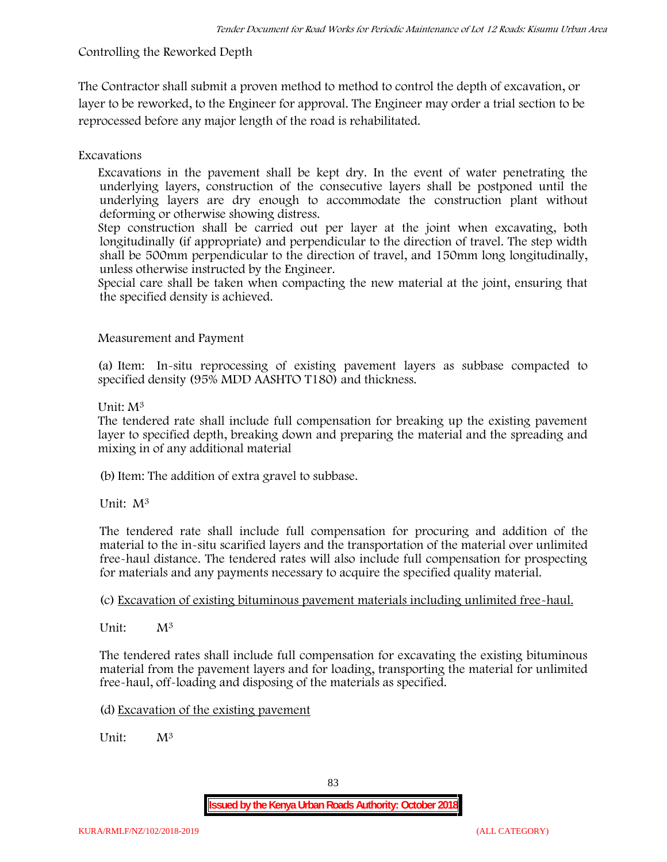# **Controlling the Reworked Depth**

The Contractor shall submit a proven method to method to control the depth of excavation, or layer to be reworked, to the Engineer for approval. The Engineer may order a trial section to be reprocessed before any major length of the road is rehabilitated.

# **Excavations**

Excavations in the pavement shall be kept dry. In the event of water penetrating the underlying layers, construction of the consecutive layers shall be postponed until the underlying layers are dry enough to accommodate the construction plant without deforming or otherwise showing distress.

Step construction shall be carried out per layer at the joint when excavating, both longitudinally (if appropriate) and perpendicular to the direction of travel. The step width shall be 500mm perpendicular to the direction of travel, and 150mm long longitudinally, unless otherwise instructed by the Engineer.

Special care shall be taken when compacting the new material at the joint, ensuring that the specified density is achieved.

# **Measurement and Payment**

(a) Item: In-situ reprocessing of existing pavement layers as subbase compacted to specified density (95% MDD AASHTO T180) and thickness.

## Unit: M<sup>3</sup>

The tendered rate shall include full compensation for breaking up the existing pavement layer to specified depth, breaking down and preparing the material and the spreading and mixing in of any additional material

(b)Item: The addition of extra gravel to subbase.

Unit: M<sup>3</sup>

The tendered rate shall include full compensation for procuring and addition of the material to the in-situ scarified layers and the transportation of the material over unlimited free-haul distance. The tendered rates will also include full compensation for prospecting for materials and any payments necessary to acquire the specified quality material.

(c) Excavation of existing bituminous pavement materials including unlimited free-haul.

Unit: M<sup>3</sup>

The tendered rates shall include full compensation for excavating the existing bituminous material from the pavement layers and for loading, transporting the material for unlimited free-haul, off-loading and disposing of the materials as specified.

(d) Excavation of the existing pavement

Unit:  $M^3$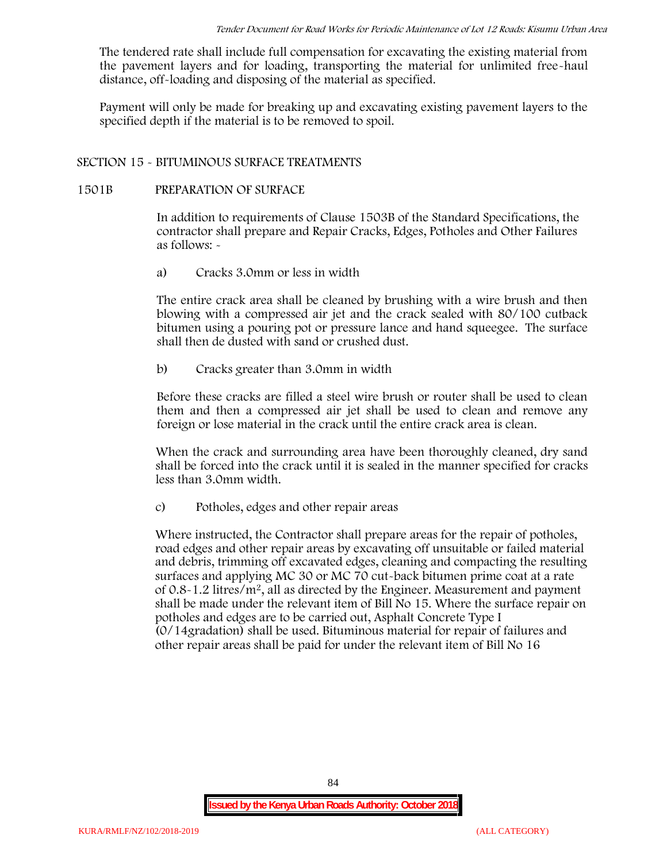The tendered rate shall include full compensation for excavating the existing material from the pavement layers and for loading, transporting the material for unlimited free-haul distance, off-loading and disposing of the material as specified.

Payment will only be made for breaking up and excavating existing pavement layers to the specified depth if the material is to be removed to spoil.

## **SECTION 15 - BITUMINOUS SURFACE TREATMENTS**

## **1501B PREPARATION OF SURFACE**

In addition to requirements of Clause 1503B of the Standard Specifications, the contractor shall prepare and Repair Cracks, Edges, Potholes and Other Failures as follows: **-**

a) **Cracks 3.0mm or less in width**

The entire crack area shall be cleaned by brushing with a wire brush and then blowing with a compressed air jet and the crack sealed with 80/100 cutback bitumen using a pouring pot or pressure lance and hand squeegee. The surface shall then de dusted with sand or crushed dust.

b) **Cracks greater than 3.0mm in width**

Before these cracks are filled a steel wire brush or router shall be used to clean them and then a compressed air jet shall be used to clean and remove any foreign or lose material in the crack until the entire crack area is clean.

When the crack and surrounding area have been thoroughly cleaned, dry sand shall be forced into the crack until it is sealed in the manner specified for cracks less than 3.0mm width.

c) **Potholes, edges and other repair areas**

Where instructed, the Contractor shall prepare areas for the repair of potholes, road edges and other repair areas by excavating off unsuitable or failed material and debris, trimming off excavated edges, cleaning and compacting the resulting surfaces and applying MC 30 or MC 70 cut-back bitumen prime coat at a rate of  $0.8-1.2$  litres/m<sup>2</sup>, all as directed by the Engineer. Measurement and payment shall be made under the relevant item of Bill No 15. Where the surface repair on potholes and edges are to be carried out, Asphalt Concrete Type I (0/14gradation) shall be used. Bituminous material for repair of failures and other repair areas shall be paid for under the relevant item of Bill No 16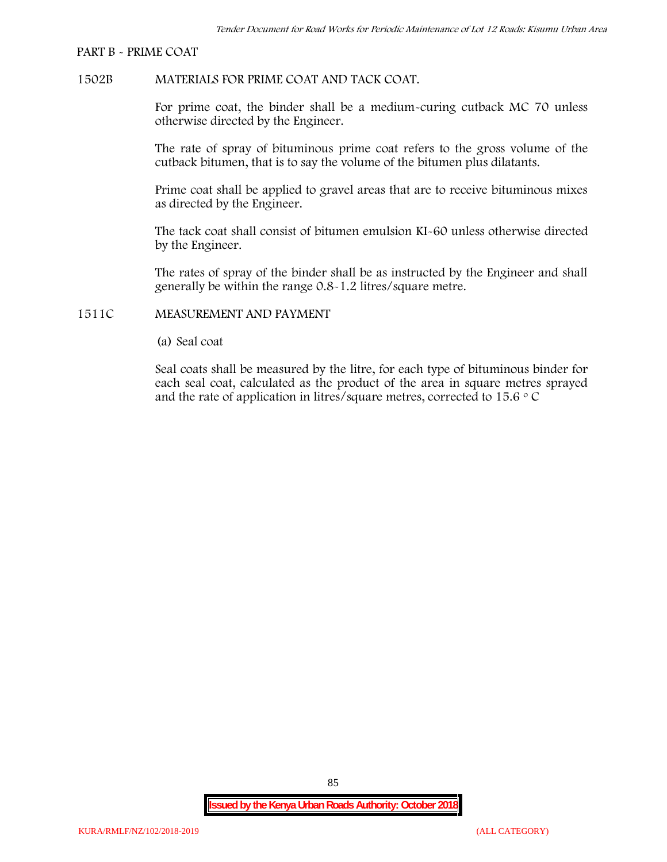#### **PART B - PRIME COAT**

### **1502B MATERIALS FOR PRIME COAT AND TACK COAT.**

For prime coat, the binder shall be a medium-curing cutback MC 70 unless otherwise directed by the Engineer.

The rate of spray of bituminous prime coat refers to the gross volume of the cutback bitumen, that is to say the volume of the bitumen plus dilatants.

Prime coat shall be applied to gravel areas that are to receive bituminous mixes as directed by the Engineer.

The tack coat shall consist of bitumen emulsion KI-60 unless otherwise directed by the Engineer.

The rates of spray of the binder shall be as instructed by the Engineer and shall generally be within the range 0.8-1.2 litres/square metre.

## **1511C MEASUREMENT AND PAYMENT**

(a) Seal coat

Seal coats shall be measured by the litre, for each type of bituminous binder for each seal coat, calculated as the product of the area in square metres sprayed and the rate of application in litres/square metres, corrected to 15.6  $\circ$  C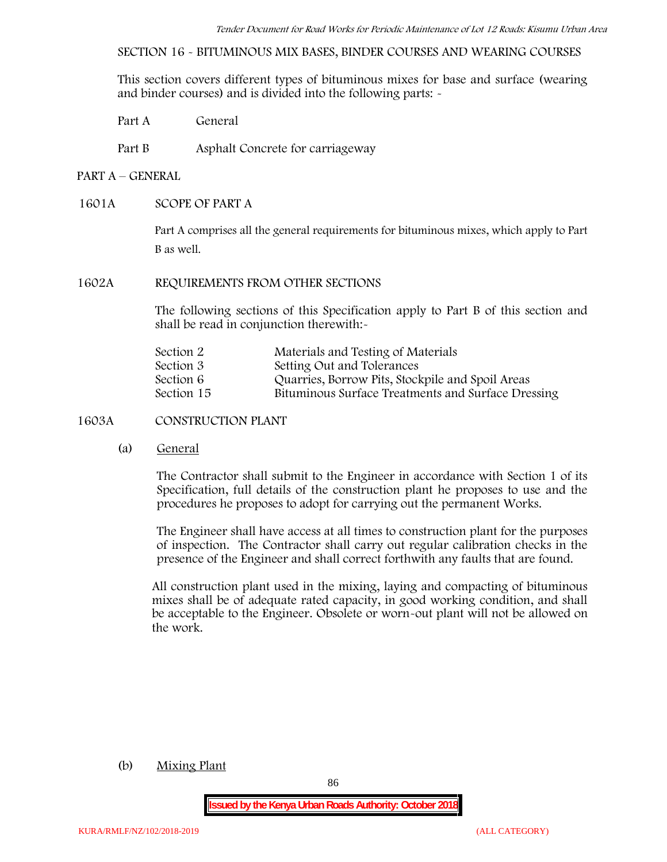**SECTION 16 - BITUMINOUS MIX BASES, BINDER COURSES AND WEARING COURSES**

This section covers different types of bituminous mixes for base and surface (wearing and binder courses) and is divided into the following parts: -

- Part A General
- Part B Asphalt Concrete for carriageway

## **PART A –GENERAL**

## **1601A SCOPE OF PART A**

Part A comprises all the general requirements for bituminous mixes, which apply to Part B as well.

### **1602A REQUIREMENTS FROM OTHER SECTIONS**

The following sections of this Specification apply to Part B of this section and shall be read in conjunction therewith:-

| Section 2  | Materials and Testing of Materials                 |
|------------|----------------------------------------------------|
| Section 3  | Setting Out and Tolerances                         |
| Section 6  | Quarries, Borrow Pits, Stockpile and Spoil Areas   |
| Section 15 | Bituminous Surface Treatments and Surface Dressing |

## **1603A CONSTRUCTION PLANT**

(a) **General**

The Contractor shall submit to the Engineer in accordance with Section 1 of its Specification, full details of the construction plant he proposes to use and the procedures he proposes to adopt for carrying out the permanent Works.

The Engineer shall have access at all times to construction plant for the purposes of inspection. The Contractor shall carry out regular calibration checks in the presence of the Engineer and shall correct forthwith any faults that are found.

All construction plant used in the mixing, laying and compacting of bituminous mixes shall be of adequate rated capacity, in good working condition, and shall be acceptable to the Engineer. Obsolete or worn-out plant will not be allowed on the work.

## (b) **Mixing Plant**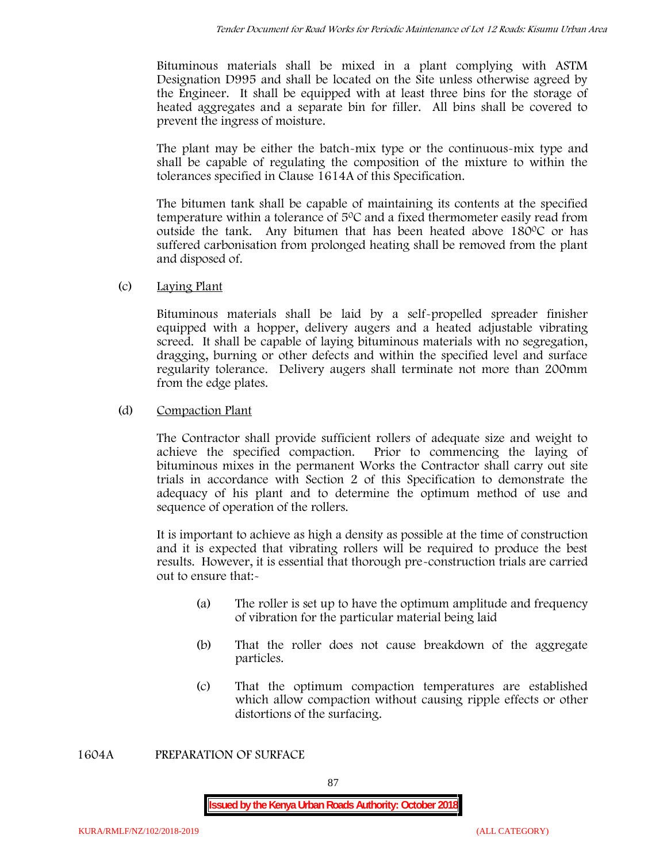Bituminous materials shall be mixed in a plant complying with ASTM Designation D995 and shall be located on the Site unless otherwise agreed by the Engineer. It shall be equipped with at least three bins for the storage of heated aggregates and a separate bin for filler. All bins shall be covered to prevent the ingress of moisture.

The plant may be either the batch-mix type or the continuous-mix type and shall be capable of regulating the composition of the mixture to within the tolerances specified in Clause 1614A of this Specification.

The bitumen tank shall be capable of maintaining its contents at the specified temperature within a tolerance of  $5^{\circ}$ C and a fixed thermometer easily read from outside the tank. Any bitumen that has been heated above  $180^{\circ}$ C or has suffered carbonisation from prolonged heating shall be removed from the plant and disposed of.

# (c) **Laying Plant**

Bituminous materials shall be laid by a self-propelled spreader finisher equipped with a hopper, delivery augers and a heated adjustable vibrating screed. It shall be capable of laying bituminous materials with no segregation, dragging, burning or other defects and within the specified level and surface regularity tolerance. Delivery augers shall terminate not more than 200mm from the edge plates.

# (d) **Compaction Plant**

The Contractor shall provide sufficient rollers of adequate size and weight to achieve the specified compaction. Prior to commencing the laying of bituminous mixes in the permanent Works the Contractor shall carry out site trials in accordance with Section 2 of this Specification to demonstrate the adequacy of his plant and to determine the optimum method of use and sequence of operation of the rollers.

It is important to achieve as high a density as possible at the time of construction and it is expected that vibrating rollers will be required to produce the best results. However, it is essential that thorough pre-construction trials are carried out to ensure that:-

- (a) The roller is set up to have the optimum amplitude and frequency of vibration for the particular material being laid
- (b) That the roller does not cause breakdown of the aggregate particles.
- (c) That the optimum compaction temperatures are established which allow compaction without causing ripple effects or other distortions of the surfacing.

**1604A PREPARATION OF SURFACE**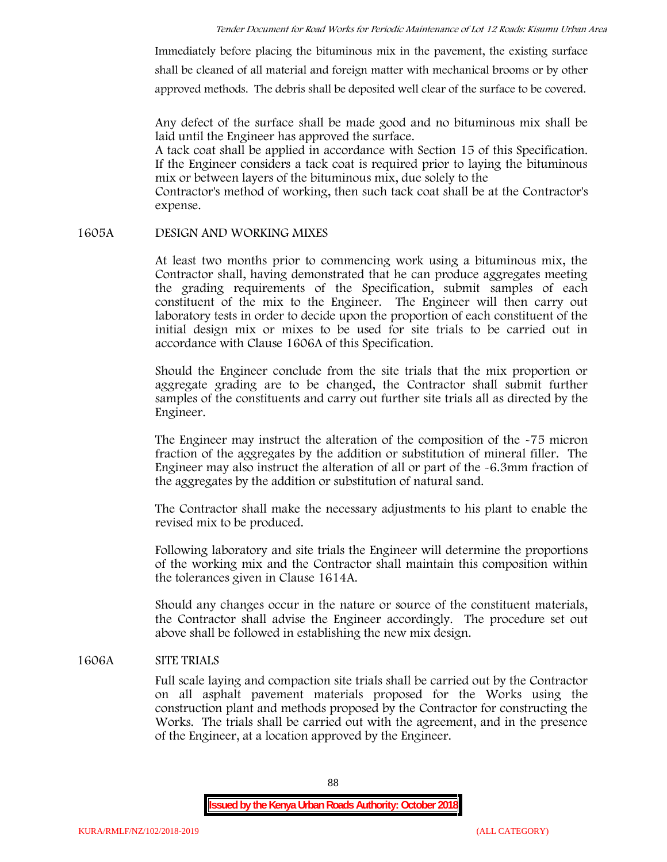Immediately before placing the bituminous mix in the pavement, the existing surface shall be cleaned of all material and foreign matter with mechanical brooms or by other approved methods. The debris shall be deposited well clear of the surface to be covered.

Any defect of the surface shall be made good and no bituminous mix shall be laid until the Engineer has approved the surface.

A tack coat shall be applied in accordance with Section 15 of this Specification. If the Engineer considers a tack coat is required prior to laying the bituminous mix or between layers of the bituminous mix, due solely to the

Contractor's method of working, then such tack coat shall be at the Contractor's expense.

## **1605A DESIGN AND WORKING MIXES**

At least two months prior to commencing work using a bituminous mix, the Contractor shall, having demonstrated that he can produce aggregates meeting the grading requirements of the Specification, submit samples of each constituent of the mix to the Engineer. The Engineer will then carry out laboratory tests in order to decide upon the proportion of each constituent of the initial design mix or mixes to be used for site trials to be carried out in accordance with Clause 1606A of this Specification.

Should the Engineer conclude from the site trials that the mix proportion or aggregate grading are to be changed, the Contractor shall submit further samples of the constituents and carry out further site trials all as directed by the Engineer.

The Engineer may instruct the alteration of the composition of the -75 micron fraction of the aggregates by the addition or substitution of mineral filler. The Engineer may also instruct the alteration of all or part of the -6.3mm fraction of the aggregates by the addition or substitution of natural sand.

The Contractor shall make the necessary adjustments to his plant to enable the revised mix to be produced.

Following laboratory and site trials the Engineer will determine the proportions of the working mix and the Contractor shall maintain this composition within the tolerances given in Clause 1614A.

Should any changes occur in the nature or source of the constituent materials, the Contractor shall advise the Engineer accordingly. The procedure set out above shall be followed in establishing the new mix design.

## **1606A SITE TRIALS**

Full scale laying and compaction site trials shall be carried out by the Contractor on all asphalt pavement materials proposed for the Works using the construction plant and methods proposed by the Contractor for constructing the Works. The trials shall be carried out with the agreement, and in the presence of the Engineer, at a location approved by the Engineer.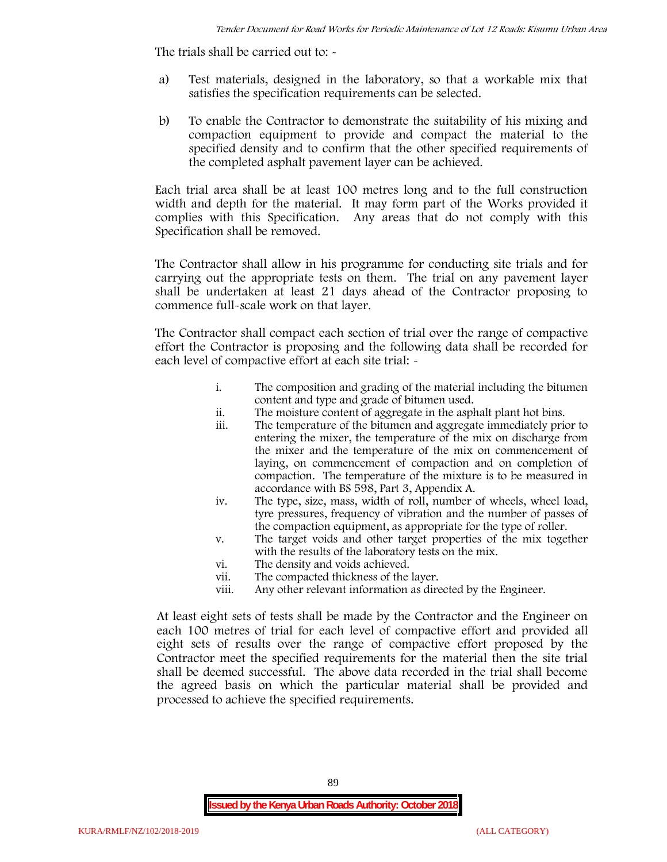The trials shall be carried out to:  $\sim$ 

- a) Test materials, designed in the laboratory, so that a workable mix that satisfies the specification requirements can be selected.
- b) To enable the Contractor to demonstrate the suitability of his mixing and compaction equipment to provide and compact the material to the specified density and to confirm that the other specified requirements of the completed asphalt pavement layer can be achieved.

Each trial area shall be at least 100 metres long and to the full construction width and depth for the material. It may form part of the Works provided it complies with this Specification. Any areas that do not comply with this Specification shall be removed.

The Contractor shall allow in his programme for conducting site trials and for carrying out the appropriate tests on them. The trial on any pavement layer shall be undertaken at least 21 days ahead of the Contractor proposing to commence full-scale work on that layer.

The Contractor shall compact each section of trial over the range of compactive effort the Contractor is proposing and the following data shall be recorded for each level of compactive effort at each site trial:  $\sim$ 

- i. The composition and grading of the material including the bitumen content and type and grade of bitumen used.
- ii. The moisture content of aggregate in the asphalt plant hot bins.
- iii. The temperature of the bitumen and aggregate immediately prior to entering the mixer, the temperature of the mix on discharge from the mixer and the temperature of the mix on commencement of laying, on commencement of compaction and on completion of compaction. The temperature of the mixture is to be measured in accordance with BS 598, Part 3, Appendix A.
- iv. The type, size, mass, width of roll, number of wheels, wheel load, tyre pressures, frequency of vibration and the number of passes of the compaction equipment, as appropriate for the type of roller.
- v. The target voids and other target properties of the mix together with the results of the laboratory tests on the mix.
- vi. The density and voids achieved.
- vii. The compacted thickness of the layer.
- viii. Any other relevant information as directed by the Engineer.

At least eight sets of tests shall be made by the Contractor and the Engineer on each 100 metres of trial for each level of compactive effort and provided all eight sets of results over the range of compactive effort proposed by the Contractor meet the specified requirements for the material then the site trial shall be deemed successful. The above data recorded in the trial shall become the agreed basis on which the particular material shall be provided and processed to achieve the specified requirements.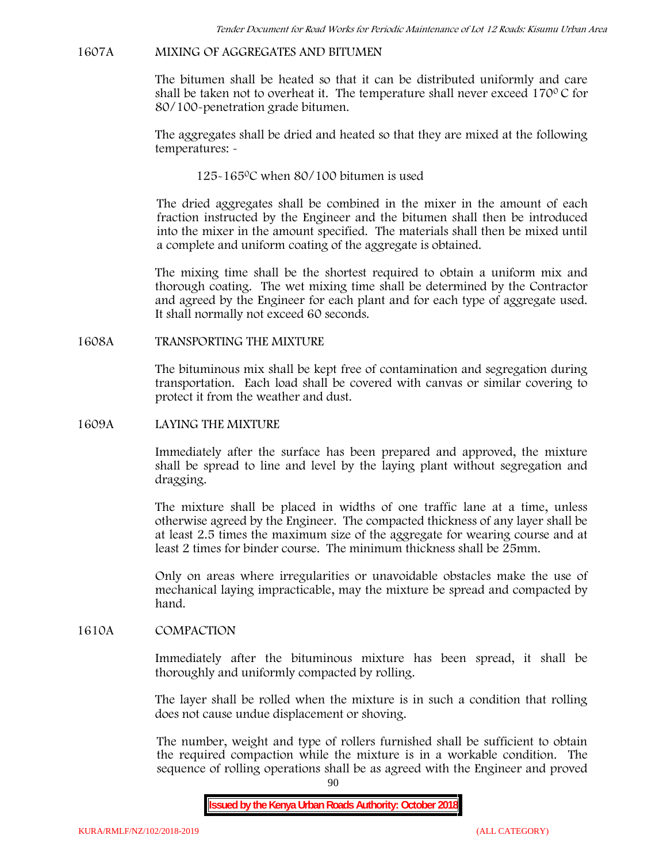#### **1607A MIXING OF AGGREGATES AND BITUMEN**

The bitumen shall be heated so that it can be distributed uniformly and care shall be taken not to overheat it. The temperature shall never exceed  $170^{\circ}$ C for 80/100-penetration grade bitumen.

The aggregates shall be dried and heated so that they are mixed at the following temperatures: -

125-1650C when 80/100 bitumen is used

The dried aggregates shall be combined in the mixer in the amount of each fraction instructed by the Engineer and the bitumen shall then be introduced into the mixer in the amount specified. The materials shall then be mixed until a complete and uniform coating of the aggregate is obtained.

The mixing time shall be the shortest required to obtain a uniform mix and thorough coating. The wet mixing time shall be determined by the Contractor and agreed by the Engineer for each plant and for each type of aggregate used. It shall normally not exceed 60 seconds.

**1608A TRANSPORTING THE MIXTURE**

The bituminous mix shall be kept free of contamination and segregation during transportation. Each load shall be covered with canvas or similar covering to protect it from the weather and dust.

### **1609A LAYING THE MIXTURE**

Immediately after the surface has been prepared and approved, the mixture shall be spread to line and level by the laying plant without segregation and dragging.

The mixture shall be placed in widths of one traffic lane at a time, unless otherwise agreed by the Engineer. The compacted thickness of any layer shall be at least 2.5 times the maximum size of the aggregate for wearing course and at least 2 times for binder course. The minimum thickness shall be 25mm.

Only on areas where irregularities or unavoidable obstacles make the use of mechanical laying impracticable, may the mixture be spread and compacted by hand.

## **1610A COMPACTION**

Immediately after the bituminous mixture has been spread, it shall be thoroughly and uniformly compacted by rolling.

The layer shall be rolled when the mixture is in such a condition that rolling does not cause undue displacement or shoving.

The number, weight and type of rollers furnished shall be sufficient to obtain the required compaction while the mixture is in a workable condition. The sequence of rolling operations shall be as agreed with the Engineer and proved

90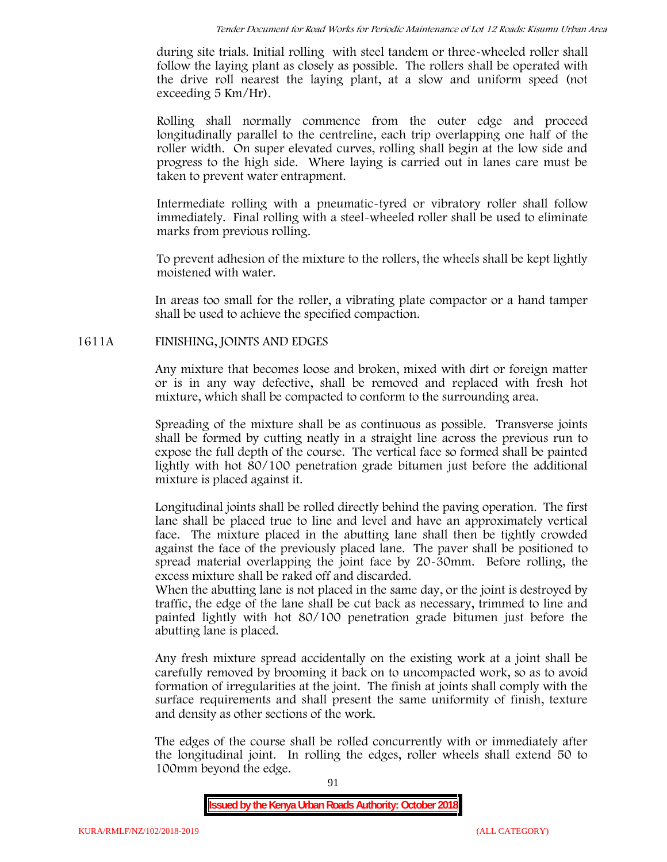during site trials. Initial rolling with steel tandem or three-wheeled roller shall follow the laying plant as closely as possible. The rollers shall be operated with the drive roll nearest the laying plant, at a slow and uniform speed (not exceeding 5 Km/Hr).

Rolling shall normally commence from the outer edge and proceed longitudinally parallel to the centreline, each trip overlapping one half of the roller width. On super elevated curves, rolling shall begin at the low side and progress to the high side. Where laying is carried out in lanes care must be taken to prevent water entrapment.

Intermediate rolling with a pneumatic-tyred or vibratory roller shall follow immediately. Final rolling with a steel-wheeled roller shall be used to eliminate marks from previous rolling.

To prevent adhesion of the mixture to the rollers, the wheels shall be kept lightly moistened with water.

In areas too small for the roller, a vibrating plate compactor or a hand tamper shall be used to achieve the specified compaction.

# **1611A FINISHING, JOINTS AND EDGES**

Any mixture that becomes loose and broken, mixed with dirt or foreign matter or is in any way defective, shall be removed and replaced with fresh hot mixture, which shall be compacted to conform to the surrounding area.

Spreading of the mixture shall be as continuous as possible. Transverse joints shall be formed by cutting neatly in a straight line across the previous run to expose the full depth of the course. The vertical face so formed shall be painted lightly with hot 80/100 penetration grade bitumen just before the additional mixture is placed against it.

Longitudinal joints shall be rolled directly behind the paving operation. The first lane shall be placed true to line and level and have an approximately vertical face. The mixture placed in the abutting lane shall then be tightly crowded against the face of the previously placed lane. The paver shall be positioned to spread material overlapping the joint face by 20-30mm. Before rolling, the excess mixture shall be raked off and discarded.

When the abutting lane is not placed in the same day, or the joint is destroyed by traffic, the edge of the lane shall be cut back as necessary, trimmed to line and painted lightly with hot 80/100 penetration grade bitumen just before the abutting lane is placed.

Any fresh mixture spread accidentally on the existing work at a joint shall be carefully removed by brooming it back on to uncompacted work, so as to avoid formation of irregularities at the joint. The finish at joints shall comply with the surface requirements and shall present the same uniformity of finish, texture and density as other sections of the work.

The edges of the course shall be rolled concurrently with or immediately after the longitudinal joint. In rolling the edges, roller wheels shall extend 50 to 100mm beyond the edge.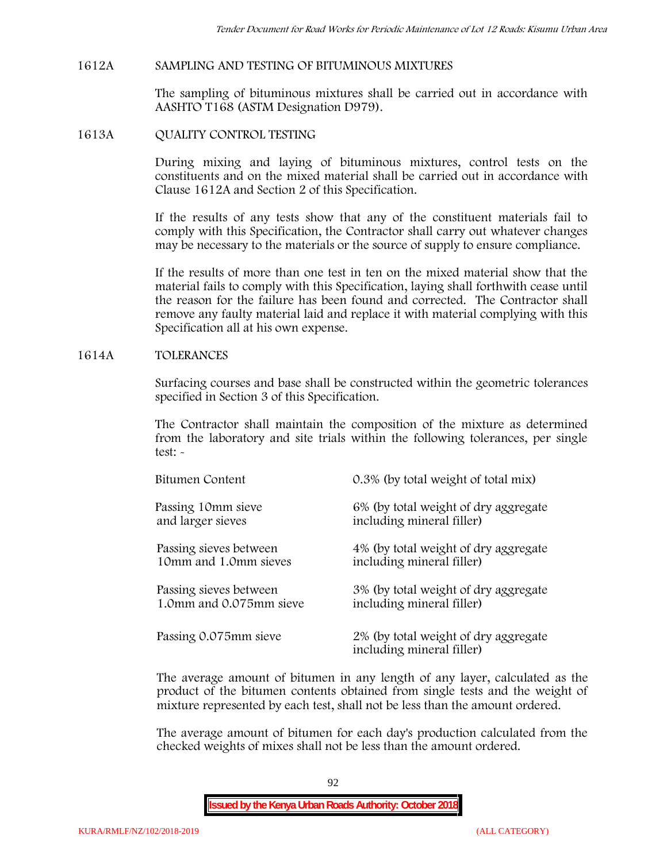#### **1612A SAMPLING AND TESTING OF BITUMINOUS MIXTURES**

The sampling of bituminous mixtures shall be carried out in accordance with AASHTO T168 (ASTM Designation D979).

#### **1613A QUALITY CONTROL TESTING**

During mixing and laying of bituminous mixtures, control tests on the constituents and on the mixed material shall be carried out in accordance with Clause 1612A and Section 2 of this Specification.

If the results of any tests show that any of the constituent materials fail to comply with this Specification, the Contractor shall carry out whatever changes may be necessary to the materials or the source of supply to ensure compliance.

If the results of more than one test in ten on the mixed material show that the material fails to comply with this Specification, laying shall forthwith cease until the reason for the failure has been found and corrected. The Contractor shall remove any faulty material laid and replace it with material complying with this Specification all at his own expense.

#### **1614A TOLERANCES**

Surfacing courses and base shall be constructed within the geometric tolerances specified in Section 3 of this Specification.

The Contractor shall maintain the composition of the mixture as determined from the laboratory and site trials within the following tolerances, per single test: -

| Bitumen Content         | 0.3% (by total weight of total mix)                               |
|-------------------------|-------------------------------------------------------------------|
| Passing 10mm sieve      | 6% (by total weight of dry aggregate                              |
| and larger sieves       | including mineral filler)                                         |
| Passing sieves between  | 4% (by total weight of dry aggregate                              |
| 10mm and 1.0mm sieves   | including mineral filler)                                         |
| Passing sieves between  | 3% (by total weight of dry aggregate                              |
| 1.0mm and 0.075mm sieve | including mineral filler)                                         |
| Passing 0.075mm sieve   | 2% (by total weight of dry aggregate<br>including mineral filler) |

The average amount of bitumen in any length of any layer, calculated as the product of the bitumen contents obtained from single tests and the weight of mixture represented by each test, shall not be less than the amount ordered.

The average amount of bitumen for each day's production calculated from the checked weights of mixes shall not be less than the amount ordered.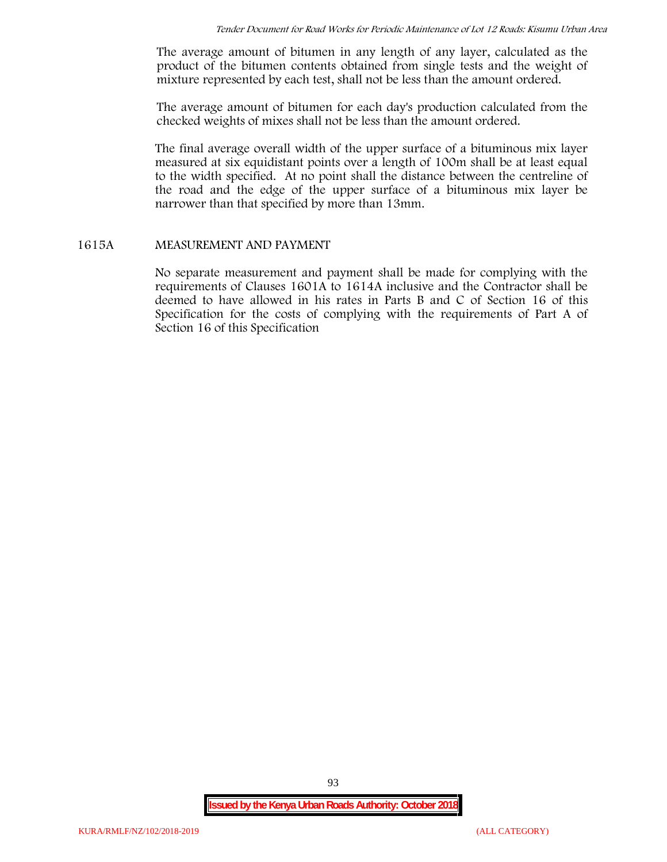The average amount of bitumen in any length of any layer, calculated as the product of the bitumen contents obtained from single tests and the weight of mixture represented by each test, shall not be less than the amount ordered.

The average amount of bitumen for each day's production calculated from the checked weights of mixes shall not be less than the amount ordered.

The final average overall width of the upper surface of a bituminous mix layer measured at six equidistant points over a length of 100m shall be at least equal to the width specified. At no point shall the distance between the centreline of the road and the edge of the upper surface of a bituminous mix layer be narrower than that specified by more than 13mm.

#### **1615A MEASUREMENT AND PAYMENT**

No separate measurement and payment shall be made for complying with the requirements of Clauses 1601A to 1614A inclusive and the Contractor shall be deemed to have allowed in his rates in Parts B and C of Section 16 of this Specification for the costs of complying with the requirements of Part A of Section 16 of this Specification

93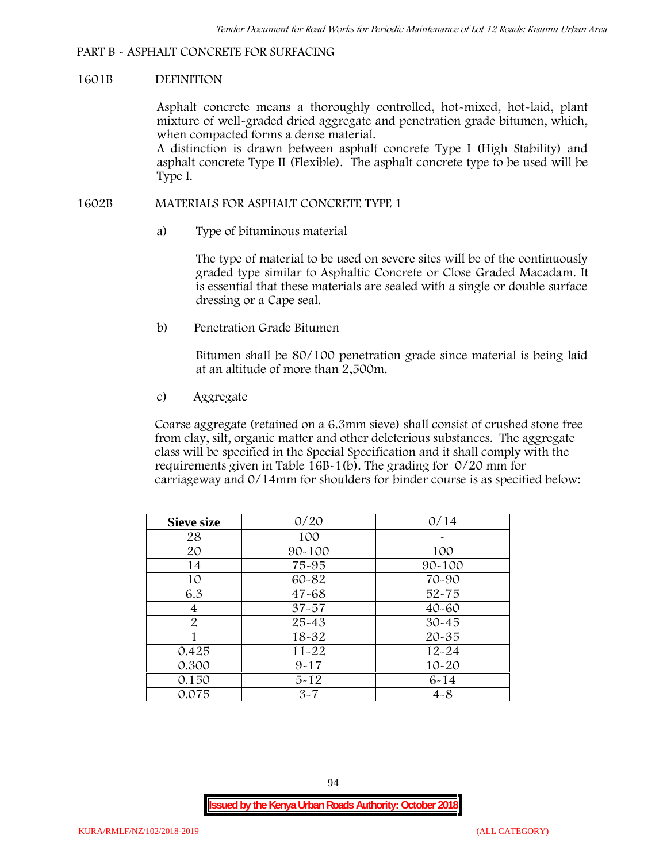## **PART B - ASPHALT CONCRETE FOR SURFACING**

#### **1601B DEFINITION**

Asphalt concrete means a thoroughly controlled, hot-mixed, hot-laid, plant mixture of well-graded dried aggregate and penetration grade bitumen, which, when compacted forms a dense material.

A distinction is drawn between asphalt concrete Type I (High Stability) and asphalt concrete Type II (Flexible). The asphalt concrete type to be used will be Type I.

## **1602B MATERIALS FOR ASPHALT CONCRETE TYPE 1**

a) **Type of bituminous material**

The type of material to be used on severe sites will be of the continuously graded type similar to Asphaltic Concrete or Close Graded Macadam. It is essential that these materials are sealed with a single or double surface dressing or a Cape seal.

b) **Penetration Grade Bitumen**

Bitumen shall be 80/100 penetration grade since material is being laid at an altitude of more than 2,500m.

c) **Aggregate**

Coarse aggregate (retained on a 6.3mm sieve) shall consist of crushed stone free from clay, silt, organic matter and other deleterious substances. The aggregate class will be specified in the Special Specification and it shall comply with the requirements given in Table 16B-1(b). The grading for 0/20 mm for carriageway and 0/14mm for shoulders for binder course is as specified below:

| <b>Sieve size</b> | 0/20       | 0/14       |
|-------------------|------------|------------|
| 28                | 100        |            |
| 20                | $90 - 100$ | 100        |
| 14                | 75-95      | $90 - 100$ |
| 10                | 60-82      | 70-90      |
| 6.3               | $47 - 68$  | $52 - 75$  |
| 4                 | $37 - 57$  | $40 - 60$  |
| $\overline{2}$    | 25-43      | $30 - 45$  |
|                   | 18-32      | $20 - 35$  |
| 0.425             | $11 - 22$  | $12 - 24$  |
| 0.300             | $9 - 17$   | $10 - 20$  |
| 0.150             | $5 - 12$   | $6 - 14$   |
| 0.075             | $3 - 7$    | $4 - 8$    |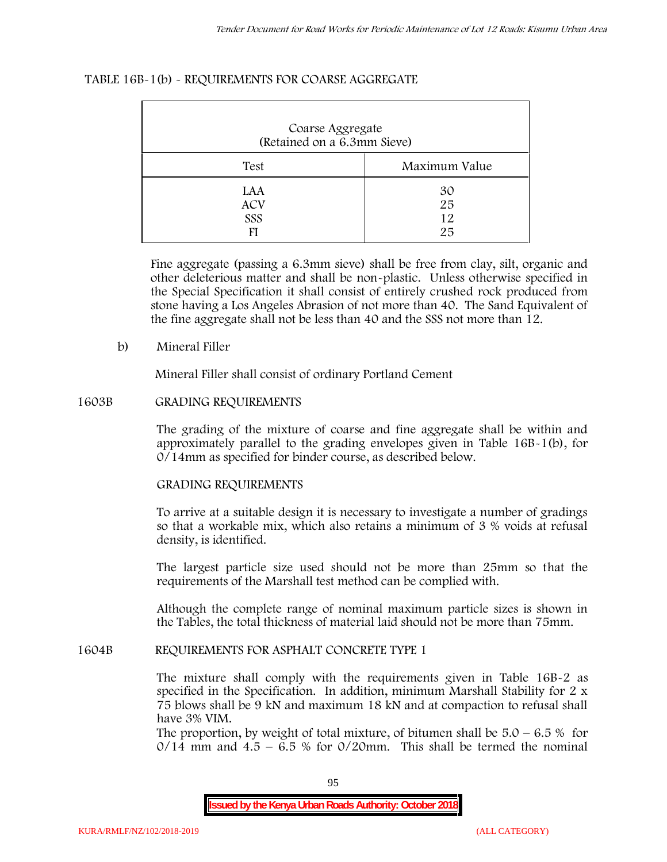### **TABLE 16B-1(b) - REQUIREMENTS FOR COARSE AGGREGATE**

| Coarse Aggregate<br>(Retained on a 6.3mm Sieve) |                      |  |  |  |
|-------------------------------------------------|----------------------|--|--|--|
| Test                                            | Maximum Value        |  |  |  |
| LAA<br><b>ACV</b><br>SSS                        | 30<br>25<br>12<br>25 |  |  |  |

Fine aggregate (passing a 6.3mm sieve) shall be free from clay, silt, organic and other deleterious matter and shall be non-plastic. Unless otherwise specified in the Special Specification it shall consist of entirely crushed rock produced from stone having a Los Angeles Abrasion of not more than 40. The Sand Equivalent of the fine aggregate shall not be less than 40 and the SSS not more than 12.

### **b) Mineral Filler**

Mineral Filler shall consist of ordinary Portland Cement

## **1603B GRADING REQUIREMENTS**

The grading of the mixture of coarse and fine aggregate shall be within and approximately parallel to the grading envelopes given in Table 16B-1(b), for 0/14mm as specified for binder course, as described below.

## **GRADING REQUIREMENTS**

To arrive at a suitable design it is necessary to investigate a number of gradings so that a workable mix, which also retains a minimum of 3 % voids at refusal density, is identified.

The largest particle size used should not be more than 25mm so that the requirements of the Marshall test method can be complied with.

Although the complete range of nominal maximum particle sizes is shown in the Tables, the total thickness of material laid should not be more than 75mm.

#### **1604B REQUIREMENTS FOR ASPHALT CONCRETE TYPE 1**

The mixture shall comply with the requirements given in Table 16B-2 as specified in the Specification. In addition, minimum Marshall Stability for 2 x 75 blows shall be 9 kN and maximum 18 kN and at compaction to refusal shall have 3% VIM.

The proportion, by weight of total mixture, of bitumen shall be  $5.0 - 6.5 %$  for  $0/14$  mm and  $4.5 - 6.5$  % for  $0/20$ mm. This shall be termed the nominal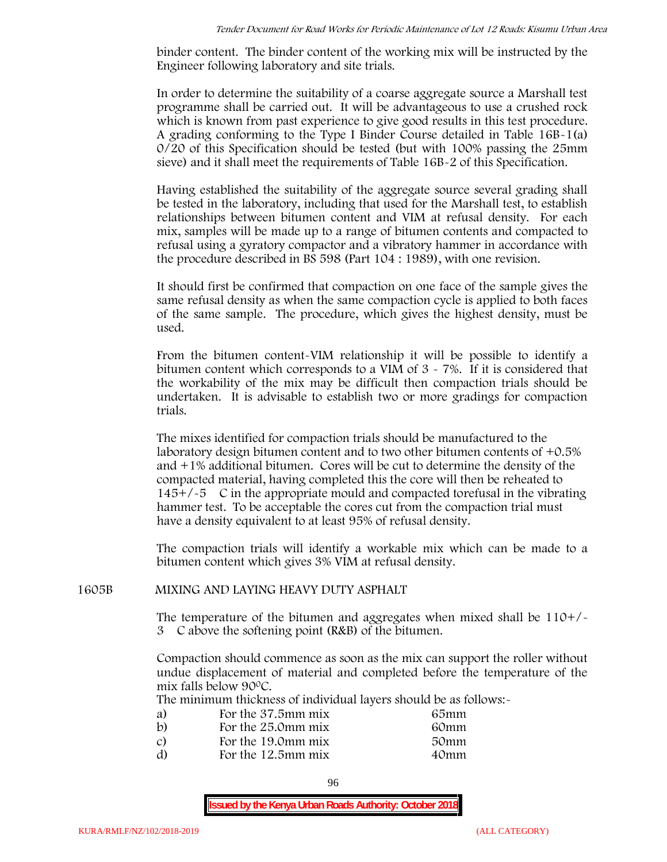binder content. The binder content of the working mix will be instructed by the Engineer following laboratory and site trials.

In order to determine the suitability of a coarse aggregate source a Marshall test programme shall be carried out. It will be advantageous to use a crushed rock which is known from past experience to give good results in this test procedure. A grading conforming to the Type I Binder Course detailed in Table 16B-1(a) 0/20 of this Specification should be tested (but with 100% passing the 25mm sieve) and it shall meet the requirements of Table 16B-2 of this Specification.

Having established the suitability of the aggregate source several grading shall be tested in the laboratory, including that used for the Marshall test, to establish relationships between bitumen content and VIM at refusal density. For each mix, samples will be made up to a range of bitumen contents and compacted to refusal using a gyratory compactor and a vibratory hammer in accordance with the procedure described in BS 598 (Part 104 : 1989), with one revision.

It should first be confirmed that compaction on one face of the sample gives the same refusal density as when the same compaction cycle is applied to both faces of the same sample. The procedure, which gives the highest density, must be used.

From the bitumen content-VIM relationship it will be possible to identify a bitumen content which corresponds to a VIM of 3 - 7%. If it is considered that the workability of the mix may be difficult then compaction trials should be undertaken. It is advisable to establish two or more gradings for compaction trials.

The mixes identified for compaction trials should be manufactured to the laboratory design bitumen content and to two other bitumen contents of +0.5% and +1% additional bitumen. Cores will be cut to determine the density of the compacted material, having completed this the core will then be reheated to  $145+/5$  C in the appropriate mould and compacted torefusal in the vibrating hammer test. To be acceptable the cores cut from the compaction trial must have a density equivalent to at least 95% of refusal density.

The compaction trials will identify a workable mix which can be made to a bitumen content which gives 3% VIM at refusal density.

## **1605B MIXING AND LAYING HEAVY DUTY ASPHALT**

The temperature of the bitumen and aggregates when mixed shall be 110+/- 3C above the softening point (R&B) of the bitumen.

Compaction should commence as soon as the mix can support the roller without undue displacement of material and completed before the temperature of the mix falls below 900C.

The minimum thickness of individual layers should be as follows:-

| a) | For the 37.5mm mix | 65mm |  |
|----|--------------------|------|--|
| b) | For the 25.0mm mix | 60mm |  |
| C) | For the 19.0mm mix | 50mm |  |
| d) | For the 12.5mm mix | 40mm |  |
|    |                    |      |  |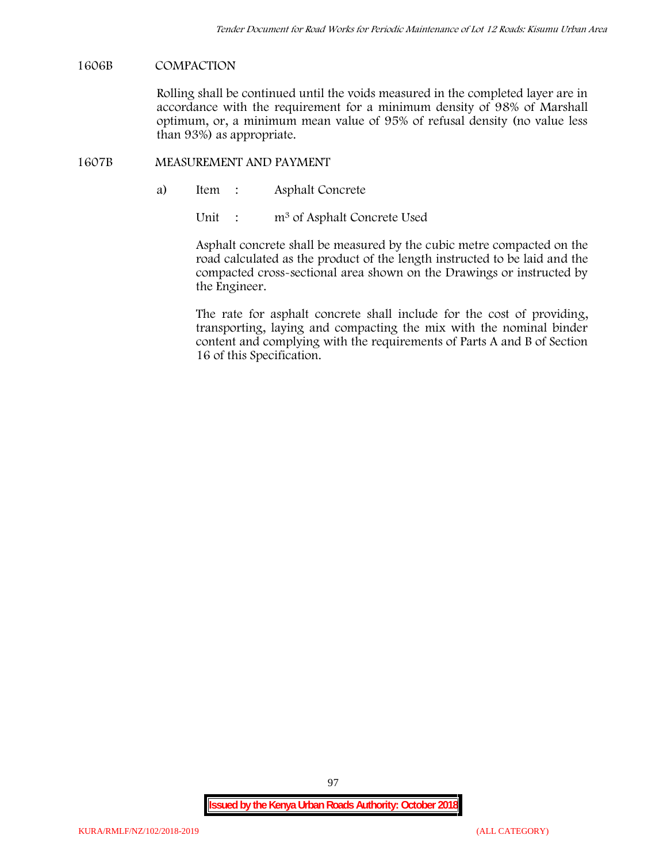#### **1606B COMPACTION**

Rolling shall be continued until the voids measured in the completed layer are in accordance with the requirement for a minimum density of 98% of Marshall optimum, or, a minimum mean value of 95% of refusal density (no value less than 93%) as appropriate.

## **1607B MEASUREMENT AND PAYMENT**

a) Item : Asphalt Concrete

Unit : m<sup>3</sup> of Asphalt Concrete Used

Asphalt concrete shall be measured by the cubic metre compacted on the road calculated as the product of the length instructed to be laid and the compacted cross-sectional area shown on the Drawings or instructed by the Engineer.

The rate for asphalt concrete shall include for the cost of providing, transporting, laying and compacting the mix with the nominal binder content and complying with the requirements of Parts A and B of Section 16 of this Specification.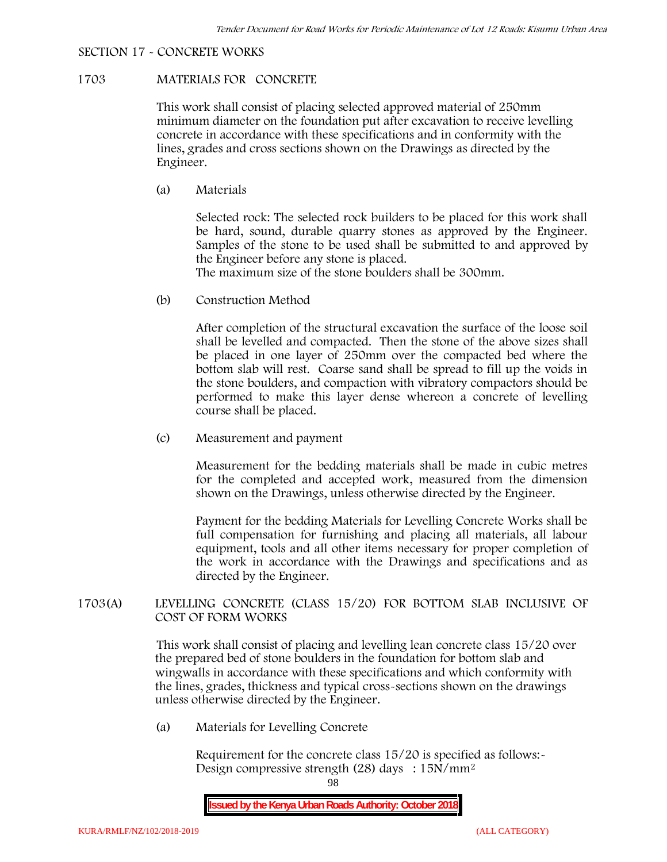## **SECTION 17 - CONCRETE WORKS**

# **1703 MATERIALS FOR CONCRETE**

This work shall consist of placing selected approved material of 250mm minimum diameter on the foundation put after excavation to receive levelling concrete in accordance with these specifications and in conformity with the lines, grades and cross sections shown on the Drawings as directed by the Engineer.

(a) **Materials**

Selected rock: The selected rock builders to be placed for this work shall be hard, sound, durable quarry stones as approved by the Engineer. Samples of the stone to be used shall be submitted to and approved by the Engineer before any stone is placed.

The maximum size of the stone boulders shall be 300mm.

(b) **Construction Method**

After completion of the structural excavation the surface of the loose soil shall be levelled and compacted. Then the stone of the above sizes shall be placed in one layer of 250mm over the compacted bed where the bottom slab will rest. Coarse sand shall be spread to fill up the voids in the stone boulders, and compaction with vibratory compactors should be performed to make this layer dense whereon a concrete of levelling course shall be placed.

(c) **Measurement and payment**

Measurement for the bedding materials shall be made in cubic metres for the completed and accepted work, measured from the dimension shown on the Drawings, unless otherwise directed by the Engineer.

Payment for the bedding Materials for Levelling Concrete Works shall be full compensation for furnishing and placing all materials, all labour equipment, tools and all other items necessary for proper completion of the work in accordance with the Drawings and specifications and as directed by the Engineer.

## **1703(A) LEVELLING CONCRETE (CLASS 15/20) FOR BOTTOM SLAB INCLUSIVE OF COST OF FORM WORKS**

This work shall consist of placing and levelling lean concrete class 15/20 over the prepared bed of stone boulders in the foundation for bottom slab and wingwalls in accordance with these specifications and which conformity with the lines, grades, thickness and typical cross-sections shown on the drawings unless otherwise directed by the Engineer.

(a) **Materials for Levelling Concrete**

Requirement for the concrete class  $15/20$  is specified as follows:-Design compressive strength (28) days : 15N/mm2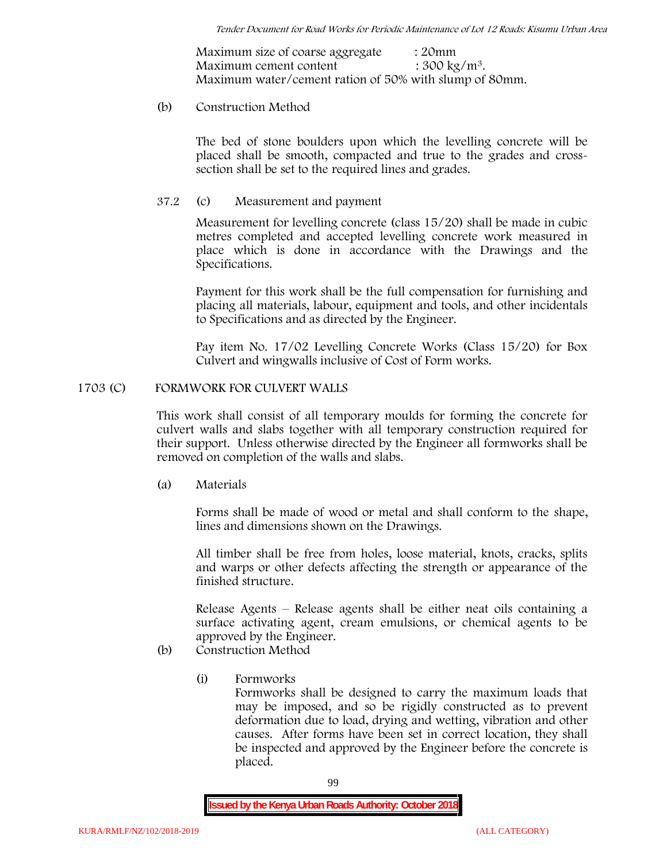Maximum size of coarse aggregate : 20mm Maximum cement content  $: 300 \text{ kg/m}^3$ . Maximum water/cement ration of 50% with slump of 80mm.

## (b) **Construction Method**

The bed of stone boulders upon which the levelling concrete will be placed shall be smooth, compacted and true to the grades and crosssection shall be set to the required lines and grades.

# **37.2** (c) **Measurement and payment**

Measurement for levelling concrete (class 15/20) shall be made in cubic metres completed and accepted levelling concrete work measured in place which is done in accordance with the Drawings and the Specifications.

Payment for this work shall be the full compensation for furnishing and placing all materials, labour, equipment and tools, and other incidentals to Specifications and as directed by the Engineer.

Pay item No. 17/02 Levelling Concrete Works (Class 15/20) for Box Culvert and wingwalls inclusive of Cost of Form works.

# **1703 (C) FORMWORK FOR CULVERT WALLS**

This work shall consist of all temporary moulds for forming the concrete for culvert walls and slabs together with all temporary construction required for their support. Unless otherwise directed by the Engineer all formworks shall be removed on completion of the walls and slabs.

(a) **Materials**

Forms shall be made of wood or metal and shall conform to the shape, lines and dimensions shown on the Drawings.

All timber shall be free from holes, loose material, knots, cracks, splits and warps or other defects affecting the strength or appearance of the finished structure.

Release Agents – Release agents shall be either neat oils containing a surface activating agent, cream emulsions, or chemical agents to be approved by the Engineer.

# (b) **Construction Method**

(i) **Formworks**

Formworks shall be designed to carry the maximum loads that may be imposed, and so be rigidly constructed as to prevent deformation due to load, drying and wetting, vibration and other causes. After forms have been set in correct location, they shall be inspected and approved by the Engineer before the concrete is placed.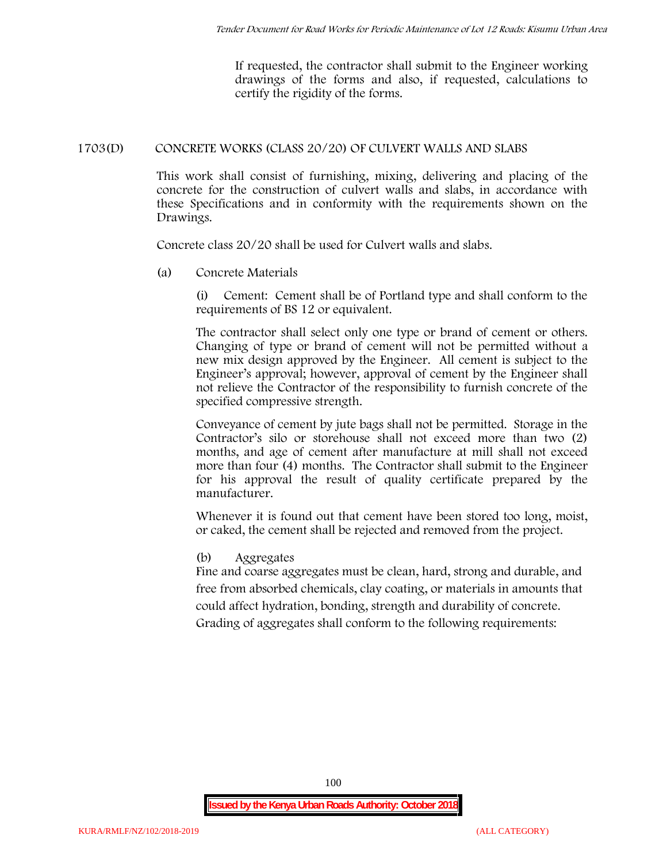If requested, the contractor shall submit to the Engineer working drawings of the forms and also, if requested, calculations to certify the rigidity of the forms.

## **1703(D) CONCRETE WORKS (CLASS 20/20) OF CULVERT WALLS AND SLABS**

This work shall consist of furnishing, mixing, delivering and placing of the concrete for the construction of culvert walls and slabs, in accordance with these Specifications and in conformity with the requirements shown on the Drawings.

Concrete class 20/20 shall be used for Culvert walls and slabs.

**(a) Concrete Materials**

(i) Cement: Cement shall be of Portland type and shall conform to the requirements of BS 12 or equivalent.

The contractor shall select only one type or brand of cement or others. Changing of type or brand of cement will not be permitted without a new mix design approved by the Engineer. All cement is subject to the Engineer's approval; however, approval of cement by the Engineer shall not relieve the Contractor of the responsibility to furnish concrete of the specified compressive strength.

Conveyance of cement by jute bags shall not be permitted. Storage in the Contractor's silo or storehouse shall not exceed more than two (2) months, and age of cement after manufacture at mill shall not exceed more than four (4) months. The Contractor shall submit to the Engineer for his approval the result of quality certificate prepared by the manufacturer.

Whenever it is found out that cement have been stored too long, moist, or caked, the cement shall be rejected and removed from the project.

## **(b) Aggregates**

Fine and coarse aggregates must be clean, hard, strong and durable, and free from absorbed chemicals, clay coating, or materials in amounts that could affect hydration, bonding, strength and durability of concrete. Grading of aggregates shall conform to the following requirements: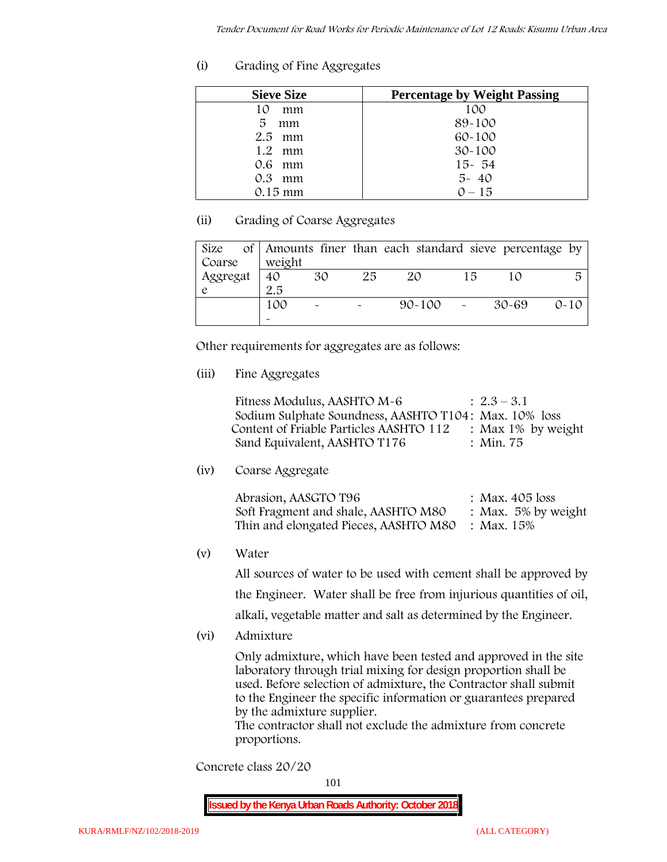# **(i) Grading of Fine Aggregates**

| <b>Sieve Size</b> | <b>Percentage by Weight Passing</b> |
|-------------------|-------------------------------------|
| 10<br>mm          | 100                                 |
| 5.<br>mm          | 89-100                              |
| $2.5$ mm          | $60 - 100$                          |
| $1.2$ mm          | $30 - 100$                          |
| $0.6$ mm          | $15 - 54$                           |
| $0.3$ mm          | $5 - 40$                            |
| $0.15 \text{ mm}$ | $0 - 15$                            |

# **(ii) Grading of Coarse Aggregates**

| Size     |                       |                           |    | of Amounts finer than each standard sieve percentage by |    |       |          |
|----------|-----------------------|---------------------------|----|---------------------------------------------------------|----|-------|----------|
| Coarse   | weight                |                           |    |                                                         |    |       |          |
| Aggregat | 40                    | 30                        | 25 | 20                                                      | 15 |       | 局        |
|          | 2.5                   |                           |    |                                                         |    |       |          |
|          | 100                   | $\widetilde{\phantom{m}}$ |    | $90 - 100$ -                                            |    | 30-69 | $0 - 10$ |
|          | $\tilde{\phantom{a}}$ |                           |    |                                                         |    |       |          |

Other requirements for aggregates are as follows:

# **(iii) Fine Aggregates**

| Fitness Modulus, AASHTO M-6                           | $: 2.3 - 3.1$         |
|-------------------------------------------------------|-----------------------|
| Sodium Sulphate Soundness, AASHTO T104: Max. 10% loss |                       |
| Content of Friable Particles AASHTO 112               | : Max $1\%$ by weight |
| Sand Equivalent, AASHTO T176                          | : Min. 75             |

**(iv) Coarse Aggregate**

| Abrasion, AASGTO T96                             | : Max. $405$ loss      |
|--------------------------------------------------|------------------------|
| Soft Fragment and shale, AASHTO M80              | : Max. $5\%$ by weight |
| Thin and elongated Pieces, AASHTO M80 : Max. 15% |                        |

**(v) Water**

All sources of water to be used with cement shall be approved by the Engineer. Water shall be free from injurious quantities of oil, alkali, vegetable matter and salt as determined by the Engineer.

**(vi) Admixture**

Only admixture, which have been tested and approved in the site laboratory through trial mixing for design proportion shall be used. Before selection of admixture, the Contractor shall submit to the Engineer the specific information or guarantees prepared by the admixture supplier.

The contractor shall not exclude the admixture from concrete proportions.

**Concrete class 20/20**

101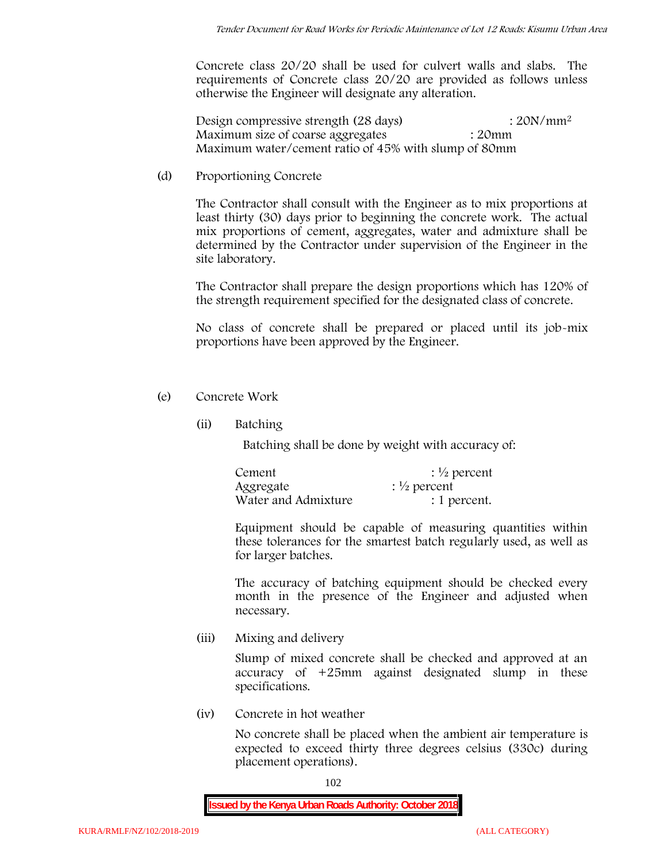Concrete class 20/20 shall be used for culvert walls and slabs. The requirements of Concrete class 20/20 are provided as follows unless otherwise the Engineer will designate any alteration.

Design compressive strength (28 days) : 20N/mm<sup>2</sup> Maximum size of coarse aggregates : 20mm Maximum water/cement ratio of 45% with slump of 80mm

(d) **Proportioning Concrete**

The Contractor shall consult with the Engineer as to mix proportions at least thirty (30) days prior to beginning the concrete work. The actual mix proportions of cement, aggregates, water and admixture shall be determined by the Contractor under supervision of the Engineer in the site laboratory.

The Contractor shall prepare the design proportions which has 120% of the strength requirement specified for the designated class of concrete.

No class of concrete shall be prepared or placed until its job-mix proportions have been approved by the Engineer.

- (e) **Concrete Work**
	- **(ii) Batching**

Batching shall be done by weight with accuracy of:

| Cement              | $\frac{1}{2}$ percent |
|---------------------|-----------------------|
| Aggregate           | $\frac{1}{2}$ percent |
| Water and Admixture | : 1 percent.          |

Equipment should be capable of measuring quantities within these tolerances for the smartest batch regularly used, as well as for larger batches.

The accuracy of batching equipment should be checked every month in the presence of the Engineer and adjusted when necessary.

**(iii) Mixing and delivery**

Slump of mixed concrete shall be checked and approved at an accuracy of +25mm against designated slump in these specifications.

**(iv) Concrete in hot weather**

No concrete shall be placed when the ambient air temperature is expected to exceed thirty three degrees celsius (330c) during placement operations).

102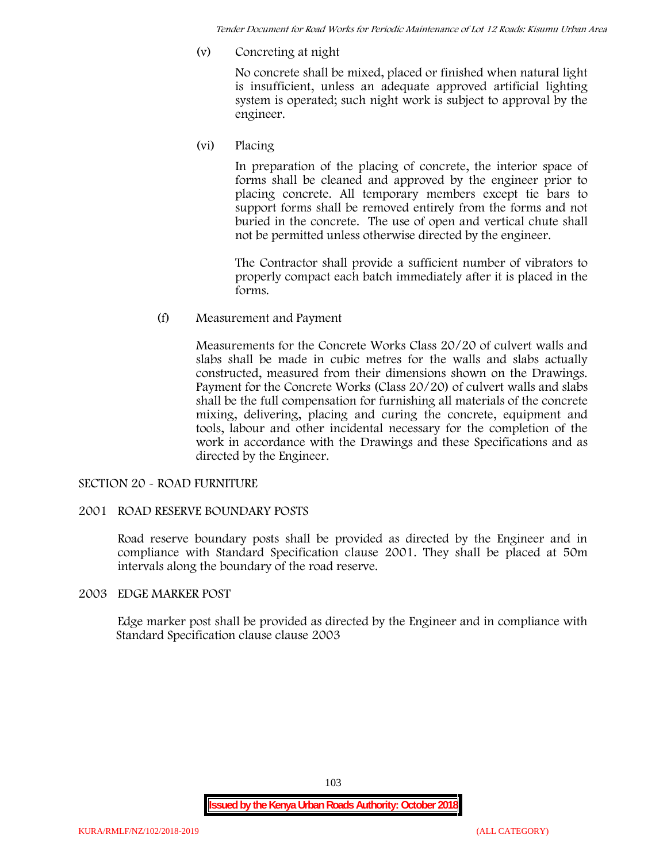*Tender Document for Road Works for Periodic Maintenance of Lot 12 Roads: Kisumu Urban Area*

**(v) Concreting at night**

No concrete shall be mixed, placed or finished when natural light is insufficient, unless an adequate approved artificial lighting system is operated; such night work is subject to approval by the engineer.

**(vi) Placing**

In preparation of the placing of concrete, the interior space of forms shall be cleaned and approved by the engineer prior to placing concrete. All temporary members except tie bars to support forms shall be removed entirely from the forms and not buried in the concrete. The use of open and vertical chute shall not be permitted unless otherwise directed by the engineer.

The Contractor shall provide a sufficient number of vibrators to properly compact each batch immediately after it is placed in the forms.

(f) **Measurement and Payment**

Measurements for the Concrete Works Class 20/20 of culvert walls and slabs shall be made in cubic metres for the walls and slabs actually constructed, measured from their dimensions shown on the Drawings. Payment for the Concrete Works (Class 20/20) of culvert walls and slabs shall be the full compensation for furnishing all materials of the concrete mixing, delivering, placing and curing the concrete, equipment and tools, labour and other incidental necessary for the completion of the work in accordance with the Drawings and these Specifications and as directed by the Engineer.

## **SECTION 20 - ROAD FURNITURE**

## **2001 ROAD RESERVE BOUNDARY POSTS**

Road reserve boundary posts shall be provided as directed by the Engineer and in compliance with Standard Specification clause 2001. They shall be placed at 50m intervals along the boundary of the road reserve.

## **2003 EDGE MARKER POST**

Edge marker post shall be provided as directed by the Engineer and in compliance with Standard Specification clause clause 2003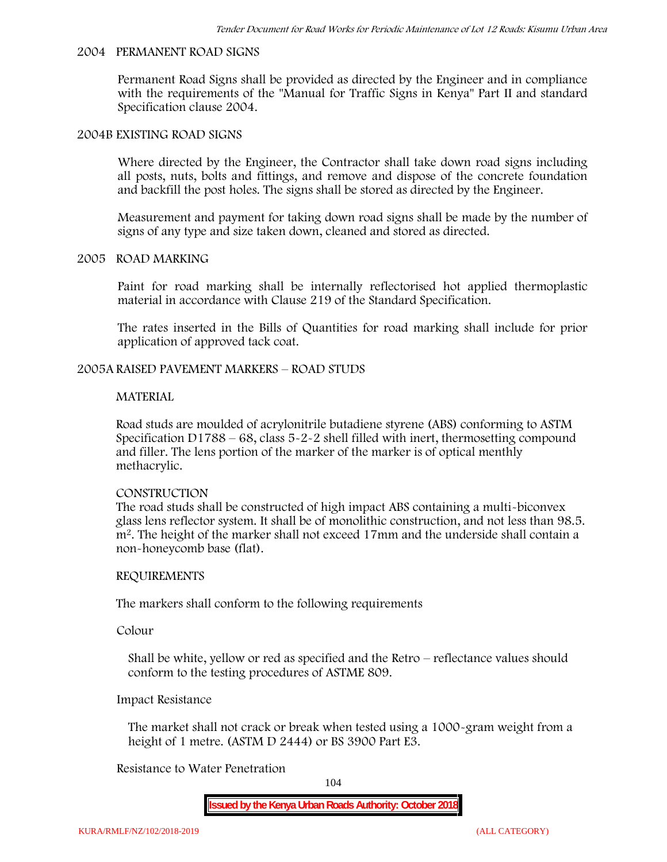#### **2004 PERMANENT ROAD SIGNS**

Permanent Road Signs shall be provided as directed by the Engineer and in compliance with the requirements of the "Manual for Traffic Signs in Kenya" Part II and standard Specification clause 2004.

#### **2004B EXISTING ROAD SIGNS**

Where directed by the Engineer, the Contractor shall take down road signs including all posts, nuts, bolts and fittings, and remove and dispose of the concrete foundation and backfill the post holes. The signs shall be stored as directed by the Engineer.

Measurement and payment for taking down road signs shall be made by the number of signs of any type and size taken down, cleaned and stored as directed.

#### **2005 ROAD MARKING**

Paint for road marking shall be internally reflectorised hot applied thermoplastic material in accordance with Clause 219 of the Standard Specification.

The rates inserted in the Bills of Quantities for road marking shall include for prior application of approved tack coat.

### **2005A RAISED PAVEMENT MARKERS – ROAD STUDS**

#### **MATERIAL**

Road studs are moulded of acrylonitrile butadiene styrene (ABS) conforming to ASTM Specification D1788 – 68, class  $5 - 2 - 2$  shell filled with inert, thermosetting compound and filler. The lens portion of the marker of the marker is of optical menthly methacrylic.

#### **CONSTRUCTION**

The road studs shall be constructed of high impact ABS containing a multi-biconvex glass lens reflector system. It shall be of monolithic construction, and not less than 98.5. m2. The height of the marker shall not exceed 17mm and the underside shall contain a non-honeycomb base (flat).

#### **REQUIREMENTS**

The markers shall conform to the following requirements

**Colour**

Shall be white, yellow or red as specified and the Retro – reflectance values should conform to the testing procedures of ASTME 809.

## **Impact Resistance**

The market shall not crack or break when tested using a 1000**-**gram weight from a height of 1 metre. (ASTM D 2444) or BS 3900 Part E3.

## **Resistance to Water Penetration**

104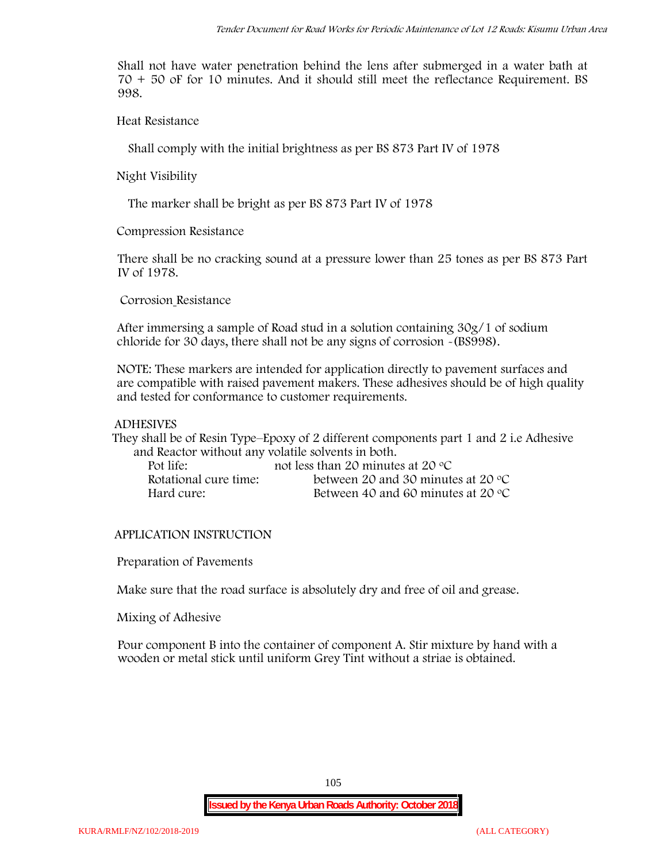Shall not have water penetration behind the lens after submerged in a water bath at 70 + 50 oF for 10 minutes. And it should still meet the reflectance Requirement. BS 998.

**Heat Resistance**

Shall comply with the initial brightness as per BS 873 Part IV of 1978

**Night Visibility**

The marker shall be bright as per BS 873 Part IV of 1978

**Compression Resistance**

There shall be no cracking sound at a pressure lower than 25 tones as per BS 873 Part IV of 1978.

**Corrosion Resistance**

After immersing a sample of Road stud in a solution containing 30g/1 of sodium chloride for 30 days, there shall not be any signs of corrosion **-**(BS998).

**NOTE**: These markers are intended for application directly to pavement surfaces and are compatible with raised pavement makers. These adhesives should be of high quality and tested for conformance to customer requirements.

### **ADHESIVES**

They shall be of Resin Type–Epoxy of 2 different components part 1 and 2 i.e Adhesive and Reactor without any volatile solvents in both.

| Pot life:             | not less than 20 minutes at 20 $\degree$ C  |
|-----------------------|---------------------------------------------|
| Rotational cure time: | between 20 and 30 minutes at 20 $\degree$ C |
| Hard cure:            | Between 40 and 60 minutes at 20 $\degree$ C |

## **APPLICATION INSTRUCTION**

**Preparation of Pavements**

Make sure that the road surface is absolutely dry and free of oil and grease**.**

**Mixing of Adhesive**

Pour component B into the container of component A. Stir mixture by hand with a wooden or metal stick until uniform Grey Tint without a striae is obtained.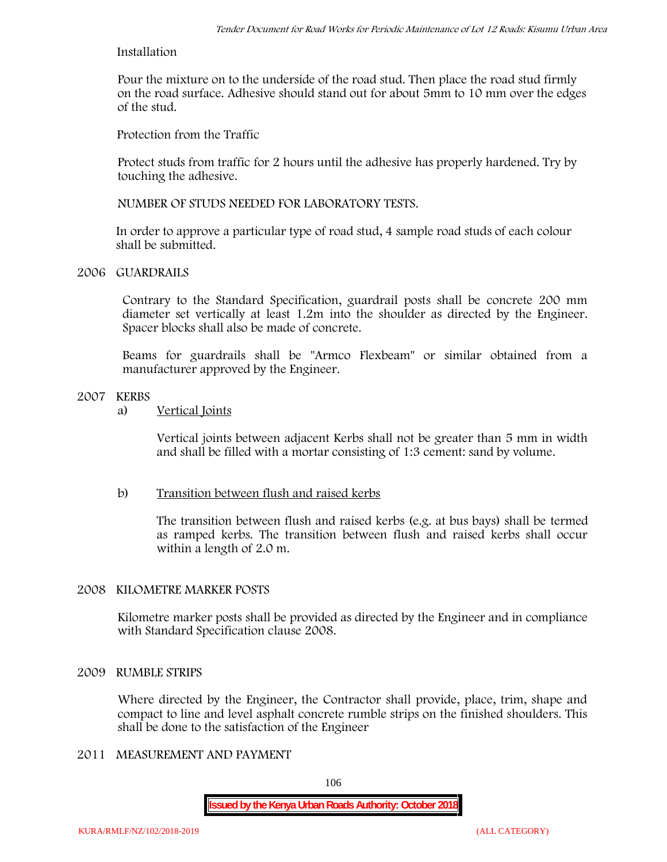## **Installation**

Pour the mixture on to the underside of the road stud. Then place the road stud firmly on the road surface. Adhesive should stand out for about 5mm to 10 mm over the edges of the stud.

**Protection from the Traffic**

Protect studs from traffic for 2 hours until the adhesive has properly hardened. Try by touching the adhesive.

**NUMBER OF STUDS NEEDED FOR LABORATORY TESTS.**

In order to approve a particular type of road stud, 4 sample road studs of each colour shall be submitted.

## **2006 GUARDRAILS**

Contrary to the Standard Specification, guardrail posts shall be concrete 200 mm diameter set vertically at least 1.2m into the shoulder as directed by the Engineer. Spacer blocks shall also be made of concrete.

Beams for guardrails shall be "Armco Flexbeam" or similar obtained from a manufacturer approved by the Engineer.

### **2007 KERBS**

a) **Vertical Joints**

Vertical joints between adjacent Kerbs shall not be greater than 5 mm in width and shall be filled with a mortar consisting of 1:3 cement: sand by volume.

# b) **Transition between flush and raised kerbs**

The transition between flush and raised kerbs (e.g. at bus bays) shall be termed as ramped kerbs. The transition between flush and raised kerbs shall occur within a length of 2.0 m.

## **2008 KILOMETRE MARKER POSTS**

Kilometre marker posts shall be provided as directed by the Engineer and in compliance with Standard Specification clause 2008.

## **2009 RUMBLE STRIPS**

Where directed by the Engineer, the Contractor shall provide, place, trim, shape and compact to line and level asphalt concrete rumble strips on the finished shoulders. This shall be done to the satisfaction of the Engineer

# **2011 MEASUREMENT AND PAYMENT**

106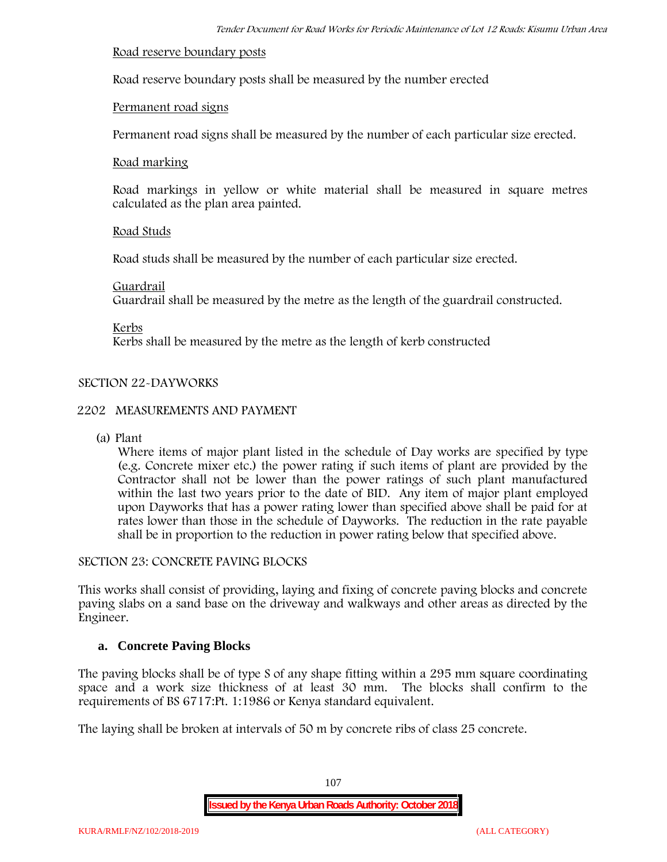### **Road reserve boundary posts**

Road reserve boundary posts shall be measured by the number erected

## **Permanent road signs**

Permanent road signs shall be measured by the number of each particular size erected.

## **Road marking**

Road markings in yellow or white material shall be measured in square metres calculated as the plan area painted.

## **Road Studs**

Road studs shall be measured by the number of each particular size erected.

### **Guardrail**

Guardrail shall be measured by the metre as the length of the guardrail constructed.

**Kerbs**

Kerbs shall be measured by the metre as the length of kerb constructed

# **SECTION 22-DAYWORKS**

## **2202 MEASUREMENTS AND PAYMENT**

(a) Plant

Where items of major plant listed in the schedule of Day works are specified by type (e.g. Concrete mixer etc.) the power rating if such items of plant are provided by the Contractor shall not be lower than the power ratings of such plant manufactured within the last two years prior to the date of BID. Any item of major plant employed upon Dayworks that has a power rating lower than specified above shall be paid for at rates lower than those in the schedule of Dayworks. The reduction in the rate payable shall be in proportion to the reduction in power rating below that specified above.

#### **SECTION 23: CONCRETE PAVING BLOCKS**

This works shall consist of providing, laying and fixing of concrete paving blocks and concrete paving slabs on a sand base on the driveway and walkways and other areas as directed by the Engineer.

## **a. Concrete Paving Blocks**

The paving blocks shall be of type S of any shape fitting within a 295 mm square coordinating space and a work size thickness of at least 30 mm. The blocks shall confirm to the requirements of BS 6717:Pt. 1:1986 or Kenya standard equivalent.

The laying shall be broken at intervals of 50 m by concrete ribs of class 25 concrete.

107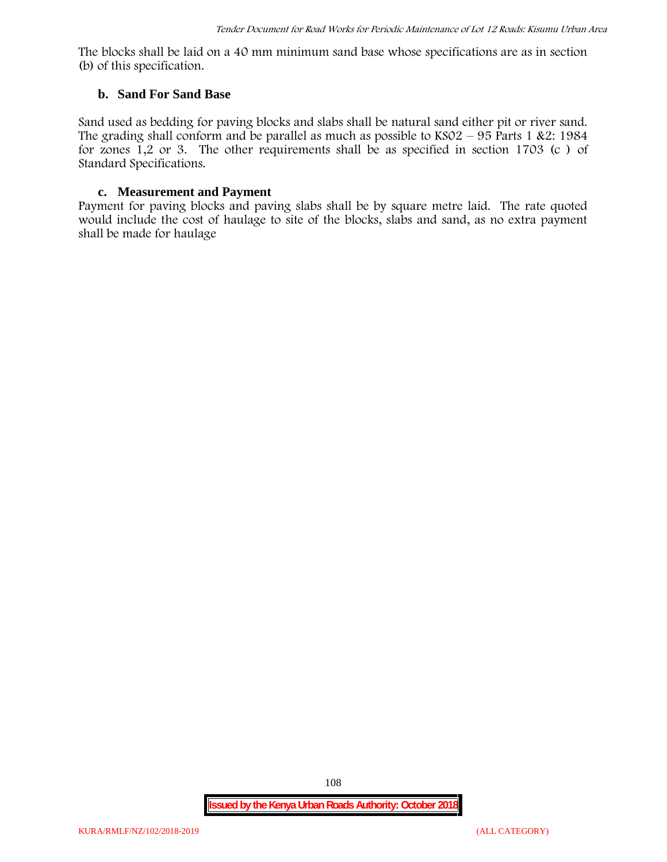The blocks shall be laid on a 40 mm minimum sand base whose specifications are as in section (b) of this specification.

#### **b. Sand For Sand Base**

Sand used as bedding for paving blocks and slabs shall be natural sand either pit or river sand. The grading shall conform and be parallel as much as possible to  $KSO2 - 95$  Parts 1 &2: 1984 for zones  $\tilde{1}, 2$  or 3. The other requirements shall be as specified in section 1703 (c) of Standard Specifications.

## **c. Measurement and Payment**

Payment for paving blocks and paving slabs shall be by square metre laid. The rate quoted would include the cost of haulage to site of the blocks, slabs and sand, as no extra payment shall be made for haulage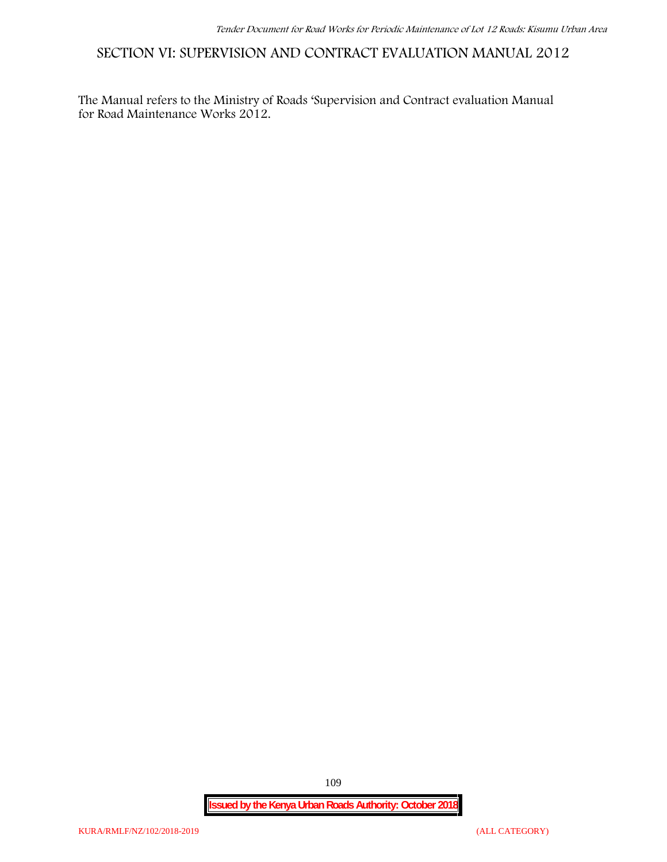**SECTION VI: SUPERVISION AND CONTRACT EVALUATION MANUAL 2012**

The Manual refers to the Ministry of Roads 'Supervision and Contract evaluation Manual for Road Maintenance Works 2012.

**Issued by the Kenya Urban Roads Authority: October 2018**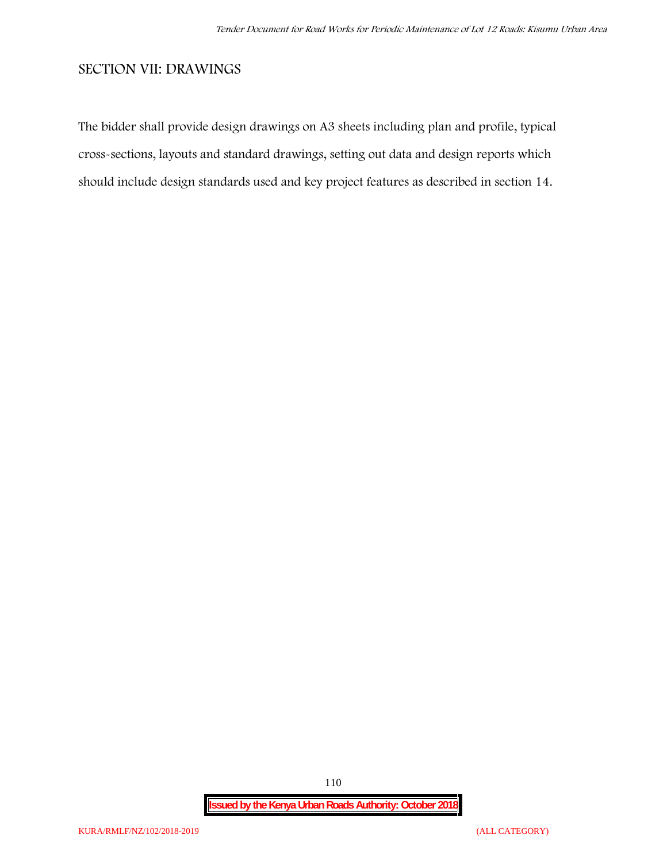# **SECTION VII: DRAWINGS**

The bidder shall provide design drawings on A3 sheets including plan and profile, typical cross-sections, layouts and standard drawings, setting out data and design reports which should include design standards used and key project features as described in section 14.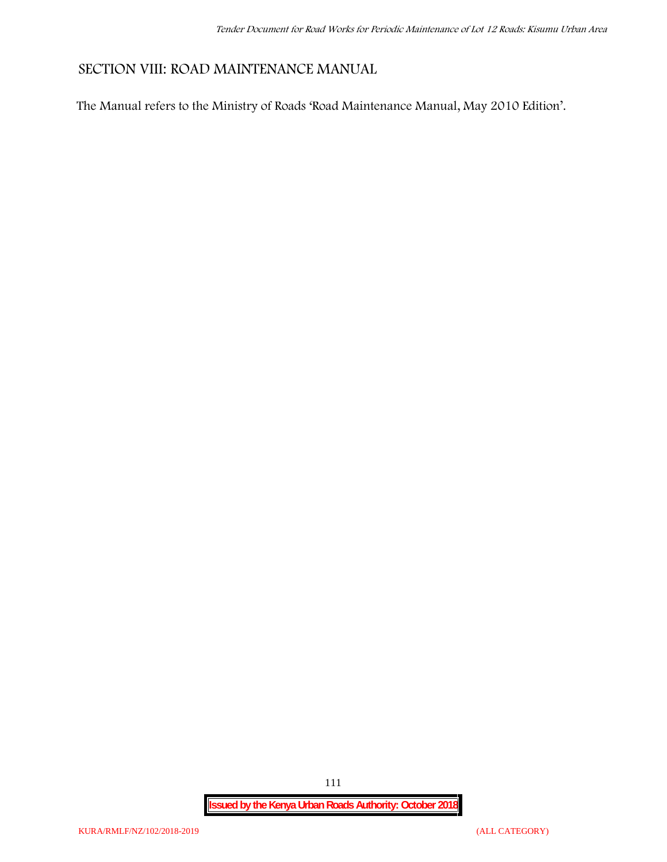# **SECTION VIII: ROAD MAINTENANCE MANUAL**

The Manual refers to the Ministry of Roads 'Road Maintenance Manual, May 2010 Edition'.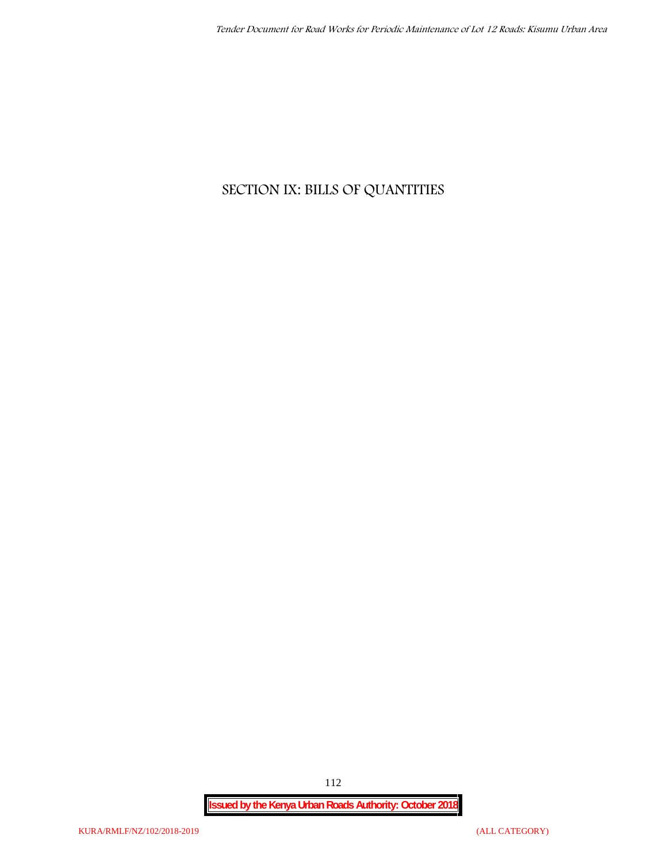# **SECTION IX: BILLS OF QUANTITIES**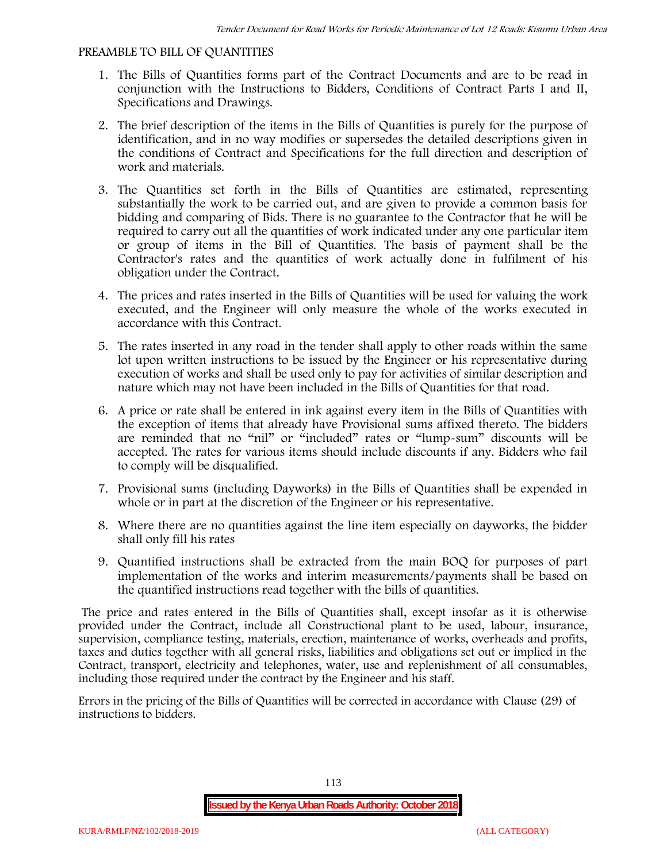#### **PREAMBLE TO BILL OF QUANTITIES**

- 1. The Bills of Quantities forms part of the Contract Documents and are to be read in conjunction with the Instructions to Bidders, Conditions of Contract Parts I and II, Specifications and Drawings.
- 2. The brief description of the items in the Bills of Quantities is purely for the purpose of identification, and in no way modifies or supersedes the detailed descriptions given in the conditions of Contract and Specifications for the full direction and description of work and materials.
- 3. The Quantities set forth in the Bills of Quantities are estimated, representing substantially the work to be carried out, and are given to provide a common basis for bidding and comparing of Bids. There is no guarantee to the Contractor that he will be required to carry out all the quantities of work indicated under any one particular item or group of items in the Bill of Quantities. The basis of payment shall be the Contractor's rates and the quantities of work actually done in fulfilment of his obligation under the Contract.
- 4. The prices and rates inserted in the Bills of Quantities will be used for valuing the work executed, and the Engineer will only measure the whole of the works executed in accordance with this Contract.
- 5. The rates inserted in any road in the tender shall apply to other roads within the same lot upon written instructions to be issued by the Engineer or his representative during execution of works and shall be used only to pay for activities of similar description and nature which may not have been included in the Bills of Quantities for that road.
- 6. A price or rate shall be entered in ink against every item in the Bills of Quantities with the exception of items that already have Provisional sums affixed thereto. The bidders are reminded that no "nil" or "included" rates or "lump-sum" discounts will be accepted. The rates for various items should include discounts if any. Bidders who fail to comply will be disqualified.
- 7. Provisional sums (including Dayworks) in the Bills of Quantities shall be expended in whole or in part at the discretion of the Engineer or his representative.
- 8. Where there are no quantities against the line item especially on dayworks, the bidder shall only fill his rates
- 9. Quantified instructions shall be extracted from the main BOQ for purposes of part implementation of the works and interim measurements/payments shall be based on the quantified instructions read together with the bills of quantities.

The price and rates entered in the Bills of Quantities shall, except insofar as it is otherwise provided under the Contract, include all Constructional plant to be used, labour, insurance, supervision, compliance testing, materials, erection, maintenance of works, overheads and profits, taxes and duties together with all general risks, liabilities and obligations set out or implied in the Contract, transport, electricity and telephones, water, use and replenishment of all consumables, including those required under the contract by the Engineer and his staff.

Errors in the pricing of the Bills of Quantities will be corrected in accordance with Clause (29) of instructions to bidders.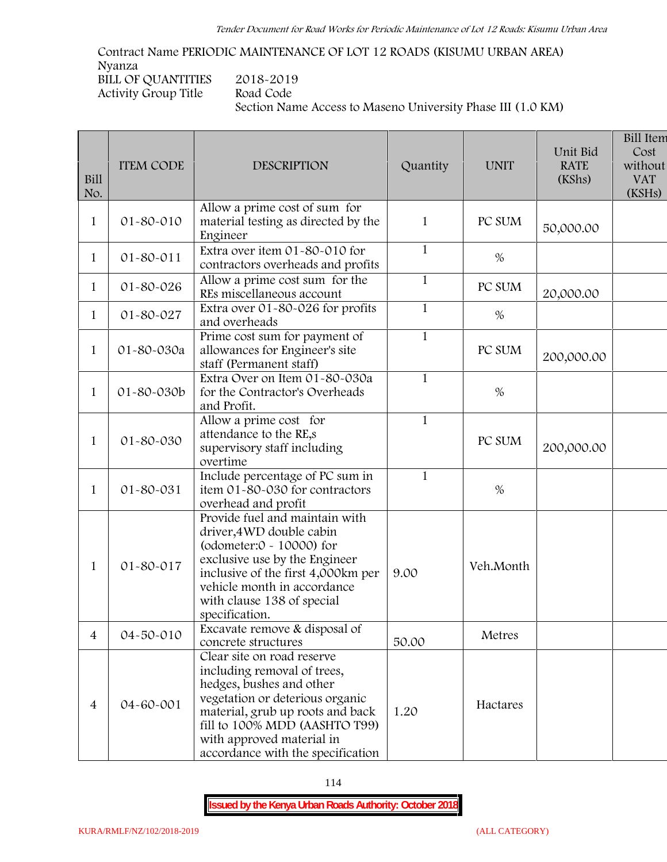**Contract Name PERIODIC MAINTENANCE OF LOT 12 ROADS (KISUMU URBAN AREA) Nyanza BILL OF QUANTITIES 2018-2019 Activity Group Title Road Code Section Name Access to Maseno University Phase III (1.0 KM)**

| Bill<br>No.    | <b>ITEM CODE</b> | <b>DESCRIPTION</b>                                                                                                                                                                                                                                              | Quantity     | <b>UNIT</b> | Unit Bid<br><b>RATE</b><br>(KShs) | <b>Bill Item</b><br>Cost<br>without<br><b>VAT</b><br>(KSHs) |
|----------------|------------------|-----------------------------------------------------------------------------------------------------------------------------------------------------------------------------------------------------------------------------------------------------------------|--------------|-------------|-----------------------------------|-------------------------------------------------------------|
| $\mathbf{1}$   | 01-80-010        | Allow a prime cost of sum for<br>material testing as directed by the<br>Engineer                                                                                                                                                                                | $\mathbf{1}$ | PC SUM      | 50,000.00                         |                                                             |
| 1              | $01 - 80 - 011$  | Extra over item 01-80-010 for<br>contractors overheads and profits                                                                                                                                                                                              | $\mathbf{1}$ | $\%$        |                                   |                                                             |
| 1              | 01-80-026        | Allow a prime cost sum for the<br>REs miscellaneous account                                                                                                                                                                                                     | $\mathbf{1}$ | PC SUM      | 20,000.00                         |                                                             |
| $\mathbf{1}$   | 01-80-027        | Extra over 01-80-026 for profits<br>and overheads                                                                                                                                                                                                               | $\mathbf{1}$ | %           |                                   |                                                             |
| 1              | 01-80-030a       | Prime cost sum for payment of<br>allowances for Engineer's site<br>staff (Permanent staff)                                                                                                                                                                      | $\mathbf{1}$ | PC SUM      | 200,000.00                        |                                                             |
| 1              | 01-80-030b       | Extra Over on Item 01-80-030a<br>for the Contractor's Overheads<br>and Profit.                                                                                                                                                                                  | $\mathbf{1}$ | $\%$        |                                   |                                                             |
| 1              | 01-80-030        | Allow a prime cost for<br>attendance to the RE,s<br>supervisory staff including<br>overtime                                                                                                                                                                     | $\mathbf{1}$ | PC SUM      | 200,000.00                        |                                                             |
| 1              | 01-80-031        | Include percentage of PC sum in<br>item 01-80-030 for contractors<br>overhead and profit                                                                                                                                                                        | $\mathbf{1}$ | $\%$        |                                   |                                                             |
| 1              | 01-80-017        | Provide fuel and maintain with<br>driver, 4WD double cabin<br>(odometer: $0 - 10000$ ) for<br>exclusive use by the Engineer<br>inclusive of the first 4,000km per<br>vehicle month in accordance<br>with clause 138 of special<br>specification.                | 9.00         | Veh.Month   |                                   |                                                             |
| $\overline{4}$ | 04-50-010        | Excavate remove & disposal of<br>concrete structures                                                                                                                                                                                                            | 50.00        | Metres      |                                   |                                                             |
| $\overline{4}$ | 04-60-001        | Clear site on road reserve<br>including removal of trees,<br>hedges, bushes and other<br>vegetation or deterious organic<br>material, grub up roots and back<br>fill to 100% MDD (AASHTO T99)<br>with approved material in<br>accordance with the specification | 1.20         | Hactares    |                                   |                                                             |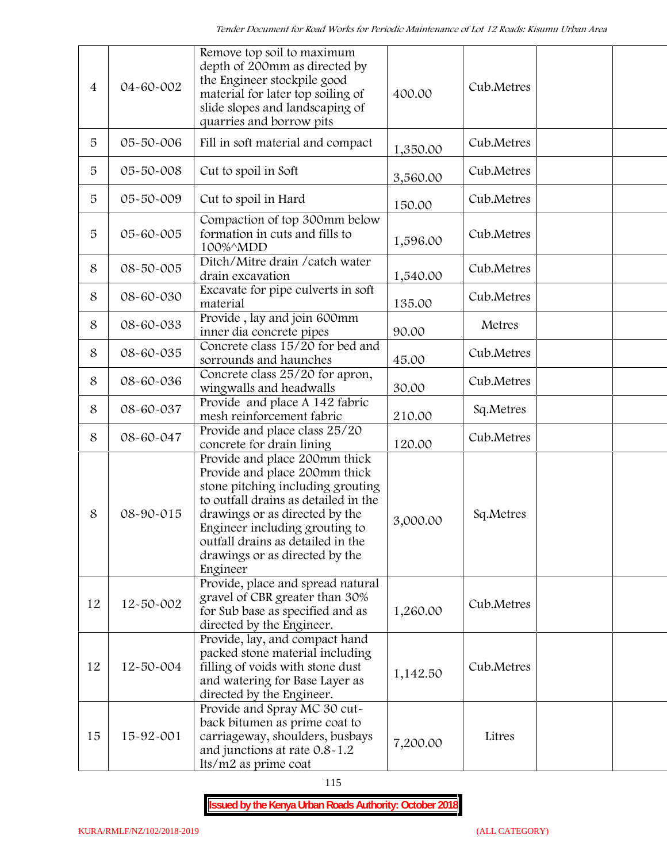| $\overline{4}$ | 04-60-002 | Remove top soil to maximum<br>depth of 200mm as directed by<br>the Engineer stockpile good<br>material for later top soiling of<br>slide slopes and landscaping of<br>quarries and borrow pits                                                                                                     | 400.00   | Cub.Metres |  |
|----------------|-----------|----------------------------------------------------------------------------------------------------------------------------------------------------------------------------------------------------------------------------------------------------------------------------------------------------|----------|------------|--|
| 5              | 05-50-006 | Fill in soft material and compact                                                                                                                                                                                                                                                                  | 1,350.00 | Cub.Metres |  |
| 5              | 05-50-008 | Cut to spoil in Soft                                                                                                                                                                                                                                                                               | 3,560.00 | Cub.Metres |  |
| 5              | 05-50-009 | Cut to spoil in Hard                                                                                                                                                                                                                                                                               | 150.00   | Cub.Metres |  |
| 5              | 05-60-005 | Compaction of top 300mm below<br>formation in cuts and fills to<br>100%^MDD                                                                                                                                                                                                                        | 1,596.00 | Cub.Metres |  |
| 8              | 08-50-005 | Ditch/Mitre drain / catch water<br>drain excavation                                                                                                                                                                                                                                                | 1,540.00 | Cub.Metres |  |
| 8              | 08-60-030 | Excavate for pipe culverts in soft<br>material                                                                                                                                                                                                                                                     | 135.00   | Cub.Metres |  |
| 8              | 08-60-033 | Provide, lay and join 600mm<br>inner dia concrete pipes                                                                                                                                                                                                                                            | 90.00    | Metres     |  |
| 8              | 08-60-035 | Concrete class 15/20 for bed and<br>sorrounds and haunches                                                                                                                                                                                                                                         | 45.00    | Cub.Metres |  |
| 8              | 08-60-036 | Concrete class 25/20 for apron,<br>wingwalls and headwalls                                                                                                                                                                                                                                         | 30.00    | Cub.Metres |  |
| 8              | 08-60-037 | Provide and place A 142 fabric<br>mesh reinforcement fabric                                                                                                                                                                                                                                        | 210.00   | Sq.Metres  |  |
| 8              | 08-60-047 | Provide and place class 25/20<br>concrete for drain lining                                                                                                                                                                                                                                         | 120.00   | Cub.Metres |  |
| 8              | 08-90-015 | Provide and place 200mm thick<br>Provide and place 200mm thick<br>stone pitching including grouting<br>to outfall drains as detailed in the<br>drawings or as directed by the<br>Engineer including grouting to<br>outfall drains as detailed in the<br>drawings or as directed by the<br>Engineer | 3,000.00 | Sq.Metres  |  |
| 12             | 12-50-002 | Provide, place and spread natural<br>gravel of CBR greater than 30%<br>for Sub base as specified and as<br>directed by the Engineer.                                                                                                                                                               | 1,260.00 | Cub.Metres |  |
| 12             | 12-50-004 | Provide, lay, and compact hand<br>packed stone material including<br>filling of voids with stone dust<br>and watering for Base Layer as<br>directed by the Engineer.                                                                                                                               | 1,142.50 | Cub.Metres |  |
| 15             | 15-92-001 | Provide and Spray MC 30 cut-<br>back bitumen as prime coat to<br>carriageway, shoulders, busbays<br>and junctions at rate 0.8-1.2<br>lts/m2 as prime coat                                                                                                                                          | 7,200.00 | Litres     |  |

115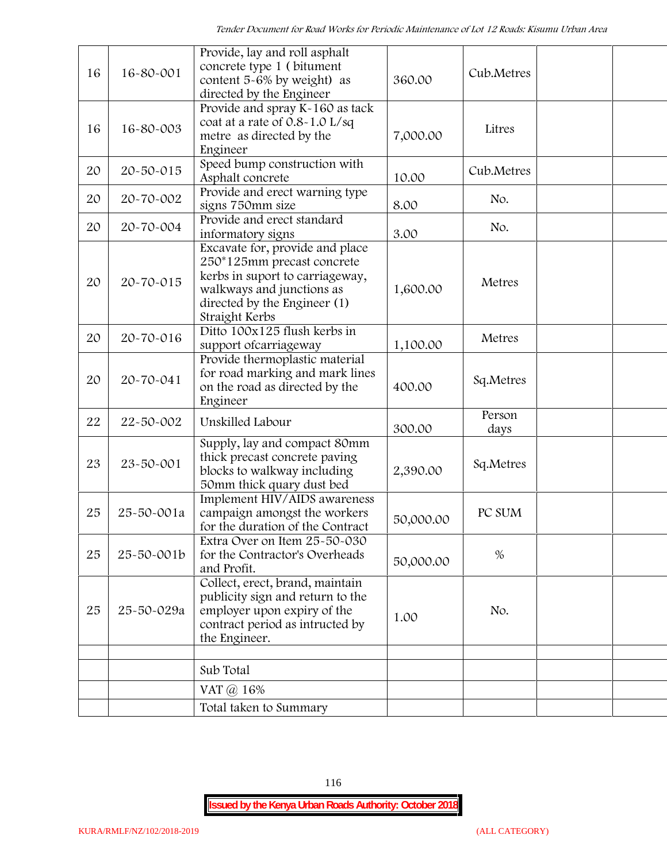| 16 | 16-80-001  | Provide, lay and roll asphalt<br>concrete type 1 (bitument<br>content 5-6% by weight) as<br>directed by the Engineer                                                            | 360.00    | Cub.Metres     |  |
|----|------------|---------------------------------------------------------------------------------------------------------------------------------------------------------------------------------|-----------|----------------|--|
| 16 | 16-80-003  | Provide and spray K-160 as tack<br>coat at a rate of 0.8-1.0 L/sq<br>metre as directed by the<br>Engineer                                                                       | 7,000.00  | Litres         |  |
| 20 | 20-50-015  | Speed bump construction with<br>Asphalt concrete                                                                                                                                | 10.00     | Cub.Metres     |  |
| 20 | 20-70-002  | Provide and erect warning type<br>signs 750mm size                                                                                                                              | 8.00      | No.            |  |
| 20 | 20-70-004  | Provide and erect standard<br>informatory signs                                                                                                                                 | 3.00      | No.            |  |
| 20 | 20-70-015  | Excavate for, provide and place<br>250*125mm precast concrete<br>kerbs in suport to carriageway,<br>walkways and junctions as<br>directed by the Engineer (1)<br>Straight Kerbs | 1,600.00  | Metres         |  |
| 20 | 20-70-016  | Ditto 100x125 flush kerbs in<br>support ofcarriageway                                                                                                                           | 1,100.00  | Metres         |  |
| 20 | 20-70-041  | Provide thermoplastic material<br>for road marking and mark lines<br>on the road as directed by the<br>Engineer                                                                 | 400.00    | Sq.Metres      |  |
| 22 | 22-50-002  | Unskilled Labour                                                                                                                                                                | 300.00    | Person<br>days |  |
| 23 | 23-50-001  | Supply, lay and compact 80mm<br>thick precast concrete paving<br>blocks to walkway including<br>50mm thick quary dust bed                                                       | 2,390.00  | Sq.Metres      |  |
| 25 | 25-50-001a | Implement HIV/AIDS awareness<br>campaign amongst the workers<br>for the duration of the Contract                                                                                | 50,000.00 | PC SUM         |  |
| 25 | 25-50-001b | Extra Over on Item 25-50-030<br>for the Contractor's Overheads<br>and Profit.                                                                                                   | 50,000.00 | $\%$           |  |
| 25 | 25-50-029a | Collect, erect, brand, maintain<br>publicity sign and return to the<br>employer upon expiry of the<br>contract period as intructed by<br>the Engineer.                          | 1.00      | No.            |  |
|    |            |                                                                                                                                                                                 |           |                |  |
|    |            | Sub Total                                                                                                                                                                       |           |                |  |
|    |            | VAT @ 16%<br>Total taken to Summary                                                                                                                                             |           |                |  |
|    |            |                                                                                                                                                                                 |           |                |  |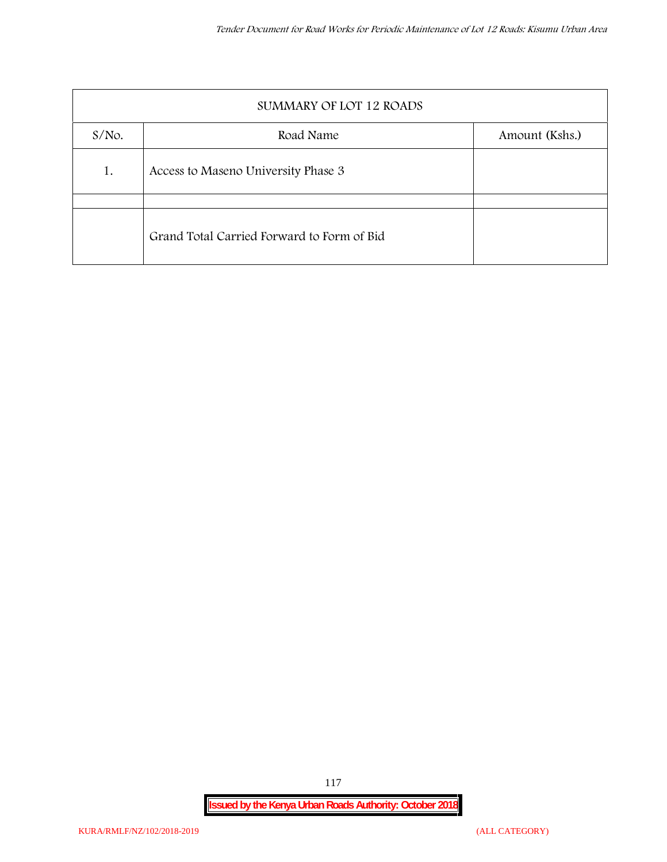| SUMMARY OF LOT 12 ROADS                   |                                            |                |  |  |
|-------------------------------------------|--------------------------------------------|----------------|--|--|
| Road Name<br>$S/NO$ .                     |                                            | Amount (Kshs.) |  |  |
| Access to Maseno University Phase 3<br>1. |                                            |                |  |  |
|                                           | Grand Total Carried Forward to Form of Bid |                |  |  |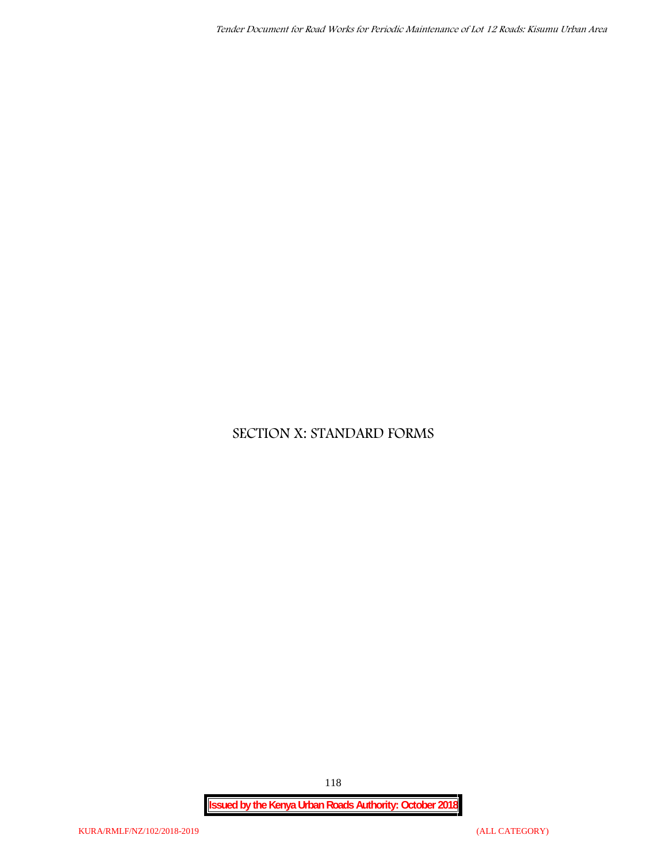# **SECTION X: STANDARD FORMS**

**Issued by the Kenya Urban Roads Authority: October 2018**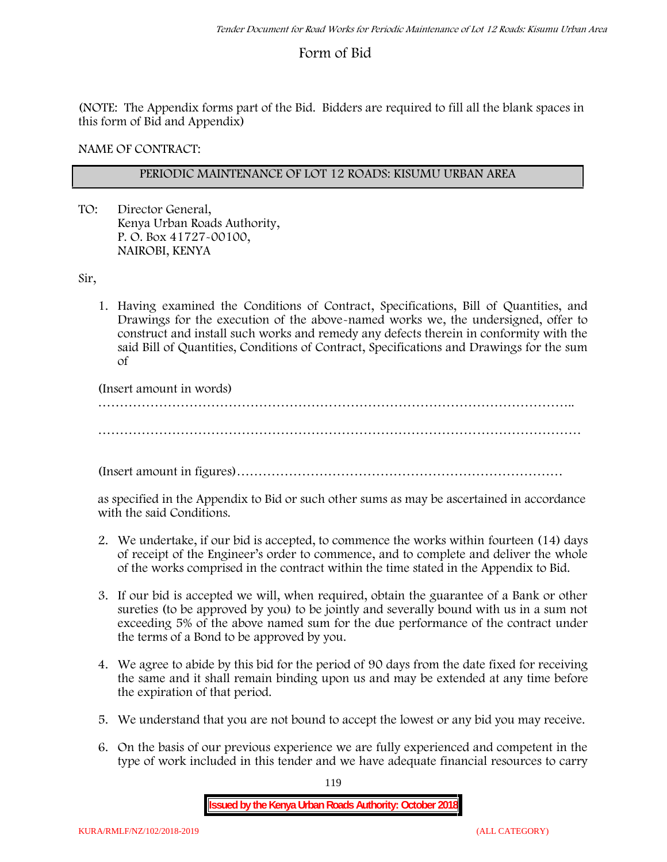# **Form of Bid**

(NOTE: The Appendix forms part of the Bid. Bidders are required to fill all the blank spaces in this form of Bid and Appendix)

**NAME OF CONTRACT:**

# **PERIODIC MAINTENANCE OF LOT 12 ROADS: KISUMU URBAN AREA**

TO: Director General, Kenya Urban Roads Authority, P. O. Box 41727-00100, **NAIROBI, KENYA**

Sir,

1. Having examined the Conditions of Contract, Specifications, Bill of Quantities, and Drawings for the execution of the above-named works we, the undersigned, offer to construct and install such works and remedy any defects therein in conformity with the said Bill of Quantities, Conditions of Contract, Specifications and Drawings for the sum of

(Insert amount in words)

………………………………………………………………………………………………..

…………………………………………………………………………………………………

(Insert amount in figures)…………………………………………………………………

as specified in the Appendix to Bid or such other sums as may be ascertained in accordance with the said Conditions.

- 2. We undertake, if our bid is accepted, to commence the works within fourteen (14) days of receipt of the Engineer's order to commence, and to complete and deliver the whole of the works comprised in the contract within the time stated in the Appendix to Bid.
- 3. If our bid is accepted we will, when required, obtain the guarantee of a Bank or other sureties (to be approved by you) to be jointly and severally bound with us in a sum not exceeding 5% of the above named sum for the due performance of the contract under the terms of a Bond to be approved by you.
- 4. We agree to abide by this bid for the period of 90 days from the date fixed for receiving the same and it shall remain binding upon us and may be extended at any time before the expiration of that period.
- 5. We understand that you are not bound to accept the lowest or any bid you may receive.
- 6. On the basis of our previous experience we are fully experienced and competent in the type of work included in this tender and we have adequate financial resources to carry

119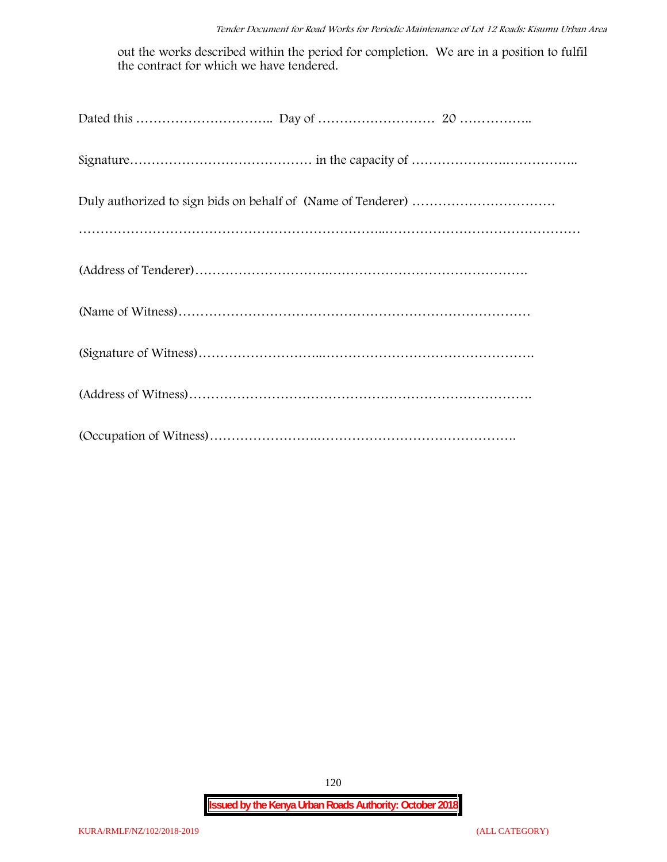out the works described within the period for completion. We are in a position to fulfil the contract for which we have tendered.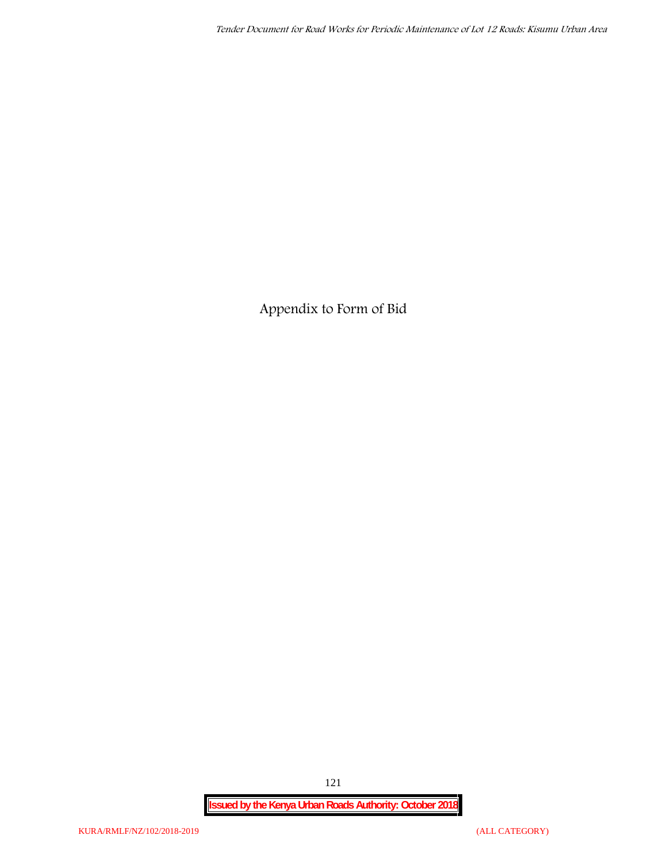**Appendix to Form of Bid**

**Issued by the Kenya Urban Roads Authority: October 2018**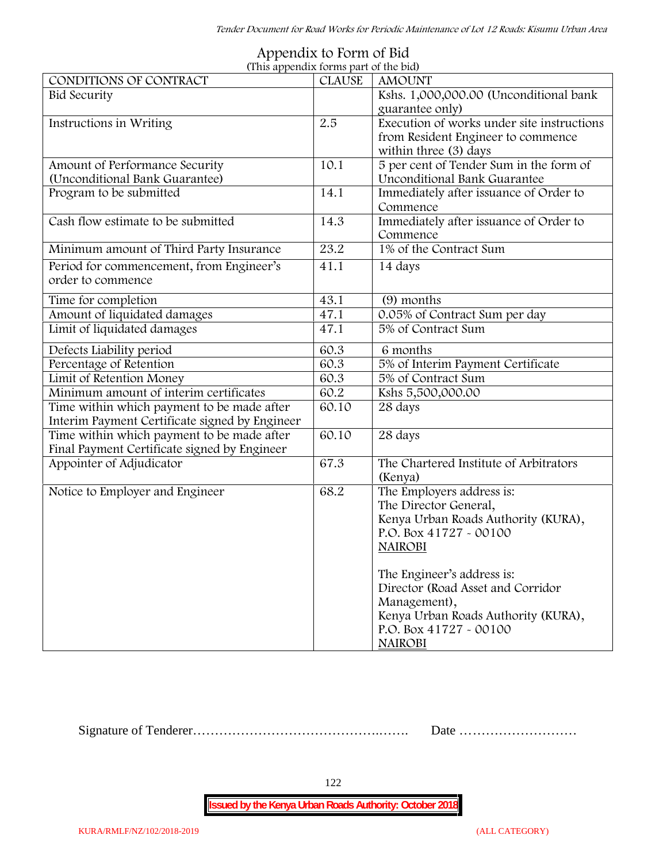| (This appendix forms part of the bid)          |               |                                            |
|------------------------------------------------|---------------|--------------------------------------------|
| CONDITIONS OF CONTRACT                         | <b>CLAUSE</b> | <b>AMOUNT</b>                              |
| <b>Bid Security</b>                            |               | Kshs. 1,000,000.00 (Unconditional bank     |
|                                                |               | guarantee only)                            |
| Instructions in Writing                        | 2.5           | Execution of works under site instructions |
|                                                |               | from Resident Engineer to commence         |
|                                                |               | within three (3) days                      |
| Amount of Performance Security                 | 10.1          | 5 per cent of Tender Sum in the form of    |
| (Unconditional Bank Guarantee)                 |               | Unconditional Bank Guarantee               |
| Program to be submitted                        | 14.1          | Immediately after issuance of Order to     |
|                                                |               | Commence                                   |
| Cash flow estimate to be submitted             | 14.3          | Immediately after issuance of Order to     |
|                                                |               | Commence                                   |
| Minimum amount of Third Party Insurance        | 23.2          | 1% of the Contract Sum                     |
| Period for commencement, from Engineer's       | 41.1          | 14 days                                    |
| order to commence                              |               |                                            |
| Time for completion                            | 43.1          | (9) months                                 |
| Amount of liquidated damages                   | 47.1          | 0.05% of Contract Sum per day              |
| Limit of liquidated damages                    | 47.1          | 5% of Contract Sum                         |
|                                                |               |                                            |
| Defects Liability period                       | 60.3          | 6 months                                   |
| Percentage of Retention                        | 60.3          | 5% of Interim Payment Certificate          |
| Limit of Retention Money                       | 60.3          | 5% of Contract Sum                         |
| Minimum amount of interim certificates         | 60.2          | Kshs 5,500,000.00                          |
| Time within which payment to be made after     | 60.10         | 28 days                                    |
| Interim Payment Certificate signed by Engineer |               |                                            |
| Time within which payment to be made after     | 60.10         | 28 days                                    |
| Final Payment Certificate signed by Engineer   |               |                                            |
| Appointer of Adjudicator                       | 67.3          | The Chartered Institute of Arbitrators     |
|                                                |               | (Kenya)                                    |
| Notice to Employer and Engineer                | 68.2          | The Employers address is:                  |
|                                                |               | The Director General,                      |
|                                                |               | Kenya Urban Roads Authority (KURA),        |
|                                                |               | P.O. Box 41727 - 00100                     |
|                                                |               | <b>NAIROBI</b>                             |
|                                                |               |                                            |
|                                                |               | The Engineer's address is:                 |
|                                                |               | Director (Road Asset and Corridor          |
|                                                |               | Management),                               |
|                                                |               | Kenya Urban Roads Authority (KURA),        |
|                                                |               | P.O. Box 41727 - 00100                     |
|                                                |               | <b>NAIROBI</b>                             |

# **Appendix to Form of Bid**

Signature of Tenderer…………………………………….……. Date ………………………

122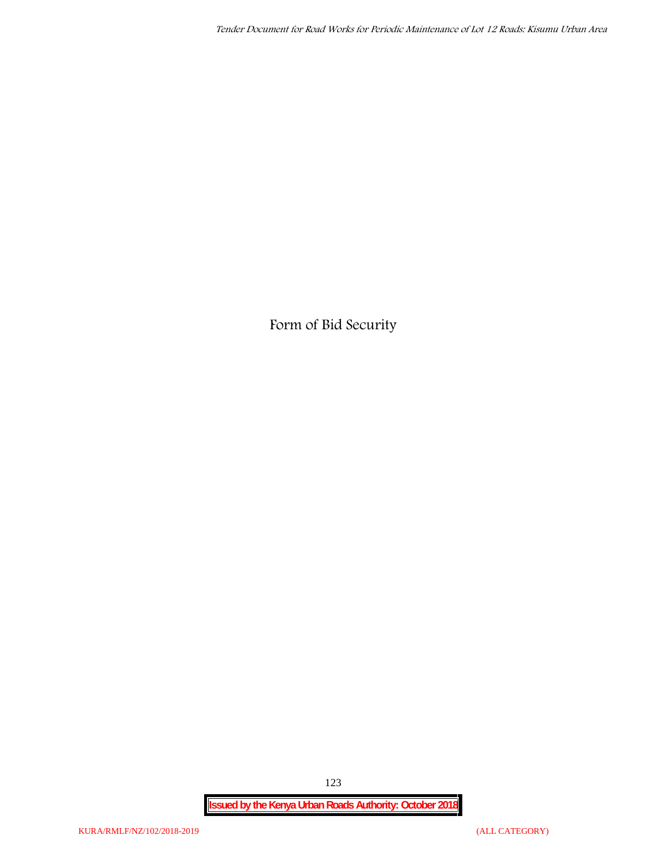**Form of Bid Security**

**Issued by the Kenya Urban Roads Authority: October 2018**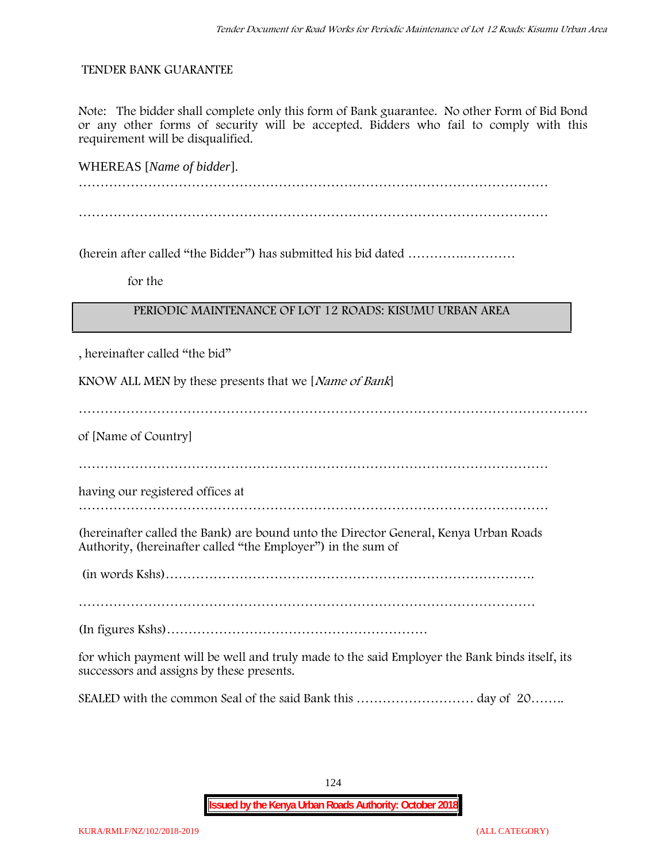#### **TENDER BANK GUARANTEE**

Note: The bidder shall complete only this form of Bank guarantee. No other Form of Bid Bond or any other forms of security will be accepted. Bidders who fail to comply with this requirement will be disqualified.

WHEREAS [*Name of bidder*]. ………………………………………………………………………………………………

(herein after called "the Bidder") has submitted his bid dated ………….…………

**for the**

# **PERIODIC MAINTENANCE OF LOT 12 ROADS: KISUMU URBAN AREA**

, hereinafter called "the bid"

KNOW ALL MEN by these presents that we [*Name of Bank*]

………………………………………………………………………………………………………

of [Name of Country]

………………………………………………………………………………………………

having our registered offices at

………………………………………………………………………………………………

(hereinafter called the Bank) are bound unto the Director General, Kenya Urban Roads Authority, (hereinafter called "the Employer") in the sum of

(in words Kshs)………………………………………………………………………….

……………………………………………………………………………………………

(In figures Kshs)……………………………………………………

for which payment will be well and truly made to the said Employer the Bank binds itself, its successors and assigns by these presents.

SEALED with the common Seal of the said Bank this ……………………… day of 20……..

124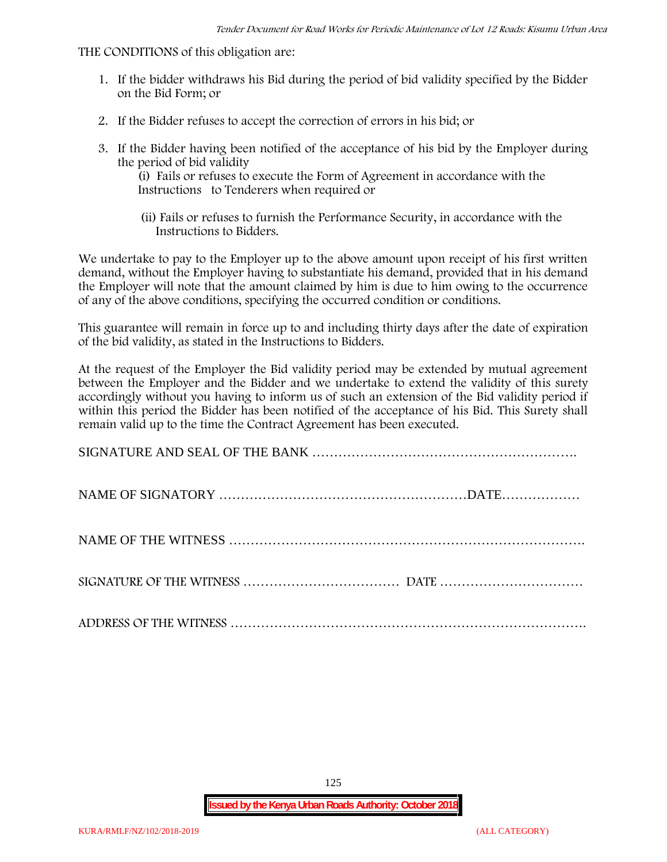#### THE CONDITIONS of this obligation are:

- 1. If the bidder withdraws his Bid during the period of bid validity specified by the Bidder on the Bid Form; or
- 2. If the Bidder refuses to accept the correction of errors in his bid; or
- 3. If the Bidder having been notified of the acceptance of his bid by the Employer during the period of bid validity

(i) Fails or refuses to execute the Form of Agreement in accordance with the Instructions to Tenderers when required or

(ii) Fails or refuses to furnish the Performance Security, in accordance with the Instructions to Bidders.

We undertake to pay to the Employer up to the above amount upon receipt of his first written demand, without the Employer having to substantiate his demand, provided that in his demand the Employer will note that the amount claimed by him is due to him owing to the occurrence of any of the above conditions, specifying the occurred condition or conditions.

This guarantee will remain in force up to and including thirty days after the date of expiration of the bid validity, as stated in the Instructions to Bidders.

At the request of the Employer the Bid validity period may be extended by mutual agreement between the Employer and the Bidder and we undertake to extend the validity of this surety accordingly without you having to inform us of such an extension of the Bid validity period if within this period the Bidder has been notified of the acceptance of his Bid. This Surety shall remain valid up to the time the Contract Agreement has been executed.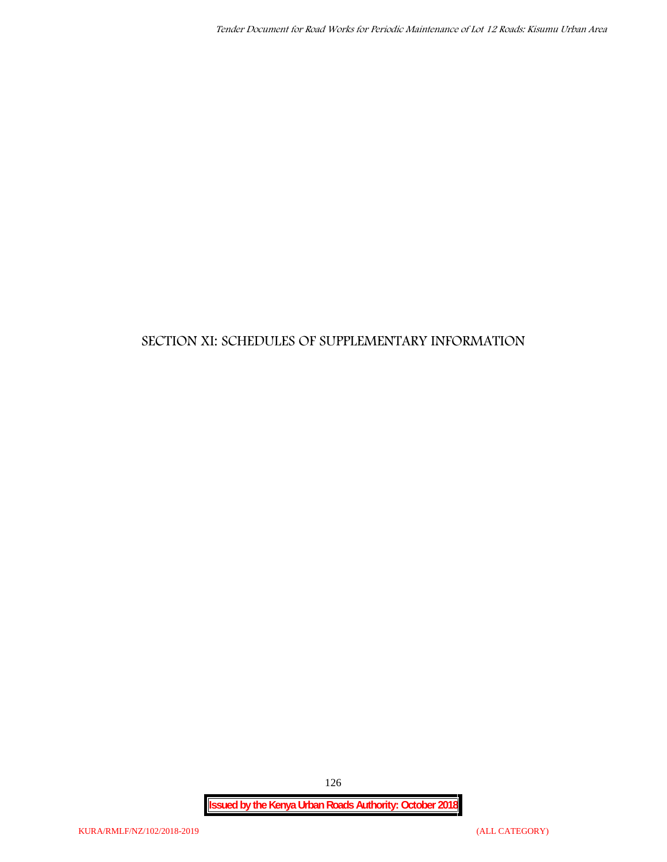# **SECTION XI: SCHEDULES OF SUPPLEMENTARY INFORMATION**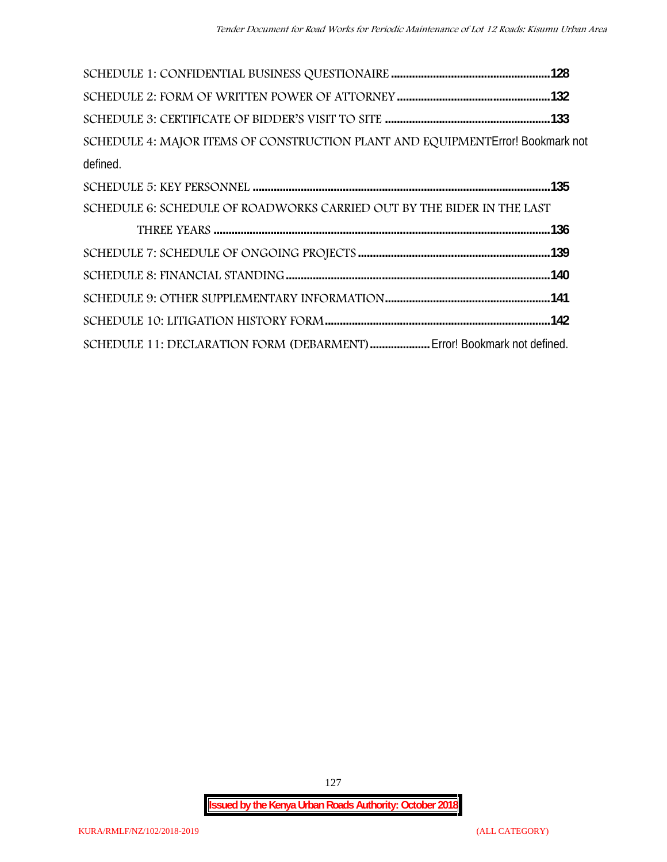| SCHEDULE 4: MAJOR ITEMS OF CONSTRUCTION PLANT AND EQUIPMENT Error! Bookmark not |  |
|---------------------------------------------------------------------------------|--|
| defined.                                                                        |  |
|                                                                                 |  |
| SCHEDULE 6: SCHEDULE OF ROADWORKS CARRIED OUT BY THE BIDER IN THE LAST          |  |
|                                                                                 |  |
|                                                                                 |  |
|                                                                                 |  |
|                                                                                 |  |
|                                                                                 |  |
| SCHEDULE 11: DECLARATION FORM (DEBARMENT)  Error! Bookmark not defined.         |  |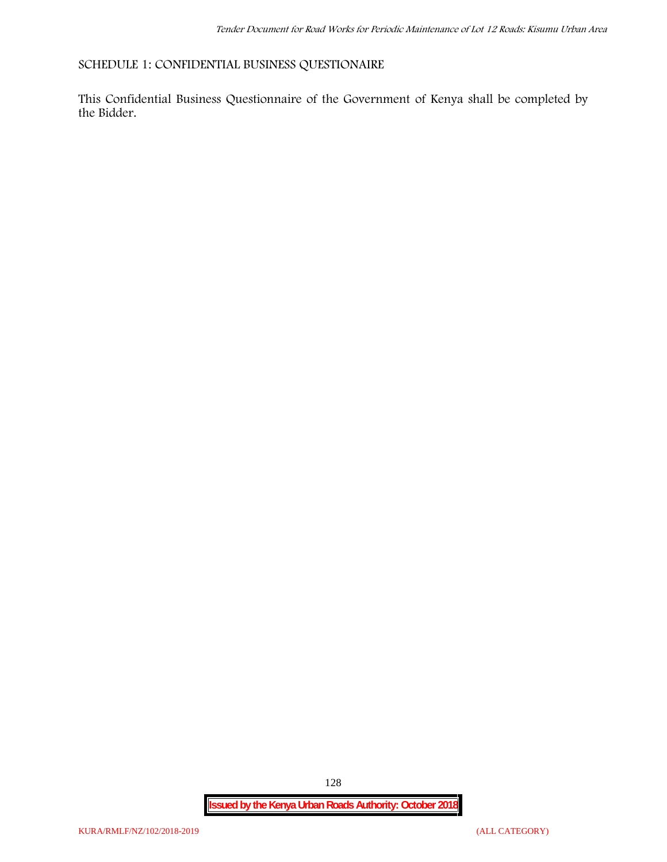**SCHEDULE 1: CONFIDENTIAL BUSINESS QUESTIONAIRE**

This Confidential Business Questionnaire of the Government of Kenya shall be completed by the Bidder.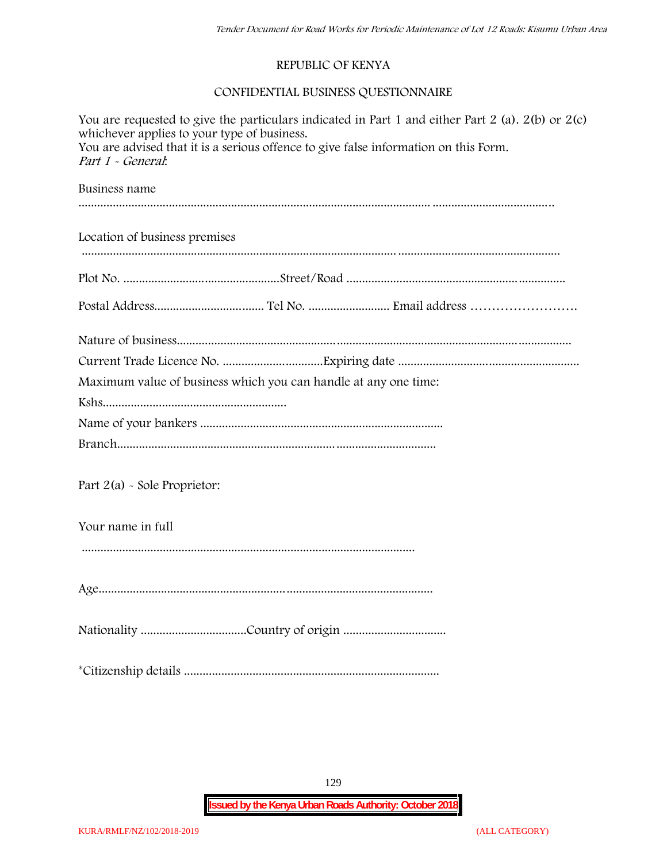# **REPUBLIC OF KENYA**

# **CONFIDENTIAL BUSINESS QUESTIONNAIRE**

| You are requested to give the particulars indicated in Part 1 and either Part 2 (a). $2(b)$ or $2(c)$<br>whichever applies to your type of business.<br>You are advised that it is a serious offence to give false information on this Form.<br>Part 1 - General. |  |  |  |  |  |
|-------------------------------------------------------------------------------------------------------------------------------------------------------------------------------------------------------------------------------------------------------------------|--|--|--|--|--|
| Business name                                                                                                                                                                                                                                                     |  |  |  |  |  |
| Location of business premises                                                                                                                                                                                                                                     |  |  |  |  |  |
|                                                                                                                                                                                                                                                                   |  |  |  |  |  |
|                                                                                                                                                                                                                                                                   |  |  |  |  |  |
|                                                                                                                                                                                                                                                                   |  |  |  |  |  |
|                                                                                                                                                                                                                                                                   |  |  |  |  |  |
| Maximum value of business which you can handle at any one time:                                                                                                                                                                                                   |  |  |  |  |  |
|                                                                                                                                                                                                                                                                   |  |  |  |  |  |
|                                                                                                                                                                                                                                                                   |  |  |  |  |  |
|                                                                                                                                                                                                                                                                   |  |  |  |  |  |
| Part 2(a) - Sole Proprietor:                                                                                                                                                                                                                                      |  |  |  |  |  |
| Your name in full                                                                                                                                                                                                                                                 |  |  |  |  |  |
|                                                                                                                                                                                                                                                                   |  |  |  |  |  |
|                                                                                                                                                                                                                                                                   |  |  |  |  |  |
|                                                                                                                                                                                                                                                                   |  |  |  |  |  |
|                                                                                                                                                                                                                                                                   |  |  |  |  |  |

129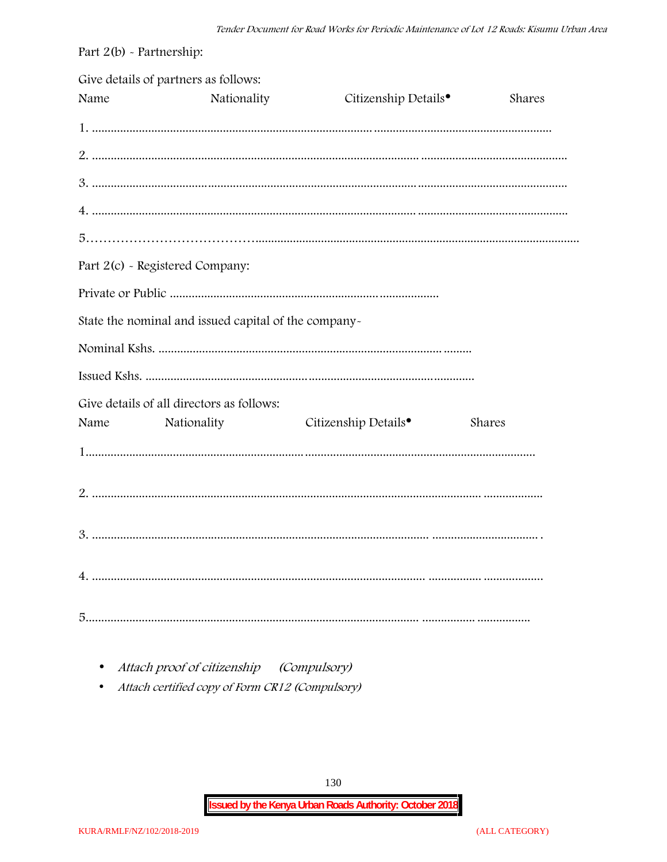| Part $2(b)$ - Partnership: |                                                      |                                  |        |
|----------------------------|------------------------------------------------------|----------------------------------|--------|
| Name                       | Give details of partners as follows:<br>Nationality  | Citizenship Details <sup>•</sup> | Shares |
|                            |                                                      |                                  |        |
|                            |                                                      |                                  |        |
|                            |                                                      |                                  |        |
|                            |                                                      |                                  |        |
|                            |                                                      |                                  |        |
|                            | Part 2(c) - Registered Company:                      |                                  |        |
|                            |                                                      |                                  |        |
|                            | State the nominal and issued capital of the company- |                                  |        |
|                            |                                                      |                                  |        |
|                            |                                                      |                                  |        |
|                            | Give details of all directors as follows:            |                                  |        |
| Name                       | Nationality                                          | Citizenship Details <sup>•</sup> | Shares |
|                            |                                                      |                                  |        |
|                            |                                                      |                                  |        |
|                            |                                                      |                                  |        |
|                            |                                                      |                                  |        |
|                            |                                                      |                                  |        |

• Attach proof of citizenship (Compulsory)

Attach certified copy of Form CR12 (Compulsory)  $\bullet$ 

130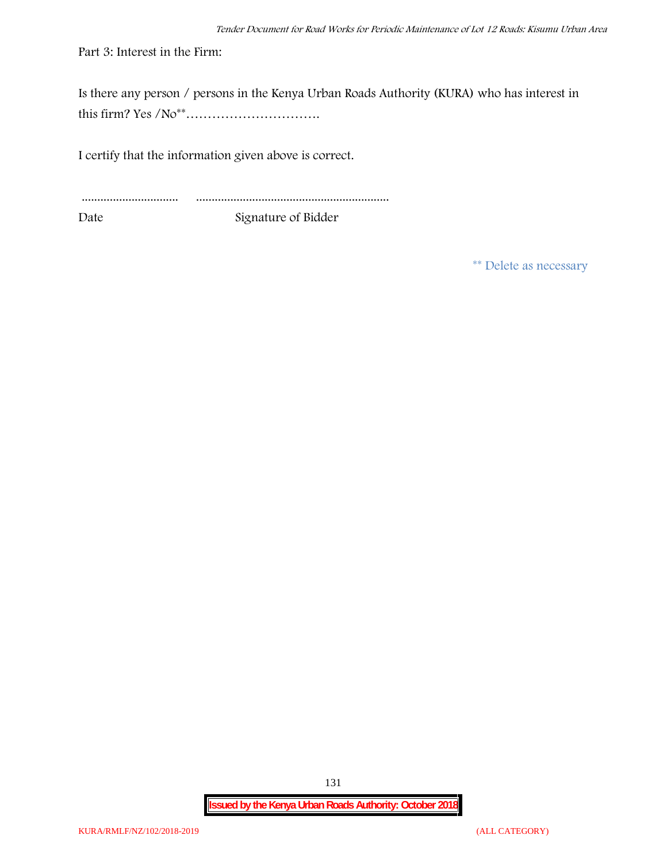Part 3: Interest in the Firm:

Is there any person / persons in the Kenya Urban Roads Authority (KURA) who has interest in this firm? Yes /No\*\*………………………….

I certify that the information given above is correct.

............................... .............................................................. Date Signature of Bidder

**\*\* Delete as necessary**

**Issued by the Kenya Urban Roads Authority: October 2018**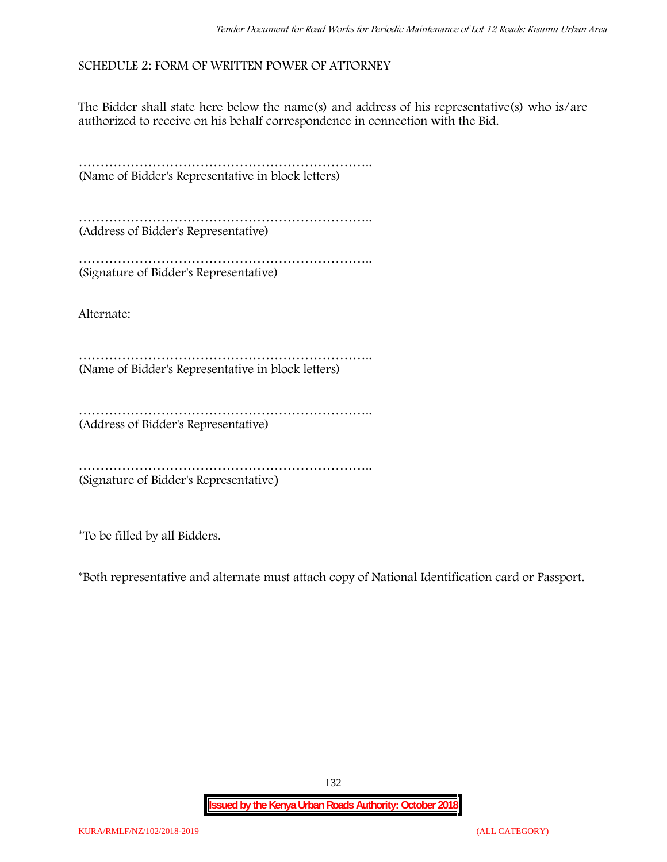# **SCHEDULE 2: FORM OF WRITTEN POWER OF ATTORNEY**

The Bidder shall state here below the name(s) and address of his representative(s) who is/are authorized to receive on his behalf correspondence in connection with the Bid.

………………………………………………………….. (Name of Bidder's Representative in block letters)

………………………………………………………….. (Address of Bidder's Representative)

………………………………………………………….. (Signature of Bidder's Representative)

Alternate:

………………………………………………………….. (Name of Bidder's Representative in block letters)

……………………………………………………………………… (Address of Bidder's Representative)

………………………………………………………….. (Signature of Bidder's Representative)

\*To be filled by all Bidders.

\*Both representative and alternate **must** attach copy of National Identification card or Passport.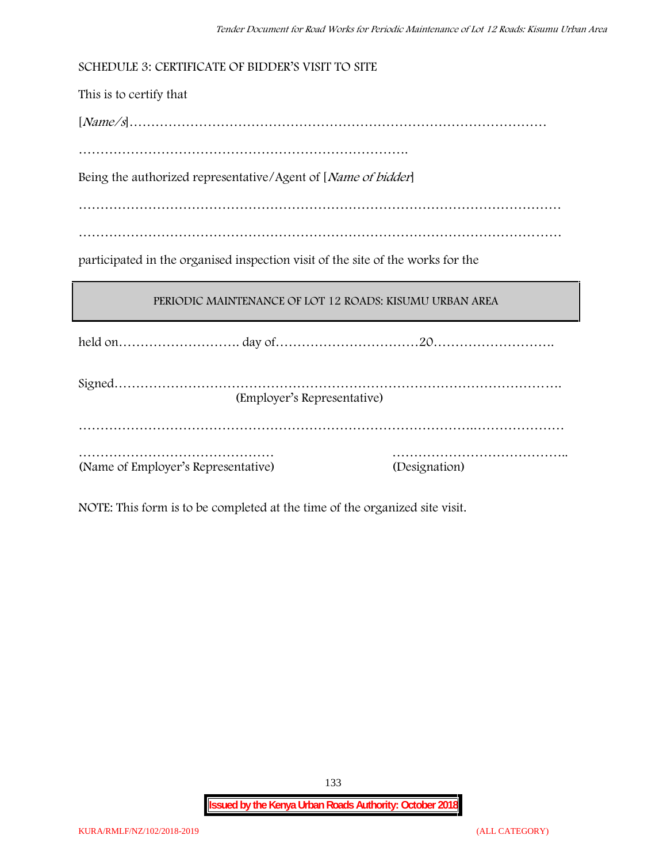**SCHEDULE 3: CERTIFICATE OF BIDDER'S VISIT TO SITE**

This is to certify that

[*Name/s*]……………………………………………………………………………………

………………………………………………………………….

Being the authorized representative/Agent of [*Name of bidder*]

…………………………………………………………………………………………………

…………………………………………………………………………………………………

participated in the organised inspection visit of the site of the works for the

# **PERIODIC MAINTENANCE OF LOT 12 ROADS: KISUMU URBAN AREA**

held on………………………. day of……………………………20……………………….

| (Employer's Representative)         |               |
|-------------------------------------|---------------|
|                                     |               |
|                                     |               |
| (Name of Employer's Representative) | (Designation) |

NOTE: This form is to be completed at the time of the organized site visit.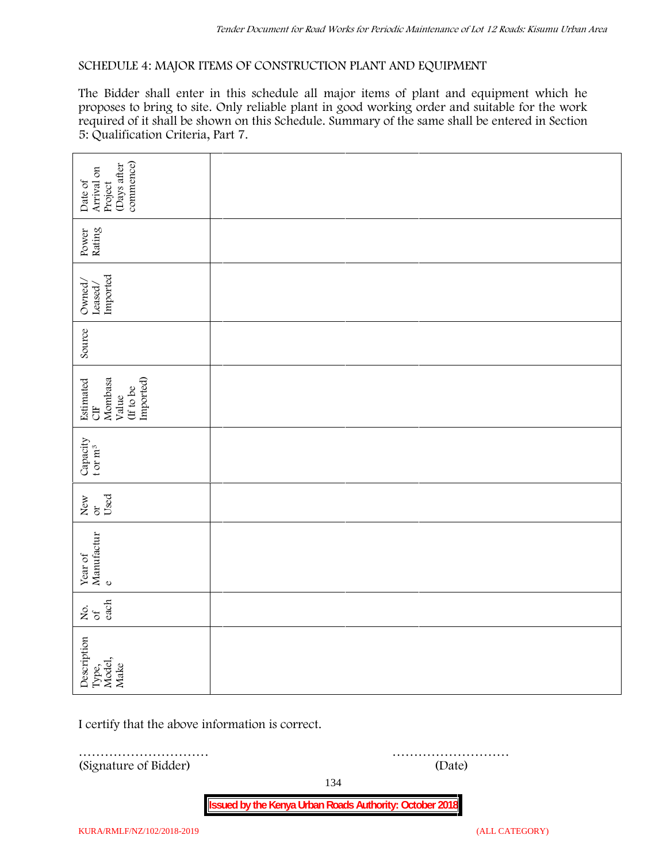## **SCHEDULE 4: MAJOR ITEMS OF CONSTRUCTION PLANT AND EQUIPMENT**

The Bidder shall enter in this schedule all major items of plant and equipment which he proposes to bring to site. Only reliable plant in good working order and suitable for the work required of it shall be shown on this Schedule. Summary of the same shall be entered in Section 5: Qualification Criteria, Part 7.

| commence)<br>(Days after<br>Arrival on<br>Date of<br>Project   |                                                  |  |  |  |
|----------------------------------------------------------------|--------------------------------------------------|--|--|--|
| Power<br>Rating                                                |                                                  |  |  |  |
| $\frac{Leased}{\text{imported}}$<br>Owned/                     |                                                  |  |  |  |
| Source                                                         |                                                  |  |  |  |
| Imported)<br>Mombasa<br>Estimated<br>CIF<br>Value<br>(If to be |                                                  |  |  |  |
| Capacity t or $\mathbf{m}^3$                                   |                                                  |  |  |  |
| New $_{\rm Used}$                                              |                                                  |  |  |  |
| Year of Manufactur $_{\rm e}$                                  |                                                  |  |  |  |
| each<br>Σά                                                     |                                                  |  |  |  |
| Description<br>Type,<br>Model,<br>Make                         |                                                  |  |  |  |
|                                                                | I certify that the above information is correct. |  |  |  |
| .<br>(Signature of Bidder)                                     | (Date)                                           |  |  |  |

134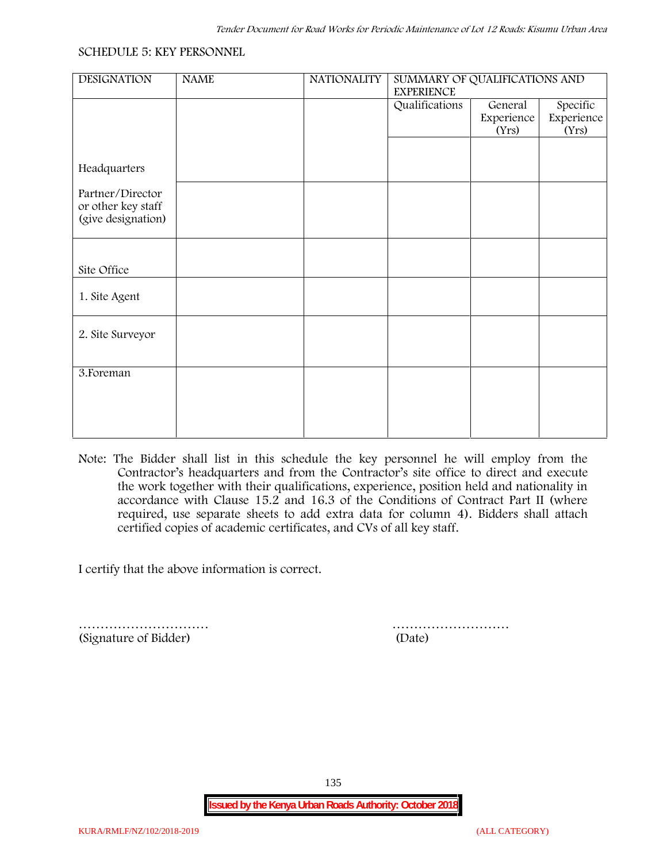#### **SCHEDULE 5: KEY PERSONNEL**

| <b>NAME</b> | <b>NATIONALITY</b> | SUMMARY OF QUALIFICATIONS AND |                                |                                 |  |
|-------------|--------------------|-------------------------------|--------------------------------|---------------------------------|--|
|             |                    | Qualifications                | General<br>Experience<br>(Yrs) | Specific<br>Experience<br>(Yrs) |  |
|             |                    |                               |                                |                                 |  |
|             |                    |                               |                                |                                 |  |
|             |                    |                               |                                |                                 |  |
|             |                    |                               |                                |                                 |  |
|             |                    |                               |                                |                                 |  |
|             |                    |                               |                                |                                 |  |
|             |                    |                               |                                |                                 |  |
|             |                    |                               |                                |                                 |  |
|             |                    |                               |                                |                                 |  |
|             |                    |                               |                                |                                 |  |
|             |                    |                               | <b>EXPERIENCE</b>              |                                 |  |

**Note:** The Bidder shall list in this schedule the key personnel he will employ from the Contractor's headquarters and from the Contractor's site office to direct and execute the work together with their qualifications, experience, position held and nationality in accordance with Clause 15.2 and 16.3 of the Conditions of Contract Part II (where required, use separate sheets to add extra data for column 4). Bidders shall attach certified copies of academic certificates, and CVs of all key staff.

I certify that the above information is correct.

(Signature of Bidder) (Date)

………………………… ………………………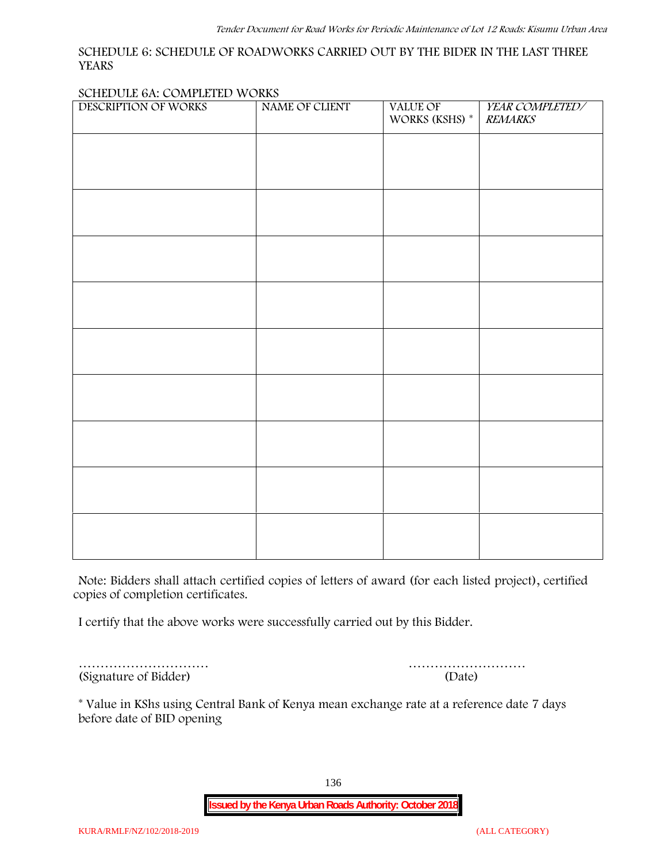#### **SCHEDULE 6: SCHEDULE OF ROADWORKS CARRIED OUT BY THE BIDER IN THE LAST THREE YEARS**

#### **SCHEDULE 6A: COMPLETED WORKS**

| DESCRIPTION OF WORKS | NAME OF CLIENT | VALUE OF<br>WORKS (KSHS) * | YEAR COMPLETED/<br><b>REMARKS</b> |
|----------------------|----------------|----------------------------|-----------------------------------|
|                      |                |                            |                                   |
|                      |                |                            |                                   |
|                      |                |                            |                                   |
|                      |                |                            |                                   |
|                      |                |                            |                                   |
|                      |                |                            |                                   |
|                      |                |                            |                                   |
|                      |                |                            |                                   |
|                      |                |                            |                                   |
|                      |                |                            |                                   |
|                      |                |                            |                                   |
|                      |                |                            |                                   |
|                      |                |                            |                                   |
|                      |                |                            |                                   |
|                      |                |                            |                                   |
|                      |                |                            |                                   |

**Note:** Bidders shall attach certified copies of letters of award (for each listed project), certified copies of completion certificates.

I certify that the above works were successfully carried out by this Bidder.

(Signature of Bidder) (Date)

………………………… ………………………

\* **Value in KShs using Central Bank of Kenya mean exchange rate at a reference date 7 days before date of BID opening**

136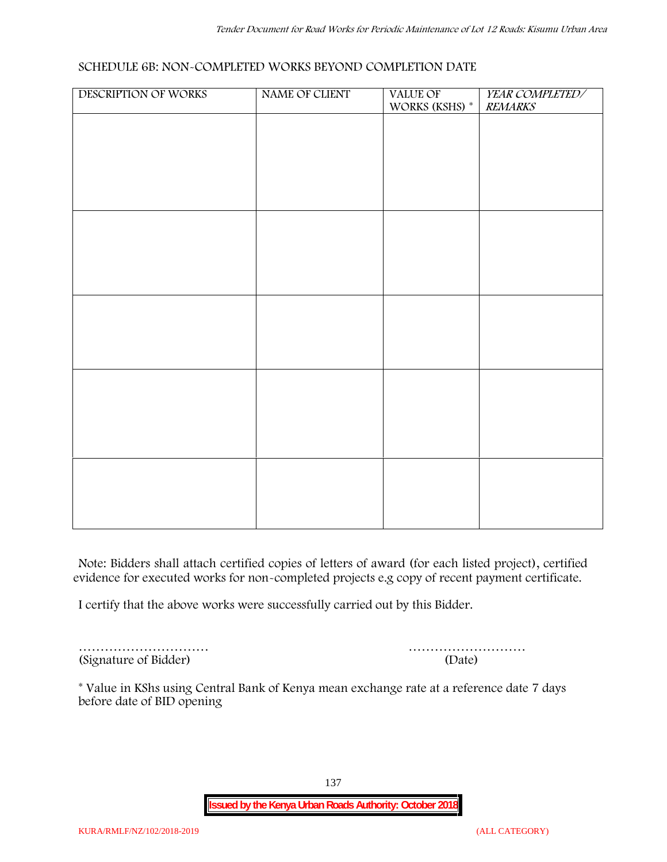#### **SCHEDULE 6B: NON-COMPLETED WORKS BEYOND COMPLETION DATE**

| DESCRIPTION OF WORKS | NAME OF CLIENT | VALUE OF<br>WORKS (KSHS) * | YEAR COMPLETED/<br><b>REMARKS</b> |
|----------------------|----------------|----------------------------|-----------------------------------|
|                      |                |                            |                                   |
|                      |                |                            |                                   |
|                      |                |                            |                                   |
|                      |                |                            |                                   |
|                      |                |                            |                                   |
|                      |                |                            |                                   |
|                      |                |                            |                                   |
|                      |                |                            |                                   |
|                      |                |                            |                                   |
|                      |                |                            |                                   |
|                      |                |                            |                                   |
|                      |                |                            |                                   |
|                      |                |                            |                                   |
|                      |                |                            |                                   |
|                      |                |                            |                                   |
|                      |                |                            |                                   |
|                      |                |                            |                                   |
|                      |                |                            |                                   |

**Note:** Bidders shall attach certified copies of letters of award (for each listed project), certified evidence for executed works for non-completed projects e.g copy of recent payment certificate.

I certify that the above works were successfully carried out by this Bidder.

(Signature of Bidder) (Date)

………………………… ………………………

\* **Value in KShs using Central Bank of Kenya mean exchange rate at a reference date 7 days before date of BID opening**

137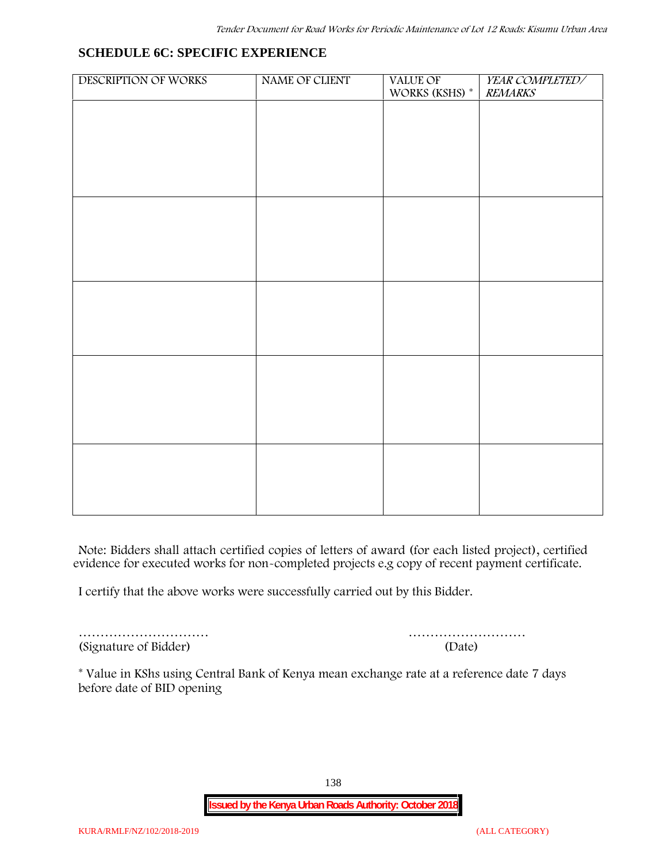# **SCHEDULE 6C: SPECIFIC EXPERIENCE**

| DESCRIPTION OF WORKS | NAME OF CLIENT | VALUE OF<br>WORKS (KSHS) * | YEAR COMPLETED/<br><b>REMARKS</b> |
|----------------------|----------------|----------------------------|-----------------------------------|
|                      |                |                            |                                   |
|                      |                |                            |                                   |
|                      |                |                            |                                   |
|                      |                |                            |                                   |
|                      |                |                            |                                   |
|                      |                |                            |                                   |
|                      |                |                            |                                   |
|                      |                |                            |                                   |
|                      |                |                            |                                   |
|                      |                |                            |                                   |
|                      |                |                            |                                   |
|                      |                |                            |                                   |
|                      |                |                            |                                   |
|                      |                |                            |                                   |
|                      |                |                            |                                   |
|                      |                |                            |                                   |
|                      |                |                            |                                   |

**Note:** Bidders shall attach certified copies of letters of award (for each listed project), certified evidence for executed works for non-completed projects e.g copy of recent payment certificate.

I certify that the above works were successfully carried out by this Bidder.

(Signature of Bidder) (Date)

………………………… ………………………

\* **Value in KShs using Central Bank of Kenya mean exchange rate at a reference date 7 days before date of BID opening**

138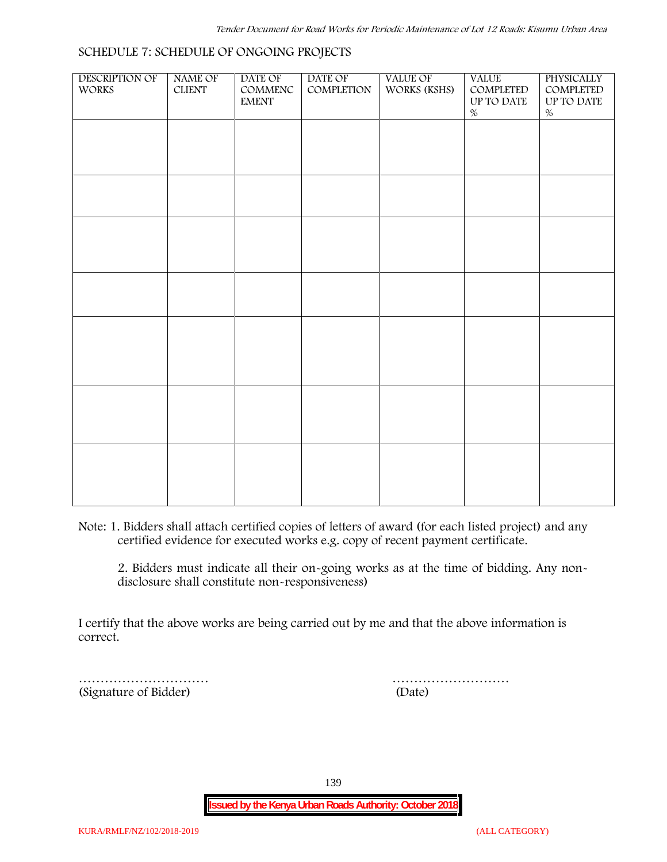#### **SCHEDULE 7: SCHEDULE OF ONGOING PROJECTS**

| DESCRIPTION OF<br>WORKS | NAME OF<br>${\rm CLIENT}$ | DATE OF<br>$\mathsf{COMMENC}$<br><b>EMENT</b> | DATE OF<br>COMPLETION | VALUE OF<br>WORKS (KSHS) | <b>VALUE</b><br>COMPLETED<br>UP TO DATE | PHYSICALLY<br>COMPLETED<br>UP TO DATE |  |
|-------------------------|---------------------------|-----------------------------------------------|-----------------------|--------------------------|-----------------------------------------|---------------------------------------|--|
|                         |                           |                                               |                       |                          | $\%$                                    | $\%$                                  |  |
|                         |                           |                                               |                       |                          |                                         |                                       |  |
|                         |                           |                                               |                       |                          |                                         |                                       |  |
|                         |                           |                                               |                       |                          |                                         |                                       |  |
|                         |                           |                                               |                       |                          |                                         |                                       |  |
|                         |                           |                                               |                       |                          |                                         |                                       |  |
|                         |                           |                                               |                       |                          |                                         |                                       |  |
|                         |                           |                                               |                       |                          |                                         |                                       |  |
|                         |                           |                                               |                       |                          |                                         |                                       |  |
|                         |                           |                                               |                       |                          |                                         |                                       |  |
|                         |                           |                                               |                       |                          |                                         |                                       |  |
|                         |                           |                                               |                       |                          |                                         |                                       |  |
|                         |                           |                                               |                       |                          |                                         |                                       |  |
|                         |                           |                                               |                       |                          |                                         |                                       |  |
|                         |                           |                                               |                       |                          |                                         |                                       |  |
|                         |                           |                                               |                       |                          |                                         |                                       |  |

**Note:** 1. Bidders shall attach certified copies of letters of award (for each listed project) and any certified evidence for executed works e.g. copy of recent payment certificate.

2. Bidders must indicate all their on-going works as at the time of bidding. Any non disclosure shall constitute non-responsiveness)

I certify that the above works are being carried out by me and that the above information is correct.

(Signature of Bidder) (Date)

………………………… ………………………

139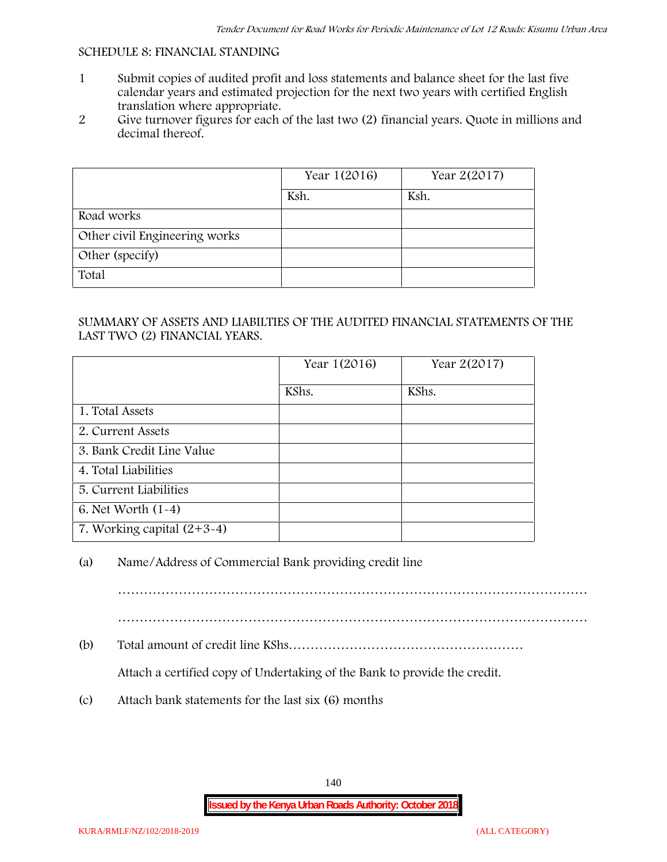#### **SCHEDULE 8: FINANCIAL STANDING**

- 1 Submit copies of audited profit and loss statements and balance sheet for the last five calendar years and estimated projection for the next two years with certified English translation where appropriate.
- 2 Give turnover figures for each of the last two (2) financial years. Quote in millions and decimal thereof.

|                               | Year 1(2016) | Year 2(2017) |
|-------------------------------|--------------|--------------|
|                               | Ksh.         | Ksh.         |
| Road works                    |              |              |
| Other civil Engineering works |              |              |
| Other (specify)               |              |              |
| Total                         |              |              |

## SUMMARY OF ASSETS AND LIABILTIES OF THE AUDITED FINANCIAL STATEMENTS OF THE LAST TWO (2) FINANCIAL YEARS.

|                              | Year 1(2016) | Year 2(2017) |
|------------------------------|--------------|--------------|
|                              | KShs.        | KShs.        |
| 1. Total Assets              |              |              |
| 2. Current Assets            |              |              |
| 3. Bank Credit Line Value    |              |              |
| 4. Total Liabilities         |              |              |
| 5. Current Liabilities       |              |              |
| 6. Net Worth $(1-4)$         |              |              |
| 7. Working capital $(2+3-4)$ |              |              |

# (a) Name/Address of Commercial Bank providing credit line

………………………………………………………………………………………………

………………………………………………………………………………………………

(b) Total amount of credit line KShs………………………………………………

Attach a certified copy of Undertaking of the Bank to provide the credit.

(c) Attach bank statements for the last six (6) months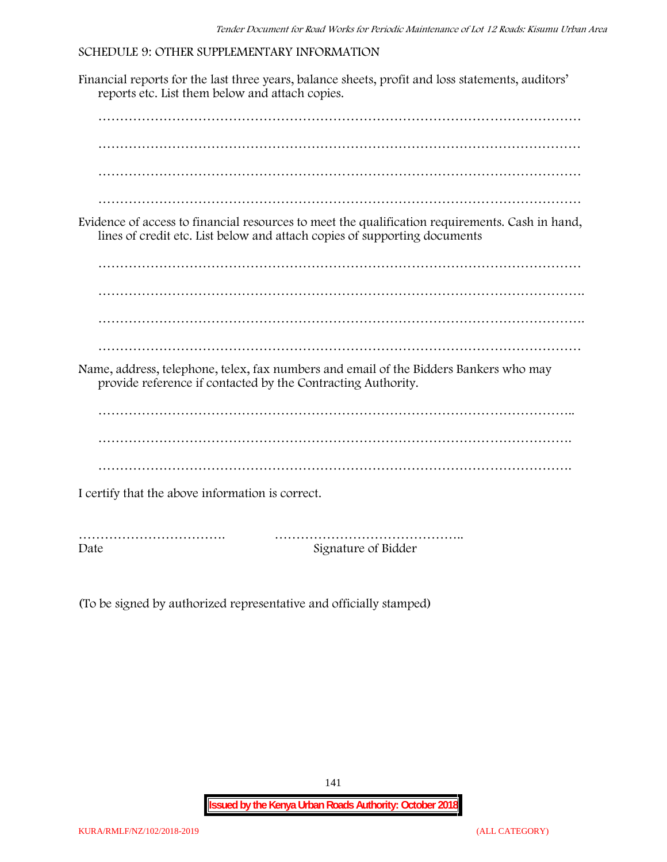## **SCHEDULE 9: OTHER SUPPLEMENTARY INFORMATION**

Financial reports for the last three years, balance sheets, profit and loss statements, auditors' reports etc. List them below and attach copies. ………………………………………………………………………………………………… ………………………………………………………………………………………………… ………………………………………………………………………………………………… ………………………………………………………………………………………………… Evidence of access to financial resources to meet the qualification requirements. Cash in hand, lines of credit etc. List below and attach copies of supporting documents ………………………………………………………………………………………………… …………………………………………………………………………………………………. ………………………………………………………………………………………………… Name, address, telephone, telex, fax numbers and email of the Bidders Bankers who may provide reference if contacted by the Contracting Authority. ……………………………………………………………………………………………….. ………………………………………………………………………………………………. ………………………………………………………………………………………………. I certify that the above information is correct. ……………………………. …………………………………….. Date Signature of Bidder

(To be signed by authorized representative and officially stamped)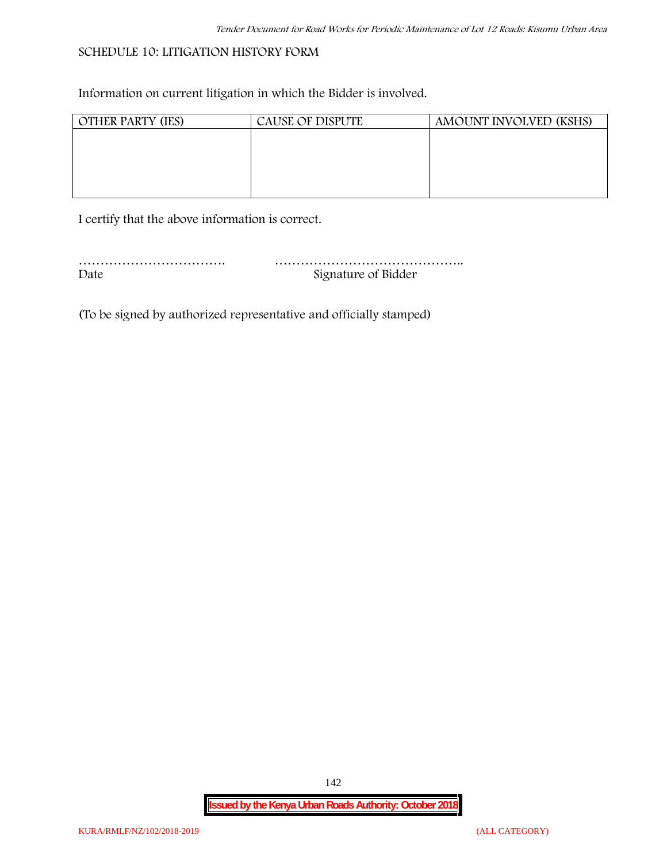## **SCHEDULE 10: LITIGATION HISTORY FORM**

Information on current litigation in which the Bidder is involved.

| <b>CAUSE OF DISPUTE</b> | AMOUNT INVOLVED (KSHS) |
|-------------------------|------------------------|
|                         |                        |
|                         |                        |
|                         |                        |
|                         |                        |
|                         |                        |

I certify that the above information is correct.

| Date | Signature of Bidder |
|------|---------------------|

(To be signed by authorized representative and officially stamped)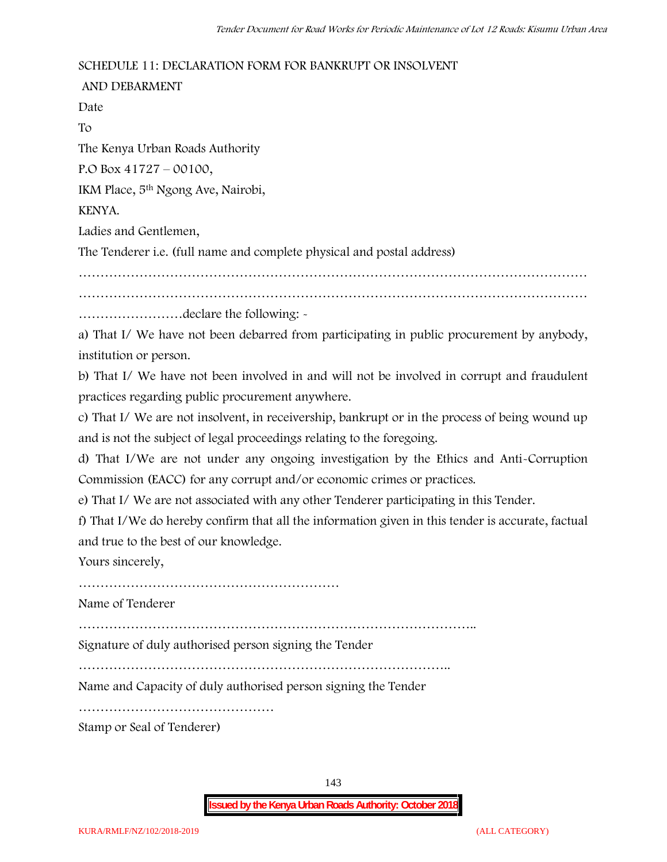## **SCHEDULE 11: DECLARATION FORM FOR BANKRUPT OR INSOLVENT**

**AND DEBARMENT** Date To The Kenya Urban Roads Authority P.O Box 41727 – 00100, IKM Place, 5th Ngong Ave, Nairobi, KENYA. Ladies and Gentlemen, The Tenderer i.e. (full name and complete physical and postal address) ……………………………………………………………………………………………………… ……………………declare the following: a) That I/ We have not been debarred from participating in public procurement by anybody,

institution or person. b) That I/ We have not been involved in and will not be involved in corrupt and fraudulent

practices regarding public procurement anywhere.

c) That I/ We are not insolvent, in receivership, bankrupt or in the process of being wound up and is not the subject of legal proceedings relating to the foregoing.

d) That I/We are not under any ongoing investigation by the Ethics and Anti-Corruption Commission (EACC) for any corrupt and/or economic crimes or practices.

e) That I/ We are not associated with any other Tenderer participating in this Tender.

f) That I/We do hereby confirm that all the information given in this tender is accurate, factual and true to the best of our knowledge.

Yours sincerely,

……………………………………………………

Name of Tenderer

………………………………………………………………………………..

Signature of duly authorised person signing the Tender

…………………………………………………………………………..

Name and Capacity of duly authorised person signing the Tender

………………………………………

Stamp or Seal of Tenderer)

143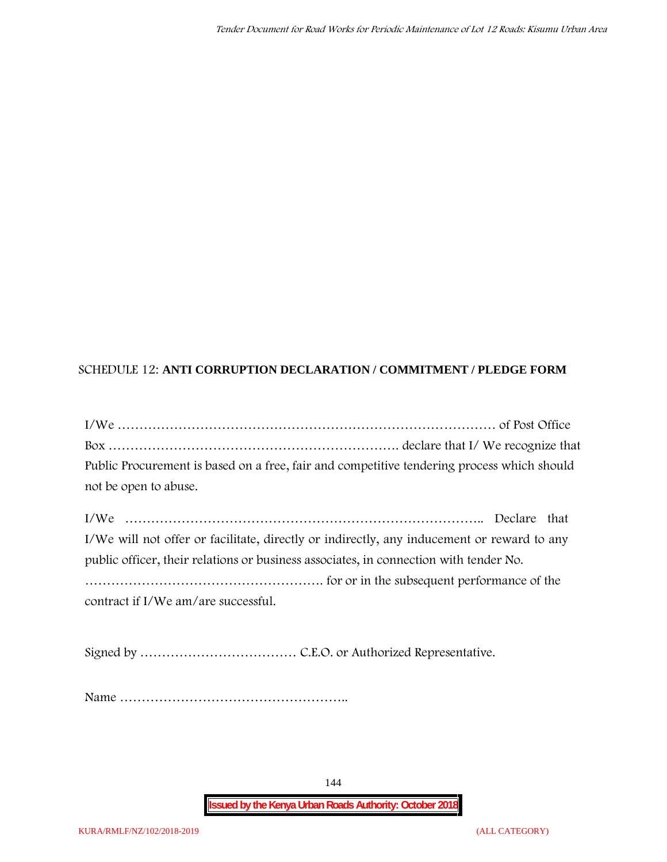## **SCHEDULE 12: ANTI CORRUPTION DECLARATION / COMMITMENT / PLEDGE FORM**

| Public Procurement is based on a free, fair and competitive tendering process which should |  |
|--------------------------------------------------------------------------------------------|--|
| not be open to abuse.                                                                      |  |

|                                     | I/We will not offer or facilitate, directly or indirectly, any inducement or reward to any |  |
|-------------------------------------|--------------------------------------------------------------------------------------------|--|
|                                     | public officer, their relations or business associates, in connection with tender No.      |  |
|                                     |                                                                                            |  |
| contract if I/We am/are successful. |                                                                                            |  |

Signed by ……………………………… C.E.O. or Authorized Representative.

Name ……………………………………………..

144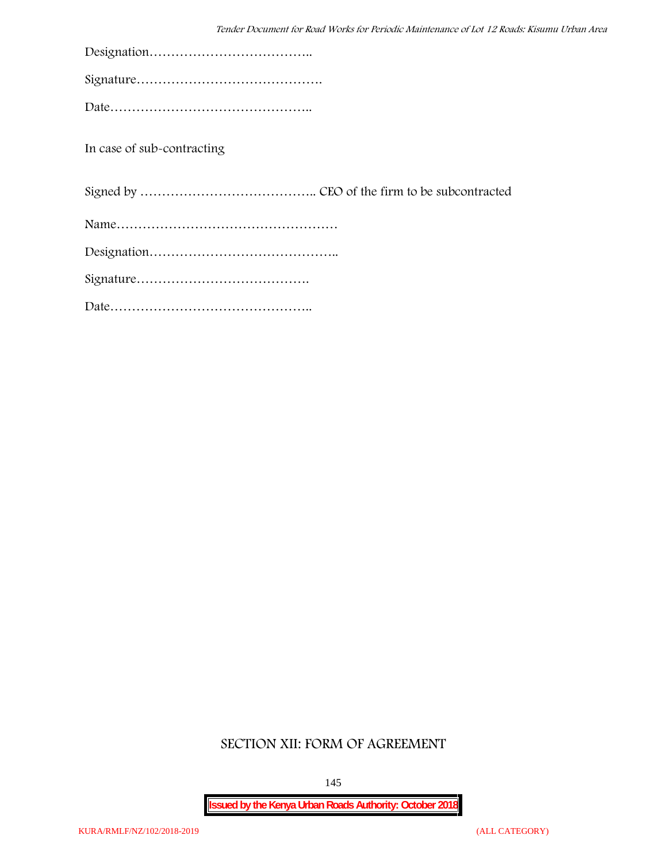Designation………………………………..

Signature…………………………………….

Date………………………………………..

**In case of sub-contracting**

Signed by ………………………………….. CEO of the firm to be subcontracted

Name……………………………………………

Designation……………………………………..

Signature………………………………….

Date………………………………………..

## **SECTION XII: FORM OF AGREEMENT**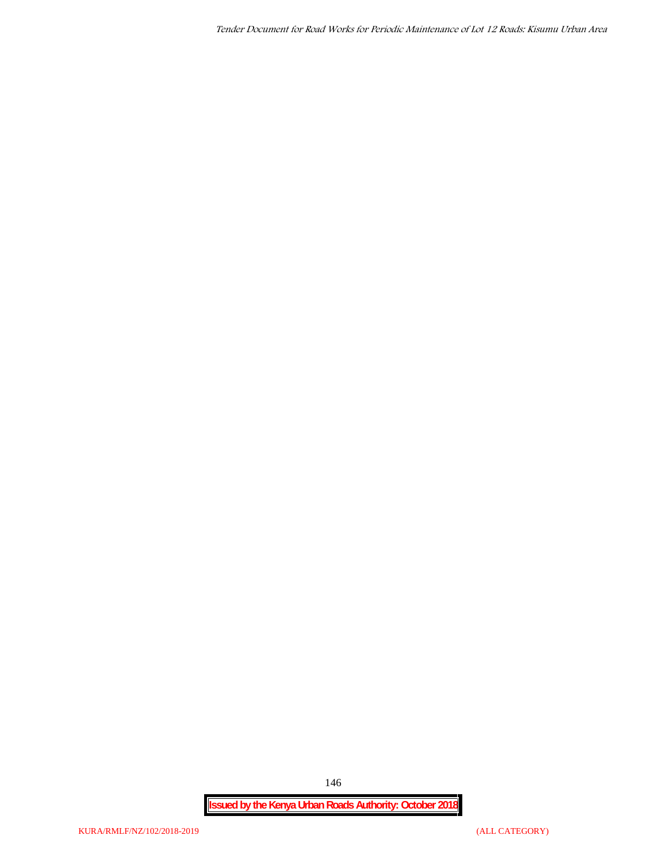*Tender Document for Road Works for Periodic Maintenance of Lot 12 Roads: Kisumu Urban Area*

**Issued by the Kenya Urban Roads Authority: October 2018**

146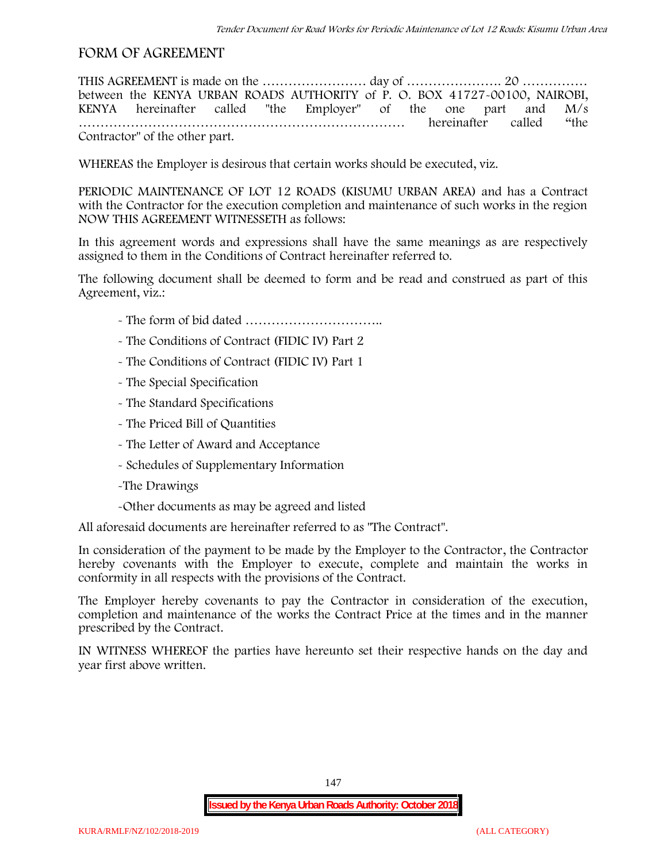## **FORM OF AGREEMENT**

THIS AGREEMENT is made on the …………………… day of …………………. 20 …………… between the **KENYA URBAN ROADS AUTHORITY** of **P. O. BOX 41727-00100, NAIROBI, KENYA** hereinafter called "the Employer" of the one part and **M/s …………………………………………………………………** hereinafter called "the Contractor" of the other part.

WHEREAS the Employer is desirous that certain works should be executed, viz.

**PERIODIC MAINTENANCE OF LOT 12 ROADS (KISUMU URBAN AREA)** and has a Contract with the Contractor for the execution completion and maintenance of such works in the region NOW THIS AGREEMENT WITNESSETH as follows:

In this agreement words and expressions shall have the same meanings as are respectively assigned to them in the Conditions of Contract hereinafter referred to.

The following document shall be deemed to form and be read and construed as part of this Agreement, viz.:

- The form of bid dated **…………………………..**
- The Conditions of Contract (FIDIC IV) Part 2
- The Conditions of Contract (FIDIC IV) Part 1
- The Special Specification
- The Standard Specifications
- The Priced Bill of Quantities
- The Letter of Award and Acceptance
- Schedules of Supplementary Information
- -The Drawings
- -Other documents as may be agreed and listed

All aforesaid documents are hereinafter referred to as "The Contract".

In consideration of the payment to be made by the Employer to the Contractor, the Contractor hereby covenants with the Employer to execute, complete and maintain the works in conformity in all respects with the provisions of the Contract.

The Employer hereby covenants to pay the Contractor in consideration of the execution, completion and maintenance of the works the Contract Price at the times and in the manner prescribed by the Contract.

IN WITNESS WHEREOF the parties have hereunto set their respective hands on the day and year first above written.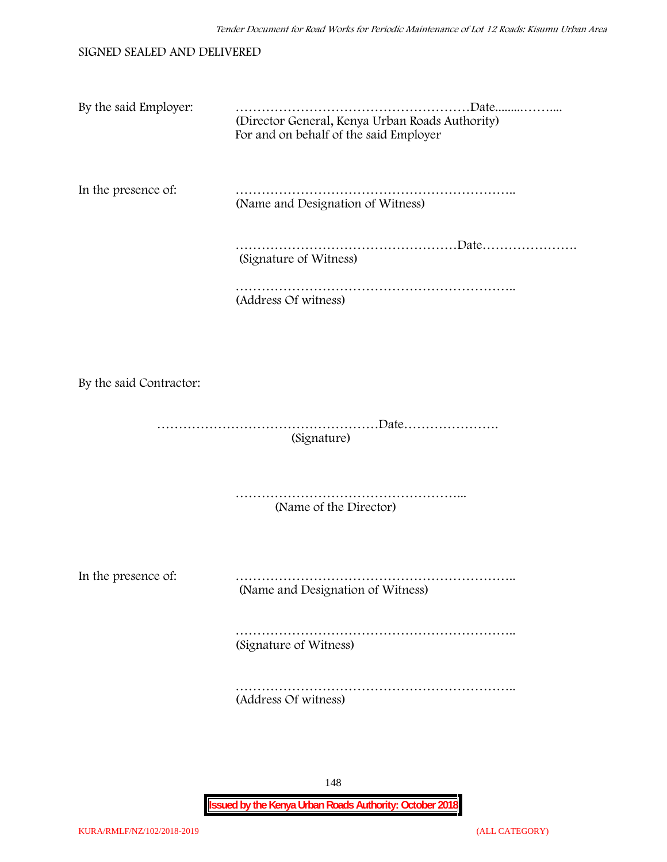| By the said Employer:   | (Director General, Kenya Urban Roads Authority)<br>For and on behalf of the said Employer |
|-------------------------|-------------------------------------------------------------------------------------------|
| In the presence of:     | (Name and Designation of Witness)                                                         |
|                         | (Signature of Witness)                                                                    |
|                         | (Address Of witness)                                                                      |
|                         |                                                                                           |
| By the said Contractor: |                                                                                           |
|                         | (Signature)                                                                               |
|                         | (Name of the Director)                                                                    |
| In the presence of:     | (Name and Designation of Witness)                                                         |
|                         | (Signature of Witness)                                                                    |
|                         | (Address Of witness)                                                                      |

148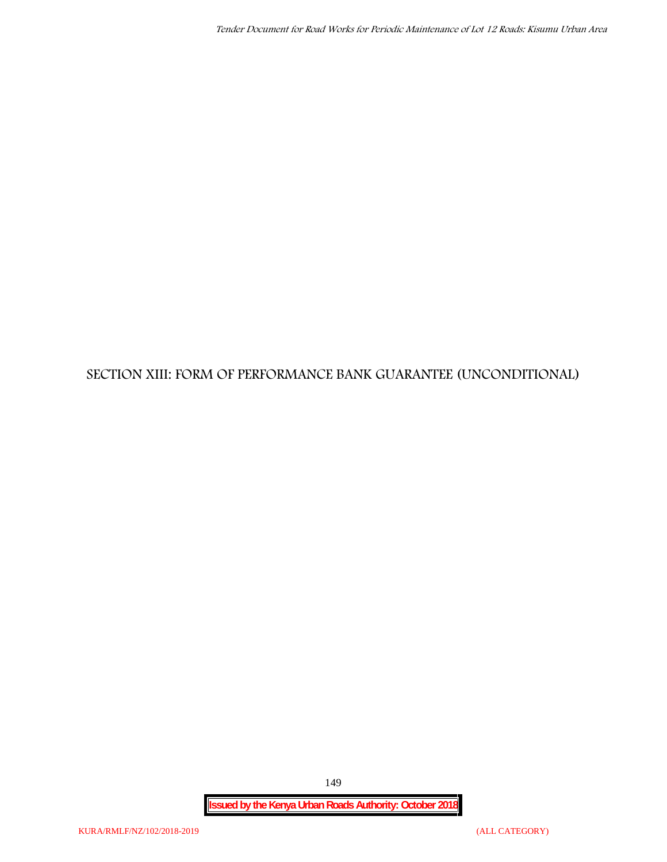# **SECTION XIII: FORM OF PERFORMANCE BANK GUARANTEE (UNCONDITIONAL)**